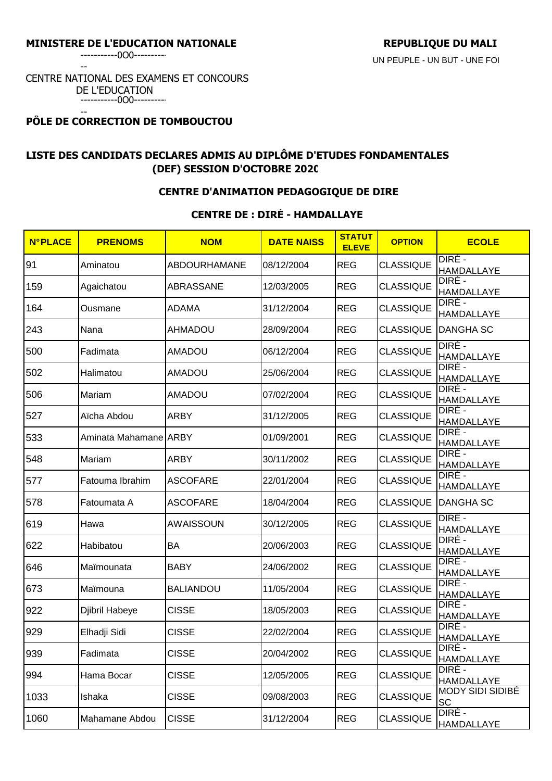-----------0O0----------

--

#### CENTRE NATIONAL DES EXAMENS ET CONCOURS DE L'EDUCATION -----------0O0----------

#### -- **PÔLE DE CORRECTION DE TOMBOUCTOU**

# **LISTE DES CANDIDATS DECLARES ADMIS AU DIPLÔME D'ETUDES FONDAMENTALES (DEF) SESSION D'OCTOBRE 2020**

#### **CENTRE D'ANIMATION PEDAGOGIQUE DE DIRE**

# **CENTRE DE : DIRÉ - HAMDALLAYE**

| <b>N°PLACE</b> | <b>PRENOMS</b>        | <b>NOM</b>          | <b>DATE NAISS</b> | <b>STATUT</b><br><b>ELEVE</b> | <b>OPTION</b>    | <b>ECOLE</b>                         |
|----------------|-----------------------|---------------------|-------------------|-------------------------------|------------------|--------------------------------------|
| 91             | Aminatou              | <b>ABDOURHAMANE</b> | 08/12/2004        | <b>REG</b>                    | <b>CLASSIQUE</b> | DIRÉ -<br><b>HAMDALLAYE</b>          |
| 159            | Agaichatou            | ABRASSANE           | 12/03/2005        | <b>REG</b>                    | <b>CLASSIQUE</b> | DIRE -<br><b>HAMDALLAYE</b>          |
| 164            | Ousmane               | <b>ADAMA</b>        | 31/12/2004        | <b>REG</b>                    | <b>CLASSIQUE</b> | DIRE -<br>HAMDALLAYE                 |
| 243            | Nana                  | <b>AHMADOU</b>      | 28/09/2004        | <b>REG</b>                    | <b>CLASSIQUE</b> | <b>DANGHA SC</b>                     |
| 500            | Fadimata              | <b>AMADOU</b>       | 06/12/2004        | <b>REG</b>                    | <b>CLASSIQUE</b> | DIRE -<br><b>HAMDALLAYE</b>          |
| 502            | Halimatou             | <b>AMADOU</b>       | 25/06/2004        | <b>REG</b>                    | <b>CLASSIQUE</b> | DIRÉ -<br>HAMDALLAYE                 |
| 506            | Mariam                | <b>AMADOU</b>       | 07/02/2004        | <b>REG</b>                    | <b>CLASSIQUE</b> | DIRÉ -<br>HAMDALLAYE                 |
| 527            | Aïcha Abdou           | <b>ARBY</b>         | 31/12/2005        | <b>REG</b>                    | <b>CLASSIQUE</b> | DIRE -<br><b>HAMDALLAYE</b>          |
| 533            | Aminata Mahamane ARBY |                     | 01/09/2001        | <b>REG</b>                    | <b>CLASSIQUE</b> | DIRÉ -<br><b>HAMDALLAYE</b>          |
| 548            | Mariam                | <b>ARBY</b>         | 30/11/2002        | <b>REG</b>                    | <b>CLASSIQUE</b> | DIRÉ -<br><b>HAMDALLAYE</b>          |
| 577            | Fatouma Ibrahim       | <b>ASCOFARE</b>     | 22/01/2004        | <b>REG</b>                    | <b>CLASSIQUE</b> | DIRE -<br>HAMDALLAYE                 |
| 578            | Fatoumata A           | <b>ASCOFARE</b>     | 18/04/2004        | <b>REG</b>                    | <b>CLASSIQUE</b> | <b>DANGHA SC</b>                     |
| 619            | Hawa                  | <b>AWAISSOUN</b>    | 30/12/2005        | <b>REG</b>                    | <b>CLASSIQUE</b> | DIRE -<br><b>HAMDALLAYE</b>          |
| 622            | Habibatou             | <b>BA</b>           | 20/06/2003        | <b>REG</b>                    | <b>CLASSIQUE</b> | DIRE -<br><b>HAMDALLAYE</b>          |
| 646            | Maïmounata            | <b>BABY</b>         | 24/06/2002        | <b>REG</b>                    | <b>CLASSIQUE</b> | DIRE -<br><b>HAMDALLAYE</b>          |
| 673            | Maïmouna              | <b>BALIANDOU</b>    | 11/05/2004        | <b>REG</b>                    | <b>CLASSIQUE</b> | DIRÉ -<br><b>HAMDALLAYE</b>          |
| 922            | Djibril Habeye        | <b>CISSE</b>        | 18/05/2003        | <b>REG</b>                    | <b>CLASSIQUE</b> | DIRÉ -<br>HAMDALLAYE                 |
| 929            | Elhadji Sidi          | <b>CISSE</b>        | 22/02/2004        | <b>REG</b>                    | <b>CLASSIQUE</b> | DIRÉ -<br><b>HAMDALLAYE</b>          |
| 939            | Fadimata              | <b>CISSE</b>        | 20/04/2002        | <b>REG</b>                    | <b>CLASSIQUE</b> | DIRÉ -<br><b>HAMDALLAYE</b>          |
| 994            | Hama Bocar            | <b>CISSE</b>        | 12/05/2005        | <b>REG</b>                    | <b>CLASSIQUE</b> | DIRÉ -<br>HAMDALLAYE                 |
| 1033           | Ishaka                | <b>CISSE</b>        | 09/08/2003        | <b>REG</b>                    | <b>CLASSIQUE</b> | <b>MODY SIDI SIDIBÉ</b><br><b>SC</b> |
| 1060           | Mahamane Abdou        | <b>CISSE</b>        | 31/12/2004        | <b>REG</b>                    | <b>CLASSIQUE</b> | DIRE -<br><b>HAMDALLAYE</b>          |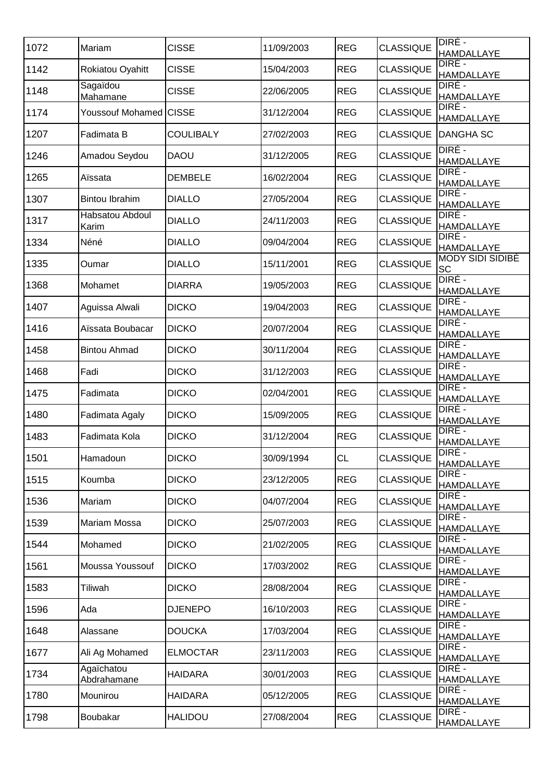| 1072 | Mariam                    | <b>CISSE</b>     | 11/09/2003 | <b>REG</b> | <b>CLASSIQUE</b> | DIRÉ -<br><b>HAMDALLAYE</b>   |
|------|---------------------------|------------------|------------|------------|------------------|-------------------------------|
| 1142 | Rokiatou Oyahitt          | <b>CISSE</b>     | 15/04/2003 | <b>REG</b> | <b>CLASSIQUE</b> | DIRE -<br>HAMDALLAYE          |
| 1148 | Sagaïdou<br>Mahamane      | <b>CISSE</b>     | 22/06/2005 | <b>REG</b> | <b>CLASSIQUE</b> | DIRÉ -<br>HAMDALLAYE          |
| 1174 | Youssouf Mohamed CISSE    |                  | 31/12/2004 | <b>REG</b> | <b>CLASSIQUE</b> | DIRE -<br>HAMDALLAYE          |
| 1207 | Fadimata B                | <b>COULIBALY</b> | 27/02/2003 | <b>REG</b> | <b>CLASSIQUE</b> | <b>DANGHA SC</b>              |
| 1246 | Amadou Seydou             | <b>DAOU</b>      | 31/12/2005 | <b>REG</b> | <b>CLASSIQUE</b> | DIRE -<br><b>HAMDALLAYE</b>   |
| 1265 | Aïssata                   | <b>DEMBELE</b>   | 16/02/2004 | <b>REG</b> | <b>CLASSIQUE</b> | DIRÉ -<br>HAMDALLAYE          |
| 1307 | <b>Bintou Ibrahim</b>     | <b>DIALLO</b>    | 27/05/2004 | <b>REG</b> | <b>CLASSIQUE</b> | DIRÉ -<br>HAMDALLAYE          |
| 1317 | Habsatou Abdoul<br>Karim  | <b>DIALLO</b>    | 24/11/2003 | <b>REG</b> | <b>CLASSIQUE</b> | DIRÉ -<br>HAMDALLAYE          |
| 1334 | Néné                      | <b>DIALLO</b>    | 09/04/2004 | <b>REG</b> | <b>CLASSIQUE</b> | DIRÉ -<br>HAMDALLAYE          |
| 1335 | Oumar                     | <b>DIALLO</b>    | 15/11/2001 | <b>REG</b> | <b>CLASSIQUE</b> | <b>MODY SIDI SIDIBÉ</b><br>SC |
| 1368 | Mohamet                   | <b>DIARRA</b>    | 19/05/2003 | <b>REG</b> | <b>CLASSIQUE</b> | DIRÉ -<br><b>HAMDALLAYE</b>   |
| 1407 | Aguissa Alwali            | <b>DICKO</b>     | 19/04/2003 | <b>REG</b> | <b>CLASSIQUE</b> | DIRE -<br>HAMDALLAYE          |
| 1416 | Aïssata Boubacar          | <b>DICKO</b>     | 20/07/2004 | <b>REG</b> | <b>CLASSIQUE</b> | DIRE -<br><b>HAMDALLAYE</b>   |
| 1458 | <b>Bintou Ahmad</b>       | <b>DICKO</b>     | 30/11/2004 | <b>REG</b> | <b>CLASSIQUE</b> | DIRE -<br><b>HAMDALLAYE</b>   |
| 1468 | Fadi                      | <b>DICKO</b>     | 31/12/2003 | <b>REG</b> | <b>CLASSIQUE</b> | DIRE -<br><b>HAMDALLAYE</b>   |
| 1475 | Fadimata                  | <b>DICKO</b>     | 02/04/2001 | <b>REG</b> | <b>CLASSIQUE</b> | DIRE -<br><b>HAMDALLAYE</b>   |
| 1480 | Fadimata Agaly            | <b>DICKO</b>     | 15/09/2005 | <b>REG</b> | <b>CLASSIQUE</b> | DIRE -<br>HAMDALLAYE          |
| 1483 | Fadimata Kola             | <b>DICKO</b>     | 31/12/2004 | <b>REG</b> | <b>CLASSIQUE</b> | DIRÉ -<br><b>HAMDALLAYE</b>   |
| 1501 | Hamadoun                  | <b>DICKO</b>     | 30/09/1994 | CL         | <b>CLASSIQUE</b> | DIRÉ -<br>HAMDALLAYE          |
| 1515 | Koumba                    | <b>DICKO</b>     | 23/12/2005 | <b>REG</b> | <b>CLASSIQUE</b> | DIRE -<br><b>HAMDALLAYE</b>   |
| 1536 | Mariam                    | <b>DICKO</b>     | 04/07/2004 | <b>REG</b> | <b>CLASSIQUE</b> | DIRÉ -<br>HAMDALLAYE          |
| 1539 | <b>Mariam Mossa</b>       | <b>DICKO</b>     | 25/07/2003 | <b>REG</b> | <b>CLASSIQUE</b> | DIRÉ -<br><b>HAMDALLAYE</b>   |
| 1544 | Mohamed                   | <b>DICKO</b>     | 21/02/2005 | <b>REG</b> | <b>CLASSIQUE</b> | DIRE -<br><b>HAMDALLAYE</b>   |
| 1561 | Moussa Youssouf           | <b>DICKO</b>     | 17/03/2002 | <b>REG</b> | <b>CLASSIQUE</b> | DIRE -<br><b>HAMDALLAYE</b>   |
| 1583 | Tiliwah                   | <b>DICKO</b>     | 28/08/2004 | <b>REG</b> | <b>CLASSIQUE</b> | DIRE -<br>HAMDALLAYE          |
| 1596 | Ada                       | <b>DJENEPO</b>   | 16/10/2003 | <b>REG</b> | <b>CLASSIQUE</b> | DIRE -<br>HAMDALLAYE          |
| 1648 | Alassane                  | <b>DOUCKA</b>    | 17/03/2004 | <b>REG</b> | <b>CLASSIQUE</b> | DIRÉ -<br>HAMDALLAYE          |
| 1677 | Ali Ag Mohamed            | <b>ELMOCTAR</b>  | 23/11/2003 | <b>REG</b> | <b>CLASSIQUE</b> | DIRÉ -<br>HAMDALLAYE          |
| 1734 | Agaïchatou<br>Abdrahamane | <b>HAIDARA</b>   | 30/01/2003 | <b>REG</b> | <b>CLASSIQUE</b> | DIRÉ -<br>HAMDALLAYE          |
| 1780 | Mounirou                  | <b>HAIDARA</b>   | 05/12/2005 | <b>REG</b> | <b>CLASSIQUE</b> | DIRÉ -<br><b>HAMDALLAYE</b>   |
| 1798 | Boubakar                  | <b>HALIDOU</b>   | 27/08/2004 | <b>REG</b> | <b>CLASSIQUE</b> | DIRÉ -<br>HAMDALLAYE          |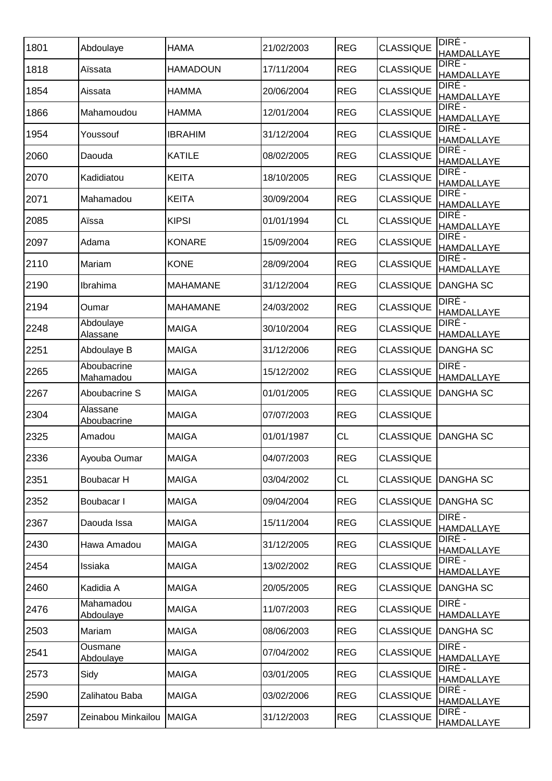| 1801 | Abdoulaye                   | <b>HAMA</b>     | 21/02/2003 | <b>REG</b> | <b>CLASSIQUE</b> | DIRÉ -<br>HAMDALLAYE        |
|------|-----------------------------|-----------------|------------|------------|------------------|-----------------------------|
| 1818 | Aïssata                     | <b>HAMADOUN</b> | 17/11/2004 | <b>REG</b> | <b>CLASSIQUE</b> | DIRE -<br>HAMDALLAYE        |
| 1854 | Aissata                     | <b>HAMMA</b>    | 20/06/2004 | <b>REG</b> | <b>CLASSIQUE</b> | DIRÉ -<br>HAMDALLAYE        |
| 1866 | Mahamoudou                  | <b>HAMMA</b>    | 12/01/2004 | <b>REG</b> | <b>CLASSIQUE</b> | DIRE -<br>HAMDALLAYE        |
| 1954 | Youssouf                    | <b>IBRAHIM</b>  | 31/12/2004 | <b>REG</b> | <b>CLASSIQUE</b> | DIRE -<br>HAMDALLAYE        |
| 2060 | Daouda                      | <b>KATILE</b>   | 08/02/2005 | <b>REG</b> | <b>CLASSIQUE</b> | DIRE -<br><b>HAMDALLAYE</b> |
| 2070 | Kadidiatou                  | <b>KEITA</b>    | 18/10/2005 | <b>REG</b> | <b>CLASSIQUE</b> | DIRÉ -<br>HAMDALLAYE        |
| 2071 | Mahamadou                   | <b>KEITA</b>    | 30/09/2004 | <b>REG</b> | <b>CLASSIQUE</b> | DIRE -<br>HAMDALLAYE        |
| 2085 | Aïssa                       | <b>KIPSI</b>    | 01/01/1994 | <b>CL</b>  | <b>CLASSIQUE</b> | DIRÉ -<br>HAMDALLAYE        |
| 2097 | Adama                       | <b>KONARE</b>   | 15/09/2004 | <b>REG</b> | <b>CLASSIQUE</b> | DIRÉ -<br>HAMDALLAYE        |
| 2110 | Mariam                      | <b>KONE</b>     | 28/09/2004 | <b>REG</b> | <b>CLASSIQUE</b> | DIRÉ -<br>HAMDALLAYE        |
| 2190 | Ibrahima                    | <b>MAHAMANE</b> | 31/12/2004 | <b>REG</b> | <b>CLASSIQUE</b> | <b>DANGHA SC</b>            |
| 2194 | Oumar                       | <b>MAHAMANE</b> | 24/03/2002 | <b>REG</b> | <b>CLASSIQUE</b> | DIRÉ -<br>HAMDALLAYE        |
| 2248 | Abdoulaye<br>Alassane       | <b>MAIGA</b>    | 30/10/2004 | <b>REG</b> | <b>CLASSIQUE</b> | DIRE -<br><b>HAMDALLAYE</b> |
| 2251 | Abdoulaye B                 | <b>MAIGA</b>    | 31/12/2006 | <b>REG</b> | <b>CLASSIQUE</b> | <b>DANGHA SC</b>            |
| 2265 | Aboubacrine<br>Mahamadou    | <b>MAIGA</b>    | 15/12/2002 | <b>REG</b> | <b>CLASSIQUE</b> | DIRE -<br>HAMDALLAYE        |
| 2267 | Aboubacrine S               | <b>MAIGA</b>    | 01/01/2005 | <b>REG</b> | <b>CLASSIQUE</b> | <b>DANGHA SC</b>            |
| 2304 | Alassane<br>Aboubacrine     | <b>MAIGA</b>    | 07/07/2003 | <b>REG</b> | <b>CLASSIQUE</b> |                             |
| 2325 | Amadou                      | <b>MAIGA</b>    | 01/01/1987 | <b>CL</b>  | <b>CLASSIQUE</b> | <b>DANGHA SC</b>            |
| 2336 | Ayouba Oumar                | <b>MAIGA</b>    | 04/07/2003 | <b>REG</b> | <b>CLASSIQUE</b> |                             |
| 2351 | Boubacar H                  | <b>MAIGA</b>    | 03/04/2002 | <b>CL</b>  | <b>CLASSIQUE</b> | <b>DANGHA SC</b>            |
| 2352 | Boubacar I                  | <b>MAIGA</b>    | 09/04/2004 | <b>REG</b> | <b>CLASSIQUE</b> | <b>DANGHA SC</b>            |
| 2367 | Daouda Issa                 | <b>MAIGA</b>    | 15/11/2004 | <b>REG</b> | <b>CLASSIQUE</b> | DIRE -<br><b>HAMDALLAYE</b> |
| 2430 | Hawa Amadou                 | <b>MAIGA</b>    | 31/12/2005 | <b>REG</b> | <b>CLASSIQUE</b> | DIRE -<br><b>HAMDALLAYE</b> |
| 2454 | Issiaka                     | <b>MAIGA</b>    | 13/02/2002 | <b>REG</b> | <b>CLASSIQUE</b> | DIRE -<br><b>HAMDALLAYE</b> |
| 2460 | Kadidia A                   | <b>MAIGA</b>    | 20/05/2005 | <b>REG</b> | <b>CLASSIQUE</b> | <b>DANGHA SC</b>            |
| 2476 | Mahamadou<br>Abdoulaye      | <b>MAIGA</b>    | 11/07/2003 | <b>REG</b> | <b>CLASSIQUE</b> | DIRE -<br>HAMDALLAYE        |
| 2503 | Mariam                      | <b>MAIGA</b>    | 08/06/2003 | <b>REG</b> | <b>CLASSIQUE</b> | <b>DANGHA SC</b>            |
| 2541 | <b>Ousmane</b><br>Abdoulaye | <b>MAIGA</b>    | 07/04/2002 | <b>REG</b> | <b>CLASSIQUE</b> | DIRE -<br>HAMDALLAYE        |
| 2573 | Sidy                        | <b>MAIGA</b>    | 03/01/2005 | <b>REG</b> | <b>CLASSIQUE</b> | DIRÉ -<br>HAMDALLAYE        |
| 2590 | Zalihatou Baba              | <b>MAIGA</b>    | 03/02/2006 | <b>REG</b> | <b>CLASSIQUE</b> | DIRÉ -<br><b>HAMDALLAYE</b> |
| 2597 | Zeinabou Minkailou          | <b>MAIGA</b>    | 31/12/2003 | <b>REG</b> | <b>CLASSIQUE</b> | DIRÉ -<br><b>HAMDALLAYE</b> |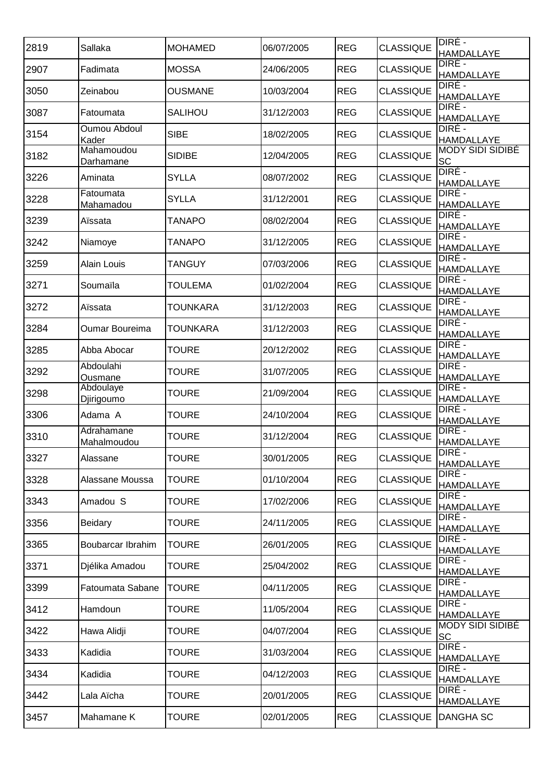| HAMDALLAYE<br>DIRÉ -<br><b>CLASSIQUE</b><br><b>REG</b><br>2907<br>Fadimata<br><b>MOSSA</b><br>24/06/2005<br><b>HAMDALLAYE</b><br>DIRÉ -<br><b>CLASSIQUE</b><br><b>REG</b><br>3050<br><b>OUSMANE</b><br>10/03/2004<br>Zeinabou<br><b>HAMDALLAYE</b><br>DIRE -<br><b>CLASSIQUE</b><br>3087<br><b>REG</b><br>SALIHOU<br>31/12/2003<br>Fatoumata<br><b>HAMDALLAYE</b><br>DIRE -<br>Oumou Abdoul<br>3154<br><b>SIBE</b><br><b>REG</b><br><b>CLASSIQUE</b><br>18/02/2005<br>Kader<br><b>HAMDALLAYE</b><br><b>MODY SIDI SIDIBÉ</b><br>Mahamoudou<br>3182<br><b>REG</b><br><b>CLASSIQUE</b><br><b>SIDIBE</b><br>12/04/2005<br><b>SC</b><br>Darhamane<br>DIRÉ -<br>3226<br><b>CLASSIQUE</b><br><b>SYLLA</b><br><b>REG</b><br>Aminata<br>08/07/2002<br><b>HAMDALLAYE</b><br>DIRÉ -<br>Fatoumata<br><b>CLASSIQUE</b><br>3228<br><b>SYLLA</b><br><b>REG</b><br>31/12/2001<br><b>HAMDALLAYE</b><br>Mahamadou<br>DIRÉ -<br><b>CLASSIQUE</b><br>3239<br><b>REG</b><br>Aïssata<br><b>TANAPO</b><br>08/02/2004<br><b>HAMDALLAYE</b><br>DIRÉ -<br><b>CLASSIQUE</b><br>3242<br><b>REG</b><br><b>TANAPO</b><br>31/12/2005<br>Niamoye<br>HAMDALLAYE<br>DIRÉ - |  |
|------------------------------------------------------------------------------------------------------------------------------------------------------------------------------------------------------------------------------------------------------------------------------------------------------------------------------------------------------------------------------------------------------------------------------------------------------------------------------------------------------------------------------------------------------------------------------------------------------------------------------------------------------------------------------------------------------------------------------------------------------------------------------------------------------------------------------------------------------------------------------------------------------------------------------------------------------------------------------------------------------------------------------------------------------------------------------------------------------------------------------------------|--|
|                                                                                                                                                                                                                                                                                                                                                                                                                                                                                                                                                                                                                                                                                                                                                                                                                                                                                                                                                                                                                                                                                                                                          |  |
|                                                                                                                                                                                                                                                                                                                                                                                                                                                                                                                                                                                                                                                                                                                                                                                                                                                                                                                                                                                                                                                                                                                                          |  |
|                                                                                                                                                                                                                                                                                                                                                                                                                                                                                                                                                                                                                                                                                                                                                                                                                                                                                                                                                                                                                                                                                                                                          |  |
|                                                                                                                                                                                                                                                                                                                                                                                                                                                                                                                                                                                                                                                                                                                                                                                                                                                                                                                                                                                                                                                                                                                                          |  |
|                                                                                                                                                                                                                                                                                                                                                                                                                                                                                                                                                                                                                                                                                                                                                                                                                                                                                                                                                                                                                                                                                                                                          |  |
|                                                                                                                                                                                                                                                                                                                                                                                                                                                                                                                                                                                                                                                                                                                                                                                                                                                                                                                                                                                                                                                                                                                                          |  |
|                                                                                                                                                                                                                                                                                                                                                                                                                                                                                                                                                                                                                                                                                                                                                                                                                                                                                                                                                                                                                                                                                                                                          |  |
|                                                                                                                                                                                                                                                                                                                                                                                                                                                                                                                                                                                                                                                                                                                                                                                                                                                                                                                                                                                                                                                                                                                                          |  |
|                                                                                                                                                                                                                                                                                                                                                                                                                                                                                                                                                                                                                                                                                                                                                                                                                                                                                                                                                                                                                                                                                                                                          |  |
| <b>CLASSIQUE</b><br>3259<br><b>REG</b><br>Alain Louis<br><b>TANGUY</b><br>07/03/2006<br><b>HAMDALLAYE</b>                                                                                                                                                                                                                                                                                                                                                                                                                                                                                                                                                                                                                                                                                                                                                                                                                                                                                                                                                                                                                                |  |
| DIRE -<br><b>CLASSIQUE</b><br><b>REG</b><br>3271<br>Soumaïla<br><b>TOULEMA</b><br>01/02/2004<br>HAMDALLAYE                                                                                                                                                                                                                                                                                                                                                                                                                                                                                                                                                                                                                                                                                                                                                                                                                                                                                                                                                                                                                               |  |
| DIRÉ -<br><b>REG</b><br><b>CLASSIQUE</b><br>3272<br>Aïssata<br><b>TOUNKARA</b><br>31/12/2003<br><b>HAMDALLAYE</b>                                                                                                                                                                                                                                                                                                                                                                                                                                                                                                                                                                                                                                                                                                                                                                                                                                                                                                                                                                                                                        |  |
| DIRE -<br>3284<br><b>REG</b><br><b>CLASSIQUE</b><br>Oumar Boureima<br><b>TOUNKARA</b><br>31/12/2003<br><b>HAMDALLAYE</b>                                                                                                                                                                                                                                                                                                                                                                                                                                                                                                                                                                                                                                                                                                                                                                                                                                                                                                                                                                                                                 |  |
| DIRE -<br>3285<br><b>REG</b><br><b>CLASSIQUE</b><br>Abba Abocar<br><b>TOURE</b><br>20/12/2002<br><b>HAMDALLAYE</b>                                                                                                                                                                                                                                                                                                                                                                                                                                                                                                                                                                                                                                                                                                                                                                                                                                                                                                                                                                                                                       |  |
| DIRE -<br>Abdoulahi<br>3292<br><b>CLASSIQUE</b><br><b>REG</b><br>TOURE<br>31/07/2005<br>Ousmane<br><b>HAMDALLAYE</b>                                                                                                                                                                                                                                                                                                                                                                                                                                                                                                                                                                                                                                                                                                                                                                                                                                                                                                                                                                                                                     |  |
| DIRE -<br>Abdoulaye<br><b>CLASSIQUE</b><br>3298<br><b>REG</b><br><b>TOURE</b><br>21/09/2004<br>HAMDALLAYE<br>Djirigoumo                                                                                                                                                                                                                                                                                                                                                                                                                                                                                                                                                                                                                                                                                                                                                                                                                                                                                                                                                                                                                  |  |
| DIRE -<br>3306<br><b>REG</b><br><b>CLASSIQUE</b><br><b>TOURE</b><br>24/10/2004<br>Adama A<br><b>HAMDALLAYE</b>                                                                                                                                                                                                                                                                                                                                                                                                                                                                                                                                                                                                                                                                                                                                                                                                                                                                                                                                                                                                                           |  |
| Adrahamane<br>DIRÉ -<br>3310<br><b>CLASSIQUE</b><br><b>TOURE</b><br>31/12/2004<br><b>REG</b><br>HAMDALLAYE<br>Mahalmoudou                                                                                                                                                                                                                                                                                                                                                                                                                                                                                                                                                                                                                                                                                                                                                                                                                                                                                                                                                                                                                |  |
| DIRÉ -<br><b>CLASSIQUE</b><br><b>REG</b><br>3327<br><b>TOURE</b><br>30/01/2005<br>Alassane<br>HAMDALLAYE                                                                                                                                                                                                                                                                                                                                                                                                                                                                                                                                                                                                                                                                                                                                                                                                                                                                                                                                                                                                                                 |  |
| DIRE -<br><b>REG</b><br><b>CLASSIQUE</b><br>3328<br><b>TOURE</b><br>01/10/2004<br>Alassane Moussa<br><b>HAMDALLAYE</b>                                                                                                                                                                                                                                                                                                                                                                                                                                                                                                                                                                                                                                                                                                                                                                                                                                                                                                                                                                                                                   |  |
| DIRÉ -<br><b>REG</b><br><b>CLASSIQUE</b><br>3343<br>Amadou S<br><b>TOURE</b><br>17/02/2006<br><b>HAMDALLAYE</b>                                                                                                                                                                                                                                                                                                                                                                                                                                                                                                                                                                                                                                                                                                                                                                                                                                                                                                                                                                                                                          |  |
| DIRÉ -<br>3356<br><b>REG</b><br><b>CLASSIQUE</b><br><b>Beidary</b><br><b>TOURE</b><br>24/11/2005<br><b>HAMDALLAYE</b>                                                                                                                                                                                                                                                                                                                                                                                                                                                                                                                                                                                                                                                                                                                                                                                                                                                                                                                                                                                                                    |  |
| DIRE -<br>3365<br><b>REG</b><br><b>CLASSIQUE</b><br>Boubarcar Ibrahim<br><b>TOURE</b><br>26/01/2005<br><b>HAMDALLAYE</b>                                                                                                                                                                                                                                                                                                                                                                                                                                                                                                                                                                                                                                                                                                                                                                                                                                                                                                                                                                                                                 |  |
| DIRE -<br>3371<br><b>CLASSIQUE</b><br><b>REG</b><br>Djélika Amadou<br><b>TOURE</b><br>25/04/2002<br><b>HAMDALLAYE</b>                                                                                                                                                                                                                                                                                                                                                                                                                                                                                                                                                                                                                                                                                                                                                                                                                                                                                                                                                                                                                    |  |
| DIRE -<br>3399<br><b>CLASSIQUE</b><br>Fatoumata Sabane<br><b>TOURE</b><br><b>REG</b><br>04/11/2005<br>HAMDALLAYE                                                                                                                                                                                                                                                                                                                                                                                                                                                                                                                                                                                                                                                                                                                                                                                                                                                                                                                                                                                                                         |  |
| DIRE -<br>3412<br><b>REG</b><br><b>CLASSIQUE</b><br><b>TOURE</b><br>11/05/2004<br>Hamdoun<br>HAMDALLAYE                                                                                                                                                                                                                                                                                                                                                                                                                                                                                                                                                                                                                                                                                                                                                                                                                                                                                                                                                                                                                                  |  |
| <b>MODY SIDI SIDIBÉ</b><br><b>CLASSIQUE</b><br><b>REG</b><br>3422<br><b>TOURE</b><br>Hawa Alidji<br>04/07/2004<br>SC                                                                                                                                                                                                                                                                                                                                                                                                                                                                                                                                                                                                                                                                                                                                                                                                                                                                                                                                                                                                                     |  |
| DIRE -<br><b>CLASSIQUE</b><br><b>REG</b><br>3433<br>Kadidia<br><b>TOURE</b><br>31/03/2004<br>HAMDALLAYE                                                                                                                                                                                                                                                                                                                                                                                                                                                                                                                                                                                                                                                                                                                                                                                                                                                                                                                                                                                                                                  |  |
| DIRÉ -<br><b>REG</b><br><b>CLASSIQUE</b><br>3434<br>Kadidia<br><b>TOURE</b><br>04/12/2003<br>HAMDALLAYE                                                                                                                                                                                                                                                                                                                                                                                                                                                                                                                                                                                                                                                                                                                                                                                                                                                                                                                                                                                                                                  |  |
| DIRÉ -<br><b>CLASSIQUE</b><br>3442<br>Lala Aïcha<br><b>REG</b><br><b>TOURE</b><br>20/01/2005<br><b>HAMDALLAYE</b>                                                                                                                                                                                                                                                                                                                                                                                                                                                                                                                                                                                                                                                                                                                                                                                                                                                                                                                                                                                                                        |  |
| 3457<br>02/01/2005<br><b>REG</b><br><b>CLASSIQUE</b><br><b>DANGHA SC</b><br>Mahamane K<br><b>TOURE</b>                                                                                                                                                                                                                                                                                                                                                                                                                                                                                                                                                                                                                                                                                                                                                                                                                                                                                                                                                                                                                                   |  |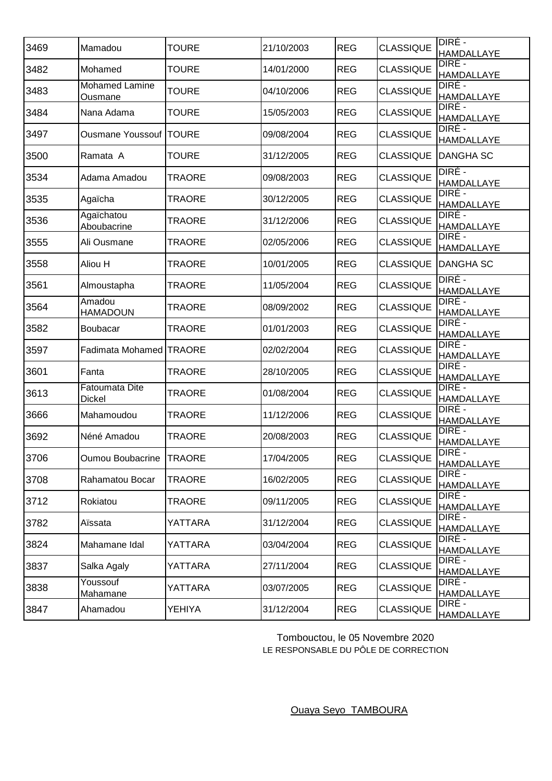| 3469 | Mamadou                          | <b>TOURE</b>  | 21/10/2003 | <b>REG</b> | <b>CLASSIQUE</b> | DIRÉ -<br><b>HAMDALLAYE</b> |
|------|----------------------------------|---------------|------------|------------|------------------|-----------------------------|
| 3482 | Mohamed                          | <b>TOURE</b>  | 14/01/2000 | <b>REG</b> | <b>CLASSIQUE</b> | DIRÉ -<br><b>HAMDALLAYE</b> |
| 3483 | <b>Mohamed Lamine</b><br>Ousmane | <b>TOURE</b>  | 04/10/2006 | <b>REG</b> | <b>CLASSIQUE</b> | DIRÉ -<br><b>HAMDALLAYE</b> |
| 3484 | Nana Adama                       | <b>TOURE</b>  | 15/05/2003 | <b>REG</b> | <b>CLASSIQUE</b> | DIRÉ -<br>HAMDALLAYE        |
| 3497 | <b>Ousmane Youssouf  TOURE</b>   |               | 09/08/2004 | <b>REG</b> | <b>CLASSIQUE</b> | DIRÉ -<br>HAMDALLAYE        |
| 3500 | Ramata A                         | <b>TOURE</b>  | 31/12/2005 | <b>REG</b> | <b>CLASSIQUE</b> | DANGHA SC                   |
| 3534 | Adama Amadou                     | <b>TRAORE</b> | 09/08/2003 | <b>REG</b> | <b>CLASSIQUE</b> | DIRÉ -<br><b>HAMDALLAYE</b> |
| 3535 | Agaïcha                          | <b>TRAORE</b> | 30/12/2005 | <b>REG</b> | <b>CLASSIQUE</b> | DIRÉ -<br><b>HAMDALLAYE</b> |
| 3536 | Agaïchatou<br>Aboubacrine        | <b>TRAORE</b> | 31/12/2006 | <b>REG</b> | <b>CLASSIQUE</b> | DIRÉ -<br><b>HAMDALLAYE</b> |
| 3555 | Ali Ousmane                      | <b>TRAORE</b> | 02/05/2006 | <b>REG</b> | <b>CLASSIQUE</b> | DIRÉ -<br><b>HAMDALLAYE</b> |
| 3558 | Aliou H                          | TRAORE        | 10/01/2005 | <b>REG</b> | <b>CLASSIQUE</b> | <b>DANGHA SC</b>            |
| 3561 | Almoustapha                      | TRAORE        | 11/05/2004 | <b>REG</b> | <b>CLASSIQUE</b> | DIRÉ -<br><b>HAMDALLAYE</b> |
| 3564 | Amadou<br><b>HAMADOUN</b>        | <b>TRAORE</b> | 08/09/2002 | <b>REG</b> | <b>CLASSIQUE</b> | DIRÉ -<br><b>HAMDALLAYE</b> |
| 3582 | Boubacar                         | <b>TRAORE</b> | 01/01/2003 | <b>REG</b> | <b>CLASSIQUE</b> | DIRÉ -<br><b>HAMDALLAYE</b> |
| 3597 | Fadimata Mohamed TRAORE          |               | 02/02/2004 | <b>REG</b> | <b>CLASSIQUE</b> | DIRE -<br><b>HAMDALLAYE</b> |
| 3601 | Fanta                            | <b>TRAORE</b> | 28/10/2005 | <b>REG</b> | <b>CLASSIQUE</b> | DIRE -<br><b>HAMDALLAYE</b> |
| 3613 | Fatoumata Dite<br>Dickel         | <b>TRAORE</b> | 01/08/2004 | <b>REG</b> | <b>CLASSIQUE</b> | DIRE -<br><b>HAMDALLAYE</b> |
| 3666 | Mahamoudou                       | <b>TRAORE</b> | 11/12/2006 | <b>REG</b> | <b>CLASSIQUE</b> | DIRÉ -<br><b>HAMDALLAYE</b> |
| 3692 | Néné Amadou                      | <b>TRAORE</b> | 20/08/2003 | <b>REG</b> | <b>CLASSIQUE</b> | DIRÉ -<br><b>HAMDALLAYE</b> |
| 3706 | <b>Oumou Boubacrine</b>          | <b>TRAORE</b> | 17/04/2005 | <b>REG</b> | <b>CLASSIQUE</b> | DIRE -<br>HAMDALLAYE        |
| 3708 | Rahamatou Bocar                  | <b>TRAORE</b> | 16/02/2005 | <b>REG</b> | <b>CLASSIQUE</b> | DIRÉ -<br>HAMDALLAYE        |
| 3712 | Rokiatou                         | <b>TRAORE</b> | 09/11/2005 | <b>REG</b> | <b>CLASSIQUE</b> | DIRÉ -<br>HAMDALLAYE        |
| 3782 | Aïssata                          | YATTARA       | 31/12/2004 | <b>REG</b> | <b>CLASSIQUE</b> | DIRÉ -<br>HAMDALLAYE        |
| 3824 | Mahamane Idal                    | YATTARA       | 03/04/2004 | <b>REG</b> | <b>CLASSIQUE</b> | DIRE -<br><b>HAMDALLAYE</b> |
| 3837 | Salka Agaly                      | YATTARA       | 27/11/2004 | <b>REG</b> | <b>CLASSIQUE</b> | DIRE -<br>HAMDALLAYE        |
| 3838 | Youssouf<br>Mahamane             | YATTARA       | 03/07/2005 | <b>REG</b> | <b>CLASSIQUE</b> | DIRÉ -<br><b>HAMDALLAYE</b> |
| 3847 | Ahamadou                         | <b>YEHIYA</b> | 31/12/2004 | <b>REG</b> | <b>CLASSIQUE</b> | DIRÉ -<br><b>HAMDALLAYE</b> |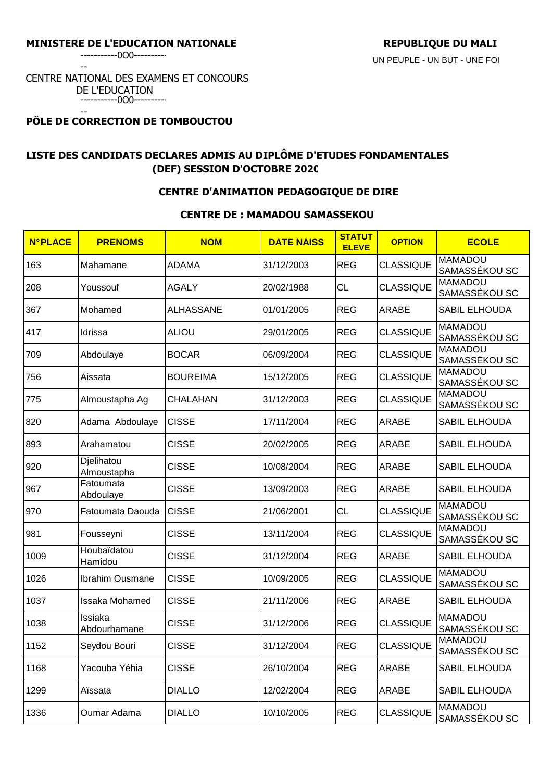-----------0O0----------

--

# CENTRE NATIONAL DES EXAMENS ET CONCOURS DE L'EDUCATION

-----------0O0---------- --

# **PÔLE DE CORRECTION DE TOMBOUCTOU**

# **LISTE DES CANDIDATS DECLARES ADMIS AU DIPLÔME D'ETUDES FONDAMENTALES (DEF) SESSION D'OCTOBRE 2020**

## **CENTRE D'ANIMATION PEDAGOGIQUE DE DIRE**

### **CENTRE DE : MAMADOU SAMASSEKOU**

| <b>N°PLACE</b> | <b>PRENOMS</b>            | <b>NOM</b>       | <b>DATE NAISS</b> | <b>STATUT</b><br><b>ELEVE</b> | <b>OPTION</b>    | <b>ECOLE</b>                    |
|----------------|---------------------------|------------------|-------------------|-------------------------------|------------------|---------------------------------|
| 163            | Mahamane                  | <b>ADAMA</b>     | 31/12/2003        | <b>REG</b>                    | <b>CLASSIQUE</b> | <b>MAMADOU</b><br>SAMASSÉKOU SC |
| 208            | Youssouf                  | <b>AGALY</b>     | 20/02/1988        | <b>CL</b>                     | <b>CLASSIQUE</b> | <b>MAMADOU</b><br>SAMASSÉKOU SC |
| 367            | Mohamed                   | <b>ALHASSANE</b> | 01/01/2005        | <b>REG</b>                    | ARABE            | SABIL ELHOUDA                   |
| 417            | Idrissa                   | <b>ALIOU</b>     | 29/01/2005        | <b>REG</b>                    | <b>CLASSIQUE</b> | <b>MAMADOU</b><br>SAMASSÉKOU SC |
| 709            | Abdoulaye                 | <b>BOCAR</b>     | 06/09/2004        | <b>REG</b>                    | <b>CLASSIQUE</b> | <b>MAMADOU</b><br>SAMASSÉKOU SC |
| 756            | Aissata                   | <b>BOUREIMA</b>  | 15/12/2005        | <b>REG</b>                    | <b>CLASSIQUE</b> | <b>MAMADOU</b><br>SAMASSÉKOU SC |
| 775            | Almoustapha Ag            | <b>CHALAHAN</b>  | 31/12/2003        | <b>REG</b>                    | <b>CLASSIQUE</b> | <b>MAMADOU</b><br>SAMASSÉKOU SC |
| 820            | Adama Abdoulaye           | <b>CISSE</b>     | 17/11/2004        | <b>REG</b>                    | ARABE            | SABIL ELHOUDA                   |
| 893            | Arahamatou                | <b>CISSE</b>     | 20/02/2005        | <b>REG</b>                    | ARABE            | <b>SABIL ELHOUDA</b>            |
| 920            | Djelihatou<br>Almoustapha | <b>CISSE</b>     | 10/08/2004        | <b>REG</b>                    | <b>ARABE</b>     | SABIL ELHOUDA                   |
| 967            | Fatoumata<br>Abdoulaye    | <b>CISSE</b>     | 13/09/2003        | <b>REG</b>                    | ARABE            | <b>SABIL ELHOUDA</b>            |
| 970            | Fatoumata Daouda          | <b>CISSE</b>     | 21/06/2001        | <b>CL</b>                     | <b>CLASSIQUE</b> | <b>MAMADOU</b><br>SAMASSÉKOU SC |
| 981            | Fousseyni                 | <b>CISSE</b>     | 13/11/2004        | <b>REG</b>                    | <b>CLASSIQUE</b> | <b>MAMADOU</b><br>SAMASSÉKOU SC |
| 1009           | Houbaïdatou<br>Hamidou    | <b>CISSE</b>     | 31/12/2004        | <b>REG</b>                    | ARABE            | SABIL ELHOUDA                   |
| 1026           | Ibrahim Ousmane           | <b>CISSE</b>     | 10/09/2005        | <b>REG</b>                    | <b>CLASSIQUE</b> | <b>MAMADOU</b><br>SAMASSÉKOU SC |
| 1037           | Issaka Mohamed            | <b>CISSE</b>     | 21/11/2006        | <b>REG</b>                    | ARABE            | SABIL ELHOUDA                   |
| 1038           | Issiaka<br>Abdourhamane   | <b>CISSE</b>     | 31/12/2006        | <b>REG</b>                    | <b>CLASSIQUE</b> | <b>MAMADOU</b><br>SAMASSÉKOU SC |
| 1152           | Seydou Bouri              | <b>CISSE</b>     | 31/12/2004        | <b>REG</b>                    | <b>CLASSIQUE</b> | <b>MAMADOU</b><br>SAMASSÉKOU SC |
| 1168           | Yacouba Yéhia             | <b>CISSE</b>     | 26/10/2004        | <b>REG</b>                    | ARABE            | SABIL ELHOUDA                   |
| 1299           | Aïssata                   | <b>DIALLO</b>    | 12/02/2004        | <b>REG</b>                    | ARABE            | SABIL ELHOUDA                   |
| 1336           | Oumar Adama               | <b>DIALLO</b>    | 10/10/2005        | <b>REG</b>                    | <b>CLASSIQUE</b> | <b>MAMADOU</b><br>SAMASSÉKOU SC |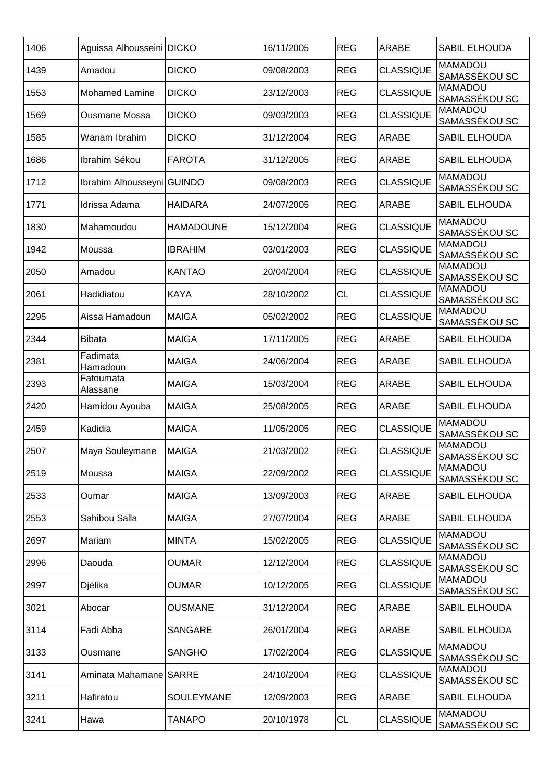| 1406 | Aguissa Alhousseini DICKO  |                   | 16/11/2005 | <b>REG</b> | <b>ARABE</b>     | <b>SABIL ELHOUDA</b>            |
|------|----------------------------|-------------------|------------|------------|------------------|---------------------------------|
| 1439 | Amadou                     | <b>DICKO</b>      | 09/08/2003 | <b>REG</b> | <b>CLASSIQUE</b> | <b>MAMADOU</b><br>SAMASSÉKOU SC |
| 1553 | Mohamed Lamine             | <b>DICKO</b>      | 23/12/2003 | <b>REG</b> | <b>CLASSIQUE</b> | <b>MAMADOU</b><br>SAMASSÉKOU SC |
| 1569 | Ousmane Mossa              | <b>DICKO</b>      | 09/03/2003 | <b>REG</b> | <b>CLASSIQUE</b> | <b>MAMADOU</b><br>SAMASSÉKOU SC |
| 1585 | Wanam Ibrahim              | <b>DICKO</b>      | 31/12/2004 | <b>REG</b> | ARABE            | SABIL ELHOUDA                   |
| 1686 | Ibrahim Sékou              | <b>FAROTA</b>     | 31/12/2005 | <b>REG</b> | ARABE            | SABIL ELHOUDA                   |
| 1712 | Ibrahim Alhousseyni GUINDO |                   | 09/08/2003 | <b>REG</b> | <b>CLASSIQUE</b> | <b>MAMADOU</b><br>SAMASSÉKOU SC |
| 1771 | Idrissa Adama              | <b>HAIDARA</b>    | 24/07/2005 | <b>REG</b> | ARABE            | SABIL ELHOUDA                   |
| 1830 | Mahamoudou                 | <b>HAMADOUNE</b>  | 15/12/2004 | <b>REG</b> | <b>CLASSIQUE</b> | <b>MAMADOU</b><br>SAMASSÉKOU SC |
| 1942 | Moussa                     | <b>IBRAHIM</b>    | 03/01/2003 | <b>REG</b> | <b>CLASSIQUE</b> | <b>MAMADOU</b><br>SAMASSÉKOU SC |
| 2050 | Amadou                     | <b>KANTAO</b>     | 20/04/2004 | <b>REG</b> | <b>CLASSIQUE</b> | <b>MAMADOU</b><br>SAMASSÉKOU SC |
| 2061 | Hadidiatou                 | <b>KAYA</b>       | 28/10/2002 | <b>CL</b>  | <b>CLASSIQUE</b> | <b>MAMADOU</b><br>SAMASSÉKOU SC |
| 2295 | Aissa Hamadoun             | <b>MAIGA</b>      | 05/02/2002 | <b>REG</b> | <b>CLASSIQUE</b> | <b>MAMADOU</b><br>SAMASSÉKOU SC |
| 2344 | <b>Bibata</b>              | <b>MAIGA</b>      | 17/11/2005 | <b>REG</b> | ARABE            | SABIL ELHOUDA                   |
| 2381 | Fadimata<br>Hamadoun       | <b>MAIGA</b>      | 24/06/2004 | <b>REG</b> | ARABE            | SABIL ELHOUDA                   |
| 2393 | Fatoumata<br>Alassane      | <b>MAIGA</b>      | 15/03/2004 | <b>REG</b> | ARABE            | SABIL ELHOUDA                   |
| 2420 | Hamidou Ayouba             | <b>MAIGA</b>      | 25/08/2005 | <b>REG</b> | ARABE            | <b>SABIL ELHOUDA</b>            |
| 2459 | Kadidia                    | <b>MAIGA</b>      | 11/05/2005 | <b>REG</b> | <b>CLASSIQUE</b> | <b>MAMADOU</b><br>SAMASSÉKOU SC |
| 2507 | Maya Souleymane            | <b>MAIGA</b>      | 21/03/2002 | <b>REG</b> | <b>CLASSIQUE</b> | <b>MAMADOU</b><br>SAMASSÉKOU SC |
| 2519 | Moussa                     | <b>MAIGA</b>      | 22/09/2002 | <b>REG</b> | <b>CLASSIQUE</b> | <b>MAMADOU</b><br>SAMASSÉKOU SC |
| 2533 | Oumar                      | <b>MAIGA</b>      | 13/09/2003 | <b>REG</b> | ARABE            | SABIL ELHOUDA                   |
| 2553 | Sahibou Salla              | <b>MAIGA</b>      | 27/07/2004 | <b>REG</b> | ARABE            | SABIL ELHOUDA                   |
| 2697 | Mariam                     | <b>MINTA</b>      | 15/02/2005 | <b>REG</b> | <b>CLASSIQUE</b> | <b>MAMADOU</b><br>SAMASSÉKOU SC |
| 2996 | Daouda                     | <b>OUMAR</b>      | 12/12/2004 | <b>REG</b> | <b>CLASSIQUE</b> | <b>MAMADOU</b><br>SAMASSÉKOU SC |
| 2997 | Djélika                    | <b>OUMAR</b>      | 10/12/2005 | <b>REG</b> | <b>CLASSIQUE</b> | <b>MAMADOU</b><br>SAMASSÉKOU SC |
| 3021 | Abocar                     | <b>OUSMANE</b>    | 31/12/2004 | <b>REG</b> | <b>ARABE</b>     | SABIL ELHOUDA                   |
| 3114 | Fadi Abba                  | <b>SANGARE</b>    | 26/01/2004 | <b>REG</b> | ARABE            | SABIL ELHOUDA                   |
| 3133 | Ousmane                    | <b>SANGHO</b>     | 17/02/2004 | <b>REG</b> | <b>CLASSIQUE</b> | <b>MAMADOU</b><br>SAMASSÉKOU SC |
| 3141 | Aminata Mahamane SARRE     |                   | 24/10/2004 | <b>REG</b> | <b>CLASSIQUE</b> | <b>MAMADOU</b><br>SAMASSÉKOU SC |
| 3211 | Hafiratou                  | <b>SOULEYMANE</b> | 12/09/2003 | <b>REG</b> | ARABE            | SABIL ELHOUDA                   |
| 3241 | Hawa                       | <b>TANAPO</b>     | 20/10/1978 | CL         | <b>CLASSIQUE</b> | <b>MAMADOU</b><br>SAMASSÉKOU SC |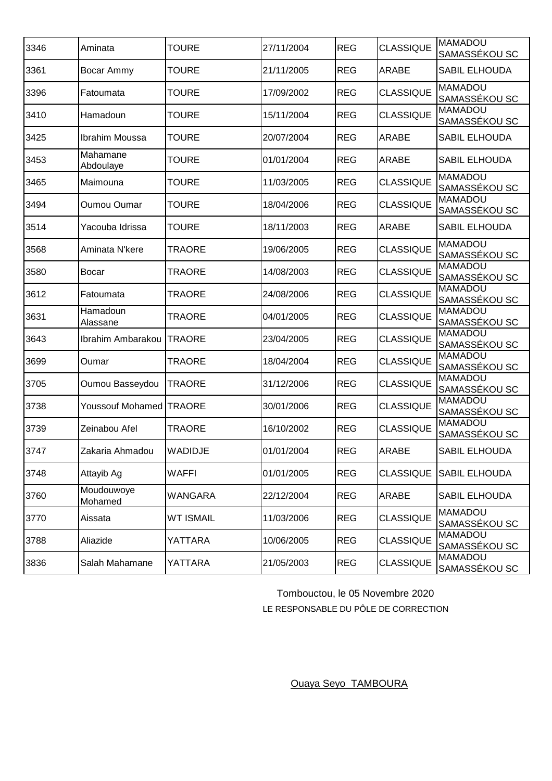| 3346 | Aminata                 | <b>TOURE</b>     | 27/11/2004 | <b>REG</b> | <b>CLASSIQUE</b> | <b>MAMADOU</b><br>SAMASSÉKOU SC |
|------|-------------------------|------------------|------------|------------|------------------|---------------------------------|
| 3361 | Bocar Ammy              | <b>TOURE</b>     | 21/11/2005 | <b>REG</b> | ARABE            | <b>SABIL ELHOUDA</b>            |
| 3396 | Fatoumata               | <b>TOURE</b>     | 17/09/2002 | <b>REG</b> | <b>CLASSIQUE</b> | <b>MAMADOU</b><br>SAMASSÉKOU SC |
| 3410 | Hamadoun                | <b>TOURE</b>     | 15/11/2004 | <b>REG</b> | <b>CLASSIQUE</b> | <b>MAMADOU</b><br>SAMASSÉKOU SC |
| 3425 | Ibrahim Moussa          | <b>TOURE</b>     | 20/07/2004 | <b>REG</b> | ARABE            | SABIL ELHOUDA                   |
| 3453 | Mahamane<br>Abdoulaye   | <b>TOURE</b>     | 01/01/2004 | <b>REG</b> | ARABE            | <b>SABIL ELHOUDA</b>            |
| 3465 | Maimouna                | <b>TOURE</b>     | 11/03/2005 | <b>REG</b> | <b>CLASSIQUE</b> | <b>MAMADOU</b><br>SAMASSÉKOU SC |
| 3494 | <b>Oumou Oumar</b>      | <b>TOURE</b>     | 18/04/2006 | <b>REG</b> | <b>CLASSIQUE</b> | <b>MAMADOU</b><br>SAMASSÉKOU SC |
| 3514 | Yacouba Idrissa         | <b>TOURE</b>     | 18/11/2003 | <b>REG</b> | <b>ARABE</b>     | <b>SABIL ELHOUDA</b>            |
| 3568 | Aminata N'kere          | <b>TRAORE</b>    | 19/06/2005 | <b>REG</b> | <b>CLASSIQUE</b> | <b>MAMADOU</b><br>SAMASSÉKOU SC |
| 3580 | Bocar                   | TRAORE           | 14/08/2003 | <b>REG</b> | <b>CLASSIQUE</b> | <b>MAMADOU</b><br>SAMASSÉKOU SC |
| 3612 | Fatoumata               | TRAORE           | 24/08/2006 | <b>REG</b> | <b>CLASSIQUE</b> | <b>MAMADOU</b><br>SAMASSÉKOU SC |
| 3631 | Hamadoun<br>Alassane    | TRAORE           | 04/01/2005 | <b>REG</b> | <b>CLASSIQUE</b> | <b>MAMADOU</b><br>SAMASSÉKOU SC |
| 3643 | Ibrahim Ambarakou       | TRAORE           | 23/04/2005 | <b>REG</b> | <b>CLASSIQUE</b> | <b>MAMADOU</b><br>SAMASSÉKOU SC |
| 3699 | Oumar                   | TRAORE           | 18/04/2004 | <b>REG</b> | <b>CLASSIQUE</b> | <b>MAMADOU</b><br>SAMASSÉKOU SC |
| 3705 | Oumou Basseydou         | TRAORE           | 31/12/2006 | <b>REG</b> | <b>CLASSIQUE</b> | <b>MAMADOU</b><br>SAMASSÉKOU SC |
| 3738 | Youssouf Mohamed TRAORE |                  | 30/01/2006 | <b>REG</b> | <b>CLASSIQUE</b> | <b>MAMADOU</b><br>SAMASSÉKOU SC |
| 3739 | Zeinabou Afel           | <b>TRAORE</b>    | 16/10/2002 | <b>REG</b> | <b>CLASSIQUE</b> | <b>MAMADOU</b><br>SAMASSÉKOU SC |
| 3747 | Zakaria Ahmadou         | <b>WADIDJE</b>   | 01/01/2004 | <b>REG</b> | ARABE            | SABIL ELHOUDA                   |
| 3748 | Attayib Ag              | <b>WAFFI</b>     | 01/01/2005 | <b>REG</b> | <b>CLASSIQUE</b> | <b>SABIL ELHOUDA</b>            |
| 3760 | Moudouwoye<br>Mohamed   | <b>WANGARA</b>   | 22/12/2004 | <b>REG</b> | ARABE            | <b>SABIL ELHOUDA</b>            |
| 3770 | Aissata                 | <b>WT ISMAIL</b> | 11/03/2006 | <b>REG</b> | <b>CLASSIQUE</b> | <b>MAMADOU</b><br>SAMASSÉKOU SC |
| 3788 | Aliazide                | YATTARA          | 10/06/2005 | <b>REG</b> | <b>CLASSIQUE</b> | <b>MAMADOU</b><br>SAMASSÉKOU SC |
| 3836 | Salah Mahamane          | YATTARA          | 21/05/2003 | <b>REG</b> | <b>CLASSIQUE</b> | <b>MAMADOU</b><br>SAMASSÉKOU SC |

Tombouctou, le 05 Novembre 2020

LE RESPONSABLE DU PÔLE DE CORRECTION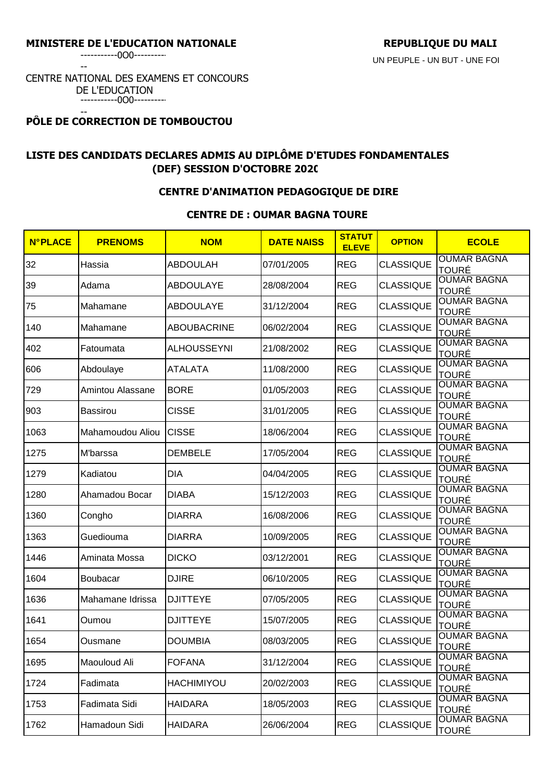-----------0O0----------

--

# CENTRE NATIONAL DES EXAMENS ET CONCOURS DE L'EDUCATION

-----------0O0---------- --

# **PÔLE DE CORRECTION DE TOMBOUCTOU**

# **LISTE DES CANDIDATS DECLARES ADMIS AU DIPLÔME D'ETUDES FONDAMENTALES (DEF) SESSION D'OCTOBRE 2020**

## **CENTRE D'ANIMATION PEDAGOGIQUE DE DIRE**

## **CENTRE DE : OUMAR BAGNA TOURE**

| <b>N°PLACE</b> | <b>PRENOMS</b>   | <b>NOM</b>         | <b>DATE NAISS</b> | <b>STATUT</b><br><b>ELEVE</b> | <b>OPTION</b>    | <b>ECOLE</b>                       |
|----------------|------------------|--------------------|-------------------|-------------------------------|------------------|------------------------------------|
| 32             | Hassia           | <b>ABDOULAH</b>    | 07/01/2005        | <b>REG</b>                    | <b>CLASSIQUE</b> | <b>OUMAR BAGNA</b><br><b>TOURÉ</b> |
| 39             | Adama            | <b>ABDOULAYE</b>   | 28/08/2004        | <b>REG</b>                    | <b>CLASSIQUE</b> | <b>OUMAR BAGNA</b><br>TOURÉ        |
| 75             | Mahamane         | <b>ABDOULAYE</b>   | 31/12/2004        | <b>REG</b>                    | <b>CLASSIQUE</b> | <b>OUMAR BAGNA</b><br><b>TOURÉ</b> |
| 140            | Mahamane         | <b>ABOUBACRINE</b> | 06/02/2004        | <b>REG</b>                    | <b>CLASSIQUE</b> | <b>OUMAR BAGNA</b><br><b>TOURÉ</b> |
| 402            | Fatoumata        | <b>ALHOUSSEYNI</b> | 21/08/2002        | <b>REG</b>                    | <b>CLASSIQUE</b> | <b>OUMAR BAGNA</b><br><b>TOURÉ</b> |
| 606            | Abdoulaye        | ATALATA            | 11/08/2000        | <b>REG</b>                    | <b>CLASSIQUE</b> | <b>OUMAR BAGNA</b><br>TOURÉ        |
| 729            | Amintou Alassane | <b>BORE</b>        | 01/05/2003        | <b>REG</b>                    | <b>CLASSIQUE</b> | <b>OUMAR BAGNA</b><br><b>TOURÉ</b> |
| 903            | <b>Bassirou</b>  | <b>CISSE</b>       | 31/01/2005        | <b>REG</b>                    | <b>CLASSIQUE</b> | <b>OUMAR BAGNA</b><br><b>TOURÉ</b> |
| 1063           | Mahamoudou Aliou | <b>CISSE</b>       | 18/06/2004        | <b>REG</b>                    | <b>CLASSIQUE</b> | <b>OUMAR BAGNA</b><br><b>TOURÉ</b> |
| 1275           | M'barssa         | <b>DEMBELE</b>     | 17/05/2004        | <b>REG</b>                    | <b>CLASSIQUE</b> | <b>OUMAR BAGNA</b><br><b>TOURÉ</b> |
| 1279           | Kadiatou         | <b>DIA</b>         | 04/04/2005        | <b>REG</b>                    | <b>CLASSIQUE</b> | <b>OUMAR BAGNA</b><br><b>TOURÉ</b> |
| 1280           | Ahamadou Bocar   | <b>DIABA</b>       | 15/12/2003        | <b>REG</b>                    | <b>CLASSIQUE</b> | <b>OUMAR BAGNA</b><br><b>TOURÉ</b> |
| 1360           | Congho           | <b>DIARRA</b>      | 16/08/2006        | <b>REG</b>                    | <b>CLASSIQUE</b> | <b>OUMAR BAGNA</b><br>TOURÉ        |
| 1363           | Guediouma        | <b>DIARRA</b>      | 10/09/2005        | <b>REG</b>                    | <b>CLASSIQUE</b> | <b>OUMAR BAGNA</b><br><b>TOURÉ</b> |
| 1446           | Aminata Mossa    | <b>DICKO</b>       | 03/12/2001        | <b>REG</b>                    | <b>CLASSIQUE</b> | <b>OUMAR BAGNA</b><br>TOURÉ        |
| 1604           | <b>Boubacar</b>  | <b>DJIRE</b>       | 06/10/2005        | <b>REG</b>                    | <b>CLASSIQUE</b> | <b>OUMAR BAGNA</b><br><b>TOURÉ</b> |
| 1636           | Mahamane Idrissa | <b>DJITTEYE</b>    | 07/05/2005        | <b>REG</b>                    | <b>CLASSIQUE</b> | <b>OUMAR BAGNA</b><br><b>TOURÉ</b> |
| 1641           | Oumou            | <b>DJITTEYE</b>    | 15/07/2005        | <b>REG</b>                    | <b>CLASSIQUE</b> | <b>OUMAR BAGNA</b><br><b>TOURÉ</b> |
| 1654           | Ousmane          | <b>DOUMBIA</b>     | 08/03/2005        | <b>REG</b>                    | <b>CLASSIQUE</b> | <b>OUMAR BAGNA</b><br><b>TOURÉ</b> |
| 1695           | Maouloud Ali     | <b>FOFANA</b>      | 31/12/2004        | <b>REG</b>                    | <b>CLASSIQUE</b> | <b>OUMAR BAGNA</b><br><b>TOURÉ</b> |
| 1724           | Fadimata         | <b>HACHIMIYOU</b>  | 20/02/2003        | <b>REG</b>                    | <b>CLASSIQUE</b> | <b>OUMAR BAGNA</b><br><b>TOURÉ</b> |
| 1753           | Fadimata Sidi    | HAIDARA            | 18/05/2003        | <b>REG</b>                    | <b>CLASSIQUE</b> | <b>OUMAR BAGNA</b><br><b>TOURÉ</b> |
| 1762           | Hamadoun Sidi    | <b>HAIDARA</b>     | 26/06/2004        | <b>REG</b>                    | <b>CLASSIQUE</b> | <b>OUMAR BAGNA</b><br>TOURÉ        |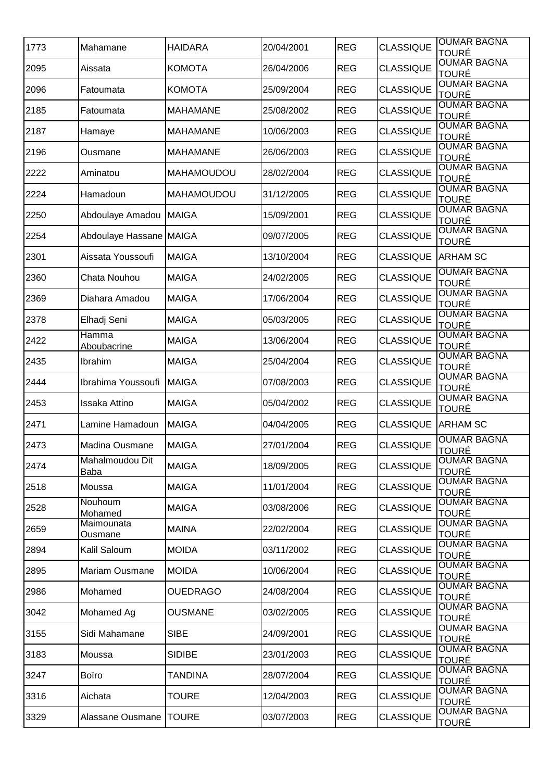| 1773 | Mahamane                 | <b>HAIDARA</b>    | 20/04/2001 | <b>REG</b> | <b>CLASSIQUE</b> | <b>OUMAR BAGNA</b><br><b>TOURÉ</b>                 |
|------|--------------------------|-------------------|------------|------------|------------------|----------------------------------------------------|
| 2095 | Aissata                  | <b>KOMOTA</b>     | 26/04/2006 | <b>REG</b> | <b>CLASSIQUE</b> | <b>OUMAR BAGNA</b>                                 |
| 2096 | Fatoumata                | <b>KOMOTA</b>     | 25/09/2004 | <b>REG</b> | <b>CLASSIQUE</b> | TOURÉ<br><b>OUMAR BAGNA</b>                        |
| 2185 | Fatoumata                | <b>MAHAMANE</b>   | 25/08/2002 | <b>REG</b> | <b>CLASSIQUE</b> | <b>TOURÉ</b><br><b>OUMAR BAGNA</b><br><b>TOURÉ</b> |
| 2187 | Hamaye                   | <b>MAHAMANE</b>   | 10/06/2003 | <b>REG</b> | <b>CLASSIQUE</b> | <b>OUMAR BAGNA</b><br><b>TOURÉ</b>                 |
| 2196 | Ousmane                  | <b>MAHAMANE</b>   | 26/06/2003 | <b>REG</b> | <b>CLASSIQUE</b> | <b>OUMAR BAGNA</b><br>TOURÉ                        |
| 2222 | Aminatou                 | <b>MAHAMOUDOU</b> | 28/02/2004 | <b>REG</b> | <b>CLASSIQUE</b> | <b>OUMAR BAGNA</b><br><b>TOURÉ</b>                 |
| 2224 | Hamadoun                 | <b>MAHAMOUDOU</b> | 31/12/2005 | <b>REG</b> | <b>CLASSIQUE</b> | <b>OUMAR BAGNA</b><br><b>TOURÉ</b>                 |
| 2250 | Abdoulaye Amadou MAIGA   |                   | 15/09/2001 | <b>REG</b> | <b>CLASSIQUE</b> | <b>OUMAR BAGNA</b><br><b>TOURÉ</b>                 |
| 2254 | Abdoulaye Hassane MAIGA  |                   | 09/07/2005 | <b>REG</b> | <b>CLASSIQUE</b> | <b>OUMAR BAGNA</b><br>TOURÉ                        |
| 2301 | Aissata Youssoufi        | <b>MAIGA</b>      | 13/10/2004 | <b>REG</b> | <b>CLASSIQUE</b> | <b>ARHAM SC</b>                                    |
| 2360 | Chata Nouhou             | <b>MAIGA</b>      | 24/02/2005 | <b>REG</b> | <b>CLASSIQUE</b> | <b>OUMAR BAGNA</b><br><b>TOURÉ</b>                 |
| 2369 | Diahara Amadou           | <b>MAIGA</b>      | 17/06/2004 | <b>REG</b> | <b>CLASSIQUE</b> | <b>OUMAR BAGNA</b><br><b>TOURÉ</b>                 |
| 2378 | Elhadj Seni              | <b>MAIGA</b>      | 05/03/2005 | <b>REG</b> | <b>CLASSIQUE</b> | <b>OUMAR BAGNA</b><br><b>TOURÉ</b>                 |
| 2422 | Hamma<br>Aboubacrine     | <b>MAIGA</b>      | 13/06/2004 | <b>REG</b> | <b>CLASSIQUE</b> | <b>OUMAR BAGNA</b><br><b>TOURÉ</b>                 |
| 2435 | Ibrahim                  | <b>MAIGA</b>      | 25/04/2004 | <b>REG</b> | <b>CLASSIQUE</b> | <b>OUMAR BAGNA</b><br><b>TOURÉ</b>                 |
| 2444 | Ibrahima Youssoufi       | <b>MAIGA</b>      | 07/08/2003 | <b>REG</b> | <b>CLASSIQUE</b> | <b>OUMAR BAGNA</b><br><b>TOURÉ</b>                 |
| 2453 | Issaka Attino            | <b>MAIGA</b>      | 05/04/2002 | <b>REG</b> | <b>CLASSIQUE</b> | <b>OUMAR BAGNA</b><br><b>TOURÉ</b>                 |
| 2471 | Lamine Hamadoun          | <b>MAIGA</b>      | 04/04/2005 | <b>REG</b> | <b>CLASSIQUE</b> | <b>ARHAM SC</b>                                    |
| 2473 | <b>Madina Ousmane</b>    | <b>MAIGA</b>      | 27/01/2004 | <b>REG</b> | <b>CLASSIQUE</b> | <b>OUMAR BAGNA</b><br><b>TOURÉ</b>                 |
| 2474 | Mahalmoudou Dit<br>Baba  | <b>MAIGA</b>      | 18/09/2005 | <b>REG</b> | <b>CLASSIQUE</b> | <b>OUMAR BAGNA</b><br><b>TOURÉ</b>                 |
| 2518 | Moussa                   | <b>MAIGA</b>      | 11/01/2004 | <b>REG</b> | <b>CLASSIQUE</b> | <b>OUMAR BAGNA</b><br><b>TOURÉ</b>                 |
| 2528 | Nouhoum<br>Mohamed       | <b>MAIGA</b>      | 03/08/2006 | <b>REG</b> | <b>CLASSIQUE</b> | <b>OUMAR BAGNA</b><br><b>TOURÉ</b>                 |
| 2659 | Maimounata<br>Ousmane    | <b>MAINA</b>      | 22/02/2004 | <b>REG</b> | <b>CLASSIQUE</b> | <b>OUMAR BAGNA</b><br><b>TOURÉ</b>                 |
| 2894 | Kalil Saloum             | <b>MOIDA</b>      | 03/11/2002 | <b>REG</b> | <b>CLASSIQUE</b> | <b>OUMAR BAGNA</b><br><b>TOURÉ</b>                 |
| 2895 | <b>Mariam Ousmane</b>    | <b>MOIDA</b>      | 10/06/2004 | <b>REG</b> | <b>CLASSIQUE</b> | <b>OUMAR BAGNA</b><br><b>TOURÉ</b>                 |
| 2986 | Mohamed                  | <b>OUEDRAGO</b>   | 24/08/2004 | <b>REG</b> | <b>CLASSIQUE</b> | <b>OUMAR BAGNA</b><br>TOURÉ                        |
| 3042 | Mohamed Ag               | <b>OUSMANE</b>    | 03/02/2005 | <b>REG</b> | <b>CLASSIQUE</b> | <b>OUMAR BAGNA</b><br><b>TOURÉ</b>                 |
| 3155 | Sidi Mahamane            | <b>SIBE</b>       | 24/09/2001 | <b>REG</b> | <b>CLASSIQUE</b> | <b>OUMAR BAGNA</b><br><b>TOURÉ</b>                 |
| 3183 | Moussa                   | <b>SIDIBE</b>     | 23/01/2003 | <b>REG</b> | <b>CLASSIQUE</b> | <b>OUMAR BAGNA</b><br><b>TOURÉ</b>                 |
| 3247 | Boïro                    | <b>TANDINA</b>    | 28/07/2004 | <b>REG</b> | <b>CLASSIQUE</b> | <b>OUMAR BAGNA</b><br><b>TOURÉ</b>                 |
| 3316 | Aichata                  | <b>TOURE</b>      | 12/04/2003 | <b>REG</b> | <b>CLASSIQUE</b> | <b>OUMAR BAGNA</b><br>TOURÉ                        |
| 3329 | Alassane Ousmane   TOURE |                   | 03/07/2003 | <b>REG</b> | <b>CLASSIQUE</b> | <b>OUMAR BAGNA</b><br><b>TOURÉ</b>                 |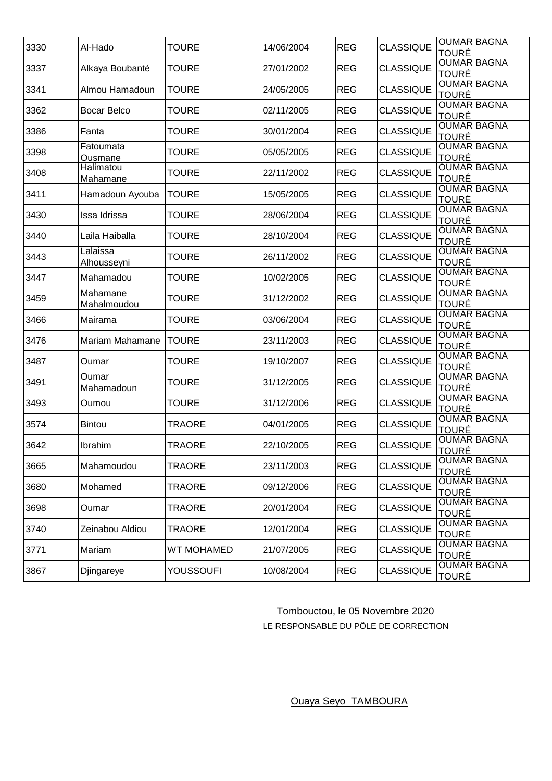| 3330 | Al-Hado                        | <b>TOURE</b>      | 14/06/2004 | <b>REG</b> | <b>CLASSIQUE</b> | <b>OUMAR BAGNA</b><br><b>TOURÉ</b> |
|------|--------------------------------|-------------------|------------|------------|------------------|------------------------------------|
| 3337 | Alkaya Boubanté                | <b>TOURE</b>      | 27/01/2002 | <b>REG</b> | <b>CLASSIQUE</b> | <b>OUMAR BAGNA</b><br><b>TOURÉ</b> |
| 3341 | Almou Hamadoun                 | <b>TOURE</b>      | 24/05/2005 | <b>REG</b> | <b>CLASSIQUE</b> | <b>OUMAR BAGNA</b><br><b>TOURÉ</b> |
| 3362 | <b>Bocar Belco</b>             | <b>TOURE</b>      | 02/11/2005 | <b>REG</b> | <b>CLASSIQUE</b> | <b>OUMAR BAGNA</b><br><b>TOURÉ</b> |
| 3386 | Fanta                          | <b>TOURE</b>      | 30/01/2004 | <b>REG</b> | <b>CLASSIQUE</b> | <b>OUMAR BAGNA</b><br><b>TOURÉ</b> |
| 3398 | Fatoumata<br>Ousmane           | <b>TOURE</b>      | 05/05/2005 | <b>REG</b> | <b>CLASSIQUE</b> | <b>OUMAR BAGNA</b><br>TOURÉ        |
| 3408 | Halimatou<br><b>Mahamane</b>   | <b>TOURE</b>      | 22/11/2002 | <b>REG</b> | <b>CLASSIQUE</b> | <b>OUMAR BAGNA</b><br><b>TOURÉ</b> |
| 3411 | Hamadoun Ayouba                | <b>TOURE</b>      | 15/05/2005 | <b>REG</b> | <b>CLASSIQUE</b> | <b>OUMAR BAGNA</b><br><b>TOURÉ</b> |
| 3430 | Issa Idrissa                   | <b>TOURE</b>      | 28/06/2004 | <b>REG</b> | <b>CLASSIQUE</b> | <b>OUMAR BAGNA</b><br><b>TOURÉ</b> |
| 3440 | Laila Haiballa                 | <b>TOURE</b>      | 28/10/2004 | <b>REG</b> | <b>CLASSIQUE</b> | <b>OUMAR BAGNA</b><br><b>TOURÉ</b> |
| 3443 | Lalaissa<br><u>Alhousseyni</u> | <b>TOURE</b>      | 26/11/2002 | <b>REG</b> | <b>CLASSIQUE</b> | <b>OUMAR BAGNA</b><br>TOURÉ        |
| 3447 | Mahamadou                      | <b>TOURE</b>      | 10/02/2005 | <b>REG</b> | <b>CLASSIQUE</b> | <b>OUMAR BAGNA</b><br><b>TOURÉ</b> |
| 3459 | Mahamane<br>Mahalmoudou        | <b>TOURE</b>      | 31/12/2002 | <b>REG</b> | <b>CLASSIQUE</b> | <b>OUMAR BAGNA</b><br><b>TOURÉ</b> |
| 3466 | Mairama                        | <b>TOURE</b>      | 03/06/2004 | <b>REG</b> | <b>CLASSIQUE</b> | <b>OUMAR BAGNA</b><br>TOURÉ        |
| 3476 | <b>Mariam Mahamane</b>         | <b>TOURE</b>      | 23/11/2003 | <b>REG</b> | <b>CLASSIQUE</b> | <b>OUMAR BAGNA</b><br><b>TOURÉ</b> |
| 3487 | Oumar                          | <b>TOURE</b>      | 19/10/2007 | <b>REG</b> | <b>CLASSIQUE</b> | <b>OUMAR BAGNA</b><br><b>TOURÉ</b> |
| 3491 | Oumar<br>Mahamadoun            | TOURE             | 31/12/2005 | <b>REG</b> | <b>CLASSIQUE</b> | <b>OUMAR BAGNA</b><br><b>TOURÉ</b> |
| 3493 | Oumou                          | <b>TOURE</b>      | 31/12/2006 | <b>REG</b> | <b>CLASSIQUE</b> | <b>OUMAR BAGNA</b><br><b>TOURÉ</b> |
| 3574 | <b>Bintou</b>                  | <b>TRAORE</b>     | 04/01/2005 | <b>REG</b> | <b>CLASSIQUE</b> | <b>OUMAR BAGNA</b><br><b>TOURÉ</b> |
| 3642 | Ibrahim                        | <b>TRAORE</b>     | 22/10/2005 | <b>REG</b> | <b>CLASSIQUE</b> | <b>OUMAR BAGNA</b><br><b>TOURÉ</b> |
| 3665 | Mahamoudou                     | TRAORE            | 23/11/2003 | <b>REG</b> | <b>CLASSIQUE</b> | <b>OUMAR BAGNA</b><br><b>TOURÉ</b> |
| 3680 | Mohamed                        | TRAORE            | 09/12/2006 | <b>REG</b> | <b>CLASSIQUE</b> | <b>OUMAR BAGNA</b><br><b>TOURÉ</b> |
| 3698 | Oumar                          | <b>TRAORE</b>     | 20/01/2004 | <b>REG</b> | <b>CLASSIQUE</b> | <b>OUMAR BAGNA</b><br><b>TOURÉ</b> |
| 3740 | Zeinabou Aldiou                | <b>TRAORE</b>     | 12/01/2004 | <b>REG</b> | <b>CLASSIQUE</b> | <b>OUMAR BAGNA</b><br>TOURÉ        |
| 3771 | Mariam                         | <b>WT MOHAMED</b> | 21/07/2005 | <b>REG</b> | <b>CLASSIQUE</b> | <b>OUMAR BAGNA</b><br><b>TOURÉ</b> |
| 3867 | Djingareye                     | <b>YOUSSOUFI</b>  | 10/08/2004 | <b>REG</b> | <b>CLASSIQUE</b> | <b>OUMAR BAGNA</b><br><b>TOURÉ</b> |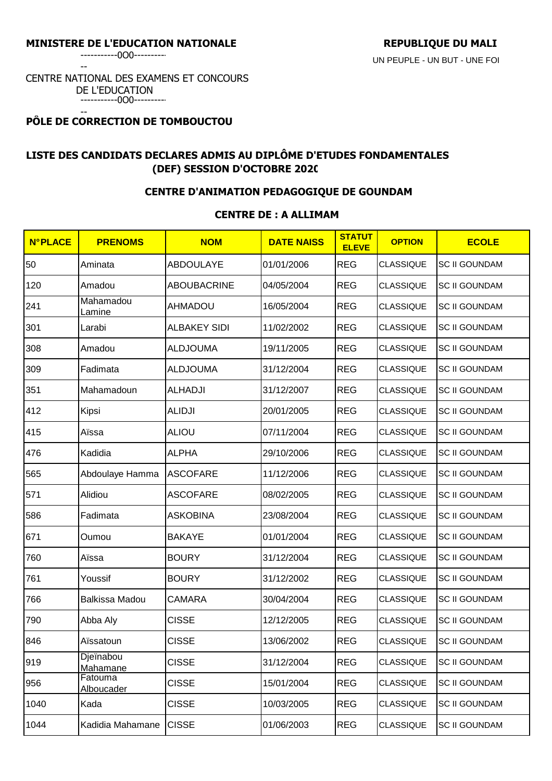-----------0O0----------

--

#### CENTRE NATIONAL DES EXAMENS ET CONCOURS DE L'EDUCATION -----------0O0----------

#### -- **PÔLE DE CORRECTION DE TOMBOUCTOU**

# **LISTE DES CANDIDATS DECLARES ADMIS AU DIPLÔME D'ETUDES FONDAMENTALES (DEF) SESSION D'OCTOBRE 2020**

## **CENTRE D'ANIMATION PEDAGOGIQUE DE GOUNDAM**

## **CENTRE DE : A ALLIMAM**

| <b>N°PLACE</b> | <b>PRENOMS</b>               | <b>NOM</b>          | <b>DATE NAISS</b> | <b>STATUT</b><br><b>ELEVE</b> | <b>OPTION</b>    | <b>ECOLE</b>         |
|----------------|------------------------------|---------------------|-------------------|-------------------------------|------------------|----------------------|
| 50             | Aminata                      | <b>ABDOULAYE</b>    | 01/01/2006        | <b>REG</b>                    | <b>CLASSIQUE</b> | <b>SC II GOUNDAM</b> |
| 120            | Amadou                       | <b>ABOUBACRINE</b>  | 04/05/2004        | <b>REG</b>                    | <b>CLASSIQUE</b> | <b>SC II GOUNDAM</b> |
| 241            | <b>Mahamadou</b><br>Lamine   | <b>AHMADOU</b>      | 16/05/2004        | <b>REG</b>                    | <b>CLASSIQUE</b> | <b>SC II GOUNDAM</b> |
| 301            | Larabi                       | <b>ALBAKEY SIDI</b> | 11/02/2002        | <b>REG</b>                    | <b>CLASSIQUE</b> | <b>SC II GOUNDAM</b> |
| 308            | Amadou                       | <b>ALDJOUMA</b>     | 19/11/2005        | <b>REG</b>                    | <b>CLASSIQUE</b> | <b>SC II GOUNDAM</b> |
| 309            | Fadimata                     | <b>ALDJOUMA</b>     | 31/12/2004        | <b>REG</b>                    | <b>CLASSIQUE</b> | <b>SC II GOUNDAM</b> |
| 351            | Mahamadoun                   | <b>ALHADJI</b>      | 31/12/2007        | <b>REG</b>                    | <b>CLASSIQUE</b> | <b>SC II GOUNDAM</b> |
| 412            | Kipsi                        | <b>ALIDJI</b>       | 20/01/2005        | <b>REG</b>                    | <b>CLASSIQUE</b> | <b>SC II GOUNDAM</b> |
| 415            | Aïssa                        | <b>ALIOU</b>        | 07/11/2004        | <b>REG</b>                    | <b>CLASSIQUE</b> | <b>SC II GOUNDAM</b> |
| 476            | Kadidia                      | <b>ALPHA</b>        | 29/10/2006        | <b>REG</b>                    | <b>CLASSIQUE</b> | <b>SC II GOUNDAM</b> |
| 565            | Abdoulaye Hamma              | <b>ASCOFARE</b>     | 11/12/2006        | <b>REG</b>                    | <b>CLASSIQUE</b> | <b>SC II GOUNDAM</b> |
| 571            | Alidiou                      | <b>ASCOFARE</b>     | 08/02/2005        | <b>REG</b>                    | <b>CLASSIQUE</b> | <b>SC II GOUNDAM</b> |
| 586            | Fadimata                     | <b>ASKOBINA</b>     | 23/08/2004        | <b>REG</b>                    | <b>CLASSIQUE</b> | <b>SC II GOUNDAM</b> |
| 671            | Oumou                        | <b>BAKAYE</b>       | 01/01/2004        | <b>REG</b>                    | <b>CLASSIQUE</b> | <b>SC II GOUNDAM</b> |
| 760            | Aïssa                        | <b>BOURY</b>        | 31/12/2004        | <b>REG</b>                    | <b>CLASSIQUE</b> | <b>SC II GOUNDAM</b> |
| 761            | Youssif                      | <b>BOURY</b>        | 31/12/2002        | <b>REG</b>                    | <b>CLASSIQUE</b> | <b>SC II GOUNDAM</b> |
| 766            | Balkissa Madou               | <b>CAMARA</b>       | 30/04/2004        | <b>REG</b>                    | <b>CLASSIQUE</b> | <b>SC II GOUNDAM</b> |
| 790            | Abba Aly                     | <b>CISSE</b>        | 12/12/2005        | <b>REG</b>                    | <b>CLASSIQUE</b> | <b>SC II GOUNDAM</b> |
| 846            | Aïssatoun                    | <b>CISSE</b>        | 13/06/2002        | <b>REG</b>                    | <b>CLASSIQUE</b> | <b>SC II GOUNDAM</b> |
| 919            | Djeïnabou<br>Mahamane        | <b>CISSE</b>        | 31/12/2004        | <b>REG</b>                    | <b>CLASSIQUE</b> | <b>SC II GOUNDAM</b> |
| 956            | Fatouma<br><b>Alboucader</b> | <b>CISSE</b>        | 15/01/2004        | <b>REG</b>                    | <b>CLASSIQUE</b> | <b>SC II GOUNDAM</b> |
| 1040           | Kada                         | <b>CISSE</b>        | 10/03/2005        | <b>REG</b>                    | <b>CLASSIQUE</b> | <b>SC II GOUNDAM</b> |
| 1044           | Kadidia Mahamane             | <b>CISSE</b>        | 01/06/2003        | <b>REG</b>                    | <b>CLASSIQUE</b> | <b>SC II GOUNDAM</b> |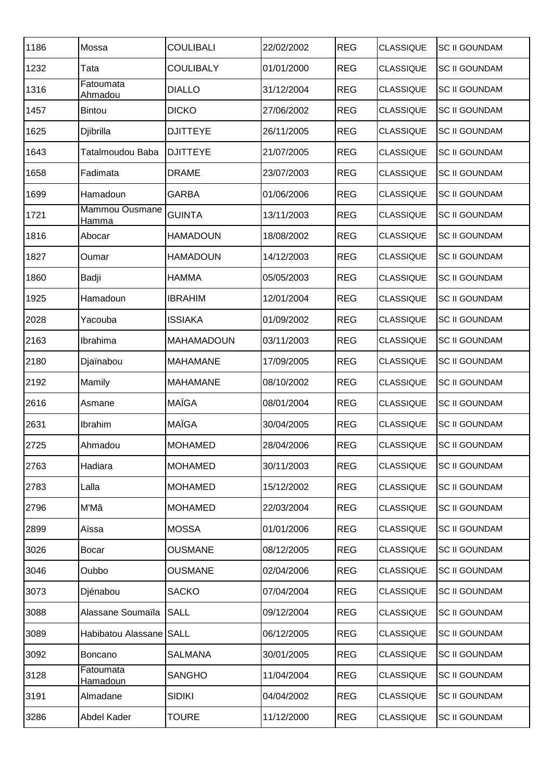| 1186 | Mossa                        | <b>COULIBALI</b>  | 22/02/2002 | <b>REG</b> | <b>CLASSIQUE</b> | <b>SC II GOUNDAM</b> |
|------|------------------------------|-------------------|------------|------------|------------------|----------------------|
| 1232 | Tata                         | <b>COULIBALY</b>  | 01/01/2000 | <b>REG</b> | <b>CLASSIQUE</b> | <b>SC II GOUNDAM</b> |
| 1316 | Fatoumata<br>Ahmadou         | <b>DIALLO</b>     | 31/12/2004 | <b>REG</b> | <b>CLASSIQUE</b> | <b>SC II GOUNDAM</b> |
| 1457 | <b>Bintou</b>                | <b>DICKO</b>      | 27/06/2002 | <b>REG</b> | <b>CLASSIQUE</b> | <b>SC II GOUNDAM</b> |
| 1625 | Djibrilla                    | <b>DJITTEYE</b>   | 26/11/2005 | <b>REG</b> | <b>CLASSIQUE</b> | <b>SC II GOUNDAM</b> |
| 1643 | Tatalmoudou Baba             | <b>DJITTEYE</b>   | 21/07/2005 | <b>REG</b> | <b>CLASSIQUE</b> | <b>SC II GOUNDAM</b> |
| 1658 | Fadimata                     | <b>DRAME</b>      | 23/07/2003 | <b>REG</b> | <b>CLASSIQUE</b> | <b>SC II GOUNDAM</b> |
| 1699 | Hamadoun                     | <b>GARBA</b>      | 01/06/2006 | <b>REG</b> | <b>CLASSIQUE</b> | <b>SC II GOUNDAM</b> |
| 1721 | Mammou Ousmane<br>Hamma      | <b>GUINTA</b>     | 13/11/2003 | <b>REG</b> | <b>CLASSIQUE</b> | <b>SC II GOUNDAM</b> |
| 1816 | Abocar                       | <b>HAMADOUN</b>   | 18/08/2002 | <b>REG</b> | <b>CLASSIQUE</b> | <b>SC II GOUNDAM</b> |
| 1827 | Oumar                        | <b>HAMADOUN</b>   | 14/12/2003 | <b>REG</b> | <b>CLASSIQUE</b> | <b>SC II GOUNDAM</b> |
| 1860 | Badji                        | <b>HAMMA</b>      | 05/05/2003 | <b>REG</b> | <b>CLASSIQUE</b> | <b>SC II GOUNDAM</b> |
| 1925 | Hamadoun                     | <b>IBRAHIM</b>    | 12/01/2004 | <b>REG</b> | <b>CLASSIQUE</b> | <b>SC II GOUNDAM</b> |
| 2028 | Yacouba                      | <b>ISSIAKA</b>    | 01/09/2002 | <b>REG</b> | <b>CLASSIQUE</b> | <b>SC II GOUNDAM</b> |
| 2163 | Ibrahima                     | <b>MAHAMADOUN</b> | 03/11/2003 | <b>REG</b> | <b>CLASSIQUE</b> | <b>SC II GOUNDAM</b> |
| 2180 | Djaïnabou                    | <b>MAHAMANE</b>   | 17/09/2005 | <b>REG</b> | <b>CLASSIQUE</b> | <b>SC II GOUNDAM</b> |
| 2192 | Mamily                       | <b>MAHAMANE</b>   | 08/10/2002 | <b>REG</b> | <b>CLASSIQUE</b> | <b>SC II GOUNDAM</b> |
| 2616 | Asmane                       | <b>MAÏGA</b>      | 08/01/2004 | <b>REG</b> | <b>CLASSIQUE</b> | <b>SC II GOUNDAM</b> |
| 2631 | Ibrahim                      | <b>MAÏGA</b>      | 30/04/2005 | <b>REG</b> | <b>CLASSIQUE</b> | <b>SC II GOUNDAM</b> |
| 2725 | Ahmadou                      | <b>MOHAMED</b>    | 28/04/2006 | <b>REG</b> | <b>CLASSIQUE</b> | <b>SC II GOUNDAM</b> |
| 2763 | Hadiara                      | <b>MOHAMED</b>    | 30/11/2003 | <b>REG</b> | <b>CLASSIQUE</b> | <b>SC II GOUNDAM</b> |
| 2783 | Lalla                        | <b>MOHAMED</b>    | 15/12/2002 | <b>REG</b> | <b>CLASSIQUE</b> | <b>SC II GOUNDAM</b> |
| 2796 | M'Mâ                         | <b>MOHAMED</b>    | 22/03/2004 | <b>REG</b> | <b>CLASSIQUE</b> | <b>SC II GOUNDAM</b> |
| 2899 | Aïssa                        | <b>MOSSA</b>      | 01/01/2006 | <b>REG</b> | <b>CLASSIQUE</b> | <b>SC II GOUNDAM</b> |
| 3026 | <b>Bocar</b>                 | <b>OUSMANE</b>    | 08/12/2005 | <b>REG</b> | <b>CLASSIQUE</b> | <b>SC II GOUNDAM</b> |
| 3046 | Oubbo                        | <b>OUSMANE</b>    | 02/04/2006 | <b>REG</b> | <b>CLASSIQUE</b> | <b>SC II GOUNDAM</b> |
| 3073 | Djénabou                     | <b>SACKO</b>      | 07/04/2004 | <b>REG</b> | <b>CLASSIQUE</b> | <b>SC II GOUNDAM</b> |
| 3088 | Alassane Soumaïla            | <b>SALL</b>       | 09/12/2004 | <b>REG</b> | <b>CLASSIQUE</b> | <b>SC II GOUNDAM</b> |
| 3089 | Habibatou Alassane SALL      |                   | 06/12/2005 | <b>REG</b> | <b>CLASSIQUE</b> | <b>SC II GOUNDAM</b> |
| 3092 | <b>Boncano</b>               | <b>SALMANA</b>    | 30/01/2005 | <b>REG</b> | <b>CLASSIQUE</b> | <b>SC II GOUNDAM</b> |
| 3128 | Fatoumata<br><u>Hamadoun</u> | <b>SANGHO</b>     | 11/04/2004 | <b>REG</b> | <b>CLASSIQUE</b> | <b>SC II GOUNDAM</b> |
| 3191 | Almadane                     | <b>SIDIKI</b>     | 04/04/2002 | <b>REG</b> | <b>CLASSIQUE</b> | <b>SC II GOUNDAM</b> |
| 3286 | Abdel Kader                  | <b>TOURE</b>      | 11/12/2000 | <b>REG</b> | CLASSIQUE        | <b>SC II GOUNDAM</b> |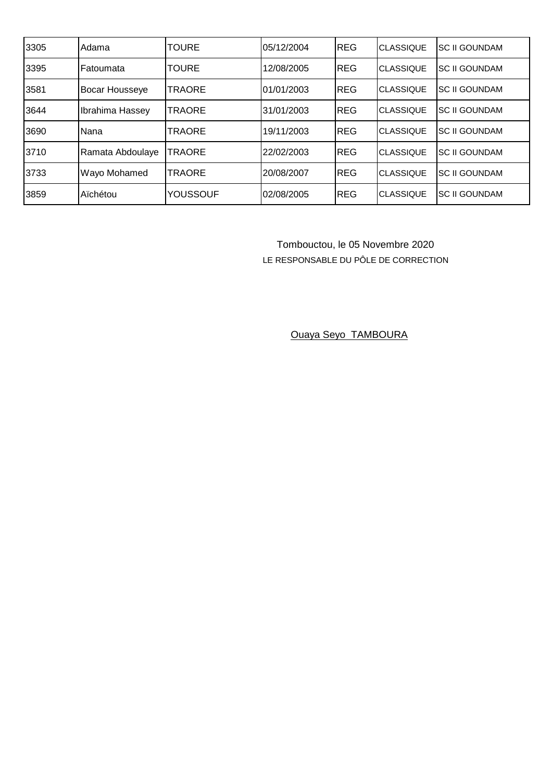| 3305 | Adama                 | TOURE           | 05/12/2004 | <b>REG</b> | <b>CLASSIQUE</b> | <b>ISC II GOUNDAM</b> |
|------|-----------------------|-----------------|------------|------------|------------------|-----------------------|
| 3395 | <b>IFatoumata</b>     | TOURE           | 12/08/2005 | <b>REG</b> | <b>CLASSIQUE</b> | <b>SC II GOUNDAM</b>  |
| 3581 | <b>Bocar Housseye</b> | TRAORE          | 01/01/2003 | REG        | <b>CLASSIQUE</b> | <b>SC II GOUNDAM</b>  |
| 3644 | Ibrahima Hassey       | TRAORE          | 31/01/2003 | <b>REG</b> | <b>CLASSIQUE</b> | <b>SC II GOUNDAM</b>  |
| 3690 | Nana                  | TRAORE          | 19/11/2003 | REG        | <b>CLASSIQUE</b> | <b>SC II GOUNDAM</b>  |
| 3710 | Ramata Abdoulaye      | TRAORE          | 22/02/2003 | <b>REG</b> | <b>CLASSIQUE</b> | <b>SC II GOUNDAM</b>  |
| 3733 | Wayo Mohamed          | TRAORE          | 20/08/2007 | <b>REG</b> | <b>CLASSIQUE</b> | <b>SC II GOUNDAM</b>  |
| 3859 | Aïchétou              | <b>YOUSSOUF</b> | 02/08/2005 | <b>REG</b> | <b>CLASSIQUE</b> | <b>SC II GOUNDAM</b>  |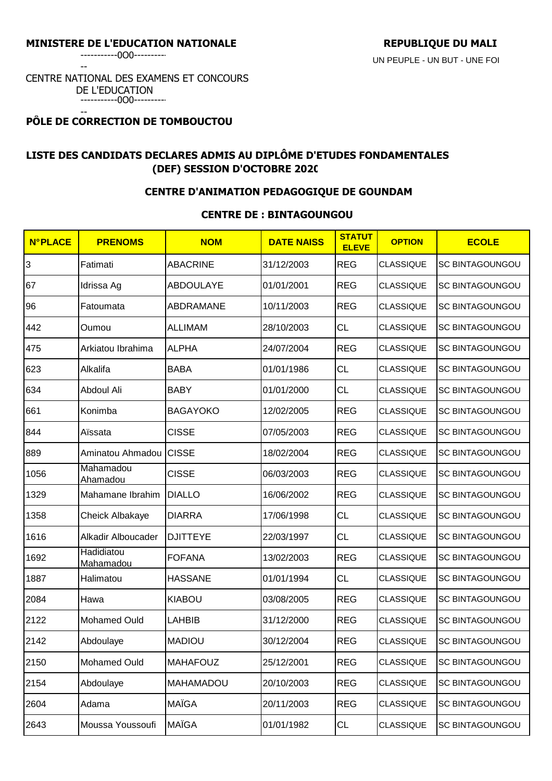-----------0O0----------

--

#### CENTRE NATIONAL DES EXAMENS ET CONCOURS DE L'EDUCATION -----------0O0----------

#### -- **PÔLE DE CORRECTION DE TOMBOUCTOU**

# **LISTE DES CANDIDATS DECLARES ADMIS AU DIPLÔME D'ETUDES FONDAMENTALES (DEF) SESSION D'OCTOBRE 2020**

## **CENTRE D'ANIMATION PEDAGOGIQUE DE GOUNDAM**

#### **CENTRE DE : BINTAGOUNGOU**

| <b>N°PLACE</b> | <b>PRENOMS</b>               | <b>NOM</b>       | <b>DATE NAISS</b> | <b>STATUT</b><br><b>ELEVE</b> | <b>OPTION</b>    | <b>ECOLE</b>           |
|----------------|------------------------------|------------------|-------------------|-------------------------------|------------------|------------------------|
| 3              | Fatimati                     | <b>ABACRINE</b>  | 31/12/2003        | <b>REG</b>                    | <b>CLASSIQUE</b> | <b>SC BINTAGOUNGOU</b> |
| 67             | Idrissa Ag                   | <b>ABDOULAYE</b> | 01/01/2001        | <b>REG</b>                    | <b>CLASSIQUE</b> | <b>SC BINTAGOUNGOU</b> |
| 96             | Fatoumata                    | ABDRAMANE        | 10/11/2003        | <b>REG</b>                    | <b>CLASSIQUE</b> | <b>SC BINTAGOUNGOU</b> |
| 442            | Oumou                        | <b>ALLIMAM</b>   | 28/10/2003        | <b>CL</b>                     | <b>CLASSIQUE</b> | <b>SC BINTAGOUNGOU</b> |
| 475            | Arkiatou Ibrahima            | <b>ALPHA</b>     | 24/07/2004        | <b>REG</b>                    | <b>CLASSIQUE</b> | <b>SC BINTAGOUNGOU</b> |
| 623            | Alkalifa                     | <b>BABA</b>      | 01/01/1986        | <b>CL</b>                     | <b>CLASSIQUE</b> | <b>SC BINTAGOUNGOU</b> |
| 634            | Abdoul Ali                   | <b>BABY</b>      | 01/01/2000        | <b>CL</b>                     | <b>CLASSIQUE</b> | <b>SC BINTAGOUNGOU</b> |
| 661            | Konimba                      | <b>BAGAYOKO</b>  | 12/02/2005        | <b>REG</b>                    | <b>CLASSIQUE</b> | <b>SC BINTAGOUNGOU</b> |
| 844            | Aïssata                      | <b>CISSE</b>     | 07/05/2003        | <b>REG</b>                    | <b>CLASSIQUE</b> | <b>SC BINTAGOUNGOU</b> |
| 889            | Aminatou Ahmadou CISSE       |                  | 18/02/2004        | <b>REG</b>                    | <b>CLASSIQUE</b> | <b>SC BINTAGOUNGOU</b> |
| 1056           | Mahamadou<br><b>Ahamadou</b> | <b>CISSE</b>     | 06/03/2003        | <b>REG</b>                    | <b>CLASSIQUE</b> | <b>SC BINTAGOUNGOU</b> |
| 1329           | Mahamane Ibrahim             | <b>DIALLO</b>    | 16/06/2002        | <b>REG</b>                    | <b>CLASSIQUE</b> | <b>SC BINTAGOUNGOU</b> |
| 1358           | Cheick Albakaye              | <b>DIARRA</b>    | 17/06/1998        | <b>CL</b>                     | <b>CLASSIQUE</b> | <b>SC BINTAGOUNGOU</b> |
| 1616           | Alkadir Alboucader           | <b>DJITTEYE</b>  | 22/03/1997        | <b>CL</b>                     | <b>CLASSIQUE</b> | <b>SC BINTAGOUNGOU</b> |
| 1692           | Hadidiatou<br>Mahamadou      | <b>FOFANA</b>    | 13/02/2003        | <b>REG</b>                    | <b>CLASSIQUE</b> | <b>SC BINTAGOUNGOU</b> |
| 1887           | Halimatou                    | <b>HASSANE</b>   | 01/01/1994        | <b>CL</b>                     | <b>CLASSIQUE</b> | <b>SC BINTAGOUNGOU</b> |
| 2084           | Hawa                         | <b>KIABOU</b>    | 03/08/2005        | <b>REG</b>                    | <b>CLASSIQUE</b> | <b>SC BINTAGOUNGOU</b> |
| 2122           | <b>Mohamed Ould</b>          | <b>LAHBIB</b>    | 31/12/2000        | <b>REG</b>                    | <b>CLASSIQUE</b> | <b>SC BINTAGOUNGOU</b> |
| 2142           | Abdoulaye                    | <b>MADIOU</b>    | 30/12/2004        | <b>REG</b>                    | <b>CLASSIQUE</b> | <b>SC BINTAGOUNGOU</b> |
| 2150           | Mohamed Ould                 | <b>MAHAFOUZ</b>  | 25/12/2001        | <b>REG</b>                    | <b>CLASSIQUE</b> | SC BINTAGOUNGOU        |
| 2154           | Abdoulaye                    | <b>MAHAMADOU</b> | 20/10/2003        | <b>REG</b>                    | <b>CLASSIQUE</b> | <b>SC BINTAGOUNGOU</b> |
| 2604           | Adama                        | <b>MAÏGA</b>     | 20/11/2003        | <b>REG</b>                    | <b>CLASSIQUE</b> | SC BINTAGOUNGOU        |
| 2643           | Moussa Youssoufi             | <b>MAÏGA</b>     | 01/01/1982        | CL                            | <b>CLASSIQUE</b> | SC BINTAGOUNGOU        |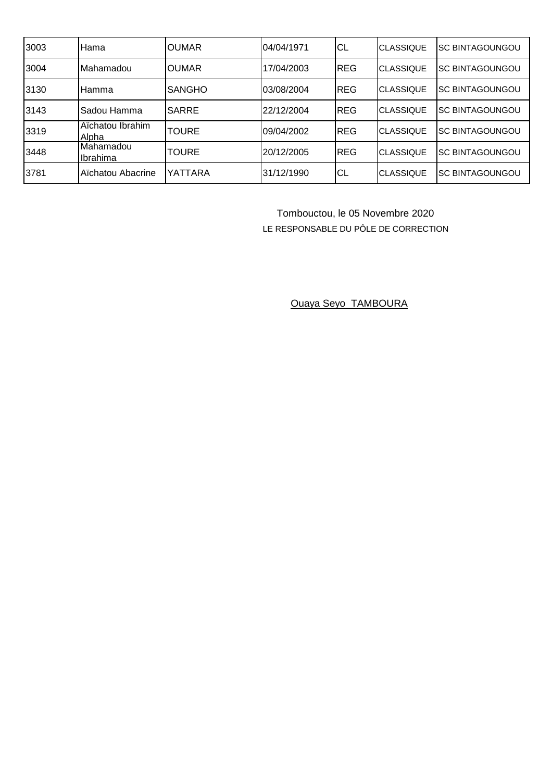| 3003 | Hama                      | IOUMAR        | 04/04/1971 | CL          | <b>CLASSIQUE</b> | <b>ISC BINTAGOUNGOU</b> |
|------|---------------------------|---------------|------------|-------------|------------------|-------------------------|
| 3004 | Mahamadou                 | <b>OUMAR</b>  | 17/04/2003 | <b>REG</b>  | <b>CLASSIQUE</b> | <b>SC BINTAGOUNGOU</b>  |
| 3130 | <b>Hamma</b>              | <b>SANGHO</b> | 03/08/2004 | <b>REG</b>  | <b>CLASSIQUE</b> | ISC BINTAGOUNGOU        |
| 3143 | Sadou Hamma               | ISARRE        | 22/12/2004 | <b>REG</b>  | <b>CLASSIQUE</b> | ISC BINTAGOUNGOU        |
| 3319 | Aïchatou Ibrahim<br>Alpha | <b>TOURE</b>  | 09/04/2002 | <b>REG</b>  | <b>CLASSIQUE</b> | ISC BINTAGOUNGOU        |
| 3448 | Mahamadou<br>Ilbrahima    | <b>TOURE</b>  | 20/12/2005 | <b>IREG</b> | <b>CLASSIQUE</b> | ISC BINTAGOUNGOU        |
| 3781 | Aïchatou Abacrine         | YATTARA       | 31/12/1990 | CL          | <b>CLASSIQUE</b> | ISC BINTAGOUNGOU        |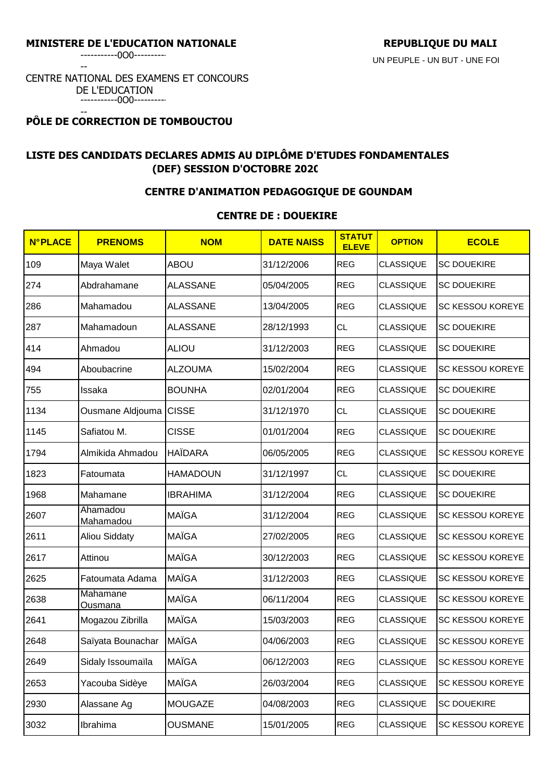-----------0O0----------

--

#### CENTRE NATIONAL DES EXAMENS ET CONCOURS DE L'EDUCATION -----------0O0----------

#### -- **PÔLE DE CORRECTION DE TOMBOUCTOU**

# **LISTE DES CANDIDATS DECLARES ADMIS AU DIPLÔME D'ETUDES FONDAMENTALES (DEF) SESSION D'OCTOBRE 2020**

## **CENTRE D'ANIMATION PEDAGOGIQUE DE GOUNDAM**

## **CENTRE DE : DOUEKIRE**

| <b>N°PLACE</b> | <b>PRENOMS</b>                    | <b>NOM</b>      | <b>DATE NAISS</b> | <b>STATUT</b><br><b>ELEVE</b> | <b>OPTION</b>    | <b>ECOLE</b>            |
|----------------|-----------------------------------|-----------------|-------------------|-------------------------------|------------------|-------------------------|
| 109            | Maya Walet                        | <b>ABOU</b>     | 31/12/2006        | <b>REG</b>                    | <b>CLASSIQUE</b> | <b>SC DOUEKIRE</b>      |
| 274            | Abdrahamane                       | <b>ALASSANE</b> | 05/04/2005        | <b>REG</b>                    | <b>CLASSIQUE</b> | <b>SC DOUEKIRE</b>      |
| 286            | Mahamadou                         | <b>ALASSANE</b> | 13/04/2005        | <b>REG</b>                    | <b>CLASSIQUE</b> | SC KESSOU KOREYE        |
| 287            | Mahamadoun                        | <b>ALASSANE</b> | 28/12/1993        | <b>CL</b>                     | <b>CLASSIQUE</b> | <b>SC DOUEKIRE</b>      |
| 414            | Ahmadou                           | <b>ALIOU</b>    | 31/12/2003        | <b>REG</b>                    | <b>CLASSIQUE</b> | <b>SC DOUEKIRE</b>      |
| 494            | Aboubacrine                       | <b>ALZOUMA</b>  | 15/02/2004        | <b>REG</b>                    | <b>CLASSIQUE</b> | SC KESSOU KOREYE        |
| 755            | Issaka                            | <b>BOUNHA</b>   | 02/01/2004        | <b>REG</b>                    | <b>CLASSIQUE</b> | <b>SC DOUEKIRE</b>      |
| 1134           | Ousmane Aldjouma                  | <b>CISSE</b>    | 31/12/1970        | <b>CL</b>                     | <b>CLASSIQUE</b> | <b>SC DOUEKIRE</b>      |
| 1145           | Safiatou M.                       | <b>CISSE</b>    | 01/01/2004        | <b>REG</b>                    | <b>CLASSIQUE</b> | <b>SC DOUEKIRE</b>      |
| 1794           | Almikida Ahmadou                  | <b>HAÏDARA</b>  | 06/05/2005        | <b>REG</b>                    | <b>CLASSIQUE</b> | SC KESSOU KOREYE        |
| 1823           | Fatoumata                         | <b>HAMADOUN</b> | 31/12/1997        | <b>CL</b>                     | <b>CLASSIQUE</b> | <b>SC DOUEKIRE</b>      |
| 1968           | Mahamane                          | <b>IBRAHIMA</b> | 31/12/2004        | <b>REG</b>                    | <b>CLASSIQUE</b> | <b>SC DOUEKIRE</b>      |
| 2607           | Ahamadou<br>Mahamadou             | <b>MAÏGA</b>    | 31/12/2004        | <b>REG</b>                    | <b>CLASSIQUE</b> | SC KESSOU KOREYE        |
| 2611           | <b>Aliou Siddaty</b>              | MAÏGA           | 27/02/2005        | <b>REG</b>                    | <b>CLASSIQUE</b> | SC KESSOU KOREYE        |
| 2617           | Attinou                           | <b>MAÏGA</b>    | 30/12/2003        | <b>REG</b>                    | <b>CLASSIQUE</b> | SC KESSOU KOREYE        |
| 2625           | Fatoumata Adama                   | <b>MAÏGA</b>    | 31/12/2003        | <b>REG</b>                    | <b>CLASSIQUE</b> | <b>SC KESSOU KOREYE</b> |
| 2638           | <b>Mahamane</b><br><u>Ousmana</u> | <b>MAÏGA</b>    | 06/11/2004        | <b>REG</b>                    | <b>CLASSIQUE</b> | SC KESSOU KOREYE        |
| 2641           | Mogazou Zibrilla                  | <b>MAÏGA</b>    | 15/03/2003        | <b>REG</b>                    | <b>CLASSIQUE</b> | SC KESSOU KOREYE        |
| 2648           | Saïyata Bounachar                 | <b>MAÏGA</b>    | 04/06/2003        | <b>REG</b>                    | <b>CLASSIQUE</b> | <b>SC KESSOU KOREYE</b> |
| 2649           | Sidaly Issoumaïla                 | <b>MAÏGA</b>    | 06/12/2003        | <b>REG</b>                    | <b>CLASSIQUE</b> | SC KESSOU KOREYE        |
| 2653           | Yacouba Sidèye                    | <b>MAÏGA</b>    | 26/03/2004        | <b>REG</b>                    | <b>CLASSIQUE</b> | SC KESSOU KOREYE        |
| 2930           | Alassane Ag                       | <b>MOUGAZE</b>  | 04/08/2003        | <b>REG</b>                    | <b>CLASSIQUE</b> | <b>SC DOUEKIRE</b>      |
| 3032           | Ibrahima                          | <b>OUSMANE</b>  | 15/01/2005        | <b>REG</b>                    | <b>CLASSIQUE</b> | SC KESSOU KOREYE        |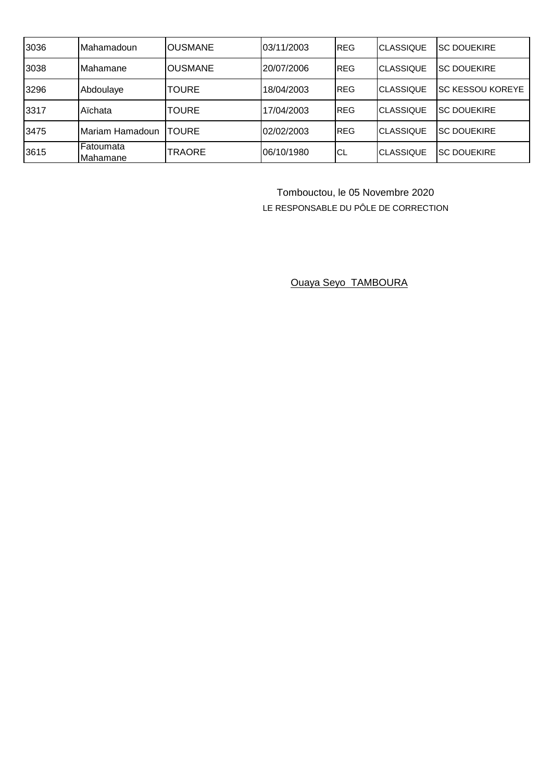| 3036 | Mahamadoun                    | IOUSMANE        | 03/11/2003 | <b>REG</b>  | <b>ICLASSIQUE</b> | <b>ISC DOUEKIRE</b>      |
|------|-------------------------------|-----------------|------------|-------------|-------------------|--------------------------|
| 3038 | <b>Mahamane</b>               | <b>IOUSMANE</b> | 20/07/2006 | <b>REG</b>  | <b>ICLASSIQUE</b> | <b>ISC DOUEKIRE</b>      |
| 3296 | Abdoulaye                     | <b>TOURE</b>    | 18/04/2003 | <b>IREG</b> | <b>CLASSIQUE</b>  | <b>ISC KESSOU KOREYE</b> |
| 3317 | Aïchata                       | <b>TOURE</b>    | 17/04/2003 | <b>REG</b>  | <b>ICLASSIQUE</b> | <b>ISC DOUEKIRE</b>      |
| 3475 | Mariam Hamadoun               | <b>TOURE</b>    | 02/02/2003 | <b>REG</b>  | <b>ICLASSIQUE</b> | <b>ISC DOUEKIRE</b>      |
| 3615 | <b>IFatoumata</b><br>Mahamane | TRAORE          | 06/10/1980 | СL          | <b>CLASSIQUE</b>  | <b>ISC DOUEKIRE</b>      |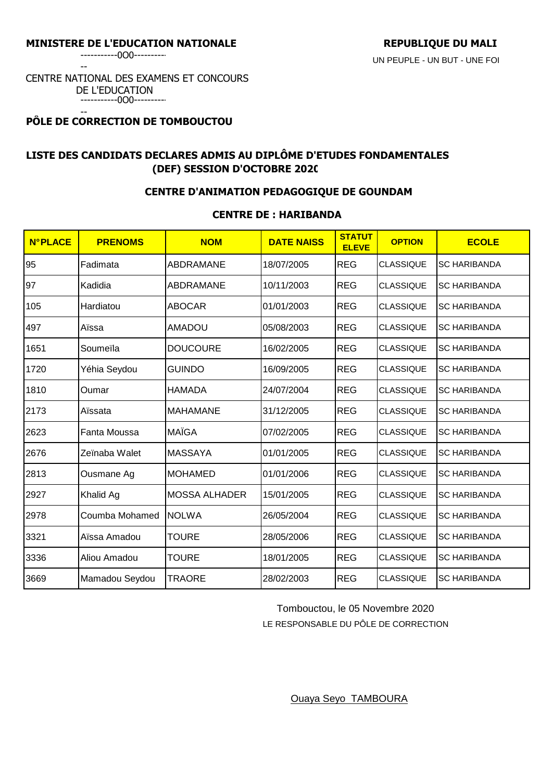-----------0O0----------

--

#### CENTRE NATIONAL DES EXAMENS ET CONCOURS DE L'EDUCATION -----------0O0----------

#### -- **PÔLE DE CORRECTION DE TOMBOUCTOU**

# **LISTE DES CANDIDATS DECLARES ADMIS AU DIPLÔME D'ETUDES FONDAMENTALES (DEF) SESSION D'OCTOBRE 2020**

## **CENTRE D'ANIMATION PEDAGOGIQUE DE GOUNDAM**

## **CENTRE DE : HARIBANDA**

| <b>N°PLACE</b> | <b>PRENOMS</b> | <b>NOM</b>           | <b>DATE NAISS</b> | <b>STATUT</b><br><b>ELEVE</b> | <b>OPTION</b>    | <b>ECOLE</b>        |
|----------------|----------------|----------------------|-------------------|-------------------------------|------------------|---------------------|
| 95             | Fadimata       | ABDRAMANE            | 18/07/2005        | <b>REG</b>                    | <b>CLASSIQUE</b> | <b>SC HARIBANDA</b> |
| 97             | Kadidia        | ABDRAMANE            | 10/11/2003        | <b>REG</b>                    | <b>CLASSIQUE</b> | <b>SC HARIBANDA</b> |
| 105            | Hardiatou      | <b>ABOCAR</b>        | 01/01/2003        | <b>REG</b>                    | <b>CLASSIQUE</b> | <b>SC HARIBANDA</b> |
| 497            | Aïssa          | <b>AMADOU</b>        | 05/08/2003        | <b>REG</b>                    | <b>CLASSIQUE</b> | <b>SC HARIBANDA</b> |
| 1651           | Soumeïla       | <b>DOUCOURE</b>      | 16/02/2005        | <b>REG</b>                    | <b>CLASSIQUE</b> | <b>SC HARIBANDA</b> |
| 1720           | Yéhia Seydou   | <b>GUINDO</b>        | 16/09/2005        | <b>REG</b>                    | <b>CLASSIQUE</b> | <b>SC HARIBANDA</b> |
| 1810           | Oumar          | <b>HAMADA</b>        | 24/07/2004        | <b>REG</b>                    | <b>CLASSIQUE</b> | <b>SC HARIBANDA</b> |
| 2173           | Aïssata        | <b>MAHAMANE</b>      | 31/12/2005        | <b>REG</b>                    | <b>CLASSIQUE</b> | <b>SC HARIBANDA</b> |
| 2623           | Fanta Moussa   | <b>MAÏGA</b>         | 07/02/2005        | <b>REG</b>                    | <b>CLASSIQUE</b> | <b>SC HARIBANDA</b> |
| 2676           | Zeïnaba Walet  | <b>MASSAYA</b>       | 01/01/2005        | <b>REG</b>                    | <b>CLASSIQUE</b> | <b>SC HARIBANDA</b> |
| 2813           | Ousmane Ag     | <b>MOHAMED</b>       | 01/01/2006        | <b>REG</b>                    | <b>CLASSIQUE</b> | <b>SC HARIBANDA</b> |
| 2927           | Khalid Ag      | <b>MOSSA ALHADER</b> | 15/01/2005        | <b>REG</b>                    | <b>CLASSIQUE</b> | <b>SC HARIBANDA</b> |
| 2978           | Coumba Mohamed | <b>NOLWA</b>         | 26/05/2004        | <b>REG</b>                    | <b>CLASSIQUE</b> | <b>SC HARIBANDA</b> |
| 3321           | Aïssa Amadou   | <b>TOURE</b>         | 28/05/2006        | <b>REG</b>                    | <b>CLASSIQUE</b> | <b>SC HARIBANDA</b> |
| 3336           | Aliou Amadou   | <b>TOURE</b>         | 18/01/2005        | <b>REG</b>                    | <b>CLASSIQUE</b> | <b>SC HARIBANDA</b> |
| 3669           | Mamadou Seydou | <b>TRAORE</b>        | 28/02/2003        | <b>REG</b>                    | <b>CLASSIQUE</b> | <b>SC HARIBANDA</b> |

Tombouctou, le 05 Novembre 2020

LE RESPONSABLE DU PÔLE DE CORRECTION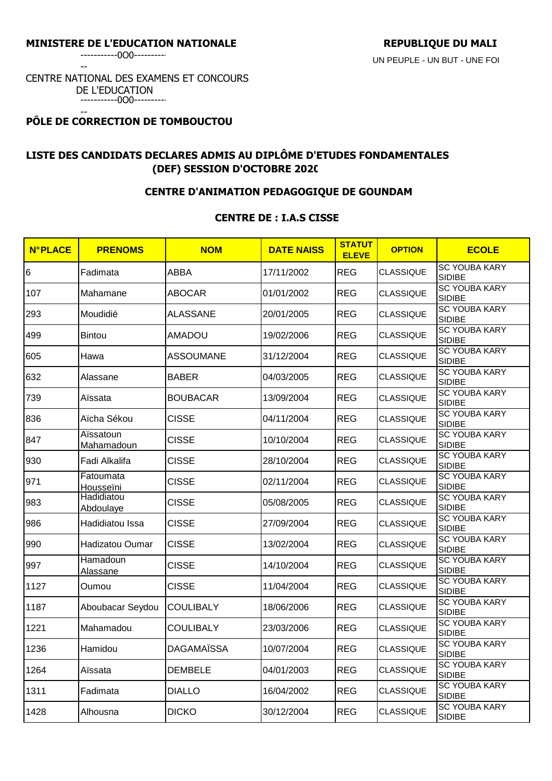-----------0O0----------

--

#### CENTRE NATIONAL DES EXAMENS ET CONCOURS DE L'EDUCATION -----------0O0----------

#### -- **PÔLE DE CORRECTION DE TOMBOUCTOU**

# **LISTE DES CANDIDATS DECLARES ADMIS AU DIPLÔME D'ETUDES FONDAMENTALES (DEF) SESSION D'OCTOBRE 2020**

## **CENTRE D'ANIMATION PEDAGOGIQUE DE GOUNDAM**

## **CENTRE DE : I.A.S CISSE**

| <b>N°PLACE</b> | <b>PRENOMS</b>          | <b>NOM</b>        | <b>DATE NAISS</b> | <b>STATUT</b><br><b>ELEVE</b> | <b>OPTION</b>    | <b>ECOLE</b>                          |
|----------------|-------------------------|-------------------|-------------------|-------------------------------|------------------|---------------------------------------|
| 6              | Fadimata                | <b>ABBA</b>       | 17/11/2002        | <b>REG</b>                    | <b>CLASSIQUE</b> | <b>SC YOUBA KARY</b><br><b>SIDIBE</b> |
| 107            | Mahamane                | <b>ABOCAR</b>     | 01/01/2002        | <b>REG</b>                    | <b>CLASSIQUE</b> | <b>SC YOUBA KARY</b><br><b>SIDIBE</b> |
| 293            | Moudidié                | <b>ALASSANE</b>   | 20/01/2005        | <b>REG</b>                    | <b>CLASSIQUE</b> | <b>SC YOUBA KARY</b><br><b>SIDIBE</b> |
| 499            | <b>Bintou</b>           | <b>AMADOU</b>     | 19/02/2006        | <b>REG</b>                    | <b>CLASSIQUE</b> | <b>SC YOUBA KARY</b><br><b>SIDIBE</b> |
| 605            | Hawa                    | ASSOUMANE         | 31/12/2004        | <b>REG</b>                    | <b>CLASSIQUE</b> | <b>SC YOUBA KARY</b><br>SIDIBE        |
| 632            | Alassane                | <b>BABER</b>      | 04/03/2005        | <b>REG</b>                    | <b>CLASSIQUE</b> | <b>SC YOUBA KARY</b><br><b>SIDIBE</b> |
| 739            | Aïssata                 | <b>BOUBACAR</b>   | 13/09/2004        | <b>REG</b>                    | <b>CLASSIQUE</b> | <b>SC YOUBA KARY</b><br><b>SIDIBE</b> |
| 836            | Aïcha Sékou             | <b>CISSE</b>      | 04/11/2004        | <b>REG</b>                    | <b>CLASSIQUE</b> | <b>SC YOUBA KARY</b><br><b>SIDIBE</b> |
| 847            | Aïssatoun<br>Mahamadoun | <b>CISSE</b>      | 10/10/2004        | <b>REG</b>                    | <b>CLASSIQUE</b> | <b>SC YOUBA KARY</b><br><b>SIDIBE</b> |
| 930            | Fadi Alkalifa           | <b>CISSE</b>      | 28/10/2004        | <b>REG</b>                    | <b>CLASSIQUE</b> | <b>SC YOUBA KARY</b><br><b>SIDIBE</b> |
| 971            | Fatoumata<br>Housseïni  | <b>CISSE</b>      | 02/11/2004        | <b>REG</b>                    | <b>CLASSIQUE</b> | <b>SC YOUBA KARY</b><br><b>SIDIBE</b> |
| 983            | Hadidiatou<br>Abdoulaye | <b>CISSE</b>      | 05/08/2005        | <b>REG</b>                    | <b>CLASSIQUE</b> | <b>SC YOUBA KARY</b><br><b>SIDIBE</b> |
| 986            | Hadidiatou Issa         | <b>CISSE</b>      | 27/09/2004        | <b>REG</b>                    | <b>CLASSIQUE</b> | <b>SC YOUBA KARY</b><br><b>SIDIBE</b> |
| 990            | Hadizatou Oumar         | <b>CISSE</b>      | 13/02/2004        | <b>REG</b>                    | <b>CLASSIQUE</b> | <b>SC YOUBA KARY</b><br><b>SIDIBE</b> |
| 997            | Hamadoun<br>Alassane    | <b>CISSE</b>      | 14/10/2004        | <b>REG</b>                    | <b>CLASSIQUE</b> | <b>SC YOUBA KARY</b><br><b>SIDIBE</b> |
| 1127           | Oumou                   | <b>CISSE</b>      | 11/04/2004        | <b>REG</b>                    | <b>CLASSIQUE</b> | <b>SC YOUBA KARY</b><br><b>SIDIBE</b> |
| 1187           | Aboubacar Seydou        | <b>COULIBALY</b>  | 18/06/2006        | <b>REG</b>                    | <b>CLASSIQUE</b> | <b>SC YOUBA KARY</b><br><b>SIDIBE</b> |
| 1221           | Mahamadou               | <b>COULIBALY</b>  | 23/03/2006        | <b>REG</b>                    | <b>CLASSIQUE</b> | <b>SC YOUBA KARY</b><br><b>SIDIBE</b> |
| 1236           | Hamidou                 | <b>DAGAMAÏSSA</b> | 10/07/2004        | <b>REG</b>                    | <b>CLASSIQUE</b> | <b>SC YOUBA KARY</b><br><b>SIDIBE</b> |
| 1264           | Aïssata                 | <b>DEMBELE</b>    | 04/01/2003        | <b>REG</b>                    | <b>CLASSIQUE</b> | <b>SC YOUBA KARY</b><br><b>SIDIBE</b> |
| 1311           | Fadimata                | <b>DIALLO</b>     | 16/04/2002        | <b>REG</b>                    | <b>CLASSIQUE</b> | <b>SC YOUBA KARY</b><br><b>SIDIBE</b> |
| 1428           | Alhousna                | <b>DICKO</b>      | 30/12/2004        | <b>REG</b>                    | <b>CLASSIQUE</b> | <b>SC YOUBA KARY</b><br><b>SIDIBE</b> |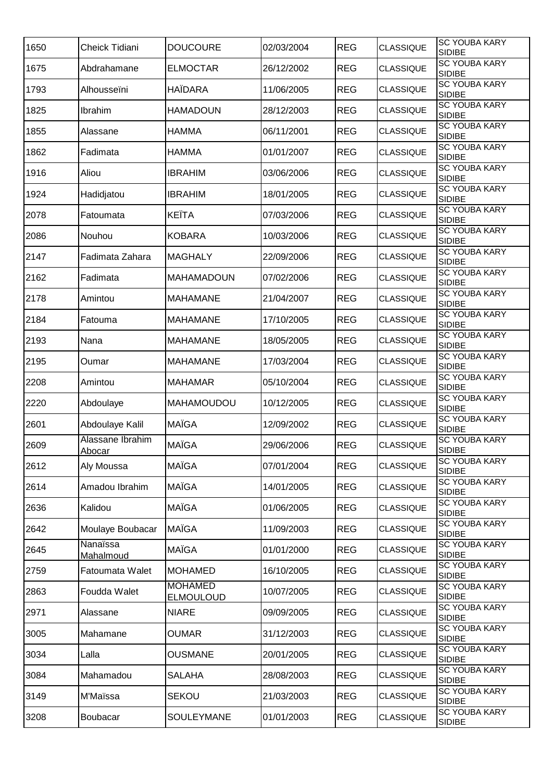| 1650 | Cheick Tidiani             | <b>DOUCOURE</b>                    | 02/03/2004 | <b>REG</b> | <b>CLASSIQUE</b> | <b>SC YOUBA KARY</b><br><b>SIDIBE</b> |
|------|----------------------------|------------------------------------|------------|------------|------------------|---------------------------------------|
| 1675 | Abdrahamane                | <b>ELMOCTAR</b>                    | 26/12/2002 | <b>REG</b> | <b>CLASSIQUE</b> | <b>SC YOUBA KARY</b><br><b>SIDIBE</b> |
| 1793 | Alhousseïni                | <b>HAÏDARA</b>                     | 11/06/2005 | <b>REG</b> | <b>CLASSIQUE</b> | <b>SC YOUBA KARY</b><br><b>SIDIBE</b> |
| 1825 | Ibrahim                    | <b>HAMADOUN</b>                    | 28/12/2003 | <b>REG</b> | <b>CLASSIQUE</b> | <b>SC YOUBA KARY</b><br><b>SIDIBE</b> |
| 1855 | Alassane                   | <b>HAMMA</b>                       | 06/11/2001 | <b>REG</b> | <b>CLASSIQUE</b> | <b>SC YOUBA KARY</b><br><b>SIDIBE</b> |
| 1862 | Fadimata                   | <b>HAMMA</b>                       | 01/01/2007 | <b>REG</b> | <b>CLASSIQUE</b> | <b>SC YOUBA KARY</b><br><b>SIDIBE</b> |
| 1916 | Aliou                      | <b>IBRAHIM</b>                     | 03/06/2006 | <b>REG</b> | <b>CLASSIQUE</b> | <b>SC YOUBA KARY</b><br><b>SIDIBE</b> |
| 1924 | Hadidjatou                 | <b>IBRAHIM</b>                     | 18/01/2005 | <b>REG</b> | <b>CLASSIQUE</b> | <b>SC YOUBA KARY</b><br><b>SIDIBE</b> |
| 2078 | Fatoumata                  | <b>KEÏTA</b>                       | 07/03/2006 | <b>REG</b> | <b>CLASSIQUE</b> | <b>SC YOUBA KARY</b><br><b>SIDIBE</b> |
| 2086 | Nouhou                     | <b>KOBARA</b>                      | 10/03/2006 | <b>REG</b> | <b>CLASSIQUE</b> | <b>SC YOUBA KARY</b><br><b>SIDIBE</b> |
| 2147 | Fadimata Zahara            | <b>MAGHALY</b>                     | 22/09/2006 | <b>REG</b> | <b>CLASSIQUE</b> | <b>SC YOUBA KARY</b><br><b>SIDIBE</b> |
| 2162 | Fadimata                   | <b>MAHAMADOUN</b>                  | 07/02/2006 | <b>REG</b> | <b>CLASSIQUE</b> | <b>SC YOUBA KARY</b><br><b>SIDIBE</b> |
| 2178 | Amintou                    | <b>MAHAMANE</b>                    | 21/04/2007 | <b>REG</b> | <b>CLASSIQUE</b> | <b>SC YOUBA KARY</b><br><b>SIDIBE</b> |
| 2184 | Fatouma                    | <b>MAHAMANE</b>                    | 17/10/2005 | <b>REG</b> | <b>CLASSIQUE</b> | <b>SC YOUBA KARY</b><br><b>SIDIBE</b> |
| 2193 | Nana                       | <b>MAHAMANE</b>                    | 18/05/2005 | <b>REG</b> | <b>CLASSIQUE</b> | <b>SC YOUBA KARY</b><br><b>SIDIBE</b> |
| 2195 | Oumar                      | <b>MAHAMANE</b>                    | 17/03/2004 | <b>REG</b> | <b>CLASSIQUE</b> | <b>SC YOUBA KARY</b><br><b>SIDIBE</b> |
| 2208 | Amintou                    | <b>MAHAMAR</b>                     | 05/10/2004 | <b>REG</b> | <b>CLASSIQUE</b> | <b>SC YOUBA KARY</b><br><b>SIDIBE</b> |
| 2220 | Abdoulaye                  | MAHAMOUDOU                         | 10/12/2005 | <b>REG</b> | <b>CLASSIQUE</b> | <b>SC YOUBA KARY</b><br><b>SIDIBE</b> |
| 2601 | Abdoulaye Kalil            | <b>MAÏGA</b>                       | 12/09/2002 | <b>REG</b> | <b>CLASSIQUE</b> | SC YOUBA KARY<br><b>SIDIBE</b>        |
| 2609 | Alassane Ibrahim<br>Abocar | <b>MAÏGA</b>                       | 29/06/2006 | <b>REG</b> | <b>CLASSIQUE</b> | <b>SC YOUBA KARY</b><br><b>SIDIBE</b> |
| 2612 | Aly Moussa                 | <b>MAÏGA</b>                       | 07/01/2004 | <b>REG</b> | <b>CLASSIQUE</b> | <b>SC YOUBA KARY</b><br><b>SIDIBE</b> |
| 2614 | Amadou Ibrahim             | <b>MAÏGA</b>                       | 14/01/2005 | <b>REG</b> | <b>CLASSIQUE</b> | SC YOUBA KARY<br><b>SIDIBE</b>        |
| 2636 | Kalidou                    | <b>MAÏGA</b>                       | 01/06/2005 | <b>REG</b> | <b>CLASSIQUE</b> | <b>SC YOUBA KARY</b><br><b>SIDIBE</b> |
| 2642 | Moulaye Boubacar           | <b>MAÏGA</b>                       | 11/09/2003 | <b>REG</b> | <b>CLASSIQUE</b> | <b>SC YOUBA KARY</b><br><b>SIDIBE</b> |
| 2645 | Nanaïssa<br>Mahalmoud      | <b>MAÏGA</b>                       | 01/01/2000 | <b>REG</b> | <b>CLASSIQUE</b> | <b>SC YOUBA KARY</b><br><b>SIDIBE</b> |
| 2759 | Fatoumata Walet            | <b>MOHAMED</b>                     | 16/10/2005 | <b>REG</b> | <b>CLASSIQUE</b> | <b>SC YOUBA KARY</b><br><b>SIDIBE</b> |
| 2863 | Foudda Walet               | <b>MOHAMED</b><br><b>ELMOULOUD</b> | 10/07/2005 | <b>REG</b> | <b>CLASSIQUE</b> | <b>SC YOUBA KARY</b><br><b>SIDIBE</b> |
| 2971 | Alassane                   | <b>NIARE</b>                       | 09/09/2005 | <b>REG</b> | <b>CLASSIQUE</b> | <b>SC YOUBA KARY</b><br><b>SIDIBE</b> |
| 3005 | Mahamane                   | <b>OUMAR</b>                       | 31/12/2003 | <b>REG</b> | <b>CLASSIQUE</b> | <b>SC YOUBA KARY</b><br><b>SIDIBE</b> |
| 3034 | Lalla                      | <b>OUSMANE</b>                     | 20/01/2005 | <b>REG</b> | <b>CLASSIQUE</b> | SC YOUBA KARY<br><b>SIDIBE</b>        |
| 3084 | Mahamadou                  | <b>SALAHA</b>                      | 28/08/2003 | <b>REG</b> | <b>CLASSIQUE</b> | SC YOUBA KARY<br><b>SIDIBE</b>        |
| 3149 | M'Maïssa                   | <b>SEKOU</b>                       | 21/03/2003 | <b>REG</b> | <b>CLASSIQUE</b> | SC YOUBA KARY<br><b>SIDIBE</b>        |
| 3208 | Boubacar                   | SOULEYMANE                         | 01/01/2003 | <b>REG</b> | <b>CLASSIQUE</b> | <b>SC YOUBA KARY</b><br><b>SIDIBE</b> |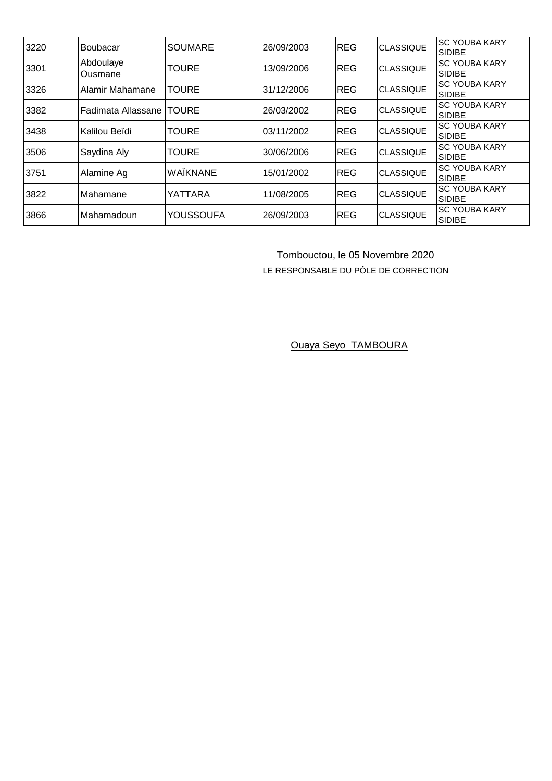| 3220 | Boubacar             | <b>SOUMARE</b>   | 26/09/2003 | <b>REG</b> | <b>CLASSIQUE</b> | <b>SC YOUBA KARY</b><br><b>SIDIBE</b> |
|------|----------------------|------------------|------------|------------|------------------|---------------------------------------|
| 3301 | Abdoulaye<br>Ousmane | <b>TOURE</b>     | 13/09/2006 | <b>REG</b> | <b>CLASSIQUE</b> | <b>SC YOUBA KARY</b><br><b>SIDIBE</b> |
| 3326 | Alamir Mahamane      | <b>TOURE</b>     | 31/12/2006 | <b>REG</b> | <b>CLASSIQUE</b> | <b>SC YOUBA KARY</b><br><b>SIDIBE</b> |
| 3382 | Fadimata Allassane   | <b>ITOURE</b>    | 26/03/2002 | <b>REG</b> | <b>CLASSIQUE</b> | <b>SC YOUBA KARY</b><br><b>SIDIBE</b> |
| 3438 | Kalilou Beïdi        | <b>TOURE</b>     | 03/11/2002 | <b>REG</b> | <b>CLASSIQUE</b> | <b>SC YOUBA KARY</b><br><b>SIDIBE</b> |
| 3506 | Saydina Aly          | <b>TOURE</b>     | 30/06/2006 | <b>REG</b> | <b>CLASSIQUE</b> | <b>SC YOUBA KARY</b><br><b>SIDIBE</b> |
| 3751 | Alamine Ag           | WAÏKNANE         | 15/01/2002 | <b>REG</b> | <b>CLASSIQUE</b> | <b>SC YOUBA KARY</b><br><b>SIDIBE</b> |
| 3822 | Mahamane             | YATTARA          | 11/08/2005 | <b>REG</b> | <b>CLASSIQUE</b> | <b>SC YOUBA KARY</b><br><b>SIDIBE</b> |
| 3866 | Mahamadoun           | <b>YOUSSOUFA</b> | 26/09/2003 | <b>REG</b> | <b>CLASSIQUE</b> | <b>SC YOUBA KARY</b><br><b>SIDIBE</b> |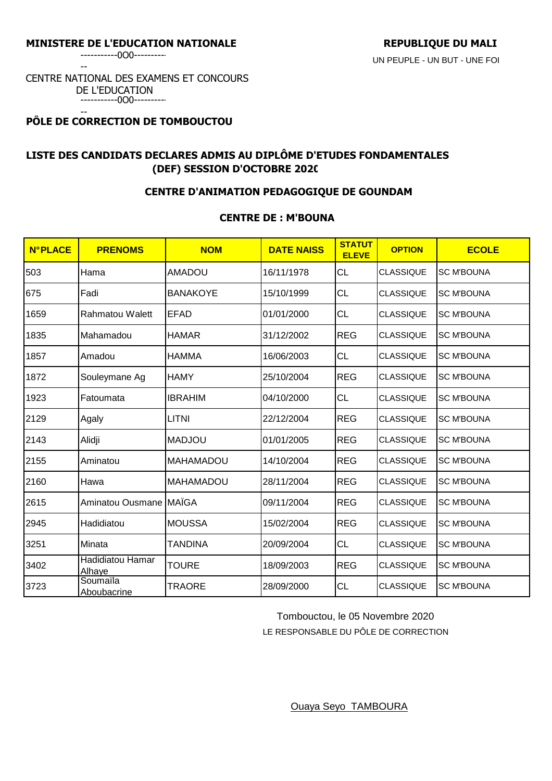-----------0O0---------- --

#### CENTRE NATIONAL DES EXAMENS ET CONCOURS DE L'EDUCATION -----------0O0----------

#### -- **PÔLE DE CORRECTION DE TOMBOUCTOU**

# **LISTE DES CANDIDATS DECLARES ADMIS AU DIPLÔME D'ETUDES FONDAMENTALES (DEF) SESSION D'OCTOBRE 2020**

## **CENTRE D'ANIMATION PEDAGOGIQUE DE GOUNDAM**

## **CENTRE DE : M'BOUNA**

| <b>N°PLACE</b> | <b>PRENOMS</b>                    | <b>NOM</b>       | <b>DATE NAISS</b> | <b>STATUT</b><br><b>ELEVE</b> | <b>OPTION</b>    | <b>ECOLE</b>      |
|----------------|-----------------------------------|------------------|-------------------|-------------------------------|------------------|-------------------|
| 503            | Hama                              | <b>AMADOU</b>    | 16/11/1978        | CL                            | <b>CLASSIQUE</b> | <b>SC M'BOUNA</b> |
| 675            | Fadi                              | <b>BANAKOYE</b>  | 15/10/1999        | <b>CL</b>                     | <b>CLASSIQUE</b> | <b>SC M'BOUNA</b> |
| 1659           | <b>Rahmatou Walett</b>            | <b>EFAD</b>      | 01/01/2000        | <b>CL</b>                     | <b>CLASSIQUE</b> | <b>SC M'BOUNA</b> |
| 1835           | Mahamadou                         | <b>HAMAR</b>     | 31/12/2002        | <b>REG</b>                    | <b>CLASSIQUE</b> | <b>SC M'BOUNA</b> |
| 1857           | Amadou                            | <b>HAMMA</b>     | 16/06/2003        | <b>CL</b>                     | <b>CLASSIQUE</b> | <b>SC M'BOUNA</b> |
| 1872           | Souleymane Ag                     | <b>HAMY</b>      | 25/10/2004        | <b>REG</b>                    | <b>CLASSIQUE</b> | <b>SC M'BOUNA</b> |
| 1923           | Fatoumata                         | <b>IBRAHIM</b>   | 04/10/2000        | <b>CL</b>                     | <b>CLASSIQUE</b> | <b>SC M'BOUNA</b> |
| 2129           | Agaly                             | <b>LITNI</b>     | 22/12/2004        | <b>REG</b>                    | <b>CLASSIQUE</b> | <b>SC M'BOUNA</b> |
| 2143           | Alidji                            | <b>MADJOU</b>    | 01/01/2005        | <b>REG</b>                    | <b>CLASSIQUE</b> | <b>SC M'BOUNA</b> |
| 2155           | Aminatou                          | <b>MAHAMADOU</b> | 14/10/2004        | <b>REG</b>                    | <b>CLASSIQUE</b> | <b>SC M'BOUNA</b> |
| 2160           | Hawa                              | <b>MAHAMADOU</b> | 28/11/2004        | <b>REG</b>                    | <b>CLASSIQUE</b> | <b>SC M'BOUNA</b> |
| 2615           | Aminatou Ousmane                  | <b>MAÏGA</b>     | 09/11/2004        | <b>REG</b>                    | <b>CLASSIQUE</b> | <b>SC M'BOUNA</b> |
| 2945           | Hadidiatou                        | <b>MOUSSA</b>    | 15/02/2004        | <b>REG</b>                    | <b>CLASSIQUE</b> | <b>SC M'BOUNA</b> |
| 3251           | Minata                            | <b>TANDINA</b>   | 20/09/2004        | <b>CL</b>                     | <b>CLASSIQUE</b> | <b>SC M'BOUNA</b> |
| 3402           | <b>Hadidiatou Hamar</b><br>Alhaye | <b>TOURE</b>     | 18/09/2003        | <b>REG</b>                    | <b>CLASSIQUE</b> | <b>SC M'BOUNA</b> |
| 3723           | Soumaïla<br>Aboubacrine           | <b>TRAORE</b>    | 28/09/2000        | <b>CL</b>                     | <b>CLASSIQUE</b> | <b>SC M'BOUNA</b> |

 Tombouctou, le 05 Novembre 2020 LE RESPONSABLE DU PÔLE DE CORRECTION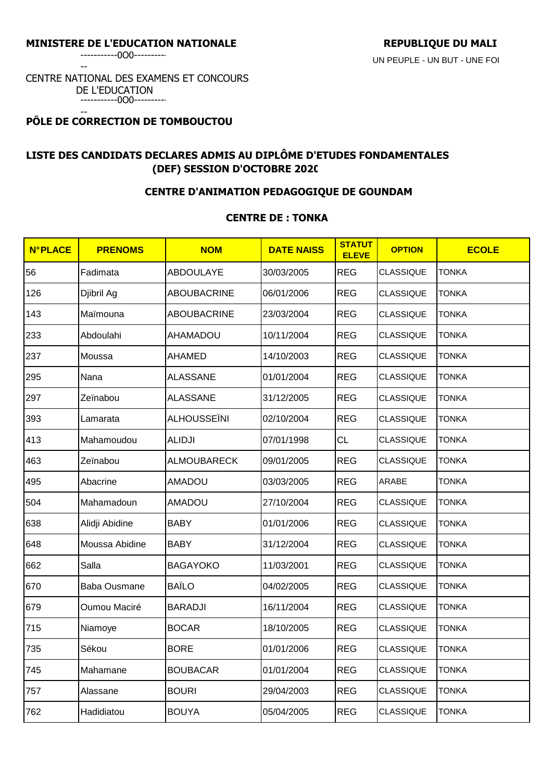-----------0O0----------

--

#### CENTRE NATIONAL DES EXAMENS ET CONCOURS DE L'EDUCATION -----------0O0----------

#### -- **PÔLE DE CORRECTION DE TOMBOUCTOU**

# **LISTE DES CANDIDATS DECLARES ADMIS AU DIPLÔME D'ETUDES FONDAMENTALES (DEF) SESSION D'OCTOBRE 2020**

## **CENTRE D'ANIMATION PEDAGOGIQUE DE GOUNDAM**

### **CENTRE DE : TONKA**

| <b>N°PLACE</b> | <b>PRENOMS</b>      | <b>NOM</b>         | <b>DATE NAISS</b> | <b>STATUT</b><br><b>ELEVE</b> | <b>OPTION</b>    | <b>ECOLE</b> |
|----------------|---------------------|--------------------|-------------------|-------------------------------|------------------|--------------|
| 56             | Fadimata            | <b>ABDOULAYE</b>   | 30/03/2005        | <b>REG</b>                    | <b>CLASSIQUE</b> | TONKA        |
| 126            | Djibril Ag          | ABOUBACRINE        | 06/01/2006        | <b>REG</b>                    | <b>CLASSIQUE</b> | TONKA        |
| 143            | Maïmouna            | <b>ABOUBACRINE</b> | 23/03/2004        | <b>REG</b>                    | <b>CLASSIQUE</b> | <b>TONKA</b> |
| 233            | Abdoulahi           | <b>AHAMADOU</b>    | 10/11/2004        | <b>REG</b>                    | <b>CLASSIQUE</b> | <b>TONKA</b> |
| 237            | Moussa              | <b>AHAMED</b>      | 14/10/2003        | <b>REG</b>                    | <b>CLASSIQUE</b> | TONKA        |
| 295            | Nana                | <b>ALASSANE</b>    | 01/01/2004        | <b>REG</b>                    | <b>CLASSIQUE</b> | TONKA        |
| 297            | Zeïnabou            | <b>ALASSANE</b>    | 31/12/2005        | <b>REG</b>                    | <b>CLASSIQUE</b> | <b>TONKA</b> |
| 393            | Lamarata            | ALHOUSSEÏNI        | 02/10/2004        | <b>REG</b>                    | <b>CLASSIQUE</b> | <b>TONKA</b> |
| 413            | Mahamoudou          | <b>ALIDJI</b>      | 07/01/1998        | CL                            | CLASSIQUE        | <b>TONKA</b> |
| 463            | Zeïnabou            | <b>ALMOUBARECK</b> | 09/01/2005        | <b>REG</b>                    | <b>CLASSIQUE</b> | TONKA        |
| 495            | Abacrine            | <b>AMADOU</b>      | 03/03/2005        | <b>REG</b>                    | ARABE            | <b>TONKA</b> |
| 504            | Mahamadoun          | <b>AMADOU</b>      | 27/10/2004        | <b>REG</b>                    | <b>CLASSIQUE</b> | <b>TONKA</b> |
| 638            | Alidji Abidine      | <b>BABY</b>        | 01/01/2006        | <b>REG</b>                    | <b>CLASSIQUE</b> | <b>TONKA</b> |
| 648            | Moussa Abidine      | <b>BABY</b>        | 31/12/2004        | <b>REG</b>                    | <b>CLASSIQUE</b> | <b>TONKA</b> |
| 662            | Salla               | <b>BAGAYOKO</b>    | 11/03/2001        | <b>REG</b>                    | <b>CLASSIQUE</b> | <b>TONKA</b> |
| 670            | <b>Baba Ousmane</b> | <b>BAÏLO</b>       | 04/02/2005        | <b>REG</b>                    | <b>CLASSIQUE</b> | <b>TONKA</b> |
| 679            | Oumou Maciré        | <b>BARADJI</b>     | 16/11/2004        | <b>REG</b>                    | <b>CLASSIQUE</b> | TONKA        |
| 715            | Niamoye             | <b>BOCAR</b>       | 18/10/2005        | <b>REG</b>                    | <b>CLASSIQUE</b> | <b>TONKA</b> |
| 735            | Sékou               | <b>BORE</b>        | 01/01/2006        | <b>REG</b>                    | <b>CLASSIQUE</b> | TONKA        |
| 745            | Mahamane            | <b>BOUBACAR</b>    | 01/01/2004        | <b>REG</b>                    | <b>CLASSIQUE</b> | <b>TONKA</b> |
| 757            | Alassane            | <b>BOURI</b>       | 29/04/2003        | <b>REG</b>                    | <b>CLASSIQUE</b> | <b>TONKA</b> |
| 762            | Hadidiatou          | <b>BOUYA</b>       | 05/04/2005        | <b>REG</b>                    | <b>CLASSIQUE</b> | <b>TONKA</b> |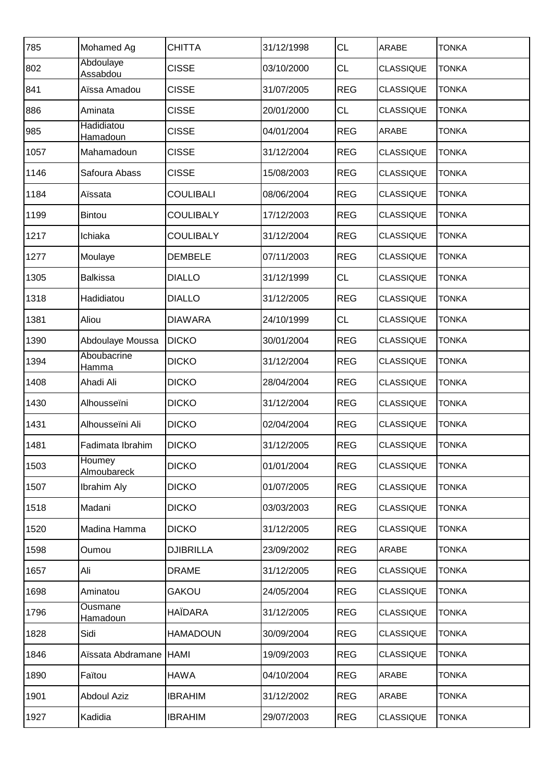| 785  | Mohamed Ag                   | <b>CHITTA</b>    | 31/12/1998 | <b>CL</b>  | ARABE            | <b>TONKA</b> |
|------|------------------------------|------------------|------------|------------|------------------|--------------|
| 802  | Abdoulaye<br><b>Assabdou</b> | <b>CISSE</b>     | 03/10/2000 | <b>CL</b>  | <b>CLASSIQUE</b> | <b>TONKA</b> |
| 841  | Aïssa Amadou                 | <b>CISSE</b>     | 31/07/2005 | <b>REG</b> | <b>CLASSIQUE</b> | <b>TONKA</b> |
| 886  | Aminata                      | <b>CISSE</b>     | 20/01/2000 | <b>CL</b>  | <b>CLASSIQUE</b> | <b>TONKA</b> |
| 985  | Hadidiatou<br>Hamadoun       | <b>CISSE</b>     | 04/01/2004 | <b>REG</b> | ARABE            | <b>TONKA</b> |
| 1057 | Mahamadoun                   | <b>CISSE</b>     | 31/12/2004 | <b>REG</b> | <b>CLASSIQUE</b> | <b>TONKA</b> |
| 1146 | Safoura Abass                | <b>CISSE</b>     | 15/08/2003 | <b>REG</b> | <b>CLASSIQUE</b> | <b>TONKA</b> |
| 1184 | Aïssata                      | <b>COULIBALI</b> | 08/06/2004 | <b>REG</b> | <b>CLASSIQUE</b> | <b>TONKA</b> |
| 1199 | <b>Bintou</b>                | <b>COULIBALY</b> | 17/12/2003 | <b>REG</b> | <b>CLASSIQUE</b> | <b>TONKA</b> |
| 1217 | Ichiaka                      | <b>COULIBALY</b> | 31/12/2004 | <b>REG</b> | <b>CLASSIQUE</b> | <b>TONKA</b> |
| 1277 | Moulaye                      | <b>DEMBELE</b>   | 07/11/2003 | <b>REG</b> | <b>CLASSIQUE</b> | <b>TONKA</b> |
| 1305 | <b>Balkissa</b>              | <b>DIALLO</b>    | 31/12/1999 | <b>CL</b>  | <b>CLASSIQUE</b> | <b>TONKA</b> |
| 1318 | Hadidiatou                   | <b>DIALLO</b>    | 31/12/2005 | <b>REG</b> | <b>CLASSIQUE</b> | <b>TONKA</b> |
| 1381 | Aliou                        | <b>DIAWARA</b>   | 24/10/1999 | CL         | <b>CLASSIQUE</b> | <b>TONKA</b> |
| 1390 | Abdoulaye Moussa             | <b>DICKO</b>     | 30/01/2004 | <b>REG</b> | <b>CLASSIQUE</b> | <b>TONKA</b> |
| 1394 | Aboubacrine<br>Hamma         | <b>DICKO</b>     | 31/12/2004 | <b>REG</b> | <b>CLASSIQUE</b> | <b>TONKA</b> |
| 1408 | Ahadi Ali                    | <b>DICKO</b>     | 28/04/2004 | <b>REG</b> | <b>CLASSIQUE</b> | <b>TONKA</b> |
| 1430 | Alhousseïni                  | <b>DICKO</b>     | 31/12/2004 | <b>REG</b> | <b>CLASSIQUE</b> | <b>TONKA</b> |
| 1431 | Alhousseïni Ali              | <b>DICKO</b>     | 02/04/2004 | <b>REG</b> | <b>CLASSIQUE</b> | <b>TONKA</b> |
| 1481 | Fadimata Ibrahim             | <b>DICKO</b>     | 31/12/2005 | <b>REG</b> | <b>CLASSIQUE</b> | <b>TONKA</b> |
| 1503 | Houmey<br><b>Almoubareck</b> | <b>DICKO</b>     | 01/01/2004 | <b>REG</b> | <b>CLASSIQUE</b> | <b>TONKA</b> |
| 1507 | <b>Ibrahim Aly</b>           | <b>DICKO</b>     | 01/07/2005 | <b>REG</b> | <b>CLASSIQUE</b> | <b>TONKA</b> |
| 1518 | Madani                       | <b>DICKO</b>     | 03/03/2003 | <b>REG</b> | <b>CLASSIQUE</b> | <b>TONKA</b> |
| 1520 | Madina Hamma                 | <b>DICKO</b>     | 31/12/2005 | <b>REG</b> | <b>CLASSIQUE</b> | <b>TONKA</b> |
| 1598 | Oumou                        | <b>DJIBRILLA</b> | 23/09/2002 | <b>REG</b> | ARABE            | <b>TONKA</b> |
| 1657 | Ali                          | <b>DRAME</b>     | 31/12/2005 | <b>REG</b> | <b>CLASSIQUE</b> | <b>TONKA</b> |
| 1698 | Aminatou                     | <b>GAKOU</b>     | 24/05/2004 | <b>REG</b> | <b>CLASSIQUE</b> | <b>TONKA</b> |
| 1796 | Ousmane<br><b>Hamadoun</b>   | <b>HAÏDARA</b>   | 31/12/2005 | <b>REG</b> | <b>CLASSIQUE</b> | <b>TONKA</b> |
| 1828 | Sidi                         | <b>HAMADOUN</b>  | 30/09/2004 | <b>REG</b> | <b>CLASSIQUE</b> | <b>TONKA</b> |
| 1846 | Aïssata Abdramane            | HAMI             | 19/09/2003 | <b>REG</b> | <b>CLASSIQUE</b> | <b>TONKA</b> |
| 1890 | Faïtou                       | <b>HAWA</b>      | 04/10/2004 | <b>REG</b> | ARABE            | <b>TONKA</b> |
| 1901 | <b>Abdoul Aziz</b>           | <b>IBRAHIM</b>   | 31/12/2002 | <b>REG</b> | ARABE            | <b>TONKA</b> |
| 1927 | Kadidia                      | <b>IBRAHIM</b>   | 29/07/2003 | <b>REG</b> | <b>CLASSIQUE</b> | <b>TONKA</b> |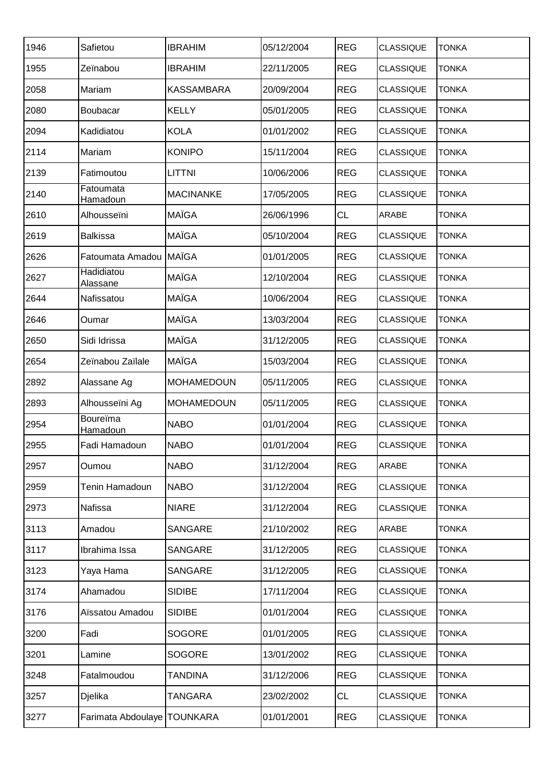| 1946 | Safietou                           | <b>IBRAHIM</b>    | 05/12/2004 | <b>REG</b> | <b>CLASSIQUE</b> | <b>TONKA</b> |
|------|------------------------------------|-------------------|------------|------------|------------------|--------------|
| 1955 | Zeïnabou                           | <b>IBRAHIM</b>    | 22/11/2005 | <b>REG</b> | <b>CLASSIQUE</b> | <b>TONKA</b> |
| 2058 | Mariam                             | <b>KASSAMBARA</b> | 20/09/2004 | <b>REG</b> | <b>CLASSIQUE</b> | <b>TONKA</b> |
| 2080 | Boubacar                           | <b>KELLY</b>      | 05/01/2005 | <b>REG</b> | <b>CLASSIQUE</b> | <b>TONKA</b> |
| 2094 | Kadidiatou                         | <b>KOLA</b>       | 01/01/2002 | <b>REG</b> | <b>CLASSIQUE</b> | <b>TONKA</b> |
| 2114 | Mariam                             | <b>KONIPO</b>     | 15/11/2004 | <b>REG</b> | <b>CLASSIQUE</b> | <b>TONKA</b> |
| 2139 | Fatimoutou                         | LITTNI            | 10/06/2006 | <b>REG</b> | <b>CLASSIQUE</b> | TONKA        |
| 2140 | Fatoumata<br>Hamadoun              | <b>MACINANKE</b>  | 17/05/2005 | <b>REG</b> | <b>CLASSIQUE</b> | <b>TONKA</b> |
| 2610 | Alhousseïni                        | MAÏGA             | 26/06/1996 | <b>CL</b>  | ARABE            | <b>TONKA</b> |
| 2619 | <b>Balkissa</b>                    | <b>MAÏGA</b>      | 05/10/2004 | <b>REG</b> | <b>CLASSIQUE</b> | <b>TONKA</b> |
| 2626 | Fatoumata Amadou                   | <b>MAÏGA</b>      | 01/01/2005 | <b>REG</b> | <b>CLASSIQUE</b> | <b>TONKA</b> |
| 2627 | Hadidiatou<br><b>Alassane</b>      | MAÏGA             | 12/10/2004 | <b>REG</b> | <b>CLASSIQUE</b> | <b>TONKA</b> |
| 2644 | Nafissatou                         | MAÏGA             | 10/06/2004 | <b>REG</b> | <b>CLASSIQUE</b> | <b>TONKA</b> |
| 2646 | Oumar                              | MAÏGA             | 13/03/2004 | <b>REG</b> | <b>CLASSIQUE</b> | <b>TONKA</b> |
| 2650 | Sidi Idrissa                       | MAÏGA             | 31/12/2005 | <b>REG</b> | <b>CLASSIQUE</b> | <b>TONKA</b> |
| 2654 | Zeïnabou Zaïlale                   | MAÏGA             | 15/03/2004 | <b>REG</b> | <b>CLASSIQUE</b> | <b>TONKA</b> |
| 2892 | Alassane Ag                        | <b>MOHAMEDOUN</b> | 05/11/2005 | <b>REG</b> | <b>CLASSIQUE</b> | <b>TONKA</b> |
| 2893 | Alhousseïni Ag                     | <b>MOHAMEDOUN</b> | 05/11/2005 | <b>REG</b> | <b>CLASSIQUE</b> | <b>TONKA</b> |
| 2954 | <b>Boureïma</b><br><u>Hamadoun</u> | <b>NABO</b>       | 01/01/2004 | <b>REG</b> | <b>CLASSIQUE</b> | <b>TONKA</b> |
| 2955 | Fadi Hamadoun                      | <b>NABO</b>       | 01/01/2004 | <b>REG</b> | <b>CLASSIQUE</b> | <b>TONKA</b> |
| 2957 | Oumou                              | <b>NABO</b>       | 31/12/2004 | <b>REG</b> | ARABE            | <b>TONKA</b> |
| 2959 | Tenin Hamadoun                     | <b>NABO</b>       | 31/12/2004 | <b>REG</b> | <b>CLASSIQUE</b> | <b>TONKA</b> |
| 2973 | Nafissa                            | <b>NIARE</b>      | 31/12/2004 | <b>REG</b> | <b>CLASSIQUE</b> | <b>TONKA</b> |
| 3113 | Amadou                             | SANGARE           | 21/10/2002 | <b>REG</b> | ARABE            | <b>TONKA</b> |
| 3117 | Ibrahima Issa                      | SANGARE           | 31/12/2005 | <b>REG</b> | <b>CLASSIQUE</b> | TONKA        |
| 3123 | Yaya Hama                          | SANGARE           | 31/12/2005 | <b>REG</b> | <b>CLASSIQUE</b> | <b>TONKA</b> |
| 3174 | Ahamadou                           | <b>SIDIBE</b>     | 17/11/2004 | <b>REG</b> | <b>CLASSIQUE</b> | <b>TONKA</b> |
| 3176 | Aïssatou Amadou                    | <b>SIDIBE</b>     | 01/01/2004 | <b>REG</b> | <b>CLASSIQUE</b> | <b>TONKA</b> |
| 3200 | Fadi                               | <b>SOGORE</b>     | 01/01/2005 | <b>REG</b> | <b>CLASSIQUE</b> | TONKA        |
| 3201 | Lamine                             | <b>SOGORE</b>     | 13/01/2002 | <b>REG</b> | <b>CLASSIQUE</b> | <b>TONKA</b> |
| 3248 | Fatalmoudou                        | <b>TANDINA</b>    | 31/12/2006 | <b>REG</b> | <b>CLASSIQUE</b> | <b>TONKA</b> |
| 3257 | Djelika                            | TANGARA           | 23/02/2002 | <b>CL</b>  | <b>CLASSIQUE</b> | <b>TONKA</b> |
| 3277 | Farimata Abdoulaye TOUNKARA        |                   | 01/01/2001 | <b>REG</b> | <b>CLASSIQUE</b> | <b>TONKA</b> |
|      |                                    |                   |            |            |                  |              |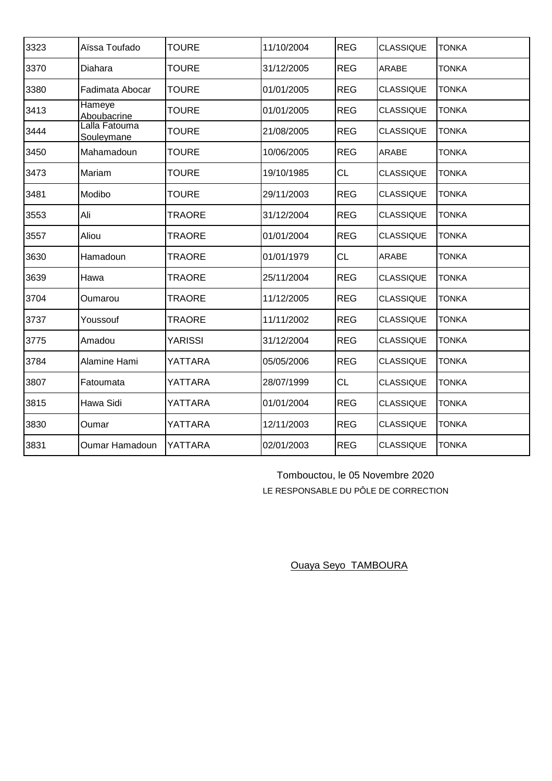| 3323 | Aïssa Toufado                | <b>TOURE</b>   | 11/10/2004 | <b>REG</b> | <b>CLASSIQUE</b> | <b>TONKA</b> |
|------|------------------------------|----------------|------------|------------|------------------|--------------|
| 3370 | Diahara                      | <b>TOURE</b>   | 31/12/2005 | <b>REG</b> | <b>ARABE</b>     | <b>TONKA</b> |
| 3380 | Fadimata Abocar              | <b>TOURE</b>   | 01/01/2005 | <b>REG</b> | CLASSIQUE        | <b>TONKA</b> |
| 3413 | <b>Hameye</b><br>Aboubacrine | <b>TOURE</b>   | 01/01/2005 | <b>REG</b> | <b>CLASSIQUE</b> | <b>TONKA</b> |
| 3444 | Lalla Fatouma<br>Souleymane  | <b>TOURE</b>   | 21/08/2005 | <b>REG</b> | <b>CLASSIQUE</b> | <b>TONKA</b> |
| 3450 | Mahamadoun                   | TOURE          | 10/06/2005 | <b>REG</b> | <b>ARABE</b>     | <b>TONKA</b> |
| 3473 | Mariam                       | TOURE          | 19/10/1985 | <b>CL</b>  | <b>CLASSIQUE</b> | <b>TONKA</b> |
| 3481 | Modibo                       | <b>TOURE</b>   | 29/11/2003 | <b>REG</b> | <b>CLASSIQUE</b> | <b>TONKA</b> |
| 3553 | Ali                          | <b>TRAORE</b>  | 31/12/2004 | <b>REG</b> | <b>CLASSIQUE</b> | <b>TONKA</b> |
| 3557 | Aliou                        | <b>TRAORE</b>  | 01/01/2004 | <b>REG</b> | <b>CLASSIQUE</b> | <b>TONKA</b> |
| 3630 | Hamadoun                     | <b>TRAORE</b>  | 01/01/1979 | <b>CL</b>  | <b>ARABE</b>     | <b>TONKA</b> |
| 3639 | Hawa                         | <b>TRAORE</b>  | 25/11/2004 | <b>REG</b> | <b>CLASSIQUE</b> | <b>TONKA</b> |
| 3704 | Oumarou                      | <b>TRAORE</b>  | 11/12/2005 | <b>REG</b> | <b>CLASSIQUE</b> | <b>TONKA</b> |
| 3737 | Youssouf                     | TRAORE         | 11/11/2002 | <b>REG</b> | <b>CLASSIQUE</b> | <b>TONKA</b> |
| 3775 | Amadou                       | <b>YARISSI</b> | 31/12/2004 | <b>REG</b> | <b>CLASSIQUE</b> | <b>TONKA</b> |
| 3784 | Alamine Hami                 | YATTARA        | 05/05/2006 | <b>REG</b> | <b>CLASSIQUE</b> | <b>TONKA</b> |
| 3807 | Fatoumata                    | YATTARA        | 28/07/1999 | <b>CL</b>  | <b>CLASSIQUE</b> | <b>TONKA</b> |
| 3815 | Hawa Sidi                    | YATTARA        | 01/01/2004 | <b>REG</b> | <b>CLASSIQUE</b> | <b>TONKA</b> |
| 3830 | Oumar                        | YATTARA        | 12/11/2003 | <b>REG</b> | <b>CLASSIQUE</b> | <b>TONKA</b> |
| 3831 | Oumar Hamadoun               | YATTARA        | 02/01/2003 | <b>REG</b> | <b>CLASSIQUE</b> | <b>TONKA</b> |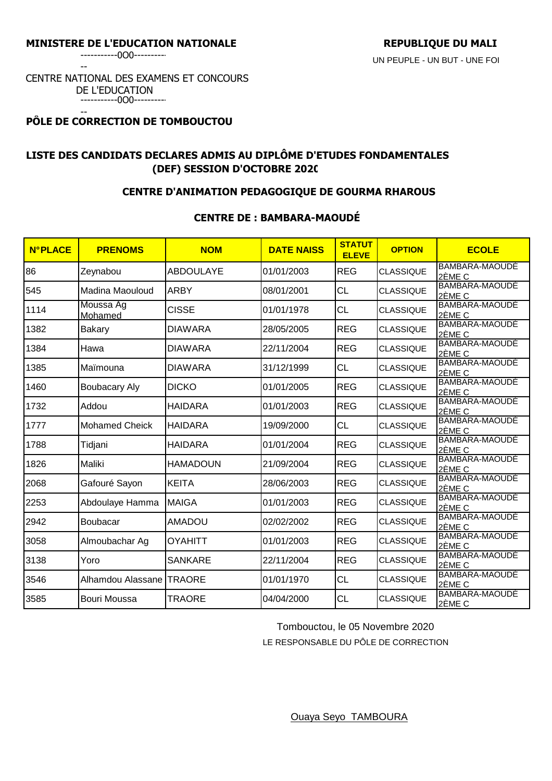-----------0O0----------

--

#### CENTRE NATIONAL DES EXAMENS ET CONCOURS DE L'EDUCATION -----------0O0----------

#### -- **PÔLE DE CORRECTION DE TOMBOUCTOU**

# **LISTE DES CANDIDATS DECLARES ADMIS AU DIPLÔME D'ETUDES FONDAMENTALES (DEF) SESSION D'OCTOBRE 2020**

## **CENTRE D'ANIMATION PEDAGOGIQUE DE GOURMA RHAROUS**

## **CENTRE DE : BAMBARA-MAOUDÉ**

| <b>N°PLACE</b> | <b>PRENOMS</b>           | <b>NOM</b>       | <b>DATE NAISS</b> | <b>STATUT</b><br><b>ELEVE</b> | <b>OPTION</b>    | <b>ECOLE</b>                    |
|----------------|--------------------------|------------------|-------------------|-------------------------------|------------------|---------------------------------|
| 86             | Zeynabou                 | <b>ABDOULAYE</b> | 01/01/2003        | <b>REG</b>                    | <b>CLASSIQUE</b> | BAMBARA-MAOUDE<br>2ÈME C        |
| 545            | Madina Maouloud          | <b>ARBY</b>      | 08/01/2001        | <b>CL</b>                     | <b>CLASSIQUE</b> | BAMBARA-MAOUDE<br>2ÈME C        |
| 1114           | Moussa Ag<br>Mohamed     | <b>CISSE</b>     | 01/01/1978        | <b>CL</b>                     | <b>CLASSIQUE</b> | BAMBARA-MAOUDE<br>2ÈME C        |
| 1382           | Bakary                   | <b>DIAWARA</b>   | 28/05/2005        | <b>REG</b>                    | <b>CLASSIQUE</b> | BAMBARA-MAOUDE<br>2ÈME C        |
| 1384           | Hawa                     | <b>DIAWARA</b>   | 22/11/2004        | <b>REG</b>                    | <b>CLASSIQUE</b> | BAMBARA-MAOUDE<br>2ÈME C        |
| 1385           | Maïmouna                 | <b>DIAWARA</b>   | 31/12/1999        | <b>CL</b>                     | <b>CLASSIQUE</b> | BAMBARA-MAOUDE<br>2ÈME C        |
| 1460           | <b>Boubacary Aly</b>     | <b>DICKO</b>     | 01/01/2005        | <b>REG</b>                    | <b>CLASSIQUE</b> | BAMBARA-MAOUDE<br>2ÈME C        |
| 1732           | Addou                    | <b>HAIDARA</b>   | 01/01/2003        | <b>REG</b>                    | <b>CLASSIQUE</b> | BAMBARA-MAOUDÉ<br>2ÈME C        |
| 1777           | <b>Mohamed Cheick</b>    | <b>HAIDARA</b>   | 19/09/2000        | <b>CL</b>                     | <b>CLASSIQUE</b> | <b>BAMBARA-MAOUDE</b><br>2ÈME C |
| 1788           | Tidjani                  | <b>HAIDARA</b>   | 01/01/2004        | <b>REG</b>                    | <b>CLASSIQUE</b> | BAMBARA-MAOUDE<br>2ÈME C        |
| 1826           | Maliki                   | <b>HAMADOUN</b>  | 21/09/2004        | <b>REG</b>                    | <b>CLASSIQUE</b> | BAMBARA-MAOUDE<br>2ÈME C        |
| 2068           | Gafouré Sayon            | <b>KEITA</b>     | 28/06/2003        | <b>REG</b>                    | <b>CLASSIQUE</b> | BAMBARA-MAOUDE<br>2ÈME C        |
| 2253           | Abdoulaye Hamma          | <b>MAIGA</b>     | 01/01/2003        | <b>REG</b>                    | <b>CLASSIQUE</b> | BAMBARA-MAOUDE<br>2ÈME C        |
| 2942           | <b>Boubacar</b>          | <b>AMADOU</b>    | 02/02/2002        | <b>REG</b>                    | <b>CLASSIQUE</b> | BAMBARA-MAOUDE<br>2ÈME C        |
| 3058           | Almoubachar Ag           | <b>OYAHITT</b>   | 01/01/2003        | <b>REG</b>                    | <b>CLASSIQUE</b> | BAMBARA-MAOUDE<br>2ÈME C        |
| 3138           | Yoro                     | <b>SANKARE</b>   | 22/11/2004        | <b>REG</b>                    | <b>CLASSIQUE</b> | BAMBARA-MAOUDÉ<br>2ÈME C        |
| 3546           | Alhamdou Alassane TRAORE |                  | 01/01/1970        | <b>CL</b>                     | <b>CLASSIQUE</b> | BAMBARA-MAOUDE<br>2ÈME C        |
| 3585           | Bouri Moussa             | <b>TRAORE</b>    | 04/04/2000        | <b>CL</b>                     | <b>CLASSIQUE</b> | BAMBARA-MAOUDE<br>2ÈME C        |

Tombouctou, le 05 Novembre 2020

LE RESPONSABLE DU PÔLE DE CORRECTION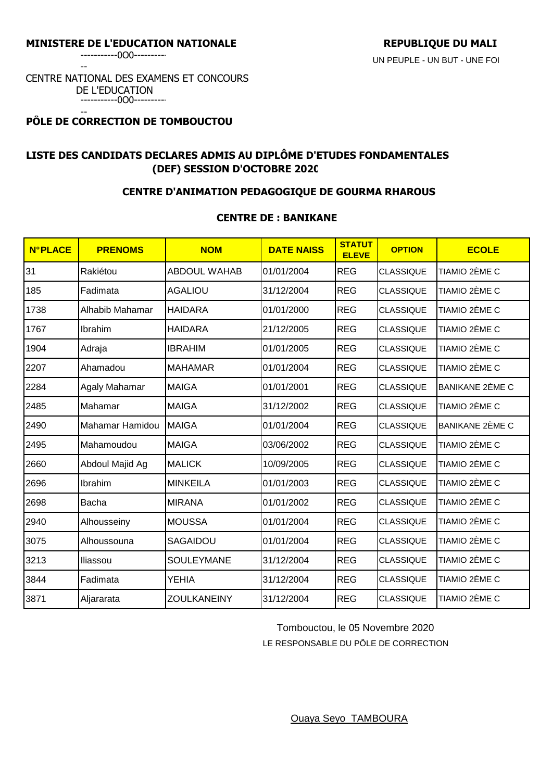-----------0O0----------

--

#### CENTRE NATIONAL DES EXAMENS ET CONCOURS DE L'EDUCATION -----------0O0----------

#### -- **PÔLE DE CORRECTION DE TOMBOUCTOU**

# **LISTE DES CANDIDATS DECLARES ADMIS AU DIPLÔME D'ETUDES FONDAMENTALES (DEF) SESSION D'OCTOBRE 2020**

## **CENTRE D'ANIMATION PEDAGOGIQUE DE GOURMA RHAROUS**

## **CENTRE DE : BANIKANE**

| <b>N°PLACE</b> | <b>PRENOMS</b>  | <b>NOM</b>          | <b>DATE NAISS</b> | <b>STATUT</b><br><b>ELEVE</b> | <b>OPTION</b>    | <b>ECOLE</b>    |
|----------------|-----------------|---------------------|-------------------|-------------------------------|------------------|-----------------|
| 31             | Rakiétou        | <b>ABDOUL WAHAB</b> | 01/01/2004        | <b>REG</b>                    | <b>CLASSIQUE</b> | TIAMIO 2ÈME C   |
| 185            | Fadimata        | <b>AGALIOU</b>      | 31/12/2004        | <b>REG</b>                    | <b>CLASSIQUE</b> | TIAMIO 2ÈME C   |
| 1738           | Alhabib Mahamar | <b>HAIDARA</b>      | 01/01/2000        | <b>REG</b>                    | <b>CLASSIQUE</b> | TIAMIO 2ÈME C   |
| 1767           | Ibrahim         | <b>HAIDARA</b>      | 21/12/2005        | <b>REG</b>                    | <b>CLASSIQUE</b> | TIAMIO 2ÈME C   |
| 1904           | Adraja          | <b>IBRAHIM</b>      | 01/01/2005        | <b>REG</b>                    | <b>CLASSIQUE</b> | TIAMIO 2ÈME C   |
| 2207           | Ahamadou        | <b>MAHAMAR</b>      | 01/01/2004        | <b>REG</b>                    | <b>CLASSIQUE</b> | TIAMIO 2ÈME C   |
| 2284           | Agaly Mahamar   | <b>MAIGA</b>        | 01/01/2001        | <b>REG</b>                    | <b>CLASSIQUE</b> | BANIKANE 2ÈME C |
| 2485           | Mahamar         | <b>MAIGA</b>        | 31/12/2002        | <b>REG</b>                    | <b>CLASSIQUE</b> | TIAMIO 2ÈME C   |
| 2490           | Mahamar Hamidou | <b>MAIGA</b>        | 01/01/2004        | <b>REG</b>                    | <b>CLASSIQUE</b> | BANIKANE 2ÈME C |
| 2495           | Mahamoudou      | <b>MAIGA</b>        | 03/06/2002        | <b>REG</b>                    | <b>CLASSIQUE</b> | TIAMIO 2ÈME C   |
| 2660           | Abdoul Majid Ag | <b>MALICK</b>       | 10/09/2005        | <b>REG</b>                    | <b>CLASSIQUE</b> | TIAMIO 2ÈME C   |
| 2696           | Ibrahim         | <b>MINKEILA</b>     | 01/01/2003        | <b>REG</b>                    | <b>CLASSIQUE</b> | TIAMIO 2ÈME C   |
| 2698           | Bacha           | <b>MIRANA</b>       | 01/01/2002        | <b>REG</b>                    | <b>CLASSIQUE</b> | TIAMIO 2ÈME C   |
| 2940           | Alhousseiny     | <b>MOUSSA</b>       | 01/01/2004        | <b>REG</b>                    | <b>CLASSIQUE</b> | TIAMIO 2ÈME C   |
| 3075           | Alhoussouna     | SAGAIDOU            | 01/01/2004        | <b>REG</b>                    | <b>CLASSIQUE</b> | TIAMIO 2ÈME C   |
| 3213           | Iliassou        | SOULEYMANE          | 31/12/2004        | <b>REG</b>                    | <b>CLASSIQUE</b> | TIAMIO 2ÈME C   |
| 3844           | Fadimata        | <b>YEHIA</b>        | 31/12/2004        | <b>REG</b>                    | <b>CLASSIQUE</b> | TIAMIO 2ÈME C   |
| 3871           | Aljararata      | <b>ZOULKANEINY</b>  | 31/12/2004        | <b>REG</b>                    | <b>CLASSIQUE</b> | TIAMIO 2ÈME C   |

Tombouctou, le 05 Novembre 2020

LE RESPONSABLE DU PÔLE DE CORRECTION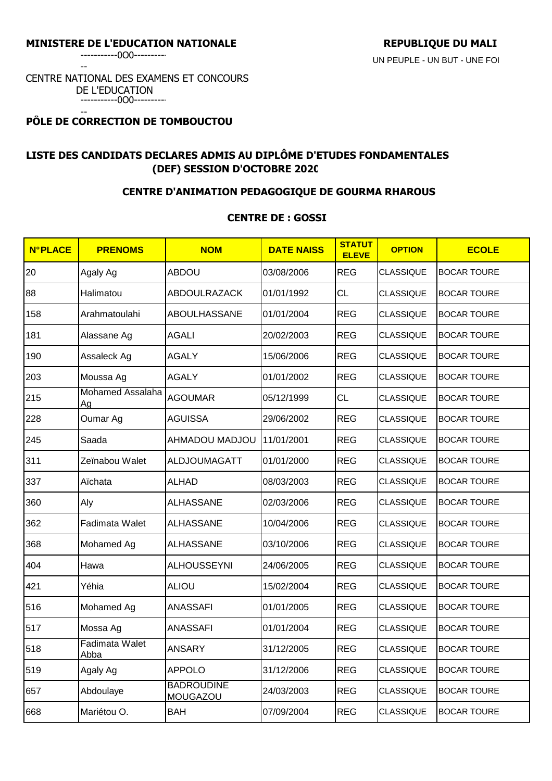-----------0O0----------

--

#### CENTRE NATIONAL DES EXAMENS ET CONCOURS DE L'EDUCATION -----------0O0----------

#### -- **PÔLE DE CORRECTION DE TOMBOUCTOU**

# **LISTE DES CANDIDATS DECLARES ADMIS AU DIPLÔME D'ETUDES FONDAMENTALES (DEF) SESSION D'OCTOBRE 2020**

## **CENTRE D'ANIMATION PEDAGOGIQUE DE GOURMA RHAROUS**

### **CENTRE DE : GOSSI**

| <b>N°PLACE</b> | <b>PRENOMS</b>                | <b>NOM</b>                    | <b>DATE NAISS</b> | <b>STATUT</b><br><b>ELEVE</b> | <b>OPTION</b>    | <b>ECOLE</b>       |
|----------------|-------------------------------|-------------------------------|-------------------|-------------------------------|------------------|--------------------|
| 20             | Agaly Ag                      | <b>ABDOU</b>                  | 03/08/2006        | <b>REG</b>                    | CLASSIQUE        | <b>BOCAR TOURE</b> |
| 88             | Halimatou                     | ABDOULRAZACK                  | 01/01/1992        | <b>CL</b>                     | <b>CLASSIQUE</b> | <b>BOCAR TOURE</b> |
| 158            | Arahmatoulahi                 | ABOULHASSANE                  | 01/01/2004        | <b>REG</b>                    | <b>CLASSIQUE</b> | <b>BOCAR TOURE</b> |
| 181            | Alassane Ag                   | <b>AGALI</b>                  | 20/02/2003        | <b>REG</b>                    | <b>CLASSIQUE</b> | <b>BOCAR TOURE</b> |
| 190            | Assaleck Ag                   | <b>AGALY</b>                  | 15/06/2006        | <b>REG</b>                    | <b>CLASSIQUE</b> | <b>BOCAR TOURE</b> |
| 203            | Moussa Ag                     | <b>AGALY</b>                  | 01/01/2002        | <b>REG</b>                    | <b>CLASSIQUE</b> | <b>BOCAR TOURE</b> |
| 215            | <b>Mohamed Assalaha</b><br>Ag | <b>AGOUMAR</b>                | 05/12/1999        | <b>CL</b>                     | <b>CLASSIQUE</b> | <b>BOCAR TOURE</b> |
| 228            | Oumar Ag                      | <b>AGUISSA</b>                | 29/06/2002        | <b>REG</b>                    | <b>CLASSIQUE</b> | <b>BOCAR TOURE</b> |
| 245            | Saada                         | AHMADOU MADJOU                | 11/01/2001        | <b>REG</b>                    | <b>CLASSIQUE</b> | <b>BOCAR TOURE</b> |
| 311            | Zeïnabou Walet                | <b>ALDJOUMAGATT</b>           | 01/01/2000        | <b>REG</b>                    | <b>CLASSIQUE</b> | <b>BOCAR TOURE</b> |
| 337            | Aïchata                       | <b>ALHAD</b>                  | 08/03/2003        | <b>REG</b>                    | <b>CLASSIQUE</b> | <b>BOCAR TOURE</b> |
| 360            | Aly                           | <b>ALHASSANE</b>              | 02/03/2006        | <b>REG</b>                    | <b>CLASSIQUE</b> | <b>BOCAR TOURE</b> |
| 362            | Fadimata Walet                | <b>ALHASSANE</b>              | 10/04/2006        | <b>REG</b>                    | <b>CLASSIQUE</b> | <b>BOCAR TOURE</b> |
| 368            | Mohamed Ag                    | <b>ALHASSANE</b>              | 03/10/2006        | <b>REG</b>                    | <b>CLASSIQUE</b> | <b>BOCAR TOURE</b> |
| 404            | Hawa                          | <b>ALHOUSSEYNI</b>            | 24/06/2005        | <b>REG</b>                    | <b>CLASSIQUE</b> | <b>BOCAR TOURE</b> |
| 421            | Yéhia                         | <b>ALIOU</b>                  | 15/02/2004        | <b>REG</b>                    | <b>CLASSIQUE</b> | <b>BOCAR TOURE</b> |
| 516            | Mohamed Ag                    | <b>ANASSAFI</b>               | 01/01/2005        | <b>REG</b>                    | <b>CLASSIQUE</b> | <b>BOCAR TOURE</b> |
| 517            | Mossa Ag                      | <b>ANASSAFI</b>               | 01/01/2004        | <b>REG</b>                    | <b>CLASSIQUE</b> | <b>BOCAR TOURE</b> |
| 518            | <b>Fadimata Walet</b><br>Abba | <b>ANSARY</b>                 | 31/12/2005        | <b>REG</b>                    | <b>CLASSIQUE</b> | <b>BOCAR TOURE</b> |
| 519            | Agaly Ag                      | <b>APPOLO</b>                 | 31/12/2006        | <b>REG</b>                    | <b>CLASSIQUE</b> | <b>BOCAR TOURE</b> |
| 657            | Abdoulaye                     | <b>BADROUDINE</b><br>MOUGAZOU | 24/03/2003        | <b>REG</b>                    | <b>CLASSIQUE</b> | <b>BOCAR TOURE</b> |
| 668            | Mariétou O.                   | <b>BAH</b>                    | 07/09/2004        | <b>REG</b>                    | <b>CLASSIQUE</b> | <b>BOCAR TOURE</b> |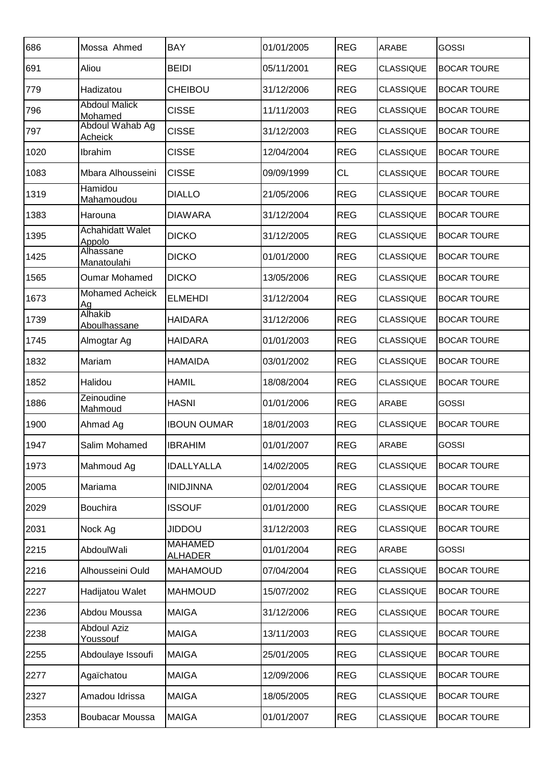| 686  | Mossa Ahmed                       | <b>BAY</b>                       | 01/01/2005 | <b>REG</b> | <b>ARABE</b>     | <b>GOSSI</b>       |
|------|-----------------------------------|----------------------------------|------------|------------|------------------|--------------------|
| 691  | Aliou                             | <b>BEIDI</b>                     | 05/11/2001 | <b>REG</b> | <b>CLASSIQUE</b> | <b>BOCAR TOURE</b> |
| 779  | Hadizatou                         | <b>CHEIBOU</b>                   | 31/12/2006 | <b>REG</b> | <b>CLASSIQUE</b> | <b>BOCAR TOURE</b> |
| 796  | <b>Abdoul Malick</b><br>Mohamed   | <b>CISSE</b>                     | 11/11/2003 | <b>REG</b> | <b>CLASSIQUE</b> | <b>BOCAR TOURE</b> |
| 797  | Abdoul Wahab Ag<br>Acheick        | <b>CISSE</b>                     | 31/12/2003 | <b>REG</b> | <b>CLASSIQUE</b> | <b>BOCAR TOURE</b> |
| 1020 | Ibrahim                           | <b>CISSE</b>                     | 12/04/2004 | <b>REG</b> | <b>CLASSIQUE</b> | <b>BOCAR TOURE</b> |
| 1083 | Mbara Alhousseini                 | <b>CISSE</b>                     | 09/09/1999 | <b>CL</b>  | <b>CLASSIQUE</b> | <b>BOCAR TOURE</b> |
| 1319 | Hamidou<br>Mahamoudou             | <b>DIALLO</b>                    | 21/05/2006 | <b>REG</b> | <b>CLASSIQUE</b> | <b>BOCAR TOURE</b> |
| 1383 | Harouna                           | <b>DIAWARA</b>                   | 31/12/2004 | <b>REG</b> | <b>CLASSIQUE</b> | <b>BOCAR TOURE</b> |
| 1395 | <b>Achahidatt Walet</b><br>Appolo | <b>DICKO</b>                     | 31/12/2005 | <b>REG</b> | <b>CLASSIQUE</b> | <b>BOCAR TOURE</b> |
| 1425 | Alhassane<br>Manatoulahi          | <b>DICKO</b>                     | 01/01/2000 | <b>REG</b> | <b>CLASSIQUE</b> | <b>BOCAR TOURE</b> |
| 1565 | Oumar Mohamed                     | <b>DICKO</b>                     | 13/05/2006 | <b>REG</b> | <b>CLASSIQUE</b> | <b>BOCAR TOURE</b> |
| 1673 | <b>Mohamed Acheick</b><br>Ag      | <b>ELMEHDI</b>                   | 31/12/2004 | <b>REG</b> | <b>CLASSIQUE</b> | <b>BOCAR TOURE</b> |
| 1739 | Alhakib<br>Aboulhassane           | <b>HAIDARA</b>                   | 31/12/2006 | <b>REG</b> | <b>CLASSIQUE</b> | <b>BOCAR TOURE</b> |
| 1745 | Almogtar Ag                       | <b>HAIDARA</b>                   | 01/01/2003 | <b>REG</b> | <b>CLASSIQUE</b> | <b>BOCAR TOURE</b> |
| 1832 | Mariam                            | HAMAIDA                          | 03/01/2002 | <b>REG</b> | <b>CLASSIQUE</b> | <b>BOCAR TOURE</b> |
| 1852 | Halidou                           | HAMIL                            | 18/08/2004 | <b>REG</b> | <b>CLASSIQUE</b> | <b>BOCAR TOURE</b> |
| 1886 | Zeinoudine<br><b>Mahmoud</b>      | <b>HASNI</b>                     | 01/01/2006 | <b>REG</b> | <b>ARABE</b>     | <b>GOSSI</b>       |
| 1900 | Ahmad Ag                          | <b>IBOUN OUMAR</b>               | 18/01/2003 | <b>REG</b> | <b>CLASSIQUE</b> | <b>BOCAR TOURE</b> |
| 1947 | Salim Mohamed                     | <b>IBRAHIM</b>                   | 01/01/2007 | <b>REG</b> | ARABE            | <b>GOSSI</b>       |
| 1973 | Mahmoud Ag                        | <b>IDALLYALLA</b>                | 14/02/2005 | <b>REG</b> | <b>CLASSIQUE</b> | <b>BOCAR TOURE</b> |
| 2005 | Mariama                           | <b>INIDJINNA</b>                 | 02/01/2004 | <b>REG</b> | <b>CLASSIQUE</b> | <b>BOCAR TOURE</b> |
| 2029 | <b>Bouchira</b>                   | <b>ISSOUF</b>                    | 01/01/2000 | <b>REG</b> | <b>CLASSIQUE</b> | <b>BOCAR TOURE</b> |
| 2031 | Nock Ag                           | <b>UOQUIL</b>                    | 31/12/2003 | <b>REG</b> | <b>CLASSIQUE</b> | <b>BOCAR TOURE</b> |
| 2215 | AbdoulWali                        | <b>MAHAMED</b><br><b>ALHADER</b> | 01/01/2004 | <b>REG</b> | ARABE            | <b>GOSSI</b>       |
| 2216 | Alhousseini Ould                  | <b>MAHAMOUD</b>                  | 07/04/2004 | <b>REG</b> | <b>CLASSIQUE</b> | <b>BOCAR TOURE</b> |
| 2227 | Hadijatou Walet                   | <b>MAHMOUD</b>                   | 15/07/2002 | <b>REG</b> | <b>CLASSIQUE</b> | <b>BOCAR TOURE</b> |
| 2236 | Abdou Moussa                      | <b>MAIGA</b>                     | 31/12/2006 | <b>REG</b> | <b>CLASSIQUE</b> | <b>BOCAR TOURE</b> |
| 2238 | <b>Abdoul Aziz</b><br>Youssouf    | <b>MAIGA</b>                     | 13/11/2003 | <b>REG</b> | <b>CLASSIQUE</b> | <b>BOCAR TOURE</b> |
| 2255 | Abdoulaye Issoufi                 | <b>MAIGA</b>                     | 25/01/2005 | <b>REG</b> | <b>CLASSIQUE</b> | <b>BOCAR TOURE</b> |
| 2277 | Agaïchatou                        | <b>MAIGA</b>                     | 12/09/2006 | <b>REG</b> | <b>CLASSIQUE</b> | <b>BOCAR TOURE</b> |
| 2327 | Amadou Idrissa                    | <b>MAIGA</b>                     | 18/05/2005 | <b>REG</b> | <b>CLASSIQUE</b> | <b>BOCAR TOURE</b> |
| 2353 | Boubacar Moussa                   | <b>MAIGA</b>                     | 01/01/2007 | <b>REG</b> | <b>CLASSIQUE</b> | <b>BOCAR TOURE</b> |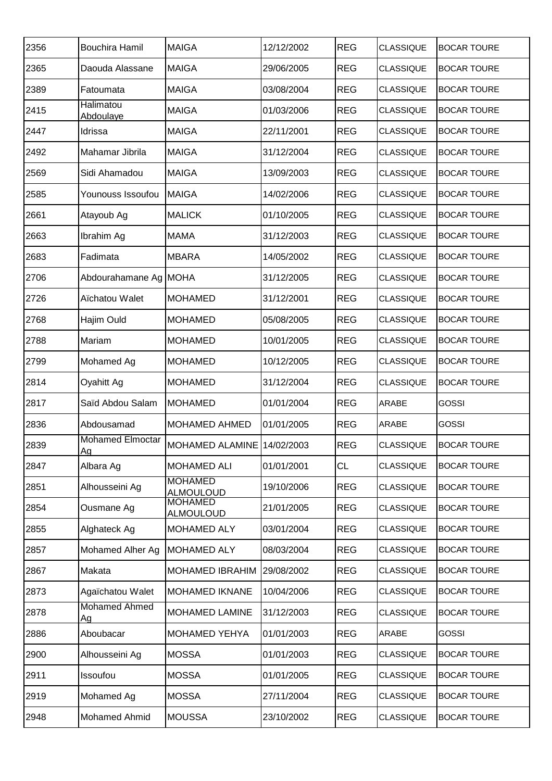| 2356 | <b>Bouchira Hamil</b>                | <b>MAIGA</b>                       | 12/12/2002 | <b>REG</b> | <b>CLASSIQUE</b> | <b>BOCAR TOURE</b> |
|------|--------------------------------------|------------------------------------|------------|------------|------------------|--------------------|
| 2365 | Daouda Alassane                      | <b>MAIGA</b>                       | 29/06/2005 | <b>REG</b> | <b>CLASSIQUE</b> | <b>BOCAR TOURE</b> |
| 2389 | Fatoumata                            | <b>MAIGA</b>                       | 03/08/2004 | <b>REG</b> | <b>CLASSIQUE</b> | <b>BOCAR TOURE</b> |
| 2415 | <b>Halimatou</b><br>Abdoulaye        | <b>MAIGA</b>                       | 01/03/2006 | <b>REG</b> | <b>CLASSIQUE</b> | <b>BOCAR TOURE</b> |
| 2447 | Idrissa                              | <b>MAIGA</b>                       | 22/11/2001 | <b>REG</b> | <b>CLASSIQUE</b> | <b>BOCAR TOURE</b> |
| 2492 | Mahamar Jibrila                      | <b>MAIGA</b>                       | 31/12/2004 | <b>REG</b> | <b>CLASSIQUE</b> | <b>BOCAR TOURE</b> |
| 2569 | Sidi Ahamadou                        | <b>MAIGA</b>                       | 13/09/2003 | <b>REG</b> | <b>CLASSIQUE</b> | <b>BOCAR TOURE</b> |
| 2585 | Younouss Issoufou                    | <b>MAIGA</b>                       | 14/02/2006 | <b>REG</b> | <b>CLASSIQUE</b> | <b>BOCAR TOURE</b> |
| 2661 | Atayoub Ag                           | <b>MALICK</b>                      | 01/10/2005 | <b>REG</b> | <b>CLASSIQUE</b> | <b>BOCAR TOURE</b> |
| 2663 | Ibrahim Ag                           | <b>MAMA</b>                        | 31/12/2003 | <b>REG</b> | <b>CLASSIQUE</b> | <b>BOCAR TOURE</b> |
| 2683 | Fadimata                             | <b>MBARA</b>                       | 14/05/2002 | <b>REG</b> | <b>CLASSIQUE</b> | <b>BOCAR TOURE</b> |
| 2706 | Abdourahamane Ag MOHA                |                                    | 31/12/2005 | <b>REG</b> | <b>CLASSIQUE</b> | <b>BOCAR TOURE</b> |
| 2726 | Aïchatou Walet                       | <b>MOHAMED</b>                     | 31/12/2001 | <b>REG</b> | <b>CLASSIQUE</b> | <b>BOCAR TOURE</b> |
| 2768 | Hajim Ould                           | <b>MOHAMED</b>                     | 05/08/2005 | <b>REG</b> | <b>CLASSIQUE</b> | <b>BOCAR TOURE</b> |
| 2788 | Mariam                               | <b>MOHAMED</b>                     | 10/01/2005 | <b>REG</b> | <b>CLASSIQUE</b> | <b>BOCAR TOURE</b> |
| 2799 | Mohamed Ag                           | <b>MOHAMED</b>                     | 10/12/2005 | <b>REG</b> | <b>CLASSIQUE</b> | <b>BOCAR TOURE</b> |
| 2814 | Oyahitt Ag                           | <b>MOHAMED</b>                     | 31/12/2004 | <b>REG</b> | <b>CLASSIQUE</b> | <b>BOCAR TOURE</b> |
| 2817 | Saïd Abdou Salam                     | <b>MOHAMED</b>                     | 01/01/2004 | <b>REG</b> | ARABE            | <b>GOSSI</b>       |
| 2836 | Abdousamad                           | <b>MOHAMED AHMED</b>               | 01/01/2005 | <b>REG</b> | ARABE            | <b>GOSSI</b>       |
| 2839 | <b>Mohamed Elmoctar</b><br><u>Ag</u> | MOHAMED ALAMINE 14/02/2003         |            | <b>REG</b> | <b>CLASSIQUE</b> | <b>BOCAR TOURE</b> |
| 2847 | Albara Ag                            | <b>MOHAMED ALI</b>                 | 01/01/2001 | <b>CL</b>  | <b>CLASSIQUE</b> | <b>BOCAR TOURE</b> |
| 2851 | Alhousseini Ag                       | <b>MOHAMED</b><br><b>ALMOULOUD</b> | 19/10/2006 | <b>REG</b> | <b>CLASSIQUE</b> | <b>BOCAR TOURE</b> |
| 2854 | Ousmane Ag                           | <b>MOHAMED</b><br><b>ALMOULOUD</b> | 21/01/2005 | <b>REG</b> | <b>CLASSIQUE</b> | <b>BOCAR TOURE</b> |
| 2855 | Alghateck Ag                         | <b>MOHAMED ALY</b>                 | 03/01/2004 | <b>REG</b> | <b>CLASSIQUE</b> | <b>BOCAR TOURE</b> |
| 2857 | Mohamed Alher Ag                     | <b>MOHAMED ALY</b>                 | 08/03/2004 | <b>REG</b> | <b>CLASSIQUE</b> | <b>BOCAR TOURE</b> |
| 2867 | Makata                               | <b>MOHAMED IBRAHIM</b>             | 29/08/2002 | <b>REG</b> | <b>CLASSIQUE</b> | <b>BOCAR TOURE</b> |
| 2873 | Agaïchatou Walet                     | <b>MOHAMED IKNANE</b>              | 10/04/2006 | <b>REG</b> | <b>CLASSIQUE</b> | <b>BOCAR TOURE</b> |
| 2878 | <b>Mohamed Ahmed</b><br>Ag           | <b>MOHAMED LAMINE</b>              | 31/12/2003 | <b>REG</b> | <b>CLASSIQUE</b> | <b>BOCAR TOURE</b> |
| 2886 | Aboubacar                            | <b>MOHAMED YEHYA</b>               | 01/01/2003 | <b>REG</b> | ARABE            | <b>GOSSI</b>       |
| 2900 | Alhousseini Ag                       | <b>MOSSA</b>                       | 01/01/2003 | <b>REG</b> | <b>CLASSIQUE</b> | <b>BOCAR TOURE</b> |
| 2911 | Issoufou                             | <b>MOSSA</b>                       | 01/01/2005 | <b>REG</b> | <b>CLASSIQUE</b> | <b>BOCAR TOURE</b> |
| 2919 | Mohamed Ag                           | <b>MOSSA</b>                       | 27/11/2004 | <b>REG</b> | <b>CLASSIQUE</b> | <b>BOCAR TOURE</b> |
| 2948 | Mohamed Ahmid                        | <b>MOUSSA</b>                      | 23/10/2002 | <b>REG</b> | <b>CLASSIQUE</b> | <b>BOCAR TOURE</b> |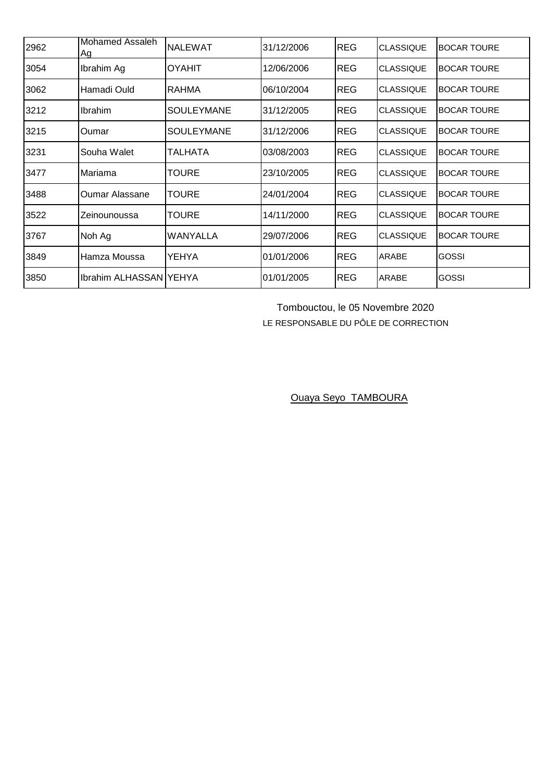| 2962 | Mohamed Assaleh<br>Ag    | INALEWAT          | 31/12/2006 | <b>REG</b> | <b>CLASSIQUE</b> | <b>BOCAR TOURE</b> |
|------|--------------------------|-------------------|------------|------------|------------------|--------------------|
| 3054 | Ibrahim Ag               | <b>OYAHIT</b>     | 12/06/2006 | <b>REG</b> | <b>CLASSIQUE</b> | <b>BOCAR TOURE</b> |
| 3062 | Hamadi Ould              | <b>RAHMA</b>      | 06/10/2004 | <b>REG</b> | <b>CLASSIQUE</b> | <b>BOCAR TOURE</b> |
| 3212 | <b>Ibrahim</b>           | <b>SOULEYMANE</b> | 31/12/2005 | <b>REG</b> | <b>CLASSIQUE</b> | <b>BOCAR TOURE</b> |
| 3215 | Oumar                    | <b>SOULEYMANE</b> | 31/12/2006 | <b>REG</b> | <b>CLASSIQUE</b> | <b>BOCAR TOURE</b> |
| 3231 | Souha Walet              | TALHATA           | 03/08/2003 | <b>REG</b> | <b>CLASSIQUE</b> | <b>BOCAR TOURE</b> |
| 3477 | Mariama                  | TOURE             | 23/10/2005 | <b>REG</b> | <b>CLASSIQUE</b> | <b>BOCAR TOURE</b> |
| 3488 | <b>Oumar Alassane</b>    | <b>TOURE</b>      | 24/01/2004 | <b>REG</b> | <b>CLASSIQUE</b> | <b>BOCAR TOURE</b> |
| 3522 | Zeinounoussa             | <b>TOURE</b>      | 14/11/2000 | <b>REG</b> | <b>CLASSIQUE</b> | <b>BOCAR TOURE</b> |
| 3767 | Noh Ag                   | <b>WANYALLA</b>   | 29/07/2006 | <b>REG</b> | <b>CLASSIQUE</b> | <b>BOCAR TOURE</b> |
| 3849 | Hamza Moussa             | YEHYA             | 01/01/2006 | <b>REG</b> | ARABE            | GOSSI              |
| 3850 | Ibrahim ALHASSAN   YEHYA |                   | 01/01/2005 | <b>REG</b> | <b>ARABE</b>     | <b>GOSSI</b>       |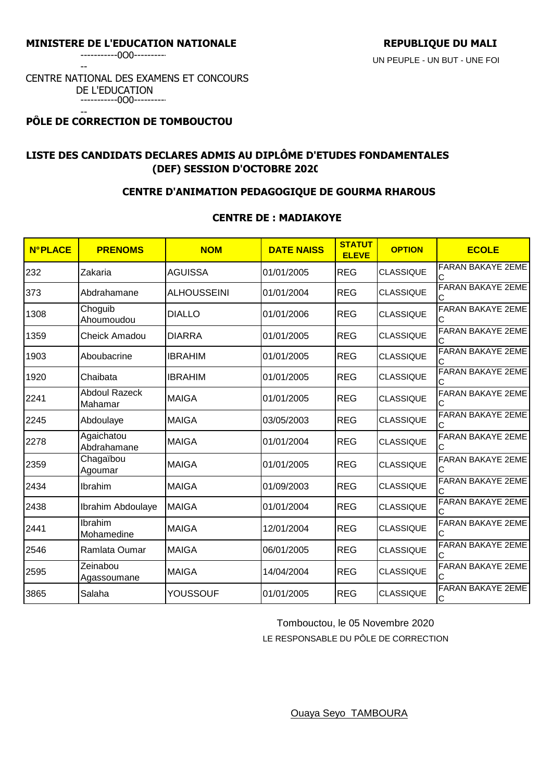-----------0O0----------

--

#### CENTRE NATIONAL DES EXAMENS ET CONCOURS DE L'EDUCATION -----------0O0----------

#### -- **PÔLE DE CORRECTION DE TOMBOUCTOU**

# **LISTE DES CANDIDATS DECLARES ADMIS AU DIPLÔME D'ETUDES FONDAMENTALES (DEF) SESSION D'OCTOBRE 2020**

## **CENTRE D'ANIMATION PEDAGOGIQUE DE GOURMA RHAROUS**

### **CENTRE DE : MADIAKOYE**

| <b>N°PLACE</b> | <b>PRENOMS</b>                  | <b>NOM</b>         | <b>DATE NAISS</b> | <b>STATUT</b><br><b>ELEVE</b> | <b>OPTION</b>    | <b>ECOLE</b>                  |
|----------------|---------------------------------|--------------------|-------------------|-------------------------------|------------------|-------------------------------|
| 232            | Zakaria                         | <b>AGUISSA</b>     | 01/01/2005        | <b>REG</b>                    | <b>CLASSIQUE</b> | FARAN BAKAYE 2EME<br>С        |
| 373            | Abdrahamane                     | <b>ALHOUSSEINI</b> | 01/01/2004        | <b>REG</b>                    | <b>CLASSIQUE</b> | <b>FARAN BAKAYE 2EME</b>      |
| 1308           | Choguib<br>Ahoumoudou           | <b>DIALLO</b>      | 01/01/2006        | <b>REG</b>                    | <b>CLASSIQUE</b> | <b>FARAN BAKAYE 2EME</b><br>Ć |
| 1359           | <b>Cheick Amadou</b>            | <b>DIARRA</b>      | 01/01/2005        | <b>REG</b>                    | <b>CLASSIQUE</b> | <b>FARAN BAKAYE 2EME</b>      |
| 1903           | Aboubacrine                     | <b>IBRAHIM</b>     | 01/01/2005        | <b>REG</b>                    | <b>CLASSIQUE</b> | <b>FARAN BAKAYE 2EME</b>      |
| 1920           | Chaibata                        | <b>IBRAHIM</b>     | 01/01/2005        | <b>REG</b>                    | <b>CLASSIQUE</b> | <b>FARAN BAKAYE 2EME</b>      |
| 2241           | <b>Abdoul Razeck</b><br>Mahamar | <b>MAIGA</b>       | 01/01/2005        | <b>REG</b>                    | <b>CLASSIQUE</b> | FARAN BAKAYE 2EME<br>С        |
| 2245           | Abdoulaye                       | <b>MAIGA</b>       | 03/05/2003        | <b>REG</b>                    | <b>CLASSIQUE</b> | <b>FARAN BAKAYE 2EME</b>      |
| 2278           | Agaichatou<br>Abdrahamane       | <b>MAIGA</b>       | 01/01/2004        | <b>REG</b>                    | <b>CLASSIQUE</b> | <b>FARAN BAKAYE 2EME</b>      |
| 2359           | Chagaïbou<br>Agoumar            | <b>MAIGA</b>       | 01/01/2005        | <b>REG</b>                    | <b>CLASSIQUE</b> | FARAN BAKAYE 2EME             |
| 2434           | Ibrahim                         | <b>MAIGA</b>       | 01/09/2003        | <b>REG</b>                    | <b>CLASSIQUE</b> | <b>FARAN BAKAYE 2EME</b>      |
| 2438           | Ibrahim Abdoulaye               | <b>MAIGA</b>       | 01/01/2004        | <b>REG</b>                    | <b>CLASSIQUE</b> | <b>FARAN BAKAYE 2EME</b>      |
| 2441           | Ibrahim<br>Mohamedine           | <b>MAIGA</b>       | 12/01/2004        | <b>REG</b>                    | <b>CLASSIQUE</b> | FARAN BAKAYE 2EME             |
| 2546           | Ramlata Oumar                   | <b>MAIGA</b>       | 06/01/2005        | <b>REG</b>                    | <b>CLASSIQUE</b> | <b>FARAN BAKAYE 2EME</b>      |
| 2595           | Zeinabou<br>Agassoumane         | <b>MAIGA</b>       | 14/04/2004        | <b>REG</b>                    | <b>CLASSIQUE</b> | FARAN BAKAYE 2EME             |
| 3865           | Salaha                          | YOUSSOUF           | 01/01/2005        | <b>REG</b>                    | <b>CLASSIQUE</b> | <b>FARAN BAKAYE 2EME</b><br>C |

Tombouctou, le 05 Novembre 2020

LE RESPONSABLE DU PÔLE DE CORRECTION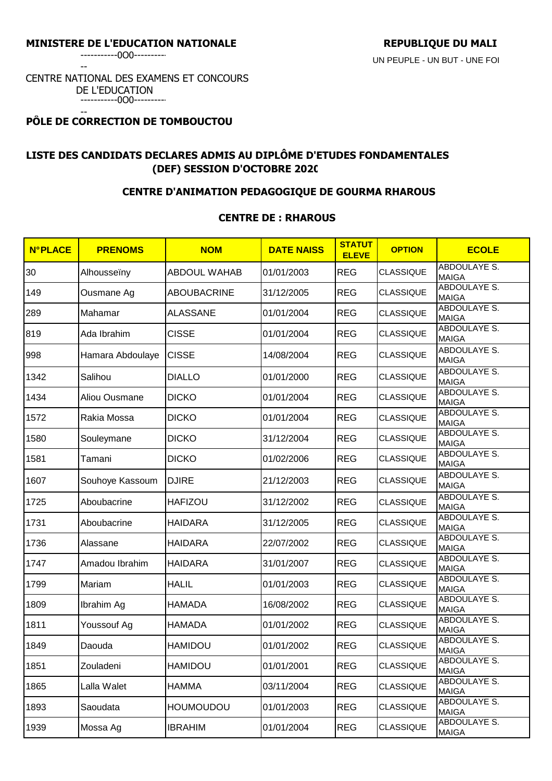-----------0O0----------

--

#### CENTRE NATIONAL DES EXAMENS ET CONCOURS DE L'EDUCATION -----------0O0----------

#### -- **PÔLE DE CORRECTION DE TOMBOUCTOU**

# **LISTE DES CANDIDATS DECLARES ADMIS AU DIPLÔME D'ETUDES FONDAMENTALES (DEF) SESSION D'OCTOBRE 2020**

## **CENTRE D'ANIMATION PEDAGOGIQUE DE GOURMA RHAROUS**

### **CENTRE DE : RHAROUS**

| <b>N°PLACE</b> | <b>PRENOMS</b>   | <b>NOM</b>          | <b>DATE NAISS</b> | <b>STATUT</b><br><b>ELEVE</b> | <b>OPTION</b>    | <b>ECOLE</b>                        |
|----------------|------------------|---------------------|-------------------|-------------------------------|------------------|-------------------------------------|
| 30             | Alhousseïny      | <b>ABDOUL WAHAB</b> | 01/01/2003        | <b>REG</b>                    | <b>CLASSIQUE</b> | ABDOULAYE S.<br><b>MAIGA</b>        |
| 149            | Ousmane Ag       | <b>ABOUBACRINE</b>  | 31/12/2005        | <b>REG</b>                    | <b>CLASSIQUE</b> | <b>ABDOULAYE S.</b><br><b>MAIGA</b> |
| 289            | Mahamar          | <b>ALASSANE</b>     | 01/01/2004        | <b>REG</b>                    | <b>CLASSIQUE</b> | <b>ABDOULAYE S.</b><br><b>MAIGA</b> |
| 819            | Ada Ibrahim      | <b>CISSE</b>        | 01/01/2004        | <b>REG</b>                    | <b>CLASSIQUE</b> | <b>ABDOULAYE S.</b><br><b>MAIGA</b> |
| 998            | Hamara Abdoulaye | <b>CISSE</b>        | 14/08/2004        | <b>REG</b>                    | <b>CLASSIQUE</b> | ABDOULAYE S.<br><b>MAIGA</b>        |
| 1342           | Salihou          | <b>DIALLO</b>       | 01/01/2000        | <b>REG</b>                    | <b>CLASSIQUE</b> | <b>ABDOULAYE S.</b><br><b>MAIGA</b> |
| 1434           | Aliou Ousmane    | <b>DICKO</b>        | 01/01/2004        | <b>REG</b>                    | <b>CLASSIQUE</b> | <b>ABDOULAYE S.</b><br><b>MAIGA</b> |
| 1572           | Rakia Mossa      | <b>DICKO</b>        | 01/01/2004        | <b>REG</b>                    | <b>CLASSIQUE</b> | <b>ABDOULAYE S.</b><br><b>MAIGA</b> |
| 1580           | Souleymane       | <b>DICKO</b>        | 31/12/2004        | <b>REG</b>                    | <b>CLASSIQUE</b> | <b>ABDOULAYE S.</b><br><b>MAIGA</b> |
| 1581           | Tamani           | <b>DICKO</b>        | 01/02/2006        | <b>REG</b>                    | <b>CLASSIQUE</b> | <b>ABDOULAYE S.</b><br><b>MAIGA</b> |
| 1607           | Souhoye Kassoum  | <b>DJIRE</b>        | 21/12/2003        | <b>REG</b>                    | <b>CLASSIQUE</b> | ABDOULAYE S.<br><b>MAIGA</b>        |
| 1725           | Aboubacrine      | <b>HAFIZOU</b>      | 31/12/2002        | <b>REG</b>                    | <b>CLASSIQUE</b> | ABDOULAYE S.<br><b>MAIGA</b>        |
| 1731           | Aboubacrine      | <b>HAIDARA</b>      | 31/12/2005        | <b>REG</b>                    | <b>CLASSIQUE</b> | ABDOULAYE S.<br><b>MAIGA</b>        |
| 1736           | Alassane         | <b>HAIDARA</b>      | 22/07/2002        | <b>REG</b>                    | <b>CLASSIQUE</b> | <b>ABDOULAYE S.</b><br><b>MAIGA</b> |
| 1747           | Amadou Ibrahim   | <b>HAIDARA</b>      | 31/01/2007        | <b>REG</b>                    | <b>CLASSIQUE</b> | <b>ABDOULAYE S.</b><br><b>MAIGA</b> |
| 1799           | Mariam           | <b>HALIL</b>        | 01/01/2003        | <b>REG</b>                    | <b>CLASSIQUE</b> | ABDOULAYE S.<br><b>MAIGA</b>        |
| 1809           | Ibrahim Ag       | <b>HAMADA</b>       | 16/08/2002        | <b>REG</b>                    | <b>CLASSIQUE</b> | <b>ABDOULAYE S.</b><br><b>MAIGA</b> |
| 1811           | Youssouf Ag      | <b>HAMADA</b>       | 01/01/2002        | <b>REG</b>                    | <b>CLASSIQUE</b> | <b>ABDOULAYE S.</b><br><b>MAIGA</b> |
| 1849           | Daouda           | HAMIDOU             | 01/01/2002        | <b>REG</b>                    | <b>CLASSIQUE</b> | ABDOULAYE S.<br><b>MAIGA</b>        |
| 1851           | Zouladeni        | <b>HAMIDOU</b>      | 01/01/2001        | <b>REG</b>                    | CLASSIQUE        | ABDOULAYE S.<br><b>MAIGA</b>        |
| 1865           | Lalla Walet      | <b>HAMMA</b>        | 03/11/2004        | <b>REG</b>                    | <b>CLASSIQUE</b> | ABDOULAYE S.<br><b>MAIGA</b>        |
| 1893           | Saoudata         | <b>HOUMOUDOU</b>    | 01/01/2003        | <b>REG</b>                    | <b>CLASSIQUE</b> | ABDOULAYE S.<br><b>MAIGA</b>        |
| 1939           | Mossa Ag         | <b>IBRAHIM</b>      | 01/01/2004        | <b>REG</b>                    | <b>CLASSIQUE</b> | ABDOULAYE S.<br><b>MAIGA</b>        |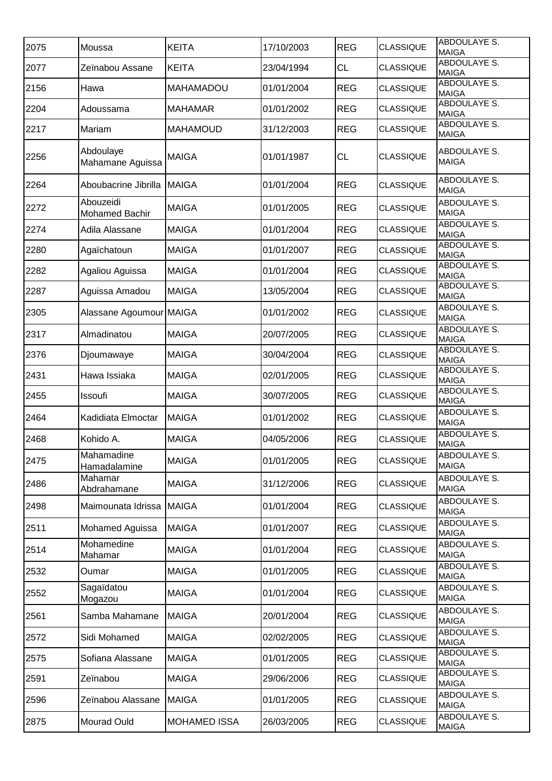|      |                                    | <b>KEITA</b>        |            | <b>REG</b> | <b>CLASSIQUE</b> | ABDOULAYE S.                        |
|------|------------------------------------|---------------------|------------|------------|------------------|-------------------------------------|
| 2075 | Moussa                             |                     | 17/10/2003 |            |                  | <b>MAIGA</b><br><b>ABDOULAYE S.</b> |
| 2077 | Zeïnabou Assane                    | <b>KEITA</b>        | 23/04/1994 | <b>CL</b>  | <b>CLASSIQUE</b> | <b>MAIGA</b>                        |
| 2156 | Hawa                               | <b>MAHAMADOU</b>    | 01/01/2004 | <b>REG</b> | <b>CLASSIQUE</b> | <b>ABDOULAYE S.</b><br><b>MAIGA</b> |
| 2204 | Adoussama                          | <b>MAHAMAR</b>      | 01/01/2002 | <b>REG</b> | <b>CLASSIQUE</b> | <b>ABDOULAYE S.</b><br><b>MAIGA</b> |
| 2217 | Mariam                             | <b>MAHAMOUD</b>     | 31/12/2003 | <b>REG</b> | <b>CLASSIQUE</b> | <b>ABDOULAYE S.</b><br><b>MAIGA</b> |
| 2256 | Abdoulaye<br>Mahamane Aguissa      | <b>MAIGA</b>        | 01/01/1987 | <b>CL</b>  | <b>CLASSIQUE</b> | ABDOULAYE S.<br><b>MAIGA</b>        |
| 2264 | Aboubacrine Jibrilla               | <b>MAIGA</b>        | 01/01/2004 | <b>REG</b> | <b>CLASSIQUE</b> | ABDOULAYE S.<br><b>MAIGA</b>        |
| 2272 | Abouzeidi<br><b>Mohamed Bachir</b> | <b>MAIGA</b>        | 01/01/2005 | <b>REG</b> | <b>CLASSIQUE</b> | ABDOULAYE S.<br><b>MAIGA</b>        |
| 2274 | Adila Alassane                     | <b>MAIGA</b>        | 01/01/2004 | <b>REG</b> | <b>CLASSIQUE</b> | <b>ABDOULAYE S.</b><br><b>MAIGA</b> |
| 2280 | Agaïchatoun                        | <b>MAIGA</b>        | 01/01/2007 | <b>REG</b> | <b>CLASSIQUE</b> | ABDOULAYE S.<br><b>MAIGA</b>        |
| 2282 | Agaliou Aguissa                    | <b>MAIGA</b>        | 01/01/2004 | <b>REG</b> | <b>CLASSIQUE</b> | <b>ABDOULAYE S.</b><br><b>MAIGA</b> |
| 2287 | Aguissa Amadou                     | <b>MAIGA</b>        | 13/05/2004 | <b>REG</b> | <b>CLASSIQUE</b> | <b>ABDOULAYE S.</b><br><b>MAIGA</b> |
| 2305 | Alassane Agoumour MAIGA            |                     | 01/01/2002 | <b>REG</b> | <b>CLASSIQUE</b> | ABDOULAYE S.<br><b>MAIGA</b>        |
| 2317 | Almadinatou                        | <b>MAIGA</b>        | 20/07/2005 | <b>REG</b> | <b>CLASSIQUE</b> | <b>ABDOULAYE S.</b><br><b>MAIGA</b> |
| 2376 | Djoumawaye                         | <b>MAIGA</b>        | 30/04/2004 | <b>REG</b> | <b>CLASSIQUE</b> | <b>ABDOULAYE S.</b><br><b>MAIGA</b> |
| 2431 | Hawa Issiaka                       | <b>MAIGA</b>        | 02/01/2005 | <b>REG</b> | <b>CLASSIQUE</b> | <b>ABDOULAYE S.</b><br><b>MAIGA</b> |
| 2455 | Issoufi                            | <b>MAIGA</b>        | 30/07/2005 | <b>REG</b> | <b>CLASSIQUE</b> | <b>ABDOULAYE S.</b><br><b>MAIGA</b> |
| 2464 | Kadidiata Elmoctar                 | <b>MAIGA</b>        | 01/01/2002 | <b>REG</b> | <b>CLASSIQUE</b> | ABDOULAYE S.<br><b>MAIGA</b>        |
| 2468 | Kohido A.                          | <b>MAIGA</b>        | 04/05/2006 | <b>REG</b> | <b>CLASSIQUE</b> | <b>ABDOULAYE S.</b><br><b>MAIGA</b> |
| 2475 | Mahamadine<br>Hamadalamine         | <b>MAIGA</b>        | 01/01/2005 | <b>REG</b> | <b>CLASSIQUE</b> | ABDOULAYE S.<br><b>MAIGA</b>        |
| 2486 | Mahamar<br>Abdrahamane             | <b>MAIGA</b>        | 31/12/2006 | <b>REG</b> | <b>CLASSIQUE</b> | ABDOULAYE S.<br><b>MAIGA</b>        |
| 2498 | Maimounata Idrissa MAIGA           |                     | 01/01/2004 | <b>REG</b> | <b>CLASSIQUE</b> | ABDOULAYE S.<br><b>MAIGA</b>        |
| 2511 | Mohamed Aguissa                    | <b>MAIGA</b>        | 01/01/2007 | <b>REG</b> | <b>CLASSIQUE</b> | <b>ABDOULAYE S.</b><br><b>MAIGA</b> |
| 2514 | Mohamedine<br>Mahamar              | <b>MAIGA</b>        | 01/01/2004 | <b>REG</b> | <b>CLASSIQUE</b> | ABDOULAYE S.<br><b>MAIGA</b>        |
| 2532 | Oumar                              | <b>MAIGA</b>        | 01/01/2005 | <b>REG</b> | <b>CLASSIQUE</b> | ABDOULAYE S.<br><b>MAIGA</b>        |
| 2552 | Sagaïdatou<br>Mogazou              | <b>MAIGA</b>        | 01/01/2004 | <b>REG</b> | <b>CLASSIQUE</b> | ABDOULAYE S.<br><b>MAIGA</b>        |
| 2561 | Samba Mahamane                     | <b>MAIGA</b>        | 20/01/2004 | <b>REG</b> | <b>CLASSIQUE</b> | ABDOULAYE S.<br><b>MAIGA</b>        |
| 2572 | Sidi Mohamed                       | <b>MAIGA</b>        | 02/02/2005 | <b>REG</b> | <b>CLASSIQUE</b> | ABDOULAYE S.<br><b>MAIGA</b>        |
| 2575 | Sofiana Alassane                   | <b>MAIGA</b>        | 01/01/2005 | <b>REG</b> | <b>CLASSIQUE</b> | <b>ABDOULAYE S.</b><br><b>MAIGA</b> |
| 2591 | Zeïnabou                           | <b>MAIGA</b>        | 29/06/2006 | <b>REG</b> | <b>CLASSIQUE</b> | ABDOULAYE S.<br><b>MAIGA</b>        |
| 2596 | Zeïnabou Alassane                  | <b>MAIGA</b>        | 01/01/2005 | <b>REG</b> | <b>CLASSIQUE</b> | ABDOULAYE S.<br><b>MAIGA</b>        |
| 2875 | Mourad Ould                        | <b>MOHAMED ISSA</b> | 26/03/2005 | <b>REG</b> | <b>CLASSIQUE</b> | <b>ABDOULAYE S.</b><br><b>MAIGA</b> |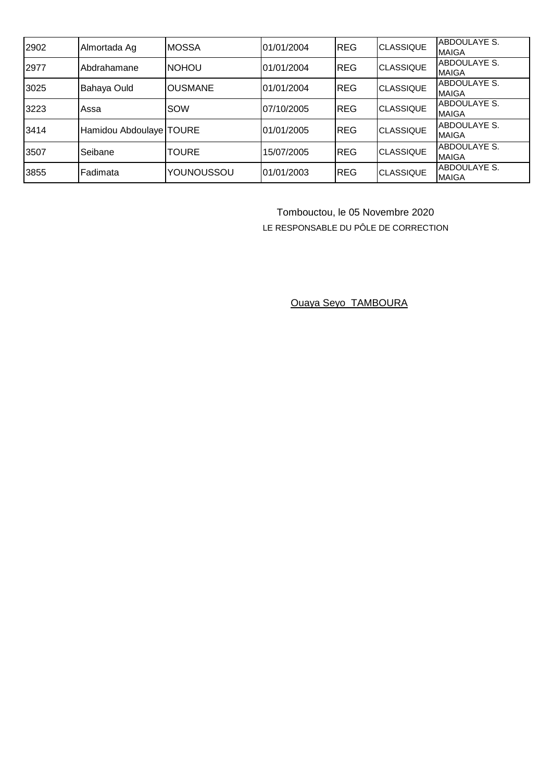| 2902 | Almortada Ag              | <b>MOSSA</b>   | 01/01/2004 | <b>REG</b>  | <b>CLASSIQUE</b> | ABDOULAYE S.<br><b>MAIGA</b>        |
|------|---------------------------|----------------|------------|-------------|------------------|-------------------------------------|
| 2977 | Abdrahamane               | <b>NOHOU</b>   | 01/01/2004 | <b>REG</b>  | <b>CLASSIQUE</b> | <b>ABDOULAYE S.</b><br><b>MAIGA</b> |
| 3025 | Bahaya Ould               | <b>OUSMANE</b> | 01/01/2004 | <b>REG</b>  | <b>CLASSIQUE</b> | <b>ABDOULAYE S.</b><br><b>MAIGA</b> |
| 3223 | Assa                      | SOW            | 07/10/2005 | <b>IREG</b> | <b>CLASSIQUE</b> | ABDOULAYE S.<br><b>MAIGA</b>        |
| 3414 | Hamidou Abdoulaye   TOURE |                | 01/01/2005 | <b>REG</b>  | <b>CLASSIQUE</b> | ABDOULAYE S.<br><b>MAIGA</b>        |
| 3507 | Seibane                   | <b>TOURE</b>   | 15/07/2005 | <b>REG</b>  | <b>CLASSIQUE</b> | ABDOULAYE S.<br><b>MAIGA</b>        |
| 3855 | Fadimata                  | YOUNOUSSOU     | 01/01/2003 | <b>REG</b>  | <b>CLASSIQUE</b> | ABDOULAYE S.<br><b>MAIGA</b>        |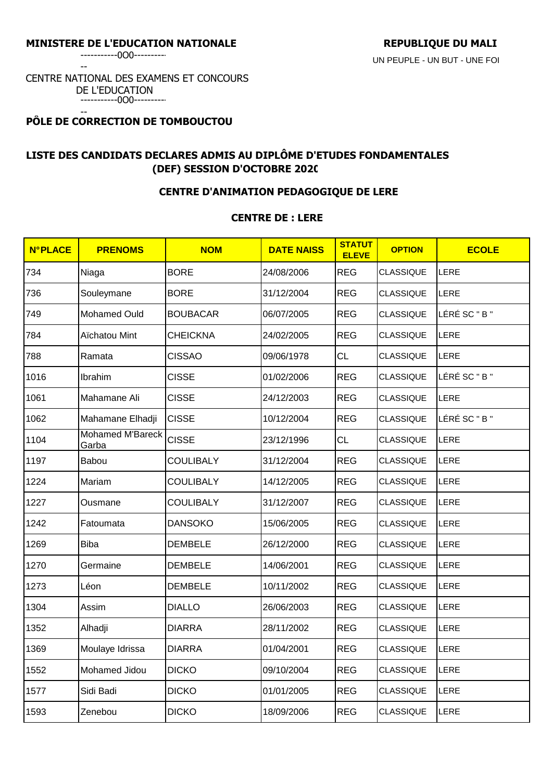-----------0O0----------

--

#### CENTRE NATIONAL DES EXAMENS ET CONCOURS DE L'EDUCATION -----------0O0----------

-- **PÔLE DE CORRECTION DE TOMBOUCTOU** 

# **LISTE DES CANDIDATS DECLARES ADMIS AU DIPLÔME D'ETUDES FONDAMENTALES (DEF) SESSION D'OCTOBRE 2020**

## **CENTRE D'ANIMATION PEDAGOGIQUE DE LERE**

## **CENTRE DE : LERE**

| <b>N°PLACE</b> | <b>PRENOMS</b>            | <b>NOM</b>       | <b>DATE NAISS</b> | <b>STATUT</b><br><b>ELEVE</b> | <b>OPTION</b>    | <b>ECOLE</b>  |
|----------------|---------------------------|------------------|-------------------|-------------------------------|------------------|---------------|
| 734            | Niaga                     | <b>BORE</b>      | 24/08/2006        | <b>REG</b>                    | <b>CLASSIQUE</b> | LERE          |
| 736            | Souleymane                | <b>BORE</b>      | 31/12/2004        | <b>REG</b>                    | <b>CLASSIQUE</b> | LERE          |
| 749            | Mohamed Ould              | <b>BOUBACAR</b>  | 06/07/2005        | <b>REG</b>                    | CLASSIQUE        | LÉRÉ SC " B " |
| 784            | Aïchatou Mint             | <b>CHEICKNA</b>  | 24/02/2005        | <b>REG</b>                    | <b>CLASSIQUE</b> | LERE          |
| 788            | Ramata                    | <b>CISSAO</b>    | 09/06/1978        | <b>CL</b>                     | <b>CLASSIQUE</b> | LERE          |
| 1016           | Ibrahim                   | <b>CISSE</b>     | 01/02/2006        | <b>REG</b>                    | <b>CLASSIQUE</b> | LÉRÉ SC " B " |
| 1061           | Mahamane Ali              | <b>CISSE</b>     | 24/12/2003        | <b>REG</b>                    | <b>CLASSIQUE</b> | LERE          |
| 1062           | Mahamane Elhadji          | <b>CISSE</b>     | 10/12/2004        | <b>REG</b>                    | <b>CLASSIQUE</b> | LÉRÉ SC " B " |
| 1104           | Mohamed M'Bareck<br>Garba | <b>CISSE</b>     | 23/12/1996        | CL                            | <b>CLASSIQUE</b> | LERE          |
| 1197           | Babou                     | <b>COULIBALY</b> | 31/12/2004        | <b>REG</b>                    | <b>CLASSIQUE</b> | LERE          |
| 1224           | Mariam                    | <b>COULIBALY</b> | 14/12/2005        | <b>REG</b>                    | CLASSIQUE        | LERE          |
| 1227           | Ousmane                   | <b>COULIBALY</b> | 31/12/2007        | <b>REG</b>                    | <b>CLASSIQUE</b> | LERE          |
| 1242           | Fatoumata                 | <b>DANSOKO</b>   | 15/06/2005        | <b>REG</b>                    | <b>CLASSIQUE</b> | LERE          |
| 1269           | <b>Biba</b>               | <b>DEMBELE</b>   | 26/12/2000        | <b>REG</b>                    | <b>CLASSIQUE</b> | LERE          |
| 1270           | Germaine                  | <b>DEMBELE</b>   | 14/06/2001        | <b>REG</b>                    | <b>CLASSIQUE</b> | LERE          |
| 1273           | Léon                      | <b>DEMBELE</b>   | 10/11/2002        | <b>REG</b>                    | <b>CLASSIQUE</b> | LERE          |
| 1304           | Assim                     | <b>DIALLO</b>    | 26/06/2003        | <b>REG</b>                    | <b>CLASSIQUE</b> | LERE          |
| 1352           | Alhadji                   | <b>DIARRA</b>    | 28/11/2002        | <b>REG</b>                    | <b>CLASSIQUE</b> | LERE          |
| 1369           | Moulaye Idrissa           | <b>DIARRA</b>    | 01/04/2001        | <b>REG</b>                    | <b>CLASSIQUE</b> | LERE          |
| 1552           | Mohamed Jidou             | <b>DICKO</b>     | 09/10/2004        | <b>REG</b>                    | <b>CLASSIQUE</b> | LERE          |
| 1577           | Sidi Badi                 | <b>DICKO</b>     | 01/01/2005        | <b>REG</b>                    | <b>CLASSIQUE</b> | LERE          |
| 1593           | Zenebou                   | <b>DICKO</b>     | 18/09/2006        | <b>REG</b>                    | <b>CLASSIQUE</b> | LERE          |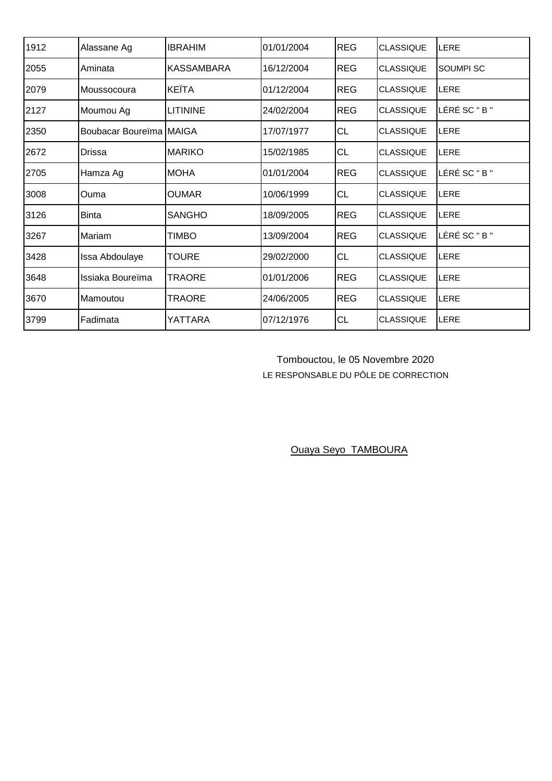| 1912 | Alassane Ag             | <b>IBRAHIM</b>  | 01/01/2004 | <b>REG</b> | <b>CLASSIQUE</b> | LERE             |
|------|-------------------------|-----------------|------------|------------|------------------|------------------|
| 2055 | Aminata                 | IKASSAMBARA     | 16/12/2004 | <b>REG</b> | <b>CLASSIQUE</b> | <b>SOUMPI SC</b> |
| 2079 | Moussocoura             | <b>KEÏTA</b>    | 01/12/2004 | <b>REG</b> | <b>CLASSIQUE</b> | LERE             |
| 2127 | Moumou Ag               | <b>LITININE</b> | 24/02/2004 | <b>REG</b> | <b>CLASSIQUE</b> | LÉRÉ SC " B "    |
| 2350 | Boubacar Boureïma MAIGA |                 | 17/07/1977 | <b>CL</b>  | <b>CLASSIQUE</b> | LERE             |
| 2672 | Drissa                  | <b>MARIKO</b>   | 15/02/1985 | <b>CL</b>  | <b>CLASSIQUE</b> | LERE             |
| 2705 | Hamza Ag                | <b>MOHA</b>     | 01/01/2004 | <b>REG</b> | <b>CLASSIQUE</b> | LÉRÉ SC " B "    |
| 3008 | Ouma                    | IOUMAR          | 10/06/1999 | <b>CL</b>  | <b>CLASSIQUE</b> | LERE             |
| 3126 | <b>Binta</b>            | <b>SANGHO</b>   | 18/09/2005 | <b>REG</b> | <b>CLASSIQUE</b> | LERE             |
| 3267 | Mariam                  | <b>TIMBO</b>    | 13/09/2004 | <b>REG</b> | <b>CLASSIQUE</b> | LÉRÉ SC " B "    |
| 3428 | Issa Abdoulaye          | <b>TOURE</b>    | 29/02/2000 | <b>CL</b>  | <b>CLASSIQUE</b> | LERE             |
| 3648 | Issiaka Boureïma        | <b>TRAORE</b>   | 01/01/2006 | <b>REG</b> | <b>CLASSIQUE</b> | LERE             |
| 3670 | Mamoutou                | TRAORE          | 24/06/2005 | <b>REG</b> | <b>CLASSIQUE</b> | LERE             |
| 3799 | Fadimata                | YATTARA         | 07/12/1976 | <b>CL</b>  | <b>CLASSIQUE</b> | LERE             |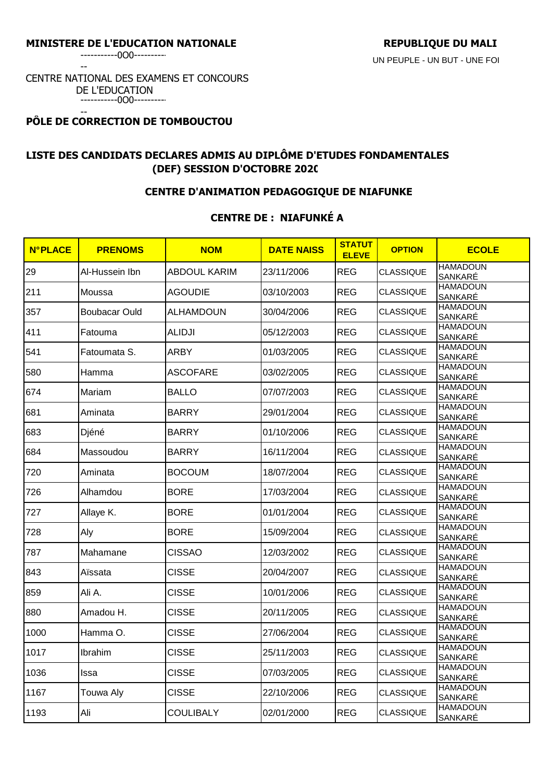-----------0O0----------

--

#### CENTRE NATIONAL DES EXAMENS ET CONCOURS DE L'EDUCATION -----------0O0----------

#### -- **PÔLE DE CORRECTION DE TOMBOUCTOU**

# **LISTE DES CANDIDATS DECLARES ADMIS AU DIPLÔME D'ETUDES FONDAMENTALES (DEF) SESSION D'OCTOBRE 2020**

## **CENTRE D'ANIMATION PEDAGOGIQUE DE NIAFUNKE**

## **CENTRE DE : NIAFUNKÉ A**

| <b>N°PLACE</b> | <b>PRENOMS</b>       | <b>NOM</b>          | <b>DATE NAISS</b> | <b>STATUT</b><br><b>ELEVE</b> | <b>OPTION</b>    | <b>ECOLE</b>                                  |
|----------------|----------------------|---------------------|-------------------|-------------------------------|------------------|-----------------------------------------------|
| 29             | Al-Hussein Ibn       | <b>ABDOUL KARIM</b> | 23/11/2006        | <b>REG</b>                    | <b>CLASSIQUE</b> | <b>HAMADOUN</b><br>SANKARÉ                    |
| 211            | Moussa               | <b>AGOUDIE</b>      | 03/10/2003        | <b>REG</b>                    | CLASSIQUE        | <b>HAMADOUN</b><br>SANKARÉ                    |
| 357            | <b>Boubacar Ould</b> | <b>ALHAMDOUN</b>    | 30/04/2006        | <b>REG</b>                    | <b>CLASSIQUE</b> | <b>HAMADOUN</b><br>SANKARÉ                    |
| 411            | Fatouma              | <b>ALIDJI</b>       | 05/12/2003        | <b>REG</b>                    | <b>CLASSIQUE</b> | <b>HAMADOUN</b><br>SANKARE                    |
| 541            | Fatoumata S.         | <b>ARBY</b>         | 01/03/2005        | <b>REG</b>                    | <b>CLASSIQUE</b> | <b>HAMADOUN</b><br><b>SANKARÉ</b>             |
| 580            | Hamma                | <b>ASCOFARE</b>     | 03/02/2005        | <b>REG</b>                    | <b>CLASSIQUE</b> | <b>HAMADOUN</b><br>SANKARÉ                    |
| 674            | Mariam               | <b>BALLO</b>        | 07/07/2003        | <b>REG</b>                    | <b>CLASSIQUE</b> | <b>HAMADOUN</b><br>SANKARÉ                    |
| 681            | Aminata              | <b>BARRY</b>        | 29/01/2004        | <b>REG</b>                    | <b>CLASSIQUE</b> | <b>HAMADOUN</b><br>SANKARÉ                    |
| 683            | Djéné                | <b>BARRY</b>        | 01/10/2006        | <b>REG</b>                    | <b>CLASSIQUE</b> | <b>HAMADOUN</b><br>SANKARÉ                    |
| 684            | Massoudou            | <b>BARRY</b>        | 16/11/2004        | <b>REG</b>                    | <b>CLASSIQUE</b> | <b>HAMADOUN</b><br>SANKARÉ                    |
| 720            | Aminata              | <b>BOCOUM</b>       | 18/07/2004        | <b>REG</b>                    | <b>CLASSIQUE</b> | <b>HAMADOUN</b><br>SANKARÉ                    |
| 726            | Alhamdou             | <b>BORE</b>         | 17/03/2004        | <b>REG</b>                    | <b>CLASSIQUE</b> | <b>HAMADOUN</b><br>SANKARÉ                    |
| 727            | Allaye K.            | <b>BORE</b>         | 01/01/2004        | <b>REG</b>                    | <b>CLASSIQUE</b> | <b>HAMADOUN</b><br>SANKARÉ                    |
| 728            | Aly                  | <b>BORE</b>         | 15/09/2004        | <b>REG</b>                    | <b>CLASSIQUE</b> | <b>HAMADOUN</b><br>SANKARÉ                    |
| 787            | Mahamane             | <b>CISSAO</b>       | 12/03/2002        | <b>REG</b>                    | <b>CLASSIQUE</b> | <b>HAMADOUN</b><br><b>SANKARÉ</b>             |
| 843            | Aïssata              | <b>CISSE</b>        | 20/04/2007        | <b>REG</b>                    | <b>CLASSIQUE</b> | <b>HAMADOUN</b><br><b>SANKARÉ</b>             |
| 859            | Ali A.               | <b>CISSE</b>        | 10/01/2006        | <b>REG</b>                    | <b>CLASSIQUE</b> | <b>HAMADOUN</b><br>SANKARÉ<br><b>HAMADOUN</b> |
| 880            | Amadou H.            | <b>CISSE</b>        | 20/11/2005        | <b>REG</b>                    | <b>CLASSIQUE</b> | SANKARÉ                                       |
| 1000           | Hamma O.             | <b>CISSE</b>        | 27/06/2004        | <b>REG</b>                    | <b>CLASSIQUE</b> | <b>HAMADOUN</b><br>SANKARE                    |
| 1017           | Ibrahim              | <b>CISSE</b>        | 25/11/2003        | <b>REG</b>                    | <b>CLASSIQUE</b> | <b>HAMADOUN</b><br>SANKARÉ                    |
| 1036           | Issa                 | <b>CISSE</b>        | 07/03/2005        | <b>REG</b>                    | <b>CLASSIQUE</b> | <b>HAMADOUN</b><br>SANKARÉ                    |
| 1167           | <b>Touwa Aly</b>     | <b>CISSE</b>        | 22/10/2006        | <b>REG</b>                    | <b>CLASSIQUE</b> | <b>HAMADOUN</b><br>SANKARÉ                    |
| 1193           | Ali                  | <b>COULIBALY</b>    | 02/01/2000        | <b>REG</b>                    | <b>CLASSIQUE</b> | <b>HAMADOUN</b><br>SANKARÉ                    |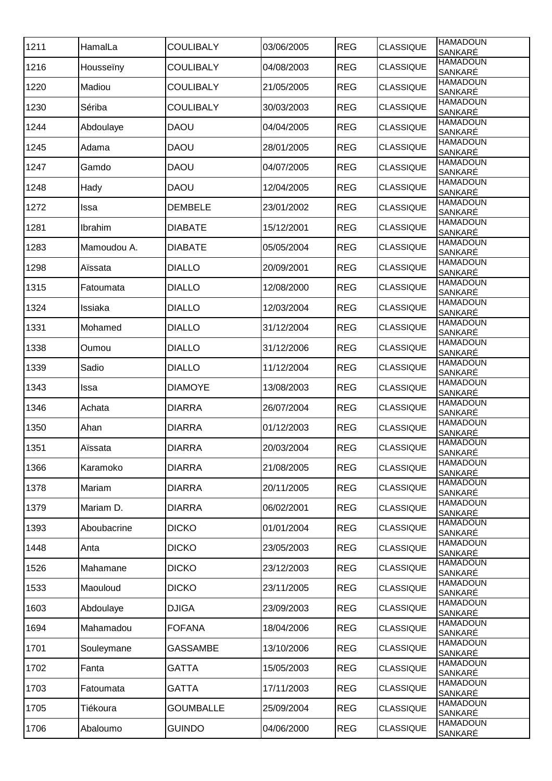| 1211 | HamalLa     | <b>COULIBALY</b> | 03/06/2005 | <b>REG</b> | <b>CLASSIQUE</b> | <b>HAMADOUN</b><br>SANKARÉ |
|------|-------------|------------------|------------|------------|------------------|----------------------------|
| 1216 | Housseïny   | <b>COULIBALY</b> | 04/08/2003 | <b>REG</b> | <b>CLASSIQUE</b> | <b>HAMADOUN</b><br>SANKARÉ |
| 1220 | Madiou      | <b>COULIBALY</b> | 21/05/2005 | <b>REG</b> | <b>CLASSIQUE</b> | <b>HAMADOUN</b><br>SANKARÉ |
| 1230 | Sériba      | <b>COULIBALY</b> | 30/03/2003 | <b>REG</b> | <b>CLASSIQUE</b> | <b>HAMADOUN</b><br>SANKARÉ |
| 1244 | Abdoulaye   | <b>DAOU</b>      | 04/04/2005 | <b>REG</b> | <b>CLASSIQUE</b> | <b>HAMADOUN</b><br>SANKARÉ |
| 1245 | Adama       | <b>DAOU</b>      | 28/01/2005 | <b>REG</b> | <b>CLASSIQUE</b> | <b>HAMADOUN</b><br>SANKARÉ |
| 1247 | Gamdo       | <b>DAOU</b>      | 04/07/2005 | <b>REG</b> | <b>CLASSIQUE</b> | <b>HAMADOUN</b><br>SANKARÉ |
| 1248 | Hady        | <b>DAOU</b>      | 12/04/2005 | <b>REG</b> | <b>CLASSIQUE</b> | <b>HAMADOUN</b><br>SANKARÉ |
| 1272 | Issa        | <b>DEMBELE</b>   | 23/01/2002 | <b>REG</b> | <b>CLASSIQUE</b> | <b>HAMADOUN</b><br>SANKARÉ |
| 1281 | Ibrahim     | <b>DIABATE</b>   | 15/12/2001 | <b>REG</b> | <b>CLASSIQUE</b> | <b>HAMADOUN</b><br>SANKARÉ |
| 1283 | Mamoudou A. | <b>DIABATE</b>   | 05/05/2004 | <b>REG</b> | <b>CLASSIQUE</b> | <b>HAMADOUN</b><br>SANKARÉ |
| 1298 | Aïssata     | <b>DIALLO</b>    | 20/09/2001 | <b>REG</b> | <b>CLASSIQUE</b> | <b>HAMADOUN</b><br>SANKARÉ |
| 1315 | Fatoumata   | <b>DIALLO</b>    | 12/08/2000 | <b>REG</b> | <b>CLASSIQUE</b> | <b>HAMADOUN</b><br>SANKARÉ |
| 1324 | Issiaka     | <b>DIALLO</b>    | 12/03/2004 | <b>REG</b> | <b>CLASSIQUE</b> | <b>HAMADOUN</b><br>SANKARÉ |
| 1331 | Mohamed     | <b>DIALLO</b>    | 31/12/2004 | <b>REG</b> | <b>CLASSIQUE</b> | <b>HAMADOUN</b><br>SANKARÉ |
| 1338 | Oumou       | <b>DIALLO</b>    | 31/12/2006 | <b>REG</b> | <b>CLASSIQUE</b> | <b>HAMADOUN</b><br>SANKARÉ |
| 1339 | Sadio       | <b>DIALLO</b>    | 11/12/2004 | <b>REG</b> | <b>CLASSIQUE</b> | <b>HAMADOUN</b><br>SANKARÉ |
| 1343 | Issa        | <b>DIAMOYE</b>   | 13/08/2003 | <b>REG</b> | <b>CLASSIQUE</b> | <b>HAMADOUN</b><br>SANKARÉ |
| 1346 | Achata      | <b>DIARRA</b>    | 26/07/2004 | <b>REG</b> | <b>CLASSIQUE</b> | <b>HAMADOUN</b><br>SANKARÉ |
| 1350 | Ahan        | <b>DIARRA</b>    | 01/12/2003 | <b>REG</b> | <b>CLASSIQUE</b> | <b>HAMADOUN</b><br>SANKARÉ |
| 1351 | Aïssata     | <b>DIARRA</b>    | 20/03/2004 | <b>REG</b> | <b>CLASSIQUE</b> | <b>HAMADOUN</b><br>SANKARÉ |
| 1366 | Karamoko    | <b>DIARRA</b>    | 21/08/2005 | <b>REG</b> | <b>CLASSIQUE</b> | <b>HAMADOUN</b><br>SANKARÉ |
| 1378 | Mariam      | <b>DIARRA</b>    | 20/11/2005 | <b>REG</b> | <b>CLASSIQUE</b> | <b>HAMADOUN</b><br>SANKARÉ |
| 1379 | Mariam D.   | <b>DIARRA</b>    | 06/02/2001 | <b>REG</b> | <b>CLASSIQUE</b> | <b>HAMADOUN</b><br>SANKARÉ |
| 1393 | Aboubacrine | <b>DICKO</b>     | 01/01/2004 | <b>REG</b> | <b>CLASSIQUE</b> | <b>HAMADOUN</b><br>SANKARÉ |
| 1448 | Anta        | <b>DICKO</b>     | 23/05/2003 | <b>REG</b> | <b>CLASSIQUE</b> | <b>HAMADOUN</b><br>SANKARÉ |
| 1526 | Mahamane    | <b>DICKO</b>     | 23/12/2003 | <b>REG</b> | <b>CLASSIQUE</b> | <b>HAMADOUN</b><br>SANKARÉ |
| 1533 | Maouloud    | <b>DICKO</b>     | 23/11/2005 | <b>REG</b> | <b>CLASSIQUE</b> | <b>HAMADOUN</b><br>SANKARÉ |
| 1603 | Abdoulaye   | <b>DJIGA</b>     | 23/09/2003 | <b>REG</b> | <b>CLASSIQUE</b> | <b>HAMADOUN</b><br>SANKARÉ |
| 1694 | Mahamadou   | <b>FOFANA</b>    | 18/04/2006 | <b>REG</b> | <b>CLASSIQUE</b> | <b>HAMADOUN</b><br>SANKARÉ |
| 1701 | Souleymane  | <b>GASSAMBE</b>  | 13/10/2006 | <b>REG</b> | <b>CLASSIQUE</b> | <b>HAMADOUN</b><br>SANKARÉ |
| 1702 | Fanta       | <b>GATTA</b>     | 15/05/2003 | <b>REG</b> | <b>CLASSIQUE</b> | <b>HAMADOUN</b><br>SANKARÉ |
| 1703 | Fatoumata   | <b>GATTA</b>     | 17/11/2003 | <b>REG</b> | <b>CLASSIQUE</b> | <b>HAMADOUN</b><br>SANKARÉ |
| 1705 | Tiékoura    | <b>GOUMBALLE</b> | 25/09/2004 | <b>REG</b> | <b>CLASSIQUE</b> | <b>HAMADOUN</b><br>SANKARÉ |
| 1706 | Abaloumo    | <b>GUINDO</b>    | 04/06/2000 | <b>REG</b> | <b>CLASSIQUE</b> | <b>HAMADOUN</b><br>SANKARÉ |
|      |             |                  |            |            |                  |                            |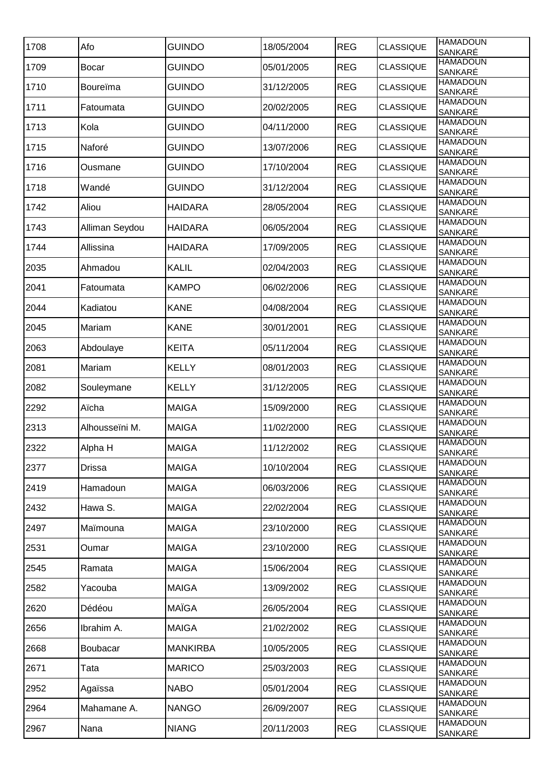| 1708 | Afo             | <b>GUINDO</b>   | 18/05/2004 | <b>REG</b> | <b>CLASSIQUE</b> | <b>HAMADOUN</b><br>SANKARÉ            |
|------|-----------------|-----------------|------------|------------|------------------|---------------------------------------|
| 1709 | <b>Bocar</b>    | <b>GUINDO</b>   | 05/01/2005 | <b>REG</b> | <b>CLASSIQUE</b> | <b>HAMADOUN</b><br>SANKARÉ            |
| 1710 | Boureïma        | <b>GUINDO</b>   | 31/12/2005 | <b>REG</b> | <b>CLASSIQUE</b> | <b>HAMADOUN</b><br>SANKARÉ            |
| 1711 | Fatoumata       | <b>GUINDO</b>   | 20/02/2005 | <b>REG</b> | <b>CLASSIQUE</b> | <b>HAMADOUN</b><br>SANKARÉ            |
| 1713 | Kola            | <b>GUINDO</b>   | 04/11/2000 | <b>REG</b> | <b>CLASSIQUE</b> | <b>HAMADOUN</b><br>SANKARÉ            |
| 1715 | Naforé          | <b>GUINDO</b>   | 13/07/2006 | <b>REG</b> | <b>CLASSIQUE</b> | <b>HAMADOUN</b><br>SANKARÉ            |
| 1716 | Ousmane         | <b>GUINDO</b>   | 17/10/2004 | <b>REG</b> | <b>CLASSIQUE</b> | <b>HAMADOUN</b><br>SANKARÉ            |
| 1718 | Wandé           | <b>GUINDO</b>   | 31/12/2004 | <b>REG</b> | <b>CLASSIQUE</b> | <b>HAMADOUN</b><br>SANKARÉ            |
| 1742 | Aliou           | <b>HAIDARA</b>  | 28/05/2004 | <b>REG</b> | <b>CLASSIQUE</b> | <b>HAMADOUN</b><br>SANKARÉ            |
| 1743 | Alliman Seydou  | <b>HAIDARA</b>  | 06/05/2004 | <b>REG</b> | CLASSIQUE        | <b>HAMADOUN</b><br>SANKARÉ            |
| 1744 | Allissina       | <b>HAIDARA</b>  | 17/09/2005 | <b>REG</b> | <b>CLASSIQUE</b> | <b>HAMADOUN</b><br>SANKARÉ            |
| 2035 | Ahmadou         | <b>KALIL</b>    | 02/04/2003 | <b>REG</b> | <b>CLASSIQUE</b> | <b>HAMADOUN</b><br>SANKARÉ            |
| 2041 | Fatoumata       | <b>KAMPO</b>    | 06/02/2006 | <b>REG</b> | <b>CLASSIQUE</b> | <b>HAMADOUN</b><br>SANKARÉ            |
| 2044 | Kadiatou        | <b>KANE</b>     | 04/08/2004 | <b>REG</b> | <b>CLASSIQUE</b> | <b>HAMADOUN</b>                       |
| 2045 | Mariam          | KANE            | 30/01/2001 | <b>REG</b> | <b>CLASSIQUE</b> | SANKARÉ<br><b>HAMADOUN</b><br>SANKARÉ |
| 2063 | Abdoulaye       | <b>KEITA</b>    | 05/11/2004 | <b>REG</b> | <b>CLASSIQUE</b> | <b>HAMADOUN</b>                       |
| 2081 | Mariam          | <b>KELLY</b>    | 08/01/2003 | <b>REG</b> | <b>CLASSIQUE</b> | SANKARÉ<br><b>HAMADOUN</b><br>SANKARÉ |
| 2082 | Souleymane      | <b>KELLY</b>    | 31/12/2005 | <b>REG</b> | <b>CLASSIQUE</b> | <b>HAMADOUN</b>                       |
| 2292 | Aïcha           | <b>MAIGA</b>    | 15/09/2000 | <b>REG</b> | <b>CLASSIQUE</b> | SANKARÉ<br><b>HAMADOUN</b><br>SANKARÉ |
| 2313 | Alhousseïni M.  | <b>MAIGA</b>    | 11/02/2000 | <b>REG</b> | <b>CLASSIQUE</b> | <b>HAMADOUN</b><br>SANKARÉ            |
| 2322 | Alpha H         | <b>MAIGA</b>    | 11/12/2002 | <b>REG</b> | <b>CLASSIQUE</b> | <b>HAMADOUN</b>                       |
| 2377 | <b>Drissa</b>   | <b>MAIGA</b>    | 10/10/2004 | <b>REG</b> | <b>CLASSIQUE</b> | SANKARÉ<br><b>HAMADOUN</b>            |
| 2419 | Hamadoun        | <b>MAIGA</b>    | 06/03/2006 | <b>REG</b> | <b>CLASSIQUE</b> | SANKARÉ<br><b>HAMADOUN</b><br>SANKARÉ |
| 2432 | Hawa S.         | <b>MAIGA</b>    | 22/02/2004 | <b>REG</b> | <b>CLASSIQUE</b> | <b>HAMADOUN</b><br>SANKARÉ            |
| 2497 | Maïmouna        | <b>MAIGA</b>    | 23/10/2000 | <b>REG</b> | <b>CLASSIQUE</b> | <b>HAMADOUN</b>                       |
| 2531 | Oumar           | <b>MAIGA</b>    | 23/10/2000 | <b>REG</b> | <b>CLASSIQUE</b> | SANKARÉ<br><b>HAMADOUN</b>            |
| 2545 | Ramata          | <b>MAIGA</b>    | 15/06/2004 | <b>REG</b> | <b>CLASSIQUE</b> | SANKARÉ<br><b>HAMADOUN</b>            |
| 2582 | Yacouba         | <b>MAIGA</b>    | 13/09/2002 | <b>REG</b> | <b>CLASSIQUE</b> | SANKARÉ<br><b>HAMADOUN</b>            |
| 2620 | Dédéou          | <b>MAÏGA</b>    | 26/05/2004 | <b>REG</b> | <b>CLASSIQUE</b> | SANKARÉ<br><b>HAMADOUN</b>            |
| 2656 | Ibrahim A.      | <b>MAIGA</b>    | 21/02/2002 | <b>REG</b> | <b>CLASSIQUE</b> | SANKARÉ<br><b>HAMADOUN</b>            |
| 2668 | <b>Boubacar</b> | <b>MANKIRBA</b> | 10/05/2005 | <b>REG</b> | <b>CLASSIQUE</b> | SANKARÉ<br><b>HAMADOUN</b>            |
| 2671 | Tata            | <b>MARICO</b>   | 25/03/2003 | <b>REG</b> | <b>CLASSIQUE</b> | SANKARÉ<br><b>HAMADOUN</b>            |
| 2952 | Agaïssa         | <b>NABO</b>     | 05/01/2004 | <b>REG</b> | <b>CLASSIQUE</b> | SANKARÉ<br><b>HAMADOUN</b>            |
| 2964 | Mahamane A.     | <b>NANGO</b>    | 26/09/2007 | <b>REG</b> | <b>CLASSIQUE</b> | SANKARÉ<br><b>HAMADOUN</b>            |
| 2967 | Nana            | <b>NIANG</b>    | 20/11/2003 | <b>REG</b> | <b>CLASSIQUE</b> | SANKARÉ<br><b>HAMADOUN</b>            |
|      |                 |                 |            |            |                  | SANKARÉ                               |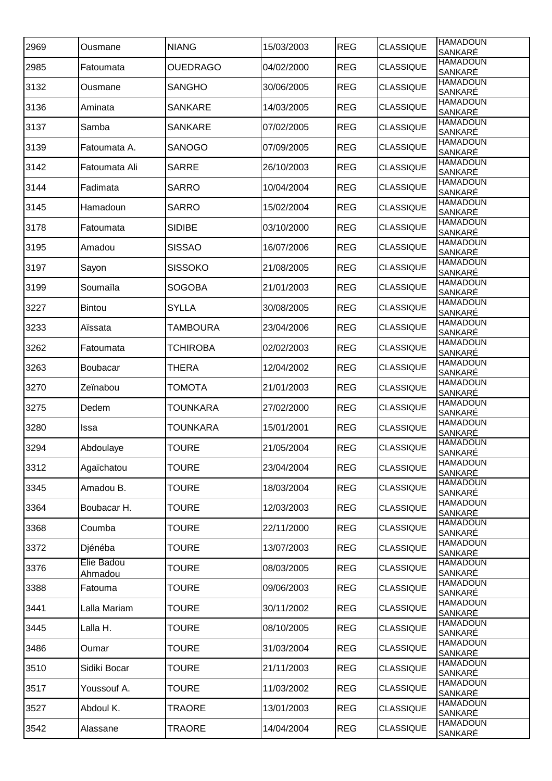| 2969 | Ousmane               | <b>NIANG</b>    | 15/03/2003 | <b>REG</b> | <b>CLASSIQUE</b> | <b>HAMADOUN</b><br>SANKARÉ |
|------|-----------------------|-----------------|------------|------------|------------------|----------------------------|
| 2985 | Fatoumata             | <b>OUEDRAGO</b> | 04/02/2000 | <b>REG</b> | <b>CLASSIQUE</b> | <b>HAMADOUN</b><br>SANKARÉ |
| 3132 | Ousmane               | <b>SANGHO</b>   | 30/06/2005 | <b>REG</b> | <b>CLASSIQUE</b> | <b>HAMADOUN</b><br>SANKARÉ |
| 3136 | Aminata               | <b>SANKARE</b>  | 14/03/2005 | <b>REG</b> | <b>CLASSIQUE</b> | <b>HAMADOUN</b><br>SANKARÉ |
| 3137 | Samba                 | <b>SANKARE</b>  | 07/02/2005 | <b>REG</b> | <b>CLASSIQUE</b> | <b>HAMADOUN</b><br>SANKARÉ |
| 3139 | Fatoumata A.          | <b>SANOGO</b>   | 07/09/2005 | <b>REG</b> | <b>CLASSIQUE</b> | <b>HAMADOUN</b><br>SANKARÉ |
| 3142 | Fatoumata Ali         | <b>SARRE</b>    | 26/10/2003 | <b>REG</b> | <b>CLASSIQUE</b> | <b>HAMADOUN</b><br>SANKARÉ |
| 3144 | Fadimata              | <b>SARRO</b>    | 10/04/2004 | <b>REG</b> | <b>CLASSIQUE</b> | <b>HAMADOUN</b><br>SANKARÉ |
| 3145 | Hamadoun              | <b>SARRO</b>    | 15/02/2004 | <b>REG</b> | <b>CLASSIQUE</b> | <b>HAMADOUN</b><br>SANKARÉ |
| 3178 | Fatoumata             | <b>SIDIBE</b>   | 03/10/2000 | <b>REG</b> | <b>CLASSIQUE</b> | <b>HAMADOUN</b><br>SANKARÉ |
| 3195 | Amadou                | <b>SISSAO</b>   | 16/07/2006 | <b>REG</b> | <b>CLASSIQUE</b> | <b>HAMADOUN</b><br>SANKARÉ |
| 3197 | Sayon                 | <b>SISSOKO</b>  | 21/08/2005 | <b>REG</b> | <b>CLASSIQUE</b> | <b>HAMADOUN</b>            |
| 3199 | Soumaïla              | <b>SOGOBA</b>   | 21/01/2003 | <b>REG</b> | <b>CLASSIQUE</b> | SANKARÉ<br><b>HAMADOUN</b> |
| 3227 | Bintou                | <b>SYLLA</b>    | 30/08/2005 | <b>REG</b> | <b>CLASSIQUE</b> | SANKARÉ<br><b>HAMADOUN</b> |
| 3233 | Aïssata               | TAMBOURA        | 23/04/2006 | <b>REG</b> | <b>CLASSIQUE</b> | SANKARÉ<br><b>HAMADOUN</b> |
| 3262 | Fatoumata             | <b>TCHIROBA</b> | 02/02/2003 | <b>REG</b> | <b>CLASSIQUE</b> | SANKARÉ<br><b>HAMADOUN</b> |
| 3263 | Boubacar              | <b>THERA</b>    | 12/04/2002 | <b>REG</b> | <b>CLASSIQUE</b> | SANKARÉ<br><b>HAMADOUN</b> |
| 3270 | Zeïnabou              | TOMOTA          | 21/01/2003 | <b>REG</b> | <b>CLASSIQUE</b> | SANKARÉ<br><b>HAMADOUN</b> |
| 3275 | Dedem                 | <b>TOUNKARA</b> | 27/02/2000 | <b>REG</b> | <b>CLASSIQUE</b> | SANKARÉ<br><b>HAMADOUN</b> |
| 3280 | Issa                  | TOUNKARA        | 15/01/2001 | <b>REG</b> | <b>CLASSIQUE</b> | SANKARÉ<br><b>HAMADOUN</b> |
| 3294 | Abdoulaye             | <b>TOURE</b>    | 21/05/2004 | <b>REG</b> | <b>CLASSIQUE</b> | SANKARÉ<br><b>HAMADOUN</b> |
| 3312 | Agaïchatou            | <b>TOURE</b>    | 23/04/2004 | <b>REG</b> | <b>CLASSIQUE</b> | SANKARÉ<br><b>HAMADOUN</b> |
| 3345 | Amadou B.             | <b>TOURE</b>    | 18/03/2004 | <b>REG</b> | <b>CLASSIQUE</b> | SANKARÉ<br><b>HAMADOUN</b> |
| 3364 | Boubacar H.           | <b>TOURE</b>    | 12/03/2003 | <b>REG</b> | <b>CLASSIQUE</b> | SANKARÉ<br><b>HAMADOUN</b> |
| 3368 | Coumba                | <b>TOURE</b>    | 22/11/2000 | <b>REG</b> | <b>CLASSIQUE</b> | SANKARÉ<br><b>HAMADOUN</b> |
|      |                       |                 |            |            |                  | SANKARÉ<br><b>HAMADOUN</b> |
| 3372 | Djénéba<br>Elie Badou | <b>TOURE</b>    | 13/07/2003 | <b>REG</b> | <b>CLASSIQUE</b> | SANKARÉ<br><b>HAMADOUN</b> |
| 3376 | Ahmadou               | <b>TOURE</b>    | 08/03/2005 | <b>REG</b> | <b>CLASSIQUE</b> | SANKARÉ<br><b>HAMADOUN</b> |
| 3388 | Fatouma               | <b>TOURE</b>    | 09/06/2003 | <b>REG</b> | <b>CLASSIQUE</b> | SANKARÉ<br><b>HAMADOUN</b> |
| 3441 | Lalla Mariam          | <b>TOURE</b>    | 30/11/2002 | <b>REG</b> | <b>CLASSIQUE</b> | SANKARÉ<br><b>HAMADOUN</b> |
| 3445 | Lalla H.              | <b>TOURE</b>    | 08/10/2005 | <b>REG</b> | CLASSIQUE        | SANKARÉ<br><b>HAMADOUN</b> |
| 3486 | Oumar                 | <b>TOURE</b>    | 31/03/2004 | <b>REG</b> | <b>CLASSIQUE</b> | SANKARÉ                    |
| 3510 | Sidiki Bocar          | <b>TOURE</b>    | 21/11/2003 | <b>REG</b> | <b>CLASSIQUE</b> | <b>HAMADOUN</b><br>SANKARÉ |
| 3517 | Youssouf A.           | <b>TOURE</b>    | 11/03/2002 | <b>REG</b> | <b>CLASSIQUE</b> | <b>HAMADOUN</b><br>SANKARÉ |
| 3527 | Abdoul K.             | TRAORE          | 13/01/2003 | <b>REG</b> | <b>CLASSIQUE</b> | <b>HAMADOUN</b><br>SANKARÉ |
| 3542 | Alassane              | <b>TRAORE</b>   | 14/04/2004 | <b>REG</b> | <b>CLASSIQUE</b> | <b>HAMADOUN</b><br>SANKARÉ |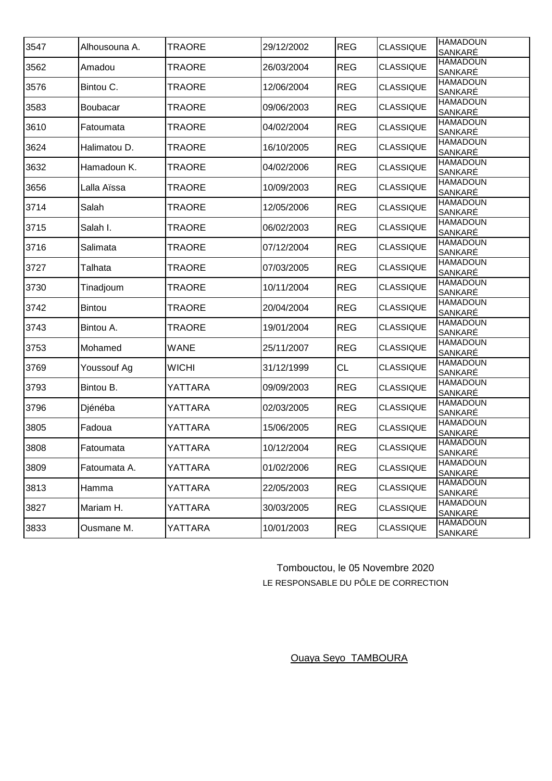| 3547 | Alhousouna A. | <b>TRAORE</b> | 29/12/2002 | <b>REG</b> | <b>CLASSIQUE</b> | <b>HAMADOUN</b><br>SANKARÉ        |
|------|---------------|---------------|------------|------------|------------------|-----------------------------------|
| 3562 | Amadou        | <b>TRAORE</b> | 26/03/2004 | <b>REG</b> | <b>CLASSIQUE</b> | <b>HAMADOUN</b><br><b>SANKARÉ</b> |
| 3576 | Bintou C.     | TRAORE        | 12/06/2004 | <b>REG</b> | <b>CLASSIQUE</b> | <b>HAMADOUN</b><br>SANKARÉ        |
| 3583 | Boubacar      | <b>TRAORE</b> | 09/06/2003 | <b>REG</b> | <b>CLASSIQUE</b> | <b>HAMADOUN</b><br>SANKARÉ        |
| 3610 | Fatoumata     | <b>TRAORE</b> | 04/02/2004 | <b>REG</b> | <b>CLASSIQUE</b> | <b>HAMADOUN</b><br>SANKARÉ        |
| 3624 | Halimatou D.  | <b>TRAORE</b> | 16/10/2005 | <b>REG</b> | <b>CLASSIQUE</b> | <b>HAMADOUN</b><br><b>SANKARÉ</b> |
| 3632 | Hamadoun K.   | <b>TRAORE</b> | 04/02/2006 | <b>REG</b> | <b>CLASSIQUE</b> | <b>HAMADOUN</b><br><b>SANKARÉ</b> |
| 3656 | Lalla Aïssa   | <b>TRAORE</b> | 10/09/2003 | <b>REG</b> | <b>CLASSIQUE</b> | <b>HAMADOUN</b><br>SANKARÉ        |
| 3714 | Salah         | <b>TRAORE</b> | 12/05/2006 | <b>REG</b> | <b>CLASSIQUE</b> | <b>HAMADOUN</b><br>SANKARÉ        |
| 3715 | Salah I.      | TRAORE        | 06/02/2003 | <b>REG</b> | <b>CLASSIQUE</b> | <b>HAMADOUN</b><br>SANKARÉ        |
| 3716 | Salimata      | <b>TRAORE</b> | 07/12/2004 | <b>REG</b> | <b>CLASSIQUE</b> | <b>HAMADOUN</b><br>SANKARÉ        |
| 3727 | Talhata       | <b>TRAORE</b> | 07/03/2005 | <b>REG</b> | <b>CLASSIQUE</b> | <b>HAMADOUN</b><br><b>SANKARÉ</b> |
| 3730 | Tinadjoum     | TRAORE        | 10/11/2004 | <b>REG</b> | <b>CLASSIQUE</b> | <b>HAMADOUN</b><br>SANKARÉ        |
| 3742 | Bintou        | TRAORE        | 20/04/2004 | <b>REG</b> | <b>CLASSIQUE</b> | <b>HAMADOUN</b><br>SANKARÉ        |
| 3743 | Bintou A.     | <b>TRAORE</b> | 19/01/2004 | <b>REG</b> | <b>CLASSIQUE</b> | <b>HAMADOUN</b><br>SANKARÉ        |
| 3753 | Mohamed       | <b>WANE</b>   | 25/11/2007 | <b>REG</b> | <b>CLASSIQUE</b> | <b>HAMADOUN</b><br><b>SANKARÉ</b> |
| 3769 | Youssouf Ag   | <b>WICHI</b>  | 31/12/1999 | <b>CL</b>  | <b>CLASSIQUE</b> | <b>HAMADOUN</b><br><b>SANKARÉ</b> |
| 3793 | Bintou B.     | YATTARA       | 09/09/2003 | <b>REG</b> | <b>CLASSIQUE</b> | <b>HAMADOUN</b><br>SANKARÉ        |
| 3796 | Djénéba       | YATTARA       | 02/03/2005 | <b>REG</b> | <b>CLASSIQUE</b> | <b>HAMADOUN</b><br>SANKARÉ        |
| 3805 | Fadoua        | YATTARA       | 15/06/2005 | <b>REG</b> | <b>CLASSIQUE</b> | <b>HAMADOUN</b><br>SANKARÉ        |
| 3808 | Fatoumata     | YATTARA       | 10/12/2004 | <b>REG</b> | <b>CLASSIQUE</b> | <b>HAMADOUN</b><br>SANKARÉ        |
| 3809 | Fatoumata A.  | YATTARA       | 01/02/2006 | <b>REG</b> | <b>CLASSIQUE</b> | <b>HAMADOUN</b><br>SANKARÉ        |
| 3813 | Hamma         | YATTARA       | 22/05/2003 | <b>REG</b> | <b>CLASSIQUE</b> | <b>HAMADOUN</b><br>SANKARÉ        |
| 3827 | Mariam H.     | YATTARA       | 30/03/2005 | <b>REG</b> | <b>CLASSIQUE</b> | <b>HAMADOUN</b><br>SANKARÉ        |
| 3833 | Ousmane M.    | YATTARA       | 10/01/2003 | <b>REG</b> | <b>CLASSIQUE</b> | <b>HAMADOUN</b><br>SANKARÉ        |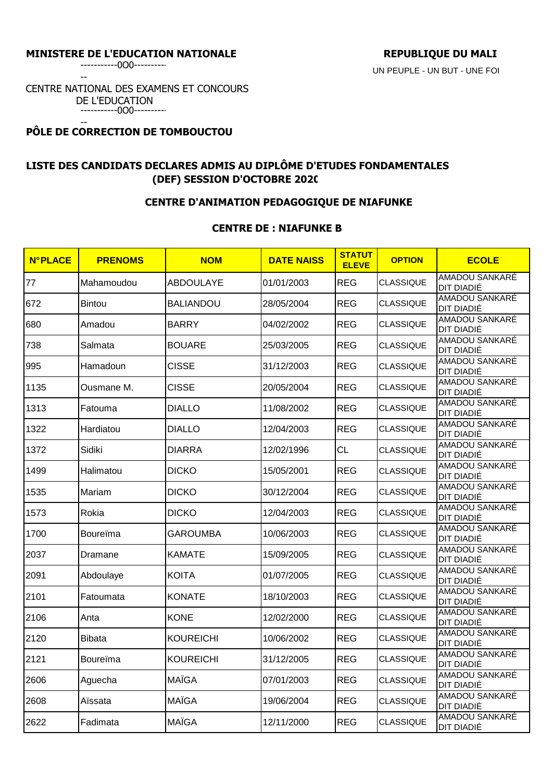--

CENTRE NATIONAL DES EXAMENS ET CONCOURS DE L'EDUCATION -----------0O0----------

#### -- **PÔLE DE CORRECTION DE TOMBOUCTOU**

# **LISTE DES CANDIDATS DECLARES ADMIS AU DIPLÔME D'ETUDES FONDAMENTALES (DEF) SESSION D'OCTOBRE 2020**

# **CENTRE D'ANIMATION PEDAGOGIQUE DE NIAFUNKE**

## **CENTRE DE : NIAFUNKE B**

| <b>N°PLACE</b> | <b>PRENOMS</b> | <b>NOM</b>       | <b>DATE NAISS</b> | <b>STATUT</b><br><b>ELEVE</b> | <b>OPTION</b>    | <b>ECOLE</b>                 |
|----------------|----------------|------------------|-------------------|-------------------------------|------------------|------------------------------|
| 77             | Mahamoudou     | <b>ABDOULAYE</b> | 01/01/2003        | <b>REG</b>                    | <b>CLASSIQUE</b> | AMADOU SANKARÉ<br>DIT DIADIÉ |
| 672            | <b>Bintou</b>  | <b>BALIANDOU</b> | 28/05/2004        | <b>REG</b>                    | <b>CLASSIQUE</b> | AMADOU SANKARÉ<br>DIT DIADIÉ |
| 680            | Amadou         | <b>BARRY</b>     | 04/02/2002        | <b>REG</b>                    | <b>CLASSIQUE</b> | AMADOU SANKARÉ<br>DIT DIADIÉ |
| 738            | Salmata        | <b>BOUARE</b>    | 25/03/2005        | <b>REG</b>                    | <b>CLASSIQUE</b> | AMADOU SANKARÉ<br>DIT DIADIÉ |
| 995            | Hamadoun       | <b>CISSE</b>     | 31/12/2003        | <b>REG</b>                    | <b>CLASSIQUE</b> | AMADOU SANKARÉ<br>DIT DIADIÉ |
| 1135           | Ousmane M.     | <b>CISSE</b>     | 20/05/2004        | <b>REG</b>                    | <b>CLASSIQUE</b> | AMADOU SANKARÉ<br>DIT DIADIÉ |
| 1313           | Fatouma        | <b>DIALLO</b>    | 11/08/2002        | <b>REG</b>                    | <b>CLASSIQUE</b> | AMADOU SANKARÉ<br>DIT DIADIÉ |
| 1322           | Hardiatou      | <b>DIALLO</b>    | 12/04/2003        | <b>REG</b>                    | <b>CLASSIQUE</b> | AMADOU SANKARÉ<br>DIT DIADIÉ |
| 1372           | Sidiki         | <b>DIARRA</b>    | 12/02/1996        | <b>CL</b>                     | <b>CLASSIQUE</b> | AMADOU SANKARÉ<br>DIT DIADIÉ |
| 1499           | Halimatou      | <b>DICKO</b>     | 15/05/2001        | <b>REG</b>                    | <b>CLASSIQUE</b> | AMADOU SANKARÉ<br>DIT DIADIÉ |
| 1535           | Mariam         | <b>DICKO</b>     | 30/12/2004        | <b>REG</b>                    | <b>CLASSIQUE</b> | AMADOU SANKARÉ<br>DIT DIADIÉ |
| 1573           | Rokia          | <b>DICKO</b>     | 12/04/2003        | <b>REG</b>                    | <b>CLASSIQUE</b> | AMADOU SANKARÉ<br>DIT DIADIÉ |
| 1700           | Boureïma       | <b>GAROUMBA</b>  | 10/06/2003        | <b>REG</b>                    | <b>CLASSIQUE</b> | AMADOU SANKARÉ<br>DIT DIADIÉ |
| 2037           | Dramane        | <b>KAMATE</b>    | 15/09/2005        | <b>REG</b>                    | <b>CLASSIQUE</b> | AMADOU SANKARÉ<br>DIT DIADIÉ |
| 2091           | Abdoulaye      | <b>KOITA</b>     | 01/07/2005        | <b>REG</b>                    | <b>CLASSIQUE</b> | AMADOU SANKARÉ<br>DIT DIADIÉ |
| 2101           | Fatoumata      | <b>KONATE</b>    | 18/10/2003        | <b>REG</b>                    | <b>CLASSIQUE</b> | AMADOU SANKARÉ<br>DIT DIADIÉ |
| 2106           | Anta           | <b>KONE</b>      | 12/02/2000        | <b>REG</b>                    | <b>CLASSIQUE</b> | AMADOU SANKARÉ<br>DIT DIADIÉ |
| 2120           | <b>Bibata</b>  | <b>KOUREICHI</b> | 10/06/2002        | <b>REG</b>                    | <b>CLASSIQUE</b> | AMADOU SANKARÉ<br>DIT DIADIÉ |
| 2121           | Boureïma       | KOUREICHI        | 31/12/2005        | <b>REG</b>                    | <b>CLASSIQUE</b> | AMADOU SANKARÉ<br>DIT DIADIE |
| 2606           | Aguecha        | <b>MAÏGA</b>     | 07/01/2003        | <b>REG</b>                    | <b>CLASSIQUE</b> | AMADOU SANKARE<br>DIT DIADIÉ |
| 2608           | Aïssata        | <b>MAÏGA</b>     | 19/06/2004        | <b>REG</b>                    | <b>CLASSIQUE</b> | AMADOU SANKARÉ<br>DIT DIADIÉ |
| 2622           | Fadimata       | <b>MAÏGA</b>     | 12/11/2000        | <b>REG</b>                    | <b>CLASSIQUE</b> | AMADOU SANKARÉ<br>DIT DIADIÉ |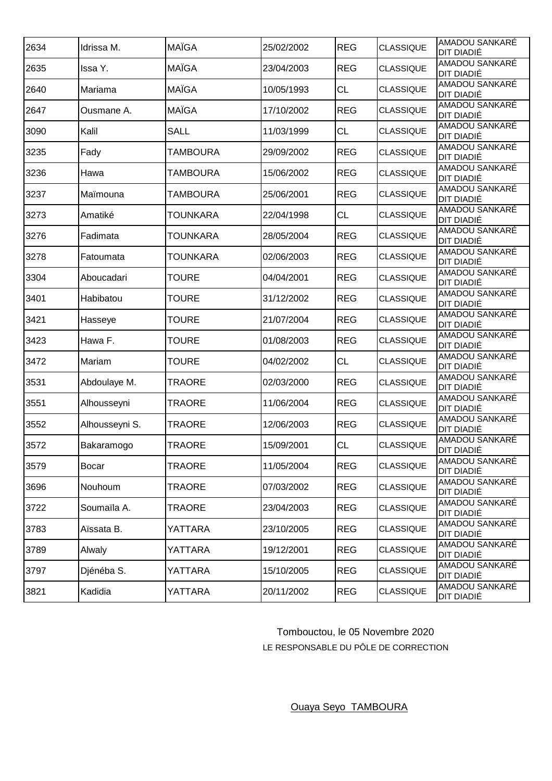| 2634 | Idrissa M.     | <b>MAÏGA</b>    | 25/02/2002 | <b>REG</b> | <b>CLASSIQUE</b> | AMADOU SANKARÉ<br>DIT DIADIÉ        |
|------|----------------|-----------------|------------|------------|------------------|-------------------------------------|
| 2635 | Issa Y.        | <b>MAÏGA</b>    | 23/04/2003 | <b>REG</b> | <b>CLASSIQUE</b> | AMADOU SANKARÉ<br>DIT DIADIÉ        |
| 2640 | Mariama        | <b>MAÏGA</b>    | 10/05/1993 | <b>CL</b>  | <b>CLASSIQUE</b> | <b>AMADOU SANKARÉ</b><br>DIT DIADIÉ |
| 2647 | Ousmane A.     | <b>MAÏGA</b>    | 17/10/2002 | <b>REG</b> | <b>CLASSIQUE</b> | AMADOU SANKARÉ<br>DIT DIADIÉ        |
| 3090 | Kalil          | <b>SALL</b>     | 11/03/1999 | <b>CL</b>  | <b>CLASSIQUE</b> | AMADOU SANKARÉ<br>DIT DIADIÉ        |
| 3235 | Fady           | <b>TAMBOURA</b> | 29/09/2002 | <b>REG</b> | <b>CLASSIQUE</b> | AMADOU SANKARÉ<br>DIT DIADIÉ        |
| 3236 | Hawa           | TAMBOURA        | 15/06/2002 | <b>REG</b> | <b>CLASSIQUE</b> | AMADOU SANKARÉ<br>DIT DIADIÉ        |
| 3237 | Maïmouna       | <b>TAMBOURA</b> | 25/06/2001 | <b>REG</b> | <b>CLASSIQUE</b> | AMADOU SANKARÉ<br>DIT DIADIÉ        |
| 3273 | Amatiké        | TOUNKARA        | 22/04/1998 | <b>CL</b>  | <b>CLASSIQUE</b> | AMADOU SANKARÉ<br>DIT DIADIÉ        |
| 3276 | Fadimata       | <b>TOUNKARA</b> | 28/05/2004 | <b>REG</b> | <b>CLASSIQUE</b> | AMADOU SANKARÉ<br>DIT DIADIÉ        |
| 3278 | Fatoumata      | <b>TOUNKARA</b> | 02/06/2003 | <b>REG</b> | <b>CLASSIQUE</b> | AMADOU SANKARÉ<br>DIT DIADIÉ        |
| 3304 | Aboucadari     | <b>TOURE</b>    | 04/04/2001 | <b>REG</b> | <b>CLASSIQUE</b> | AMADOU SANKARÉ<br>DIT DIADIÉ        |
| 3401 | Habibatou      | <b>TOURE</b>    | 31/12/2002 | <b>REG</b> | <b>CLASSIQUE</b> | AMADOU SANKARÉ<br>DIT DIADIÉ        |
| 3421 | Hasseye        | <b>TOURE</b>    | 21/07/2004 | <b>REG</b> | <b>CLASSIQUE</b> | AMADOU SANKARÉ<br>DIT DIADIÉ        |
| 3423 | Hawa F.        | <b>TOURE</b>    | 01/08/2003 | <b>REG</b> | <b>CLASSIQUE</b> | AMADOU SANKARÉ<br>DIT DIADIÉ        |
| 3472 | Mariam         | TOURE           | 04/02/2002 | <b>CL</b>  | <b>CLASSIQUE</b> | AMADOU SANKARÉ<br>DIT DIADIÉ        |
| 3531 | Abdoulaye M.   | TRAORE          | 02/03/2000 | <b>REG</b> | <b>CLASSIQUE</b> | AMADOU SANKARÉ<br>DIT DIADIÉ        |
| 3551 | Alhousseyni    | <b>TRAORE</b>   | 11/06/2004 | <b>REG</b> | <b>CLASSIQUE</b> | AMADOU SANKARÉ<br>DIT DIADIÉ        |
| 3552 | Alhousseyni S. | <b>TRAORE</b>   | 12/06/2003 | <b>REG</b> | <b>CLASSIQUE</b> | AMADOU SANKARÉ<br>DIT DIADIÉ        |
| 3572 | Bakaramogo     | <b>TRAORE</b>   | 15/09/2001 | CL         | <b>CLASSIQUE</b> | AMADOU SANKARÉ<br><b>DIT DIADIÉ</b> |
| 3579 | <b>Bocar</b>   | TRAORE          | 11/05/2004 | <b>REG</b> | <b>CLASSIQUE</b> | AMADOU SANKARÉ<br>DIT DIADIÉ        |
| 3696 | Nouhoum        | TRAORE          | 07/03/2002 | <b>REG</b> | <b>CLASSIQUE</b> | AMADOU SANKARE<br>DIT DIADIÉ        |
| 3722 | Soumaïla A.    | <b>TRAORE</b>   | 23/04/2003 | <b>REG</b> | <b>CLASSIQUE</b> | AMADOU SANKARÉ<br>DIT DIADIÉ        |
| 3783 | Aïssata B.     | YATTARA         | 23/10/2005 | <b>REG</b> | <b>CLASSIQUE</b> | AMADOU SANKARÉ<br>DIT DIADIÉ        |
| 3789 | Alwaly         | YATTARA         | 19/12/2001 | <b>REG</b> | <b>CLASSIQUE</b> | AMADOU SANKARÉ<br>DIT DIADIÉ        |
| 3797 | Djénéba S.     | YATTARA         | 15/10/2005 | <b>REG</b> | <b>CLASSIQUE</b> | AMADOU SANKARÉ<br>DIT DIADIÉ        |
| 3821 | Kadidia        | YATTARA         | 20/11/2002 | <b>REG</b> | <b>CLASSIQUE</b> | AMADOU SANKARE<br>DIT DIADIÉ        |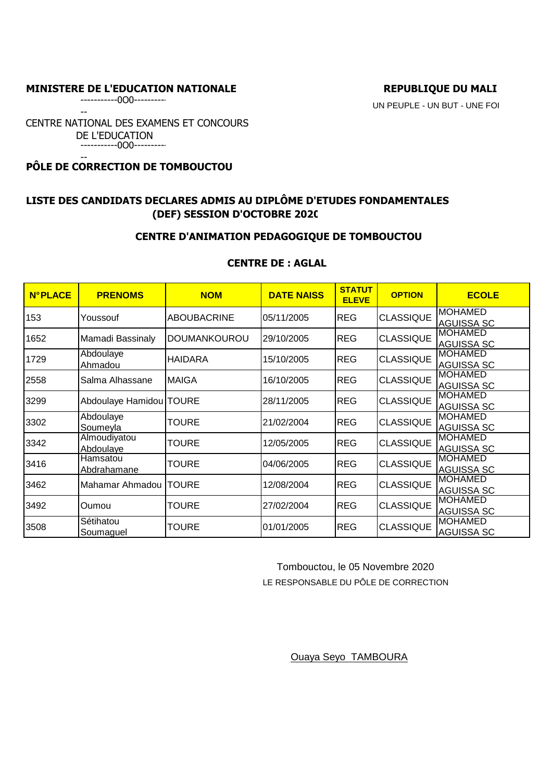-----------0O0----------

--

UN PEUPLE - UN BUT - UNE FOI

CENTRE NATIONAL DES EXAMENS ET CONCOURS DE L'EDUCATION -----------0O0----------

-- **PÔLE DE CORRECTION DE TOMBOUCTOU** 

# **LISTE DES CANDIDATS DECLARES ADMIS AU DIPLÔME D'ETUDES FONDAMENTALES (DEF) SESSION D'OCTOBRE 2020**

## **CENTRE D'ANIMATION PEDAGOGIQUE DE TOMBOUCTOU**

# **CENTRE DE : AGLAL**

| <b>N°PLACE</b> | <b>PRENOMS</b>                | <b>NOM</b>         | <b>DATE NAISS</b> | <b>STATUT</b><br><b>ELEVE</b> | <b>OPTION</b>    | <b>ECOLE</b>                         |
|----------------|-------------------------------|--------------------|-------------------|-------------------------------|------------------|--------------------------------------|
| 153            | Youssouf                      | <b>ABOUBACRINE</b> | 05/11/2005        | <b>REG</b>                    | <b>CLASSIQUE</b> | <b>MOHAMED</b><br><b>AGUISSA SC</b>  |
| 1652           | Mamadi Bassinaly              | DOUMANKOUROU       | 29/10/2005        | <b>REG</b>                    | <b>CLASSIQUE</b> | <b>IMOHAMED</b><br><b>AGUISSA SC</b> |
| 1729           | Abdoulaye<br>Ahmadou          | <b>HAIDARA</b>     | 15/10/2005        | <b>REG</b>                    | <b>CLASSIQUE</b> | <b>MOHAMED</b><br><b>AGUISSA SC</b>  |
| 2558           | Salma Alhassane               | <b>MAIGA</b>       | 16/10/2005        | <b>REG</b>                    | <b>CLASSIQUE</b> | <b>MOHAMED</b><br><b>AGUISSA SC</b>  |
| 3299           | Abdoulaye Hamidou   TOURE     |                    | 28/11/2005        | <b>REG</b>                    | <b>CLASSIQUE</b> | <b>MOHAMED</b><br><b>AGUISSA SC</b>  |
| 3302           | Abdoulaye<br>Soumeyla         | <b>TOURE</b>       | 21/02/2004        | <b>REG</b>                    | <b>CLASSIQUE</b> | <b>MOHAMED</b><br><b>AGUISSA SC</b>  |
| 3342           | Almoudiyatou<br>Abdoulaye     | <b>TOURE</b>       | 12/05/2005        | <b>REG</b>                    | <b>CLASSIQUE</b> | <b>MOHAMED</b><br><b>AGUISSA SC</b>  |
| 3416           | Hamsatou<br>Abdrahamane       | TOURE              | 04/06/2005        | <b>REG</b>                    | <b>CLASSIQUE</b> | IMOHAMED<br><b>AGUISSA SC</b>        |
| 3462           | Mahamar Ahmadou               | <b>TOURE</b>       | 12/08/2004        | <b>REG</b>                    | <b>CLASSIQUE</b> | <b>IMOHAMED</b><br><b>AGUISSA SC</b> |
| 3492           | Oumou                         | <b>TOURE</b>       | 27/02/2004        | <b>REG</b>                    | <b>CLASSIQUE</b> | <b>IMOHAMED</b><br><b>AGUISSA SC</b> |
| 3508           | Sétihatou<br><u>Soumaquel</u> | <b>TOURE</b>       | 01/01/2005        | <b>REG</b>                    | <b>CLASSIQUE</b> | <b>MOHAMED</b><br><b>AGUISSA SC</b>  |

 Tombouctou, le 05 Novembre 2020 LE RESPONSABLE DU PÔLE DE CORRECTION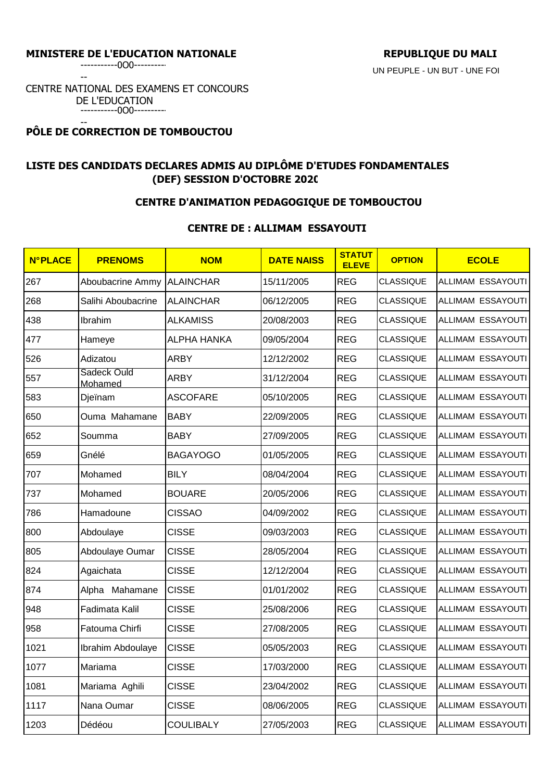--

CENTRE NATIONAL DES EXAMENS ET CONCOURS DE L'EDUCATION -----------0O0----------

#### -- **PÔLE DE CORRECTION DE TOMBOUCTOU**

# **LISTE DES CANDIDATS DECLARES ADMIS AU DIPLÔME D'ETUDES FONDAMENTALES (DEF) SESSION D'OCTOBRE 2020**

## **CENTRE D'ANIMATION PEDAGOGIQUE DE TOMBOUCTOU**

## **CENTRE DE : ALLIMAM ESSAYOUTI**

| <b>N°PLACE</b> | <b>PRENOMS</b>         | <b>NOM</b>         | <b>DATE NAISS</b> | <b>STATUT</b><br><b>ELEVE</b> | <b>OPTION</b>    | <b>ECOLE</b>             |
|----------------|------------------------|--------------------|-------------------|-------------------------------|------------------|--------------------------|
| 267            | Aboubacrine Ammy       | <b>ALAINCHAR</b>   | 15/11/2005        | <b>REG</b>                    | <b>CLASSIQUE</b> | <b>ALLIMAM ESSAYOUTI</b> |
| 268            | Salihi Aboubacrine     | <b>ALAINCHAR</b>   | 06/12/2005        | <b>REG</b>                    | <b>CLASSIQUE</b> | ALLIMAM ESSAYOUTI        |
| 438            | Ibrahim                | <b>ALKAMISS</b>    | 20/08/2003        | <b>REG</b>                    | <b>CLASSIQUE</b> | ALLIMAM ESSAYOUTI        |
| 477            | Hameye                 | <b>ALPHA HANKA</b> | 09/05/2004        | <b>REG</b>                    | <b>CLASSIQUE</b> | ALLIMAM ESSAYOUTI        |
| 526            | Adizatou               | <b>ARBY</b>        | 12/12/2002        | <b>REG</b>                    | <b>CLASSIQUE</b> | ALLIMAM ESSAYOUTI        |
| 557            | Sadeck Ould<br>Mohamed | <b>ARBY</b>        | 31/12/2004        | <b>REG</b>                    | <b>CLASSIQUE</b> | ALLIMAM ESSAYOUTI        |
| 583            | Djeïnam                | <b>ASCOFARE</b>    | 05/10/2005        | <b>REG</b>                    | <b>CLASSIQUE</b> | ALLIMAM ESSAYOUTI        |
| 650            | Ouma Mahamane          | <b>BABY</b>        | 22/09/2005        | <b>REG</b>                    | <b>CLASSIQUE</b> | ALLIMAM ESSAYOUTI        |
| 652            | Soumma                 | <b>BABY</b>        | 27/09/2005        | <b>REG</b>                    | <b>CLASSIQUE</b> | <b>ALLIMAM ESSAYOUTI</b> |
| 659            | Gnélé                  | <b>BAGAYOGO</b>    | 01/05/2005        | <b>REG</b>                    | <b>CLASSIQUE</b> | ALLIMAM ESSAYOUTI        |
| 707            | Mohamed                | <b>BILY</b>        | 08/04/2004        | <b>REG</b>                    | <b>CLASSIQUE</b> | ALLIMAM ESSAYOUTI        |
| 737            | Mohamed                | <b>BOUARE</b>      | 20/05/2006        | <b>REG</b>                    | <b>CLASSIQUE</b> | ALLIMAM ESSAYOUTI        |
| 786            | Hamadoune              | <b>CISSAO</b>      | 04/09/2002        | <b>REG</b>                    | <b>CLASSIQUE</b> | ALLIMAM ESSAYOUTI        |
| 800            | Abdoulaye              | <b>CISSE</b>       | 09/03/2003        | <b>REG</b>                    | <b>CLASSIQUE</b> | ALLIMAM ESSAYOUTI        |
| 805            | Abdoulaye Oumar        | <b>CISSE</b>       | 28/05/2004        | <b>REG</b>                    | <b>CLASSIQUE</b> | ALLIMAM ESSAYOUTI        |
| 824            | Agaichata              | <b>CISSE</b>       | 12/12/2004        | <b>REG</b>                    | <b>CLASSIQUE</b> | ALLIMAM ESSAYOUTI        |
| 874            | Alpha Mahamane         | <b>CISSE</b>       | 01/01/2002        | <b>REG</b>                    | <b>CLASSIQUE</b> | ALLIMAM ESSAYOUTI        |
| 948            | Fadimata Kalil         | <b>CISSE</b>       | 25/08/2006        | <b>REG</b>                    | <b>CLASSIQUE</b> | ALLIMAM ESSAYOUTI        |
| 958            | Fatouma Chirfi         | <b>CISSE</b>       | 27/08/2005        | <b>REG</b>                    | <b>CLASSIQUE</b> | ALLIMAM ESSAYOUTI        |
| 1021           | Ibrahim Abdoulaye      | <b>CISSE</b>       | 05/05/2003        | <b>REG</b>                    | <b>CLASSIQUE</b> | ALLIMAM ESSAYOUTI        |
| 1077           | Mariama                | <b>CISSE</b>       | 17/03/2000        | <b>REG</b>                    | CLASSIQUE        | ALLIMAM ESSAYOUTI        |
| 1081           | Mariama Aghili         | <b>CISSE</b>       | 23/04/2002        | <b>REG</b>                    | <b>CLASSIQUE</b> | ALLIMAM ESSAYOUTI        |
| 1117           | Nana Oumar             | <b>CISSE</b>       | 08/06/2005        | <b>REG</b>                    | <b>CLASSIQUE</b> | ALLIMAM ESSAYOUTI        |
| 1203           | Dédéou                 | <b>COULIBALY</b>   | 27/05/2003        | <b>REG</b>                    | <b>CLASSIQUE</b> | ALLIMAM ESSAYOUTI        |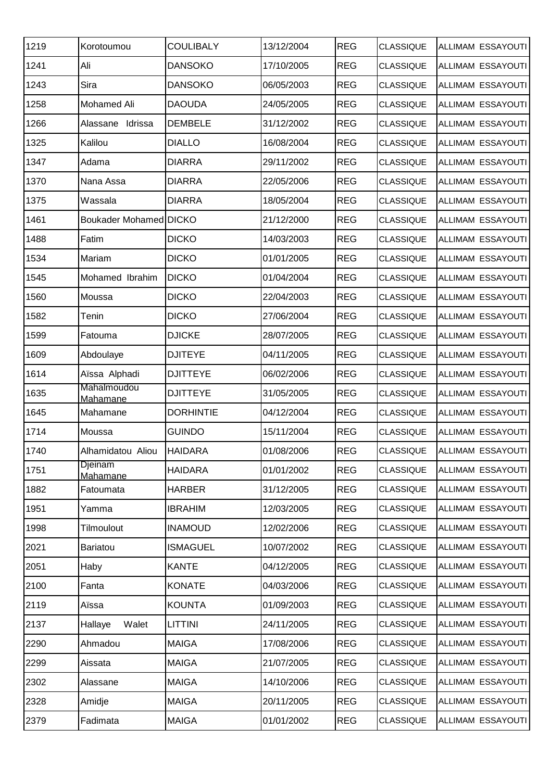| 1219 | Korotoumou                 | <b>COULIBALY</b> | 13/12/2004 | <b>REG</b> | <b>CLASSIQUE</b> | ALLIMAM ESSAYOUTI |
|------|----------------------------|------------------|------------|------------|------------------|-------------------|
| 1241 | Ali                        | <b>DANSOKO</b>   | 17/10/2005 | <b>REG</b> | <b>CLASSIQUE</b> | ALLIMAM ESSAYOUTI |
| 1243 | Sira                       | <b>DANSOKO</b>   | 06/05/2003 | <b>REG</b> | <b>CLASSIQUE</b> | ALLIMAM ESSAYOUTI |
| 1258 | Mohamed Ali                | <b>DAOUDA</b>    | 24/05/2005 | <b>REG</b> | <b>CLASSIQUE</b> | ALLIMAM ESSAYOUTI |
| 1266 | Alassane Idrissa           | <b>DEMBELE</b>   | 31/12/2002 | <b>REG</b> | <b>CLASSIQUE</b> | ALLIMAM ESSAYOUTI |
| 1325 | Kalilou                    | <b>DIALLO</b>    | 16/08/2004 | <b>REG</b> | <b>CLASSIQUE</b> | ALLIMAM ESSAYOUTI |
| 1347 | Adama                      | <b>DIARRA</b>    | 29/11/2002 | <b>REG</b> | <b>CLASSIQUE</b> | ALLIMAM ESSAYOUTI |
| 1370 | Nana Assa                  | <b>DIARRA</b>    | 22/05/2006 | <b>REG</b> | <b>CLASSIQUE</b> | ALLIMAM ESSAYOUTI |
| 1375 | Wassala                    | <b>DIARRA</b>    | 18/05/2004 | <b>REG</b> | <b>CLASSIQUE</b> | ALLIMAM ESSAYOUTI |
| 1461 | Boukader Mohamed DICKO     |                  | 21/12/2000 | <b>REG</b> | <b>CLASSIQUE</b> | ALLIMAM ESSAYOUTI |
| 1488 | Fatim                      | <b>DICKO</b>     | 14/03/2003 | <b>REG</b> | <b>CLASSIQUE</b> | ALLIMAM ESSAYOUTI |
| 1534 | Mariam                     | <b>DICKO</b>     | 01/01/2005 | <b>REG</b> | <b>CLASSIQUE</b> | ALLIMAM ESSAYOUTI |
| 1545 | Mohamed Ibrahim            | <b>DICKO</b>     | 01/04/2004 | <b>REG</b> | <b>CLASSIQUE</b> | ALLIMAM ESSAYOUTI |
| 1560 | Moussa                     | <b>DICKO</b>     | 22/04/2003 | <b>REG</b> | <b>CLASSIQUE</b> | ALLIMAM ESSAYOUTI |
| 1582 | Tenin                      | <b>DICKO</b>     | 27/06/2004 | <b>REG</b> | <b>CLASSIQUE</b> | ALLIMAM ESSAYOUTI |
| 1599 | Fatouma                    | <b>DJICKE</b>    | 28/07/2005 | <b>REG</b> | <b>CLASSIQUE</b> | ALLIMAM ESSAYOUTI |
| 1609 | Abdoulaye                  | <b>DJITEYE</b>   | 04/11/2005 | <b>REG</b> | <b>CLASSIQUE</b> | ALLIMAM ESSAYOUTI |
| 1614 | Aïssa Alphadi              | <b>DJITTEYE</b>  | 06/02/2006 | <b>REG</b> | <b>CLASSIQUE</b> | ALLIMAM ESSAYOUTI |
| 1635 | Mahalmoudou<br>Mahamane    | <b>DJITTEYE</b>  | 31/05/2005 | <b>REG</b> | <b>CLASSIQUE</b> | ALLIMAM ESSAYOUTI |
| 1645 | Mahamane                   | <b>DORHINTIE</b> | 04/12/2004 | <b>REG</b> | <b>CLASSIQUE</b> | ALLIMAM ESSAYOUTI |
| 1714 | Moussa                     | <b>GUINDO</b>    | 15/11/2004 | <b>REG</b> | <b>CLASSIQUE</b> | ALLIMAM ESSAYOUTI |
| 1740 | Alhamidatou Aliou          | <b>HAIDARA</b>   | 01/08/2006 | <b>REG</b> | <b>CLASSIQUE</b> | ALLIMAM ESSAYOUTI |
| 1751 | <b>Djeinam</b><br>Mahamane | <b>HAIDARA</b>   | 01/01/2002 | <b>REG</b> | <b>CLASSIQUE</b> | ALLIMAM ESSAYOUTI |
| 1882 | Fatoumata                  | <b>HARBER</b>    | 31/12/2005 | <b>REG</b> | <b>CLASSIQUE</b> | ALLIMAM ESSAYOUTI |
| 1951 | Yamma                      | <b>IBRAHIM</b>   | 12/03/2005 | <b>REG</b> | <b>CLASSIQUE</b> | ALLIMAM ESSAYOUTI |
| 1998 | Tilmoulout                 | <b>INAMOUD</b>   | 12/02/2006 | <b>REG</b> | <b>CLASSIQUE</b> | ALLIMAM ESSAYOUTI |
| 2021 | Bariatou                   | <b>ISMAGUEL</b>  | 10/07/2002 | <b>REG</b> | <b>CLASSIQUE</b> | ALLIMAM ESSAYOUTI |
| 2051 | Haby                       | <b>KANTE</b>     | 04/12/2005 | <b>REG</b> | <b>CLASSIQUE</b> | ALLIMAM ESSAYOUTI |
| 2100 | Fanta                      | <b>KONATE</b>    | 04/03/2006 | <b>REG</b> | <b>CLASSIQUE</b> | ALLIMAM ESSAYOUTI |
| 2119 | Aïssa                      | <b>KOUNTA</b>    | 01/09/2003 | <b>REG</b> | <b>CLASSIQUE</b> | ALLIMAM ESSAYOUTI |
| 2137 | Walet<br>Hallaye           | <b>LITTINI</b>   | 24/11/2005 | <b>REG</b> | <b>CLASSIQUE</b> | ALLIMAM ESSAYOUTI |
| 2290 | Ahmadou                    | <b>MAIGA</b>     | 17/08/2006 | <b>REG</b> | <b>CLASSIQUE</b> | ALLIMAM ESSAYOUTI |
| 2299 | Aissata                    | <b>MAIGA</b>     | 21/07/2005 | <b>REG</b> | <b>CLASSIQUE</b> | ALLIMAM ESSAYOUTI |
| 2302 | Alassane                   | <b>MAIGA</b>     | 14/10/2006 | <b>REG</b> | <b>CLASSIQUE</b> | ALLIMAM ESSAYOUTI |
| 2328 | Amidje                     | <b>MAIGA</b>     | 20/11/2005 | <b>REG</b> | <b>CLASSIQUE</b> | ALLIMAM ESSAYOUTI |
| 2379 | Fadimata                   | <b>MAIGA</b>     | 01/01/2002 | <b>REG</b> | <b>CLASSIQUE</b> | ALLIMAM ESSAYOUTI |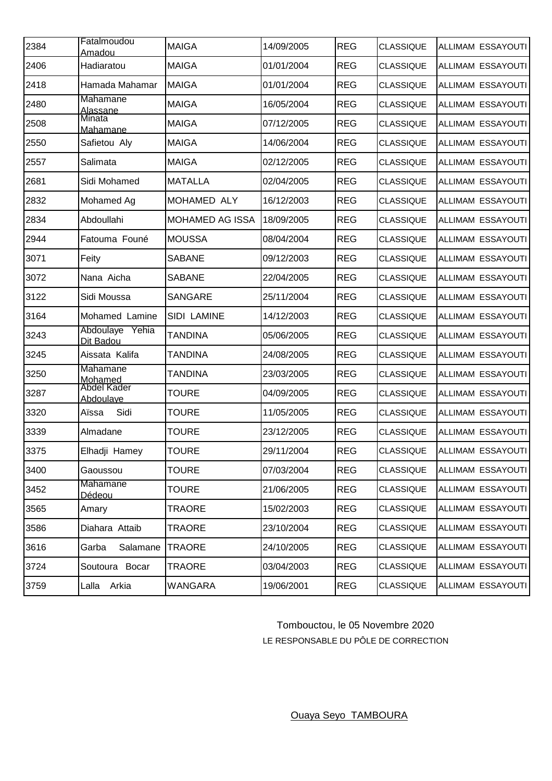| 2384 | Fatalmoudou<br><b>Amadou</b>       | <b>MAIGA</b>           | 14/09/2005 | <b>REG</b> | <b>CLASSIQUE</b> | ALLIMAM ESSAYOUTI |
|------|------------------------------------|------------------------|------------|------------|------------------|-------------------|
| 2406 | Hadiaratou                         | <b>MAIGA</b>           | 01/01/2004 | <b>REG</b> | <b>CLASSIQUE</b> | ALLIMAM ESSAYOUTI |
| 2418 | Hamada Mahamar                     | <b>MAIGA</b>           | 01/01/2004 | <b>REG</b> | <b>CLASSIQUE</b> | ALLIMAM ESSAYOUTI |
| 2480 | <b>Mahamane</b><br><b>Alassane</b> | <b>MAIGA</b>           | 16/05/2004 | <b>REG</b> | <b>CLASSIQUE</b> | ALLIMAM ESSAYOUTI |
| 2508 | Minata<br>Mahamane                 | <b>MAIGA</b>           | 07/12/2005 | <b>REG</b> | <b>CLASSIQUE</b> | ALLIMAM ESSAYOUTI |
| 2550 | Safietou Aly                       | <b>MAIGA</b>           | 14/06/2004 | <b>REG</b> | <b>CLASSIQUE</b> | ALLIMAM ESSAYOUTI |
| 2557 | Salimata                           | <b>MAIGA</b>           | 02/12/2005 | <b>REG</b> | <b>CLASSIQUE</b> | ALLIMAM ESSAYOUTI |
| 2681 | Sidi Mohamed                       | <b>MATALLA</b>         | 02/04/2005 | <b>REG</b> | <b>CLASSIQUE</b> | ALLIMAM ESSAYOUTI |
| 2832 | Mohamed Ag                         | MOHAMED ALY            | 16/12/2003 | <b>REG</b> | <b>CLASSIQUE</b> | ALLIMAM ESSAYOUTI |
| 2834 | Abdoullahi                         | <b>MOHAMED AG ISSA</b> | 18/09/2005 | <b>REG</b> | <b>CLASSIQUE</b> | ALLIMAM ESSAYOUTI |
| 2944 | Fatouma Founé                      | <b>MOUSSA</b>          | 08/04/2004 | <b>REG</b> | <b>CLASSIQUE</b> | ALLIMAM ESSAYOUTI |
| 3071 | Feity                              | <b>SABANE</b>          | 09/12/2003 | <b>REG</b> | <b>CLASSIQUE</b> | ALLIMAM ESSAYOUTI |
| 3072 | Nana Aicha                         | <b>SABANE</b>          | 22/04/2005 | <b>REG</b> | <b>CLASSIQUE</b> | ALLIMAM ESSAYOUTI |
| 3122 | Sidi Moussa                        | <b>SANGARE</b>         | 25/11/2004 | <b>REG</b> | <b>CLASSIQUE</b> | ALLIMAM ESSAYOUTI |
| 3164 | Mohamed Lamine                     | SIDI LAMINE            | 14/12/2003 | <b>REG</b> | <b>CLASSIQUE</b> | ALLIMAM ESSAYOUTI |
| 3243 | Abdoulaye<br>Yehia<br>Dit Badou    | <b>TANDINA</b>         | 05/06/2005 | <b>REG</b> | <b>CLASSIQUE</b> | ALLIMAM ESSAYOUTI |
| 3245 | Aissata Kalifa                     | TANDINA                | 24/08/2005 | <b>REG</b> | <b>CLASSIQUE</b> | ALLIMAM ESSAYOUTI |
| 3250 | Mahamane<br>Mohamed<br>Abdel Kader | TANDINA                | 23/03/2005 | <b>REG</b> | <b>CLASSIQUE</b> | ALLIMAM ESSAYOUTI |
| 3287 | Abdoulave                          | TOURE                  | 04/09/2005 | <b>REG</b> | <b>CLASSIQUE</b> | ALLIMAM ESSAYOUTI |
| 3320 | Sidi<br>Aïssa                      | <b>TOURE</b>           | 11/05/2005 | <b>REG</b> | <b>CLASSIQUE</b> | ALLIMAM ESSAYOUTI |
| 3339 | Almadane                           | <b>TOURE</b>           | 23/12/2005 | <b>REG</b> | <b>CLASSIQUE</b> | ALLIMAM ESSAYOUTI |
| 3375 | Elhadji Hamey                      | <b>TOURE</b>           | 29/11/2004 | <b>REG</b> | CLASSIQUE        | ALLIMAM ESSAYOUTI |
| 3400 | Gaoussou                           | <b>TOURE</b>           | 07/03/2004 | <b>REG</b> | <b>CLASSIQUE</b> | ALLIMAM ESSAYOUTI |
| 3452 | Mahamane<br>Dédeou                 | <b>TOURE</b>           | 21/06/2005 | <b>REG</b> | <b>CLASSIQUE</b> | ALLIMAM ESSAYOUTI |
| 3565 | Amary                              | <b>TRAORE</b>          | 15/02/2003 | <b>REG</b> | <b>CLASSIQUE</b> | ALLIMAM ESSAYOUTI |
| 3586 | Diahara Attaib                     | TRAORE                 | 23/10/2004 | <b>REG</b> | <b>CLASSIQUE</b> | ALLIMAM ESSAYOUTI |
| 3616 | Garba<br>Salamane                  | <b>TRAORE</b>          | 24/10/2005 | <b>REG</b> | <b>CLASSIQUE</b> | ALLIMAM ESSAYOUTI |
| 3724 | Soutoura<br>Bocar                  | TRAORE                 | 03/04/2003 | <b>REG</b> | <b>CLASSIQUE</b> | ALLIMAM ESSAYOUTI |
| 3759 | Lalla Arkia                        | <b>WANGARA</b>         | 19/06/2001 | <b>REG</b> | <b>CLASSIQUE</b> | ALLIMAM ESSAYOUTI |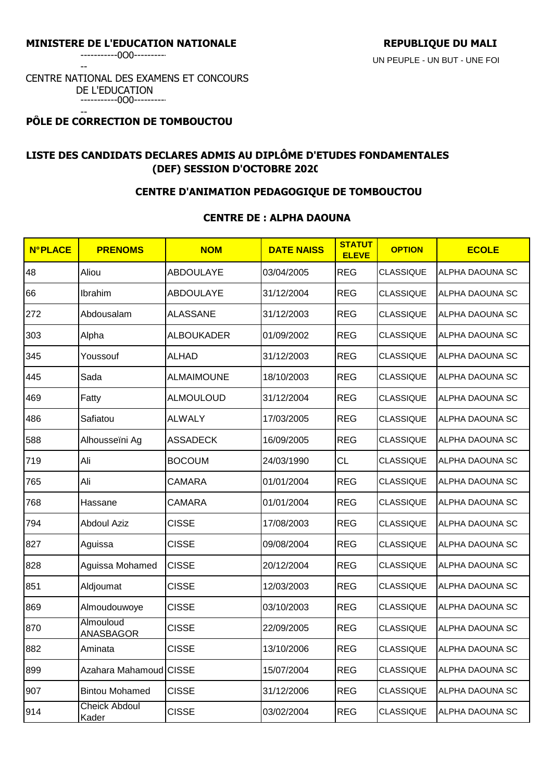-----------0O0----------

--

#### CENTRE NATIONAL DES EXAMENS ET CONCOURS DE L'EDUCATION -----------0O0----------

#### -- **PÔLE DE CORRECTION DE TOMBOUCTOU**

# **LISTE DES CANDIDATS DECLARES ADMIS AU DIPLÔME D'ETUDES FONDAMENTALES (DEF) SESSION D'OCTOBRE 2020**

## **CENTRE D'ANIMATION PEDAGOGIQUE DE TOMBOUCTOU**

## **CENTRE DE : ALPHA DAOUNA**

| <b>N°PLACE</b> | <b>PRENOMS</b>                | <b>NOM</b>        | <b>DATE NAISS</b> | <b>STATUT</b><br><b>ELEVE</b> | <b>OPTION</b>    | <b>ECOLE</b>    |
|----------------|-------------------------------|-------------------|-------------------|-------------------------------|------------------|-----------------|
| 48             | Aliou                         | <b>ABDOULAYE</b>  | 03/04/2005        | <b>REG</b>                    | <b>CLASSIQUE</b> | ALPHA DAOUNA SC |
| 66             | Ibrahim                       | <b>ABDOULAYE</b>  | 31/12/2004        | <b>REG</b>                    | <b>CLASSIQUE</b> | ALPHA DAOUNA SC |
| 272            | Abdousalam                    | <b>ALASSANE</b>   | 31/12/2003        | <b>REG</b>                    | <b>CLASSIQUE</b> | ALPHA DAOUNA SC |
| 303            | Alpha                         | ALBOUKADER        | 01/09/2002        | <b>REG</b>                    | <b>CLASSIQUE</b> | ALPHA DAOUNA SC |
| 345            | Youssouf                      | <b>ALHAD</b>      | 31/12/2003        | <b>REG</b>                    | <b>CLASSIQUE</b> | ALPHA DAOUNA SC |
| 445            | Sada                          | <b>ALMAIMOUNE</b> | 18/10/2003        | <b>REG</b>                    | <b>CLASSIQUE</b> | ALPHA DAOUNA SC |
| 469            | Fatty                         | <b>ALMOULOUD</b>  | 31/12/2004        | <b>REG</b>                    | <b>CLASSIQUE</b> | ALPHA DAOUNA SC |
| 486            | Safiatou                      | <b>ALWALY</b>     | 17/03/2005        | <b>REG</b>                    | <b>CLASSIQUE</b> | ALPHA DAOUNA SC |
| 588            | Alhousseïni Ag                | ASSADECK          | 16/09/2005        | <b>REG</b>                    | <b>CLASSIQUE</b> | ALPHA DAOUNA SC |
| 719            | Ali                           | <b>BOCOUM</b>     | 24/03/1990        | <b>CL</b>                     | <b>CLASSIQUE</b> | ALPHA DAOUNA SC |
| 765            | Ali                           | <b>CAMARA</b>     | 01/01/2004        | <b>REG</b>                    | <b>CLASSIQUE</b> | ALPHA DAOUNA SC |
| 768            | Hassane                       | <b>CAMARA</b>     | 01/01/2004        | <b>REG</b>                    | <b>CLASSIQUE</b> | ALPHA DAOUNA SC |
| 794            | <b>Abdoul Aziz</b>            | <b>CISSE</b>      | 17/08/2003        | <b>REG</b>                    | <b>CLASSIQUE</b> | ALPHA DAOUNA SC |
| 827            | Aguissa                       | <b>CISSE</b>      | 09/08/2004        | <b>REG</b>                    | <b>CLASSIQUE</b> | ALPHA DAOUNA SC |
| 828            | Aguissa Mohamed               | <b>CISSE</b>      | 20/12/2004        | <b>REG</b>                    | <b>CLASSIQUE</b> | ALPHA DAOUNA SC |
| 851            | Aldjoumat                     | <b>CISSE</b>      | 12/03/2003        | <b>REG</b>                    | <b>CLASSIQUE</b> | ALPHA DAOUNA SC |
| 869            | Almoudouwoye                  | <b>CISSE</b>      | 03/10/2003        | <b>REG</b>                    | <b>CLASSIQUE</b> | ALPHA DAOUNA SC |
| 870            | Almouloud<br><b>ANASBAGOR</b> | <b>CISSE</b>      | 22/09/2005        | <b>REG</b>                    | <b>CLASSIQUE</b> | ALPHA DAOUNA SC |
| 882            | Aminata                       | <b>CISSE</b>      | 13/10/2006        | <b>REG</b>                    | <b>CLASSIQUE</b> | ALPHA DAOUNA SC |
| 899            | Azahara Mahamoud CISSE        |                   | 15/07/2004        | <b>REG</b>                    | <b>CLASSIQUE</b> | ALPHA DAOUNA SC |
| 907            | <b>Bintou Mohamed</b>         | <b>CISSE</b>      | 31/12/2006        | <b>REG</b>                    | <b>CLASSIQUE</b> | ALPHA DAOUNA SC |
| 914            | <b>Cheick Abdoul</b><br>Kader | <b>CISSE</b>      | 03/02/2004        | <b>REG</b>                    | <b>CLASSIQUE</b> | ALPHA DAOUNA SC |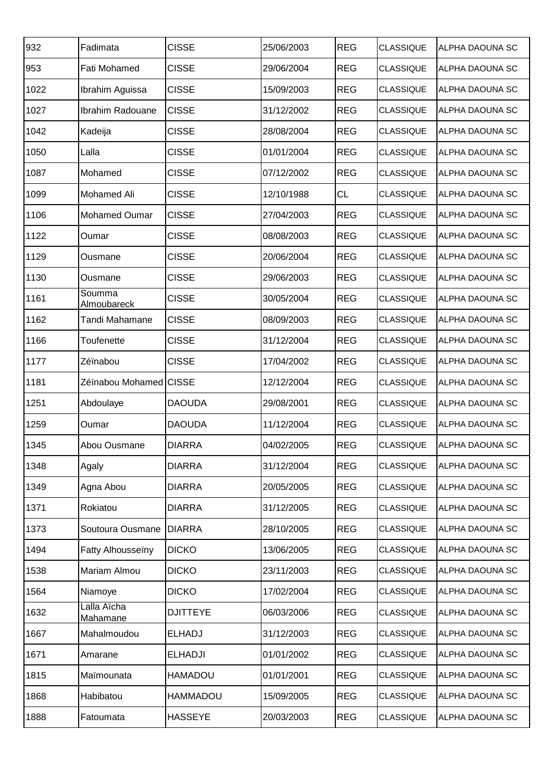| 932  | Fadimata                | <b>CISSE</b>    | 25/06/2003 | <b>REG</b> | <b>CLASSIQUE</b> | ALPHA DAOUNA SC        |
|------|-------------------------|-----------------|------------|------------|------------------|------------------------|
| 953  | Fati Mohamed            | <b>CISSE</b>    | 29/06/2004 | <b>REG</b> | <b>CLASSIQUE</b> | ALPHA DAOUNA SC        |
| 1022 | Ibrahim Aguissa         | <b>CISSE</b>    | 15/09/2003 | <b>REG</b> | <b>CLASSIQUE</b> | ALPHA DAOUNA SC        |
| 1027 | Ibrahim Radouane        | <b>CISSE</b>    | 31/12/2002 | <b>REG</b> | <b>CLASSIQUE</b> | ALPHA DAOUNA SC        |
| 1042 | Kadeija                 | <b>CISSE</b>    | 28/08/2004 | <b>REG</b> | <b>CLASSIQUE</b> | ALPHA DAOUNA SC        |
| 1050 | Lalla                   | <b>CISSE</b>    | 01/01/2004 | <b>REG</b> | <b>CLASSIQUE</b> | ALPHA DAOUNA SC        |
| 1087 | Mohamed                 | <b>CISSE</b>    | 07/12/2002 | <b>REG</b> | <b>CLASSIQUE</b> | ALPHA DAOUNA SC        |
| 1099 | Mohamed Ali             | <b>CISSE</b>    | 12/10/1988 | <b>CL</b>  | <b>CLASSIQUE</b> | ALPHA DAOUNA SC        |
| 1106 | Mohamed Oumar           | <b>CISSE</b>    | 27/04/2003 | <b>REG</b> | <b>CLASSIQUE</b> | ALPHA DAOUNA SC        |
| 1122 | Oumar                   | <b>CISSE</b>    | 08/08/2003 | <b>REG</b> | <b>CLASSIQUE</b> | <b>ALPHA DAOUNA SC</b> |
| 1129 | Ousmane                 | <b>CISSE</b>    | 20/06/2004 | <b>REG</b> | <b>CLASSIQUE</b> | ALPHA DAOUNA SC        |
| 1130 | Ousmane                 | <b>CISSE</b>    | 29/06/2003 | <b>REG</b> | <b>CLASSIQUE</b> | ALPHA DAOUNA SC        |
| 1161 | Soumma<br>Almoubareck   | <b>CISSE</b>    | 30/05/2004 | <b>REG</b> | <b>CLASSIQUE</b> | ALPHA DAOUNA SC        |
| 1162 | Tandi Mahamane          | <b>CISSE</b>    | 08/09/2003 | <b>REG</b> | <b>CLASSIQUE</b> | ALPHA DAOUNA SC        |
| 1166 | Toufenette              | <b>CISSE</b>    | 31/12/2004 | <b>REG</b> | <b>CLASSIQUE</b> | ALPHA DAOUNA SC        |
| 1177 | Zéïnabou                | <b>CISSE</b>    | 17/04/2002 | <b>REG</b> | <b>CLASSIQUE</b> | ALPHA DAOUNA SC        |
| 1181 | Zéïnabou Mohamed CISSE  |                 | 12/12/2004 | <b>REG</b> | <b>CLASSIQUE</b> | ALPHA DAOUNA SC        |
| 1251 | Abdoulaye               | <b>DAOUDA</b>   | 29/08/2001 | <b>REG</b> | <b>CLASSIQUE</b> | <b>ALPHA DAOUNA SC</b> |
| 1259 | Oumar                   | <b>DAOUDA</b>   | 11/12/2004 | <b>REG</b> | <b>CLASSIQUE</b> | ALPHA DAOUNA SC        |
| 1345 | Abou Ousmane            | <b>DIARRA</b>   | 04/02/2005 | <b>REG</b> | CLASSIQUE        | ALPHA DAOUNA SC        |
| 1348 | Agaly                   | <b>DIARRA</b>   | 31/12/2004 | <b>REG</b> | <b>CLASSIQUE</b> | ALPHA DAOUNA SC        |
| 1349 | Agna Abou               | <b>DIARRA</b>   | 20/05/2005 | <b>REG</b> | <b>CLASSIQUE</b> | <b>ALPHA DAOUNA SC</b> |
| 1371 | Rokiatou                | <b>DIARRA</b>   | 31/12/2005 | <b>REG</b> | <b>CLASSIQUE</b> | <b>ALPHA DAOUNA SC</b> |
| 1373 | Soutoura Ousmane        | <b>DIARRA</b>   | 28/10/2005 | <b>REG</b> | <b>CLASSIQUE</b> | ALPHA DAOUNA SC        |
| 1494 | Fatty Alhousseïny       | <b>DICKO</b>    | 13/06/2005 | <b>REG</b> | <b>CLASSIQUE</b> | ALPHA DAOUNA SC        |
| 1538 | Mariam Almou            | <b>DICKO</b>    | 23/11/2003 | <b>REG</b> | <b>CLASSIQUE</b> | ALPHA DAOUNA SC        |
| 1564 | Niamoye                 | <b>DICKO</b>    | 17/02/2004 | <b>REG</b> | <b>CLASSIQUE</b> | ALPHA DAOUNA SC        |
| 1632 | Lalla Aïcha<br>Mahamane | <b>DJITTEYE</b> | 06/03/2006 | <b>REG</b> | <b>CLASSIQUE</b> | ALPHA DAOUNA SC        |
| 1667 | Mahalmoudou             | <b>ELHADJ</b>   | 31/12/2003 | <b>REG</b> | <b>CLASSIQUE</b> | ALPHA DAOUNA SC        |
| 1671 | Amarane                 | <b>ELHADJI</b>  | 01/01/2002 | <b>REG</b> | <b>CLASSIQUE</b> | ALPHA DAOUNA SC        |
| 1815 | Maïmounata              | <b>HAMADOU</b>  | 01/01/2001 | <b>REG</b> | <b>CLASSIQUE</b> | <b>ALPHA DAOUNA SC</b> |
| 1868 | Habibatou               | <b>HAMMADOU</b> | 15/09/2005 | <b>REG</b> | <b>CLASSIQUE</b> | ALPHA DAOUNA SC        |
| 1888 | Fatoumata               | <b>HASSEYE</b>  | 20/03/2003 | <b>REG</b> | <b>CLASSIQUE</b> | ALPHA DAOUNA SC        |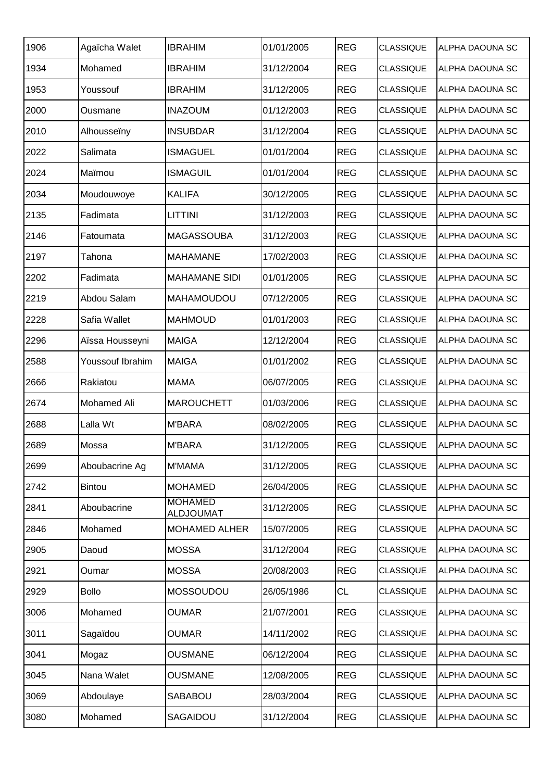| 1906 | Agaïcha Walet      | <b>IBRAHIM</b>                     | 01/01/2005 | <b>REG</b> | <b>CLASSIQUE</b> | IALPHA DAOUNA SC       |
|------|--------------------|------------------------------------|------------|------------|------------------|------------------------|
| 1934 | Mohamed            | <b>IBRAHIM</b>                     | 31/12/2004 | <b>REG</b> | <b>CLASSIQUE</b> | <b>ALPHA DAOUNA SC</b> |
| 1953 | Youssouf           | <b>IBRAHIM</b>                     | 31/12/2005 | <b>REG</b> | <b>CLASSIQUE</b> | <b>ALPHA DAOUNA SC</b> |
| 2000 | Ousmane            | <b>INAZOUM</b>                     | 01/12/2003 | <b>REG</b> | <b>CLASSIQUE</b> | ALPHA DAOUNA SC        |
| 2010 | Alhousseïny        | <b>INSUBDAR</b>                    | 31/12/2004 | <b>REG</b> | <b>CLASSIQUE</b> | <b>ALPHA DAOUNA SC</b> |
| 2022 | Salimata           | <b>ISMAGUEL</b>                    | 01/01/2004 | <b>REG</b> | <b>CLASSIQUE</b> | <b>ALPHA DAOUNA SC</b> |
| 2024 | Maïmou             | <b>ISMAGUIL</b>                    | 01/01/2004 | <b>REG</b> | <b>CLASSIQUE</b> | <b>ALPHA DAOUNA SC</b> |
| 2034 | Moudouwoye         | <b>KALIFA</b>                      | 30/12/2005 | <b>REG</b> | <b>CLASSIQUE</b> | IALPHA DAOUNA SC       |
| 2135 | Fadimata           | <b>LITTINI</b>                     | 31/12/2003 | <b>REG</b> | <b>CLASSIQUE</b> | <b>ALPHA DAOUNA SC</b> |
| 2146 | Fatoumata          | <b>MAGASSOUBA</b>                  | 31/12/2003 | <b>REG</b> | <b>CLASSIQUE</b> | ALPHA DAOUNA SC        |
| 2197 | Tahona             | <b>MAHAMANE</b>                    | 17/02/2003 | <b>REG</b> | <b>CLASSIQUE</b> | <b>ALPHA DAOUNA SC</b> |
| 2202 | Fadimata           | <b>MAHAMANE SIDI</b>               | 01/01/2005 | <b>REG</b> | <b>CLASSIQUE</b> | <b>ALPHA DAOUNA SC</b> |
| 2219 | Abdou Salam        | <b>MAHAMOUDOU</b>                  | 07/12/2005 | <b>REG</b> | <b>CLASSIQUE</b> | ALPHA DAOUNA SC        |
| 2228 | Safia Wallet       | <b>MAHMOUD</b>                     | 01/01/2003 | <b>REG</b> | <b>CLASSIQUE</b> | ALPHA DAOUNA SC        |
| 2296 | Aïssa Housseyni    | <b>MAIGA</b>                       | 12/12/2004 | <b>REG</b> | <b>CLASSIQUE</b> | ALPHA DAOUNA SC        |
| 2588 | Youssouf Ibrahim   | <b>MAIGA</b>                       | 01/01/2002 | <b>REG</b> | <b>CLASSIQUE</b> | ALPHA DAOUNA SC        |
| 2666 | Rakiatou           | <b>MAMA</b>                        | 06/07/2005 | <b>REG</b> | <b>CLASSIQUE</b> | ALPHA DAOUNA SC        |
| 2674 | <b>Mohamed Ali</b> | <b>MAROUCHETT</b>                  | 01/03/2006 | <b>REG</b> | <b>CLASSIQUE</b> | ALPHA DAOUNA SC        |
| 2688 | Lalla Wt           | <b>M'BARA</b>                      | 08/02/2005 | <b>REG</b> | <b>CLASSIQUE</b> | ALPHA DAOUNA SC        |
| 2689 | Mossa              | <b>M'BARA</b>                      | 31/12/2005 | <b>REG</b> | <b>CLASSIQUE</b> | <b>ALPHA DAOUNA SC</b> |
| 2699 | Aboubacrine Ag     | <b>M'MAMA</b>                      | 31/12/2005 | <b>REG</b> | <b>CLASSIQUE</b> | <b>ALPHA DAOUNA SC</b> |
| 2742 | <b>Bintou</b>      | <b>MOHAMED</b>                     | 26/04/2005 | <b>REG</b> | <b>CLASSIQUE</b> | ALPHA DAOUNA SC        |
| 2841 | Aboubacrine        | <b>MOHAMED</b><br><b>ALDJOUMAT</b> | 31/12/2005 | <b>REG</b> | <b>CLASSIQUE</b> | ALPHA DAOUNA SC        |
| 2846 | Mohamed            | <b>MOHAMED ALHER</b>               | 15/07/2005 | <b>REG</b> | <b>CLASSIQUE</b> | ALPHA DAOUNA SC        |
| 2905 | Daoud              | <b>MOSSA</b>                       | 31/12/2004 | <b>REG</b> | <b>CLASSIQUE</b> | ALPHA DAOUNA SC        |
| 2921 | Oumar              | <b>MOSSA</b>                       | 20/08/2003 | <b>REG</b> | <b>CLASSIQUE</b> | ALPHA DAOUNA SC        |
| 2929 | <b>Bollo</b>       | MOSSOUDOU                          | 26/05/1986 | <b>CL</b>  | <b>CLASSIQUE</b> | ALPHA DAOUNA SC        |
| 3006 | Mohamed            | <b>OUMAR</b>                       | 21/07/2001 | <b>REG</b> | <b>CLASSIQUE</b> | ALPHA DAOUNA SC        |
| 3011 | Sagaïdou           | <b>OUMAR</b>                       | 14/11/2002 | <b>REG</b> | <b>CLASSIQUE</b> | ALPHA DAOUNA SC        |
| 3041 | Mogaz              | <b>OUSMANE</b>                     | 06/12/2004 | <b>REG</b> | <b>CLASSIQUE</b> | ALPHA DAOUNA SC        |
| 3045 | Nana Walet         | <b>OUSMANE</b>                     | 12/08/2005 | <b>REG</b> | <b>CLASSIQUE</b> | ALPHA DAOUNA SC        |
| 3069 | Abdoulaye          | SABABOU                            | 28/03/2004 | <b>REG</b> | <b>CLASSIQUE</b> | ALPHA DAOUNA SC        |
| 3080 | Mohamed            | SAGAIDOU                           | 31/12/2004 | <b>REG</b> | <b>CLASSIQUE</b> | ALPHA DAOUNA SC        |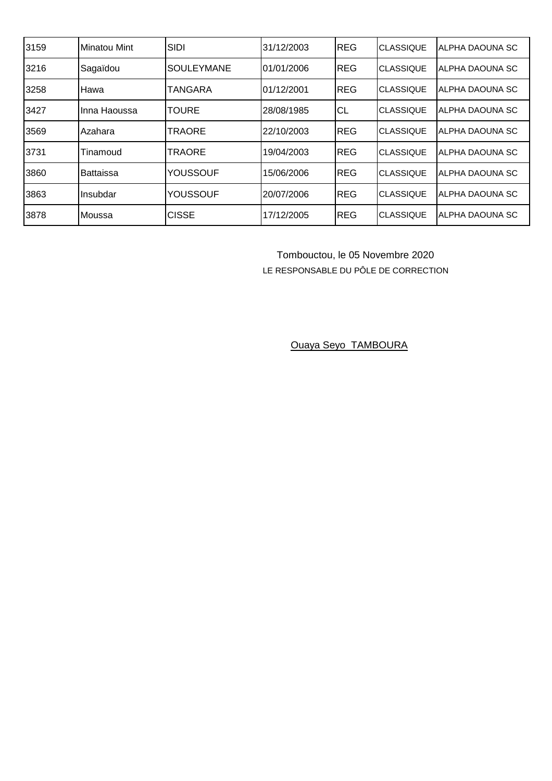| 3159 | <b>Minatou Mint</b> | <b>SIDI</b>       | 31/12/2003 | REG        | <b>CLASSIQUE</b> | ALPHA DAOUNA SC        |
|------|---------------------|-------------------|------------|------------|------------------|------------------------|
| 3216 | Sagaïdou            | <b>SOULEYMANE</b> | 01/01/2006 | <b>REG</b> | <b>CLASSIQUE</b> | ALPHA DAOUNA SC        |
| 3258 | <b>Hawa</b>         | <b>TANGARA</b>    | 01/12/2001 | <b>REG</b> | <b>CLASSIQUE</b> | ALPHA DAOUNA SC        |
| 3427 | Inna Haoussa        | <b>TOURE</b>      | 28/08/1985 | <b>CL</b>  | <b>CLASSIQUE</b> | ALPHA DAOUNA SC        |
| 3569 | <b>Azahara</b>      | <b>TRAORE</b>     | 22/10/2003 | <b>REG</b> | <b>CLASSIQUE</b> | IALPHA DAOUNA SC       |
| 3731 | Tinamoud            | <b>TRAORE</b>     | 19/04/2003 | <b>REG</b> | <b>CLASSIQUE</b> | <b>ALPHA DAOUNA SC</b> |
| 3860 | <b>Battaissa</b>    | <b>YOUSSOUF</b>   | 15/06/2006 | <b>REG</b> | <b>CLASSIQUE</b> | ALPHA DAOUNA SC        |
| 3863 | Insubdar            | YOUSSOUF          | 20/07/2006 | <b>REG</b> | <b>CLASSIQUE</b> | ALPHA DAOUNA SC        |
| 3878 | Moussa              | <b>CISSE</b>      | 17/12/2005 | <b>REG</b> | <b>CLASSIQUE</b> | IALPHA DAOUNA SC       |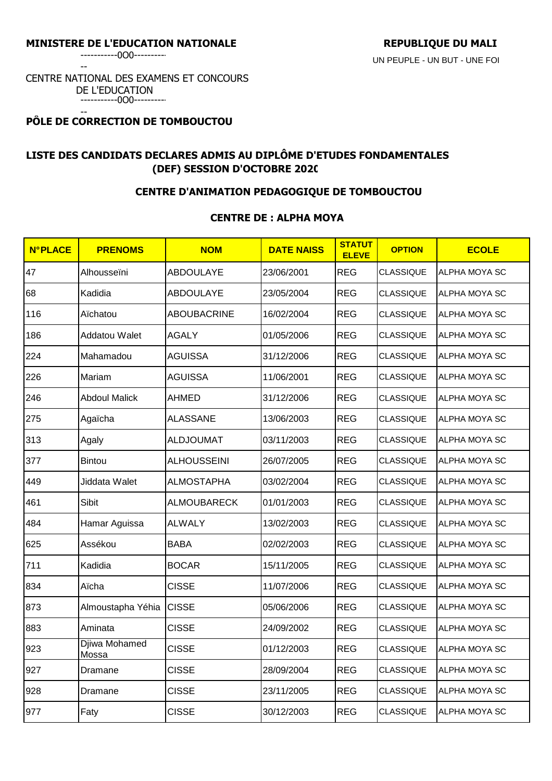-----------0O0----------

--

#### CENTRE NATIONAL DES EXAMENS ET CONCOURS DE L'EDUCATION -----------0O0----------

#### -- **PÔLE DE CORRECTION DE TOMBOUCTOU**

# **LISTE DES CANDIDATS DECLARES ADMIS AU DIPLÔME D'ETUDES FONDAMENTALES (DEF) SESSION D'OCTOBRE 2020**

## **CENTRE D'ANIMATION PEDAGOGIQUE DE TOMBOUCTOU**

## **CENTRE DE : ALPHA MOYA**

| <b>N°PLACE</b> | <b>PRENOMS</b>         | <b>NOM</b>         | <b>DATE NAISS</b> | <b>STATUT</b><br><b>ELEVE</b> | <b>OPTION</b>    | <b>ECOLE</b>  |
|----------------|------------------------|--------------------|-------------------|-------------------------------|------------------|---------------|
| 47             | Alhousseïni            | <b>ABDOULAYE</b>   | 23/06/2001        | <b>REG</b>                    | <b>CLASSIQUE</b> | ALPHA MOYA SC |
| 68             | Kadidia                | <b>ABDOULAYE</b>   | 23/05/2004        | <b>REG</b>                    | <b>CLASSIQUE</b> | ALPHA MOYA SC |
| 116            | Aïchatou               | <b>ABOUBACRINE</b> | 16/02/2004        | <b>REG</b>                    | <b>CLASSIQUE</b> | ALPHA MOYA SC |
| 186            | Addatou Walet          | <b>AGALY</b>       | 01/05/2006        | <b>REG</b>                    | <b>CLASSIQUE</b> | ALPHA MOYA SC |
| 224            | Mahamadou              | <b>AGUISSA</b>     | 31/12/2006        | <b>REG</b>                    | <b>CLASSIQUE</b> | ALPHA MOYA SC |
| 226            | Mariam                 | <b>AGUISSA</b>     | 11/06/2001        | <b>REG</b>                    | <b>CLASSIQUE</b> | ALPHA MOYA SC |
| 246            | <b>Abdoul Malick</b>   | <b>AHMED</b>       | 31/12/2006        | <b>REG</b>                    | <b>CLASSIQUE</b> | ALPHA MOYA SC |
| 275            | Agaïcha                | <b>ALASSANE</b>    | 13/06/2003        | <b>REG</b>                    | <b>CLASSIQUE</b> | ALPHA MOYA SC |
| 313            | Agaly                  | <b>ALDJOUMAT</b>   | 03/11/2003        | <b>REG</b>                    | <b>CLASSIQUE</b> | ALPHA MOYA SC |
| 377            | <b>Bintou</b>          | <b>ALHOUSSEINI</b> | 26/07/2005        | <b>REG</b>                    | <b>CLASSIQUE</b> | ALPHA MOYA SC |
| 449            | Jiddata Walet          | <b>ALMOSTAPHA</b>  | 03/02/2004        | <b>REG</b>                    | <b>CLASSIQUE</b> | ALPHA MOYA SC |
| 461            | Sibit                  | <b>ALMOUBARECK</b> | 01/01/2003        | <b>REG</b>                    | <b>CLASSIQUE</b> | ALPHA MOYA SC |
| 484            | Hamar Aguissa          | <b>ALWALY</b>      | 13/02/2003        | <b>REG</b>                    | <b>CLASSIQUE</b> | ALPHA MOYA SC |
| 625            | Assékou                | <b>BABA</b>        | 02/02/2003        | <b>REG</b>                    | <b>CLASSIQUE</b> | ALPHA MOYA SC |
| 711            | Kadidia                | <b>BOCAR</b>       | 15/11/2005        | <b>REG</b>                    | <b>CLASSIQUE</b> | ALPHA MOYA SC |
| 834            | Aïcha                  | <b>CISSE</b>       | 11/07/2006        | <b>REG</b>                    | <b>CLASSIQUE</b> | ALPHA MOYA SC |
| 873            | Almoustapha Yéhia      | <b>CISSE</b>       | 05/06/2006        | <b>REG</b>                    | <b>CLASSIQUE</b> | ALPHA MOYA SC |
| 883            | Aminata                | <b>CISSE</b>       | 24/09/2002        | <b>REG</b>                    | <b>CLASSIQUE</b> | ALPHA MOYA SC |
| 923            | Djiwa Mohamed<br>Mossa | <b>CISSE</b>       | 01/12/2003        | <b>REG</b>                    | <b>CLASSIQUE</b> | ALPHA MOYA SC |
| 927            | Dramane                | <b>CISSE</b>       | 28/09/2004        | <b>REG</b>                    | <b>CLASSIQUE</b> | ALPHA MOYA SC |
| 928            | Dramane                | <b>CISSE</b>       | 23/11/2005        | <b>REG</b>                    | <b>CLASSIQUE</b> | ALPHA MOYA SC |
| 977            | Faty                   | <b>CISSE</b>       | 30/12/2003        | <b>REG</b>                    | <b>CLASSIQUE</b> | ALPHA MOYA SC |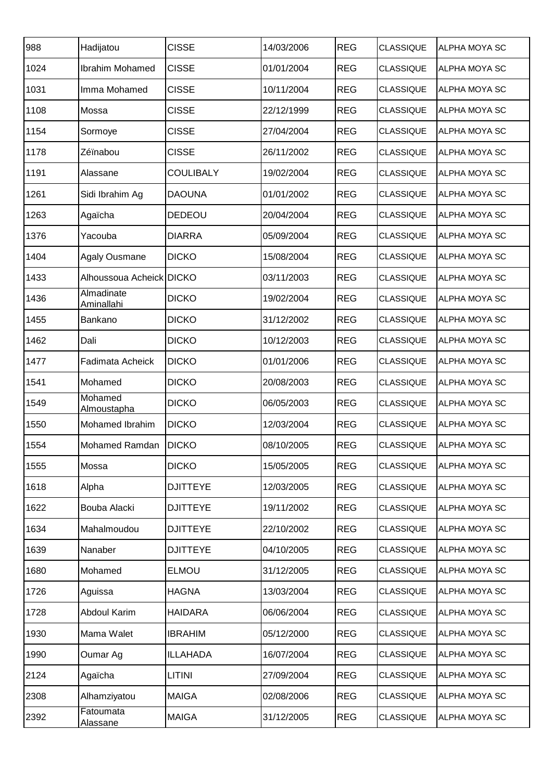| 988  | Hadijatou                     | <b>CISSE</b>     | 14/03/2006 | <b>REG</b> | <b>CLASSIQUE</b> | <b>ALPHA MOYA SC</b> |
|------|-------------------------------|------------------|------------|------------|------------------|----------------------|
| 1024 | Ibrahim Mohamed               | <b>CISSE</b>     | 01/01/2004 | <b>REG</b> | <b>CLASSIQUE</b> | <b>ALPHA MOYA SC</b> |
| 1031 | Imma Mohamed                  | <b>CISSE</b>     | 10/11/2004 | <b>REG</b> | <b>CLASSIQUE</b> | ALPHA MOYA SC        |
| 1108 | Mossa                         | <b>CISSE</b>     | 22/12/1999 | <b>REG</b> | <b>CLASSIQUE</b> | ALPHA MOYA SC        |
| 1154 | Sormoye                       | <b>CISSE</b>     | 27/04/2004 | <b>REG</b> | <b>CLASSIQUE</b> | ALPHA MOYA SC        |
| 1178 | Zéïnabou                      | <b>CISSE</b>     | 26/11/2002 | <b>REG</b> | <b>CLASSIQUE</b> | <b>ALPHA MOYA SC</b> |
| 1191 | Alassane                      | <b>COULIBALY</b> | 19/02/2004 | <b>REG</b> | <b>CLASSIQUE</b> | <b>ALPHA MOYA SC</b> |
| 1261 | Sidi Ibrahim Ag               | <b>DAOUNA</b>    | 01/01/2002 | <b>REG</b> | <b>CLASSIQUE</b> | ALPHA MOYA SC        |
| 1263 | Agaïcha                       | <b>DEDEOU</b>    | 20/04/2004 | <b>REG</b> | <b>CLASSIQUE</b> | ALPHA MOYA SC        |
| 1376 | Yacouba                       | <b>DIARRA</b>    | 05/09/2004 | <b>REG</b> | <b>CLASSIQUE</b> | <b>ALPHA MOYA SC</b> |
| 1404 | <b>Agaly Ousmane</b>          | <b>DICKO</b>     | 15/08/2004 | <b>REG</b> | <b>CLASSIQUE</b> | ALPHA MOYA SC        |
| 1433 | Alhoussoua Acheick DICKO      |                  | 03/11/2003 | <b>REG</b> | <b>CLASSIQUE</b> | ALPHA MOYA SC        |
| 1436 | Almadinate<br>Aminallahi      | <b>DICKO</b>     | 19/02/2004 | <b>REG</b> | <b>CLASSIQUE</b> | ALPHA MOYA SC        |
| 1455 | Bankano                       | <b>DICKO</b>     | 31/12/2002 | <b>REG</b> | <b>CLASSIQUE</b> | ALPHA MOYA SC        |
| 1462 | Dali                          | <b>DICKO</b>     | 10/12/2003 | <b>REG</b> | <b>CLASSIQUE</b> | <b>ALPHA MOYA SC</b> |
| 1477 | Fadimata Acheick              | <b>DICKO</b>     | 01/01/2006 | <b>REG</b> | <b>CLASSIQUE</b> | ALPHA MOYA SC        |
| 1541 | Mohamed                       | <b>DICKO</b>     | 20/08/2003 | <b>REG</b> | <b>CLASSIQUE</b> | ALPHA MOYA SC        |
| 1549 | Mohamed<br><b>Almoustapha</b> | <b>DICKO</b>     | 06/05/2003 | <b>REG</b> | <b>CLASSIQUE</b> | <b>ALPHA MOYA SC</b> |
| 1550 | Mohamed Ibrahim               | <b>DICKO</b>     | 12/03/2004 | <b>REG</b> | <b>CLASSIQUE</b> | <b>ALPHA MOYA SC</b> |
| 1554 | Mohamed Ramdan                | <b>DICKO</b>     | 08/10/2005 | <b>REG</b> | <b>CLASSIQUE</b> | <b>ALPHA MOYA SC</b> |
| 1555 | Mossa                         | <b>DICKO</b>     | 15/05/2005 | <b>REG</b> | <b>CLASSIQUE</b> | <b>ALPHA MOYA SC</b> |
| 1618 | Alpha                         | <b>DJITTEYE</b>  | 12/03/2005 | <b>REG</b> | <b>CLASSIQUE</b> | ALPHA MOYA SC        |
| 1622 | Bouba Alacki                  | <b>DJITTEYE</b>  | 19/11/2002 | <b>REG</b> | <b>CLASSIQUE</b> | ALPHA MOYA SC        |
| 1634 | Mahalmoudou                   | <b>DJITTEYE</b>  | 22/10/2002 | <b>REG</b> | <b>CLASSIQUE</b> | ALPHA MOYA SC        |
| 1639 | Nanaber                       | <b>DJITTEYE</b>  | 04/10/2005 | <b>REG</b> | <b>CLASSIQUE</b> | ALPHA MOYA SC        |
| 1680 | Mohamed                       | <b>ELMOU</b>     | 31/12/2005 | <b>REG</b> | <b>CLASSIQUE</b> | ALPHA MOYA SC        |
| 1726 | Aguissa                       | <b>HAGNA</b>     | 13/03/2004 | <b>REG</b> | <b>CLASSIQUE</b> | ALPHA MOYA SC        |
| 1728 | Abdoul Karim                  | <b>HAIDARA</b>   | 06/06/2004 | <b>REG</b> | <b>CLASSIQUE</b> | ALPHA MOYA SC        |
| 1930 | Mama Walet                    | <b>IBRAHIM</b>   | 05/12/2000 | <b>REG</b> | <b>CLASSIQUE</b> | ALPHA MOYA SC        |
| 1990 | Oumar Ag                      | <b>ILLAHADA</b>  | 16/07/2004 | <b>REG</b> | <b>CLASSIQUE</b> | ALPHA MOYA SC        |
| 2124 | Agaïcha                       | LITINI           | 27/09/2004 | <b>REG</b> | <b>CLASSIQUE</b> | ALPHA MOYA SC        |
| 2308 | Alhamziyatou                  | <b>MAIGA</b>     | 02/08/2006 | <b>REG</b> | <b>CLASSIQUE</b> | ALPHA MOYA SC        |
| 2392 | Fatoumata<br><b>Alassane</b>  | <b>MAIGA</b>     | 31/12/2005 | <b>REG</b> | <b>CLASSIQUE</b> | ALPHA MOYA SC        |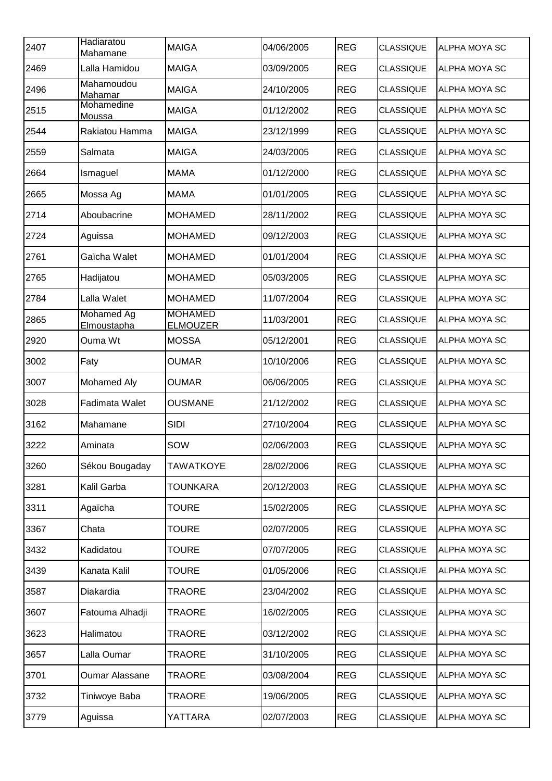| 2407 | Hadiaratou<br>Mahamane    | <b>MAIGA</b>                      | 04/06/2005 | <b>REG</b> | <b>CLASSIQUE</b> | <b>ALPHA MOYA SC</b> |
|------|---------------------------|-----------------------------------|------------|------------|------------------|----------------------|
| 2469 | Lalla Hamidou             | <b>MAIGA</b>                      | 03/09/2005 | <b>REG</b> | <b>CLASSIQUE</b> | <b>ALPHA MOYA SC</b> |
| 2496 | Mahamoudou<br>Mahamar     | <b>MAIGA</b>                      | 24/10/2005 | <b>REG</b> | <b>CLASSIQUE</b> | ALPHA MOYA SC        |
| 2515 | Mohamedine<br>Moussa      | <b>MAIGA</b>                      | 01/12/2002 | <b>REG</b> | <b>CLASSIQUE</b> | ALPHA MOYA SC        |
| 2544 | Rakiatou Hamma            | <b>MAIGA</b>                      | 23/12/1999 | <b>REG</b> | <b>CLASSIQUE</b> | ALPHA MOYA SC        |
| 2559 | Salmata                   | <b>MAIGA</b>                      | 24/03/2005 | <b>REG</b> | <b>CLASSIQUE</b> | ALPHA MOYA SC        |
| 2664 | Ismaguel                  | <b>MAMA</b>                       | 01/12/2000 | <b>REG</b> | <b>CLASSIQUE</b> | ALPHA MOYA SC        |
| 2665 | Mossa Ag                  | <b>MAMA</b>                       | 01/01/2005 | <b>REG</b> | <b>CLASSIQUE</b> | ALPHA MOYA SC        |
| 2714 | Aboubacrine               | <b>MOHAMED</b>                    | 28/11/2002 | <b>REG</b> | <b>CLASSIQUE</b> | ALPHA MOYA SC        |
| 2724 | Aguissa                   | <b>MOHAMED</b>                    | 09/12/2003 | <b>REG</b> | <b>CLASSIQUE</b> | ALPHA MOYA SC        |
| 2761 | Gaïcha Walet              | <b>MOHAMED</b>                    | 01/01/2004 | <b>REG</b> | <b>CLASSIQUE</b> | ALPHA MOYA SC        |
| 2765 | Hadijatou                 | <b>MOHAMED</b>                    | 05/03/2005 | <b>REG</b> | <b>CLASSIQUE</b> | ALPHA MOYA SC        |
| 2784 | Lalla Walet               | <b>MOHAMED</b>                    | 11/07/2004 | <b>REG</b> | <b>CLASSIQUE</b> | ALPHA MOYA SC        |
| 2865 | Mohamed Ag<br>Elmoustapha | <b>MOHAMED</b><br><b>ELMOUZER</b> | 11/03/2001 | <b>REG</b> | <b>CLASSIQUE</b> | ALPHA MOYA SC        |
| 2920 | Ouma Wt                   | <b>MOSSA</b>                      | 05/12/2001 | <b>REG</b> | <b>CLASSIQUE</b> | ALPHA MOYA SC        |
| 3002 | Faty                      | <b>OUMAR</b>                      | 10/10/2006 | <b>REG</b> | <b>CLASSIQUE</b> | ALPHA MOYA SC        |
| 3007 | Mohamed Aly               | <b>OUMAR</b>                      | 06/06/2005 | <b>REG</b> | <b>CLASSIQUE</b> | ALPHA MOYA SC        |
| 3028 | Fadimata Walet            | <b>OUSMANE</b>                    | 21/12/2002 | <b>REG</b> | <b>CLASSIQUE</b> | ALPHA MOYA SC        |
| 3162 | Mahamane                  | SIDI                              | 27/10/2004 | <b>REG</b> | <b>CLASSIQUE</b> | ALPHA MOYA SC        |
| 3222 | Aminata                   | SOW                               | 02/06/2003 | <b>REG</b> | <b>CLASSIQUE</b> | <b>ALPHA MOYA SC</b> |
| 3260 | Sékou Bougaday            | <b>TAWATKOYE</b>                  | 28/02/2006 | <b>REG</b> | <b>CLASSIQUE</b> | ALPHA MOYA SC        |
| 3281 | Kalil Garba               | <b>TOUNKARA</b>                   | 20/12/2003 | <b>REG</b> | <b>CLASSIQUE</b> | ALPHA MOYA SC        |
| 3311 | Agaïcha                   | <b>TOURE</b>                      | 15/02/2005 | <b>REG</b> | <b>CLASSIQUE</b> | ALPHA MOYA SC        |
| 3367 | Chata                     | <b>TOURE</b>                      | 02/07/2005 | <b>REG</b> | <b>CLASSIQUE</b> | ALPHA MOYA SC        |
| 3432 | Kadidatou                 | <b>TOURE</b>                      | 07/07/2005 | <b>REG</b> | <b>CLASSIQUE</b> | ALPHA MOYA SC        |
| 3439 | Kanata Kalil              | <b>TOURE</b>                      | 01/05/2006 | <b>REG</b> | <b>CLASSIQUE</b> | ALPHA MOYA SC        |
| 3587 | Diakardia                 | <b>TRAORE</b>                     | 23/04/2002 | <b>REG</b> | <b>CLASSIQUE</b> | ALPHA MOYA SC        |
| 3607 | Fatouma Alhadji           | <b>TRAORE</b>                     | 16/02/2005 | <b>REG</b> | <b>CLASSIQUE</b> | ALPHA MOYA SC        |
| 3623 | Halimatou                 | <b>TRAORE</b>                     | 03/12/2002 | <b>REG</b> | <b>CLASSIQUE</b> | ALPHA MOYA SC        |
| 3657 | Lalla Oumar               | <b>TRAORE</b>                     | 31/10/2005 | <b>REG</b> | <b>CLASSIQUE</b> | ALPHA MOYA SC        |
| 3701 | <b>Oumar Alassane</b>     | <b>TRAORE</b>                     | 03/08/2004 | <b>REG</b> | <b>CLASSIQUE</b> | ALPHA MOYA SC        |
| 3732 | Tiniwoye Baba             | <b>TRAORE</b>                     | 19/06/2005 | <b>REG</b> | <b>CLASSIQUE</b> | ALPHA MOYA SC        |
| 3779 | Aguissa                   | YATTARA                           | 02/07/2003 | <b>REG</b> | <b>CLASSIQUE</b> | ALPHA MOYA SC        |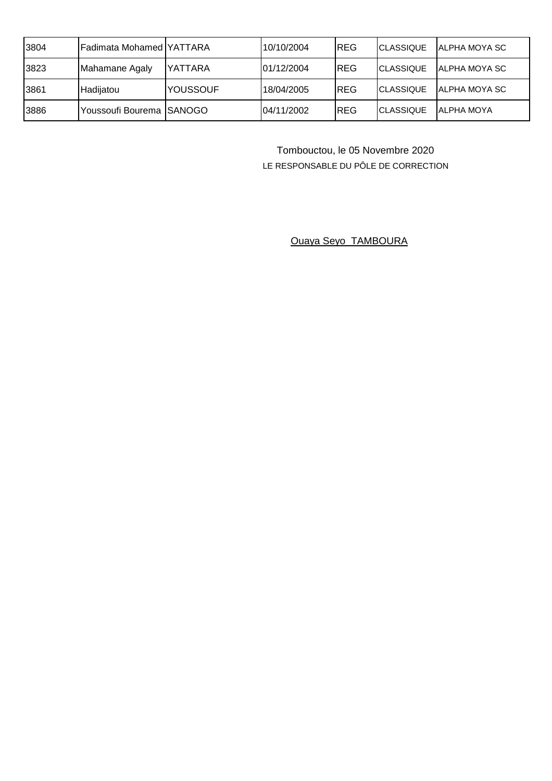| 3804 | IFadimata Mohamed IYATTARA |                 | 10/10/2004 | <b>REG</b> | <b>CLASSIQUE</b> | IALPHA MOYA SC        |
|------|----------------------------|-----------------|------------|------------|------------------|-----------------------|
| 3823 | Mahamane Agaly             | <b>IYATTARA</b> | 01/12/2004 | <b>REG</b> | <b>CLASSIQUE</b> | <b>IALPHA MOYA SC</b> |
| 3861 | Hadiiatou                  | YOUSSOUF        | 18/04/2005 | <b>REG</b> | <b>CLASSIQUE</b> | <b>IALPHA MOYA SC</b> |
| 3886 | Youssoufi Bourema ISANOGO  |                 | 04/11/2002 | <b>REG</b> | <b>CLASSIQUE</b> | <b>IALPHA MOYA</b>    |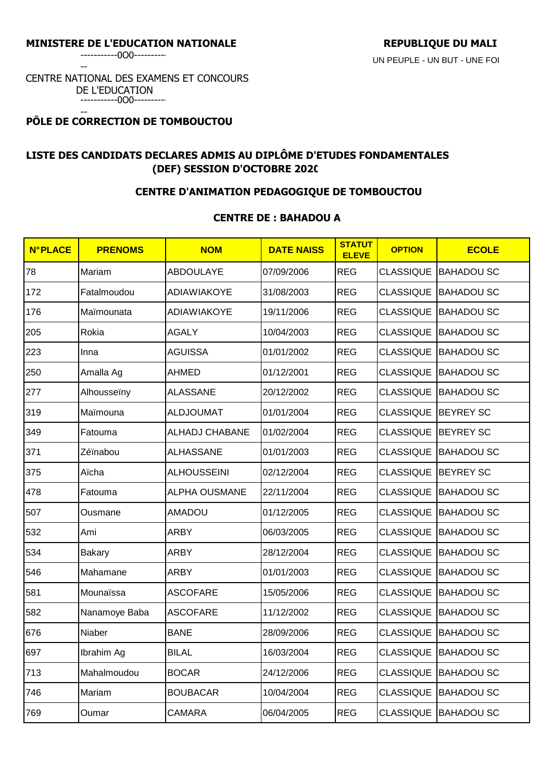-----------0O0----------

--

#### CENTRE NATIONAL DES EXAMENS ET CONCOURS DE L'EDUCATION -----------0O0----------

#### -- **PÔLE DE CORRECTION DE TOMBOUCTOU**

# **LISTE DES CANDIDATS DECLARES ADMIS AU DIPLÔME D'ETUDES FONDAMENTALES (DEF) SESSION D'OCTOBRE 2020**

## **CENTRE D'ANIMATION PEDAGOGIQUE DE TOMBOUCTOU**

# **CENTRE DE : BAHADOU A**

| <b>N°PLACE</b> | <b>PRENOMS</b> | <b>NOM</b>           | <b>DATE NAISS</b> | <b>STATUT</b><br><b>ELEVE</b> | <b>OPTION</b>         | <b>ECOLE</b>                |
|----------------|----------------|----------------------|-------------------|-------------------------------|-----------------------|-----------------------------|
| 78             | Mariam         | <b>ABDOULAYE</b>     | 07/09/2006        | <b>REG</b>                    | <b>CLASSIQUE</b>      | <b>BAHADOU SC</b>           |
| 172            | Fatalmoudou    | <b>ADIAWIAKOYE</b>   | 31/08/2003        | <b>REG</b>                    | <b>CLASSIQUE</b>      | <b>BAHADOU SC</b>           |
| 176            | Maïmounata     | ADIAWIAKOYE          | 19/11/2006        | <b>REG</b>                    | <b>CLASSIQUE</b>      | <b>BAHADOU SC</b>           |
| 205            | Rokia          | <b>AGALY</b>         | 10/04/2003        | <b>REG</b>                    |                       | CLASSIQUE BAHADOU SC        |
| 223            | Inna           | <b>AGUISSA</b>       | 01/01/2002        | <b>REG</b>                    | <b>CLASSIQUE</b>      | <b>BAHADOU SC</b>           |
| 250            | Amalla Ag      | <b>AHMED</b>         | 01/12/2001        | <b>REG</b>                    |                       | CLASSIQUE BAHADOU SC        |
| 277            | Alhousseïny    | <b>ALASSANE</b>      | 20/12/2002        | <b>REG</b>                    | <b>CLASSIQUE</b>      | <b>BAHADOU SC</b>           |
| 319            | Maïmouna       | <b>ALDJOUMAT</b>     | 01/01/2004        | <b>REG</b>                    | CLASSIQUE   BEYREY SC |                             |
| 349            | Fatouma        | ALHADJ CHABANE       | 01/02/2004        | <b>REG</b>                    | <b>CLASSIQUE</b>      | <b>BEYREY SC</b>            |
| 371            | Zéïnabou       | <b>ALHASSANE</b>     | 01/01/2003        | <b>REG</b>                    | <b>CLASSIQUE</b>      | <b>BAHADOU SC</b>           |
| 375            | Aïcha          | <b>ALHOUSSEINI</b>   | 02/12/2004        | <b>REG</b>                    | <b>CLASSIQUE</b>      | <b>BEYREY SC</b>            |
| 478            | Fatouma        | <b>ALPHA OUSMANE</b> | 22/11/2004        | <b>REG</b>                    | <b>CLASSIQUE</b>      | <b>BAHADOU SC</b>           |
| 507            | Ousmane        | <b>AMADOU</b>        | 01/12/2005        | <b>REG</b>                    | <b>CLASSIQUE</b>      | <b>BAHADOU SC</b>           |
| 532            | Ami            | <b>ARBY</b>          | 06/03/2005        | <b>REG</b>                    |                       | CLASSIQUE BAHADOU SC        |
| 534            | <b>Bakary</b>  | <b>ARBY</b>          | 28/12/2004        | <b>REG</b>                    |                       | CLASSIQUE BAHADOU SC        |
| 546            | Mahamane       | <b>ARBY</b>          | 01/01/2003        | <b>REG</b>                    |                       | CLASSIQUE BAHADOU SC        |
| 581            | Mounaïssa      | <b>ASCOFARE</b>      | 15/05/2006        | <b>REG</b>                    | <b>CLASSIQUE</b>      | <b>BAHADOU SC</b>           |
| 582            | Nanamoye Baba  | <b>ASCOFARE</b>      | 11/12/2002        | <b>REG</b>                    | <b>CLASSIQUE</b>      | <b>BAHADOU SC</b>           |
| 676            | Niaber         | <b>BANE</b>          | 28/09/2006        | <b>REG</b>                    | <b>CLASSIQUE</b>      | <b>BAHADOU SC</b>           |
| 697            | Ibrahim Ag     | <b>BILAL</b>         | 16/03/2004        | <b>REG</b>                    | <b>CLASSIQUE</b>      | <b>BAHADOU SC</b>           |
| 713            | Mahalmoudou    | <b>BOCAR</b>         | 24/12/2006        | <b>REG</b>                    | <b>CLASSIQUE</b>      | <b>BAHADOU SC</b>           |
| 746            | Mariam         | <b>BOUBACAR</b>      | 10/04/2004        | <b>REG</b>                    | <b>CLASSIQUE</b>      | <b>BAHADOU SC</b>           |
| 769            | Oumar          | <b>CAMARA</b>        | 06/04/2005        | <b>REG</b>                    |                       | <b>CLASSIQUE BAHADOU SC</b> |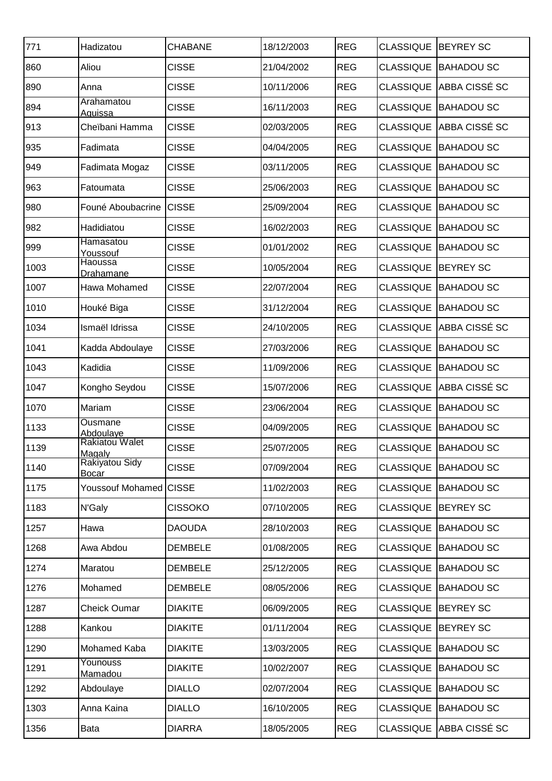| 771  | Hadizatou                       | <b>CHABANE</b> | 18/12/2003 | <b>REG</b> | <b>CLASSIQUE</b> | <b>BEYREY SC</b>  |
|------|---------------------------------|----------------|------------|------------|------------------|-------------------|
| 860  | Aliou                           | <b>CISSE</b>   | 21/04/2002 | <b>REG</b> | <b>CLASSIQUE</b> | <b>BAHADOU SC</b> |
| 890  | Anna                            | <b>CISSE</b>   | 10/11/2006 | <b>REG</b> | <b>CLASSIQUE</b> | ABBA CISSÉ SC     |
| 894  | Arahamatou<br>Aguissa           | <b>CISSE</b>   | 16/11/2003 | <b>REG</b> | <b>CLASSIQUE</b> | <b>BAHADOU SC</b> |
| 913  | Cheïbani Hamma                  | <b>CISSE</b>   | 02/03/2005 | <b>REG</b> | <b>CLASSIQUE</b> | ABBA CISSÉ SC     |
| 935  | Fadimata                        | <b>CISSE</b>   | 04/04/2005 | <b>REG</b> | <b>CLASSIQUE</b> | <b>BAHADOU SC</b> |
| 949  | Fadimata Mogaz                  | <b>CISSE</b>   | 03/11/2005 | <b>REG</b> | <b>CLASSIQUE</b> | <b>BAHADOU SC</b> |
| 963  | Fatoumata                       | <b>CISSE</b>   | 25/06/2003 | <b>REG</b> | <b>CLASSIQUE</b> | <b>BAHADOU SC</b> |
| 980  | Founé Aboubacrine               | <b>CISSE</b>   | 25/09/2004 | <b>REG</b> | <b>CLASSIQUE</b> | <b>BAHADOU SC</b> |
| 982  | Hadidiatou                      | <b>CISSE</b>   | 16/02/2003 | <b>REG</b> | <b>CLASSIQUE</b> | <b>BAHADOU SC</b> |
| 999  | Hamasatou<br>Youssouf           | <b>CISSE</b>   | 01/01/2002 | <b>REG</b> | <b>CLASSIQUE</b> | <b>BAHADOU SC</b> |
| 1003 | Haoussa<br>Drahamane            | <b>CISSE</b>   | 10/05/2004 | <b>REG</b> | <b>CLASSIQUE</b> | <b>BEYREY SC</b>  |
| 1007 | Hawa Mohamed                    | <b>CISSE</b>   | 22/07/2004 | <b>REG</b> | <b>CLASSIQUE</b> | <b>BAHADOU SC</b> |
| 1010 | Houké Biga                      | <b>CISSE</b>   | 31/12/2004 | <b>REG</b> | <b>CLASSIQUE</b> | <b>BAHADOU SC</b> |
| 1034 | Ismaël Idrissa                  | <b>CISSE</b>   | 24/10/2005 | <b>REG</b> | <b>CLASSIQUE</b> | ABBA CISSÉ SC     |
| 1041 | Kadda Abdoulaye                 | <b>CISSE</b>   | 27/03/2006 | <b>REG</b> | <b>CLASSIQUE</b> | <b>BAHADOU SC</b> |
| 1043 | Kadidia                         | <b>CISSE</b>   | 11/09/2006 | <b>REG</b> | <b>CLASSIQUE</b> | <b>BAHADOU SC</b> |
| 1047 | Kongho Seydou                   | <b>CISSE</b>   | 15/07/2006 | <b>REG</b> | <b>CLASSIQUE</b> | ABBA CISSÉ SC     |
| 1070 | Mariam                          | <b>CISSE</b>   | 23/06/2004 | <b>REG</b> | <b>CLASSIQUE</b> | <b>BAHADOU SC</b> |
| 1133 | Ousmane<br>Abdoulaye            | <b>CISSE</b>   | 04/09/2005 | <b>REG</b> | <b>CLASSIQUE</b> | <b>BAHADOU SC</b> |
| 1139 | <b>Rakiatou Walet</b><br>Magaly | <b>CISSE</b>   | 25/07/2005 | <b>REG</b> | <b>CLASSIQUE</b> | <b>BAHADOU SC</b> |
| 1140 | <b>Rakiyatou Sidy</b><br>Bocar  | <b>CISSE</b>   | 07/09/2004 | <b>REG</b> | <b>CLASSIQUE</b> | <b>BAHADOU SC</b> |
| 1175 | Youssouf Mohamed CISSE          |                | 11/02/2003 | <b>REG</b> | <b>CLASSIQUE</b> | <b>BAHADOU SC</b> |
| 1183 | N'Galy                          | <b>CISSOKO</b> | 07/10/2005 | <b>REG</b> | <b>CLASSIQUE</b> | <b>BEYREY SC</b>  |
| 1257 | Hawa                            | DAOUDA         | 28/10/2003 | <b>REG</b> | <b>CLASSIQUE</b> | <b>BAHADOU SC</b> |
| 1268 | Awa Abdou                       | <b>DEMBELE</b> | 01/08/2005 | <b>REG</b> | <b>CLASSIQUE</b> | <b>BAHADOU SC</b> |
| 1274 | Maratou                         | <b>DEMBELE</b> | 25/12/2005 | <b>REG</b> | <b>CLASSIQUE</b> | <b>BAHADOU SC</b> |
| 1276 | Mohamed                         | <b>DEMBELE</b> | 08/05/2006 | <b>REG</b> | <b>CLASSIQUE</b> | <b>BAHADOU SC</b> |
| 1287 | <b>Cheick Oumar</b>             | <b>DIAKITE</b> | 06/09/2005 | <b>REG</b> | <b>CLASSIQUE</b> | <b>BEYREY SC</b>  |
| 1288 | Kankou                          | <b>DIAKITE</b> | 01/11/2004 | <b>REG</b> | <b>CLASSIQUE</b> | <b>BEYREY SC</b>  |
| 1290 | Mohamed Kaba                    | <b>DIAKITE</b> | 13/03/2005 | <b>REG</b> | <b>CLASSIQUE</b> | <b>BAHADOU SC</b> |
| 1291 | Younouss<br><b>Mamadou</b>      | <b>DIAKITE</b> | 10/02/2007 | <b>REG</b> | <b>CLASSIQUE</b> | <b>BAHADOU SC</b> |
| 1292 | Abdoulaye                       | <b>DIALLO</b>  | 02/07/2004 | <b>REG</b> | <b>CLASSIQUE</b> | <b>BAHADOU SC</b> |
| 1303 | Anna Kaina                      | <b>DIALLO</b>  | 16/10/2005 | <b>REG</b> | <b>CLASSIQUE</b> | <b>BAHADOU SC</b> |
| 1356 | Bata                            | <b>DIARRA</b>  | 18/05/2005 | <b>REG</b> | <b>CLASSIQUE</b> | ABBA CISSÉ SC     |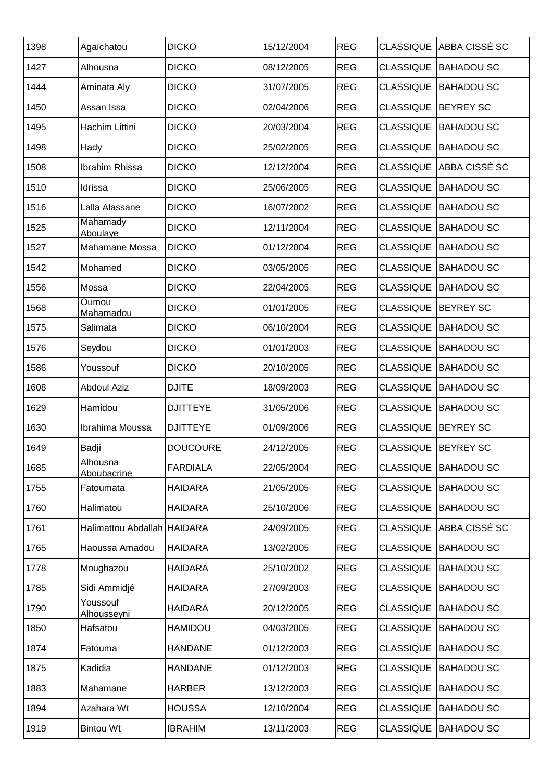| 1398 | Agaïchatou                  | <b>DICKO</b>    | 15/12/2004 | <b>REG</b> | <b>CLASSIQUE</b>    | <b>ABBA CISSÉ SC</b> |
|------|-----------------------------|-----------------|------------|------------|---------------------|----------------------|
| 1427 | Alhousna                    | <b>DICKO</b>    | 08/12/2005 | <b>REG</b> | <b>CLASSIQUE</b>    | <b>BAHADOU SC</b>    |
| 1444 | Aminata Aly                 | <b>DICKO</b>    | 31/07/2005 | <b>REG</b> | <b>CLASSIQUE</b>    | <b>BAHADOU SC</b>    |
| 1450 | Assan Issa                  | <b>DICKO</b>    | 02/04/2006 | <b>REG</b> | <b>CLASSIQUE</b>    | <b>BEYREY SC</b>     |
| 1495 | Hachim Littini              | <b>DICKO</b>    | 20/03/2004 | <b>REG</b> | <b>CLASSIQUE</b>    | <b>BAHADOU SC</b>    |
| 1498 | Hady                        | <b>DICKO</b>    | 25/02/2005 | <b>REG</b> | <b>CLASSIQUE</b>    | <b>BAHADOU SC</b>    |
| 1508 | Ibrahim Rhissa              | <b>DICKO</b>    | 12/12/2004 | <b>REG</b> | <b>CLASSIQUE</b>    | ABBA CISSÉ SC        |
| 1510 | Idrissa                     | <b>DICKO</b>    | 25/06/2005 | <b>REG</b> | <b>CLASSIQUE</b>    | <b>BAHADOU SC</b>    |
| 1516 | Lalla Alassane              | <b>DICKO</b>    | 16/07/2002 | <b>REG</b> | <b>CLASSIQUE</b>    | <b>BAHADOU SC</b>    |
| 1525 | Mahamady<br>Aboulaye        | <b>DICKO</b>    | 12/11/2004 | <b>REG</b> | <b>CLASSIQUE</b>    | <b>BAHADOU SC</b>    |
| 1527 | Mahamane Mossa              | <b>DICKO</b>    | 01/12/2004 | <b>REG</b> | <b>CLASSIQUE</b>    | <b>BAHADOU SC</b>    |
| 1542 | Mohamed                     | <b>DICKO</b>    | 03/05/2005 | <b>REG</b> | <b>CLASSIQUE</b>    | <b>BAHADOU SC</b>    |
| 1556 | Mossa                       | <b>DICKO</b>    | 22/04/2005 | <b>REG</b> | <b>CLASSIQUE</b>    | <b>BAHADOU SC</b>    |
| 1568 | Oumou<br>Mahamadou          | <b>DICKO</b>    | 01/01/2005 | <b>REG</b> | <b>CLASSIQUE</b>    | <b>BEYREY SC</b>     |
| 1575 | Salimata                    | <b>DICKO</b>    | 06/10/2004 | <b>REG</b> | <b>CLASSIQUE</b>    | <b>BAHADOU SC</b>    |
| 1576 | Seydou                      | <b>DICKO</b>    | 01/01/2003 | <b>REG</b> | <b>CLASSIQUE</b>    | <b>BAHADOU SC</b>    |
| 1586 | Youssouf                    | <b>DICKO</b>    | 20/10/2005 | <b>REG</b> | <b>CLASSIQUE</b>    | <b>BAHADOU SC</b>    |
| 1608 | <b>Abdoul Aziz</b>          | <b>DJITE</b>    | 18/09/2003 | <b>REG</b> | <b>CLASSIQUE</b>    | <b>BAHADOU SC</b>    |
| 1629 | Hamidou                     | <b>DJITTEYE</b> | 31/05/2006 | <b>REG</b> | <b>CLASSIQUE</b>    | <b>BAHADOU SC</b>    |
| 1630 | Ibrahima Moussa             | <b>DJITTEYE</b> | 01/09/2006 | <b>REG</b> | <b>CLASSIQUE</b>    | <b>BEYREY SC</b>     |
| 1649 | Badji                       | <b>DOUCOURE</b> | 24/12/2005 | <b>REG</b> | CLASSIQUE BEYREY SC |                      |
| 1685 | Alhousna<br>Aboubacrine     | <b>FARDIALA</b> | 22/05/2004 | <b>REG</b> | <b>CLASSIQUE</b>    | <b>BAHADOU SC</b>    |
| 1755 | Fatoumata                   | <b>HAIDARA</b>  | 21/05/2005 | <b>REG</b> | <b>CLASSIQUE</b>    | <b>BAHADOU SC</b>    |
| 1760 | Halimatou                   | <b>HAIDARA</b>  | 25/10/2006 | <b>REG</b> | <b>CLASSIQUE</b>    | <b>BAHADOU SC</b>    |
| 1761 | Halimattou Abdallah HAIDARA |                 | 24/09/2005 | <b>REG</b> | <b>CLASSIQUE</b>    | ABBA CISSÉ SC        |
| 1765 | Haoussa Amadou              | <b>HAIDARA</b>  | 13/02/2005 | <b>REG</b> | <b>CLASSIQUE</b>    | <b>BAHADOU SC</b>    |
| 1778 | Moughazou                   | <b>HAIDARA</b>  | 25/10/2002 | <b>REG</b> | <b>CLASSIQUE</b>    | <b>BAHADOU SC</b>    |
| 1785 | Sidi Ammidjé                | <b>HAIDARA</b>  | 27/09/2003 | <b>REG</b> | <b>CLASSIQUE</b>    | <b>BAHADOU SC</b>    |
| 1790 | Youssouf<br>Alhousseyni     | <b>HAIDARA</b>  | 20/12/2005 | <b>REG</b> | <b>CLASSIQUE</b>    | <b>BAHADOU SC</b>    |
| 1850 | Hafsatou                    | <b>HAMIDOU</b>  | 04/03/2005 | <b>REG</b> | <b>CLASSIQUE</b>    | <b>BAHADOU SC</b>    |
| 1874 | Fatouma                     | <b>HANDANE</b>  | 01/12/2003 | <b>REG</b> | <b>CLASSIQUE</b>    | <b>BAHADOU SC</b>    |
| 1875 | Kadidia                     | <b>HANDANE</b>  | 01/12/2003 | <b>REG</b> | <b>CLASSIQUE</b>    | <b>BAHADOU SC</b>    |
| 1883 | Mahamane                    | <b>HARBER</b>   | 13/12/2003 | <b>REG</b> | <b>CLASSIQUE</b>    | <b>BAHADOU SC</b>    |
| 1894 | Azahara Wt                  | <b>HOUSSA</b>   | 12/10/2004 | <b>REG</b> | <b>CLASSIQUE</b>    | <b>BAHADOU SC</b>    |
| 1919 | <b>Bintou Wt</b>            | <b>IBRAHIM</b>  | 13/11/2003 | <b>REG</b> | <b>CLASSIQUE</b>    | <b>BAHADOU SC</b>    |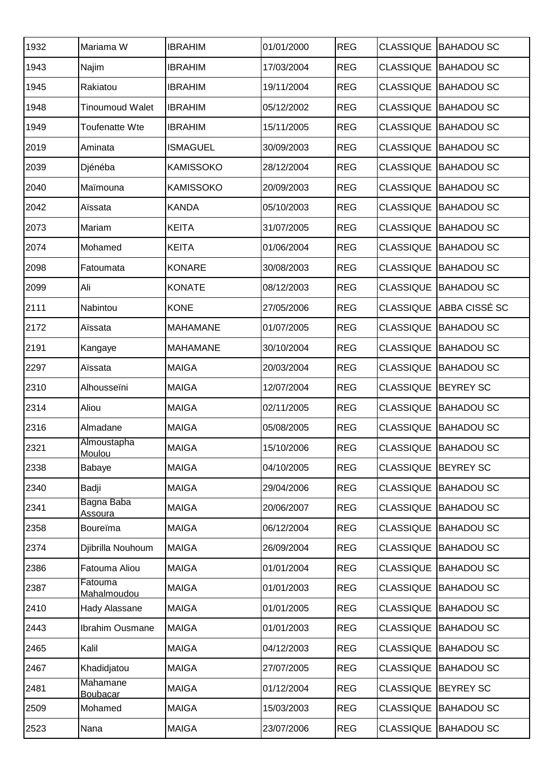| 1932 | Mariama W                     | <b>IBRAHIM</b>   | 01/01/2000 | <b>REG</b> | <b>CLASSIQUE</b> | <b>BAHADOU SC</b> |
|------|-------------------------------|------------------|------------|------------|------------------|-------------------|
| 1943 | Najim                         | <b>IBRAHIM</b>   | 17/03/2004 | <b>REG</b> | <b>CLASSIQUE</b> | <b>BAHADOU SC</b> |
| 1945 | Rakiatou                      | <b>IBRAHIM</b>   | 19/11/2004 | <b>REG</b> | <b>CLASSIQUE</b> | <b>BAHADOU SC</b> |
| 1948 | <b>Tinoumoud Walet</b>        | <b>IBRAHIM</b>   | 05/12/2002 | <b>REG</b> | <b>CLASSIQUE</b> | <b>BAHADOU SC</b> |
| 1949 | Toufenatte Wte                | <b>IBRAHIM</b>   | 15/11/2005 | <b>REG</b> | <b>CLASSIQUE</b> | <b>BAHADOU SC</b> |
| 2019 | Aminata                       | <b>ISMAGUEL</b>  | 30/09/2003 | <b>REG</b> | <b>CLASSIQUE</b> | <b>BAHADOU SC</b> |
| 2039 | Djénéba                       | <b>KAMISSOKO</b> | 28/12/2004 | <b>REG</b> | <b>CLASSIQUE</b> | <b>BAHADOU SC</b> |
| 2040 | Maïmouna                      | <b>KAMISSOKO</b> | 20/09/2003 | <b>REG</b> | <b>CLASSIQUE</b> | <b>BAHADOU SC</b> |
| 2042 | Aïssata                       | <b>KANDA</b>     | 05/10/2003 | <b>REG</b> | <b>CLASSIQUE</b> | <b>BAHADOU SC</b> |
| 2073 | Mariam                        | <b>KEITA</b>     | 31/07/2005 | <b>REG</b> | <b>CLASSIQUE</b> | <b>BAHADOU SC</b> |
| 2074 | Mohamed                       | <b>KEITA</b>     | 01/06/2004 | <b>REG</b> | <b>CLASSIQUE</b> | <b>BAHADOU SC</b> |
| 2098 | Fatoumata                     | <b>KONARE</b>    | 30/08/2003 | <b>REG</b> | <b>CLASSIQUE</b> | <b>BAHADOU SC</b> |
| 2099 | Ali                           | <b>KONATE</b>    | 08/12/2003 | <b>REG</b> | <b>CLASSIQUE</b> | <b>BAHADOU SC</b> |
| 2111 | Nabintou                      | <b>KONE</b>      | 27/05/2006 | <b>REG</b> | <b>CLASSIQUE</b> | ABBA CISSÉ SC     |
| 2172 | Aïssata                       | <b>MAHAMANE</b>  | 01/07/2005 | <b>REG</b> | <b>CLASSIQUE</b> | <b>BAHADOU SC</b> |
| 2191 | Kangaye                       | <b>MAHAMANE</b>  | 30/10/2004 | <b>REG</b> | <b>CLASSIQUE</b> | <b>BAHADOU SC</b> |
| 2297 | Aïssata                       | <b>MAIGA</b>     | 20/03/2004 | <b>REG</b> | <b>CLASSIQUE</b> | <b>BAHADOU SC</b> |
| 2310 | Alhousseïni                   | <b>MAIGA</b>     | 12/07/2004 | <b>REG</b> | <b>CLASSIQUE</b> | <b>BEYREY SC</b>  |
| 2314 | Aliou                         | <b>MAIGA</b>     | 02/11/2005 | <b>REG</b> | <b>CLASSIQUE</b> | <b>BAHADOU SC</b> |
| 2316 | Almadane                      | <b>MAIGA</b>     | 05/08/2005 | <b>REG</b> | <b>CLASSIQUE</b> | <b>BAHADOU SC</b> |
| 2321 | Almoustapha<br>Moulou         | <b>MAIGA</b>     | 15/10/2006 | <b>REG</b> | <b>CLASSIQUE</b> | <b>BAHADOU SC</b> |
| 2338 | Babaye                        | <b>MAIGA</b>     | 04/10/2005 | <b>REG</b> | <b>CLASSIQUE</b> | <b>BEYREY SC</b>  |
| 2340 | Badji                         | <b>MAIGA</b>     | 29/04/2006 | <b>REG</b> | <b>CLASSIQUE</b> | <b>BAHADOU SC</b> |
| 2341 | Bagna Baba<br><b>Assoura</b>  | <b>MAIGA</b>     | 20/06/2007 | <b>REG</b> | <b>CLASSIQUE</b> | <b>BAHADOU SC</b> |
| 2358 | Boureïma                      | <b>MAIGA</b>     | 06/12/2004 | <b>REG</b> | <b>CLASSIQUE</b> | <b>BAHADOU SC</b> |
| 2374 | Djibrilla Nouhoum             | <b>MAIGA</b>     | 26/09/2004 | <b>REG</b> | <b>CLASSIQUE</b> | <b>BAHADOU SC</b> |
| 2386 | Fatouma Aliou                 | <b>MAIGA</b>     | 01/01/2004 | <b>REG</b> | <b>CLASSIQUE</b> | <b>BAHADOU SC</b> |
| 2387 | Fatouma<br><b>Mahalmoudou</b> | <b>MAIGA</b>     | 01/01/2003 | <b>REG</b> | <b>CLASSIQUE</b> | <b>BAHADOU SC</b> |
| 2410 | Hady Alassane                 | <b>MAIGA</b>     | 01/01/2005 | <b>REG</b> | <b>CLASSIQUE</b> | <b>BAHADOU SC</b> |
| 2443 | <b>Ibrahim Ousmane</b>        | <b>MAIGA</b>     | 01/01/2003 | <b>REG</b> | <b>CLASSIQUE</b> | <b>BAHADOU SC</b> |
| 2465 | Kalil                         | <b>MAIGA</b>     | 04/12/2003 | <b>REG</b> | <b>CLASSIQUE</b> | <b>BAHADOU SC</b> |
| 2467 | Khadidjatou                   | <b>MAIGA</b>     | 27/07/2005 | <b>REG</b> | <b>CLASSIQUE</b> | <b>BAHADOU SC</b> |
| 2481 | Mahamane<br><b>Boubacar</b>   | <b>MAIGA</b>     | 01/12/2004 | <b>REG</b> | <b>CLASSIQUE</b> | <b>BEYREY SC</b>  |
| 2509 | Mohamed                       | <b>MAIGA</b>     | 15/03/2003 | <b>REG</b> | <b>CLASSIQUE</b> | <b>BAHADOU SC</b> |
| 2523 | Nana                          | <b>MAIGA</b>     | 23/07/2006 | <b>REG</b> | <b>CLASSIQUE</b> | <b>BAHADOU SC</b> |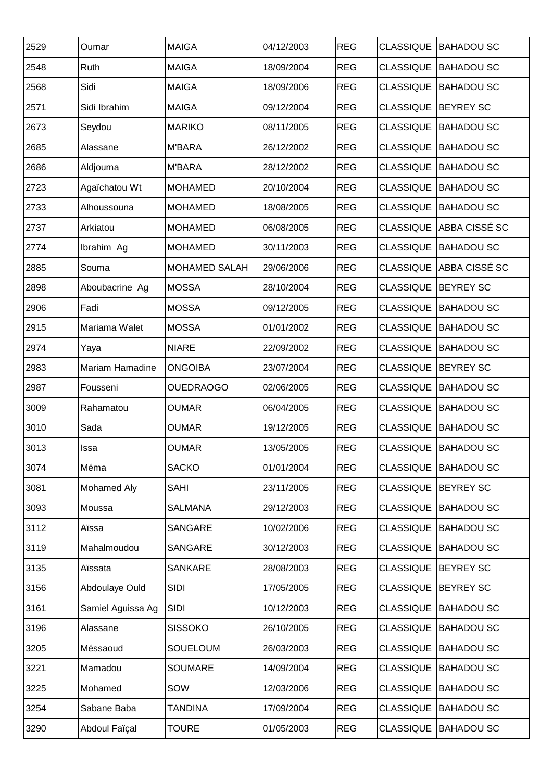| 2529 | Oumar              | <b>MAIGA</b>         | 04/12/2003 | <b>REG</b> | <b>CLASSIQUE</b> | <b>BAHADOU SC</b>           |
|------|--------------------|----------------------|------------|------------|------------------|-----------------------------|
| 2548 | Ruth               | <b>MAIGA</b>         | 18/09/2004 | <b>REG</b> | <b>CLASSIQUE</b> | <b>BAHADOU SC</b>           |
| 2568 | Sidi               | <b>MAIGA</b>         | 18/09/2006 | <b>REG</b> | <b>CLASSIQUE</b> | <b>BAHADOU SC</b>           |
| 2571 | Sidi Ibrahim       | <b>MAIGA</b>         | 09/12/2004 | <b>REG</b> | <b>CLASSIQUE</b> | <b>BEYREY SC</b>            |
| 2673 | Seydou             | <b>MARIKO</b>        | 08/11/2005 | <b>REG</b> | <b>CLASSIQUE</b> | <b>BAHADOU SC</b>           |
| 2685 | Alassane           | <b>M'BARA</b>        | 26/12/2002 | <b>REG</b> | <b>CLASSIQUE</b> | <b>BAHADOU SC</b>           |
| 2686 | Aldjouma           | <b>M'BARA</b>        | 28/12/2002 | <b>REG</b> | <b>CLASSIQUE</b> | <b>BAHADOU SC</b>           |
| 2723 | Agaïchatou Wt      | <b>MOHAMED</b>       | 20/10/2004 | <b>REG</b> | <b>CLASSIQUE</b> | <b>BAHADOU SC</b>           |
| 2733 | Alhoussouna        | <b>MOHAMED</b>       | 18/08/2005 | <b>REG</b> | <b>CLASSIQUE</b> | <b>BAHADOU SC</b>           |
| 2737 | Arkiatou           | <b>MOHAMED</b>       | 06/08/2005 | <b>REG</b> | <b>CLASSIQUE</b> | <b>ABBA CISSÉ SC</b>        |
| 2774 | Ibrahim Ag         | <b>MOHAMED</b>       | 30/11/2003 | <b>REG</b> | <b>CLASSIQUE</b> | <b>BAHADOU SC</b>           |
| 2885 | Souma              | <b>MOHAMED SALAH</b> | 29/06/2006 | <b>REG</b> | <b>CLASSIQUE</b> | ABBA CISSÉ SC               |
| 2898 | Aboubacrine Ag     | <b>MOSSA</b>         | 28/10/2004 | <b>REG</b> | <b>CLASSIQUE</b> | <b>BEYREY SC</b>            |
| 2906 | Fadi               | <b>MOSSA</b>         | 09/12/2005 | <b>REG</b> | <b>CLASSIQUE</b> | <b>BAHADOU SC</b>           |
| 2915 | Mariama Walet      | <b>MOSSA</b>         | 01/01/2002 | <b>REG</b> | <b>CLASSIQUE</b> | <b>BAHADOU SC</b>           |
| 2974 | Yaya               | <b>NIARE</b>         | 22/09/2002 | <b>REG</b> | <b>CLASSIQUE</b> | <b>BAHADOU SC</b>           |
| 2983 | Mariam Hamadine    | <b>ONGOIBA</b>       | 23/07/2004 | <b>REG</b> | <b>CLASSIQUE</b> | <b>BEYREY SC</b>            |
| 2987 | Fousseni           | <b>OUEDRAOGO</b>     | 02/06/2005 | <b>REG</b> | <b>CLASSIQUE</b> | <b>BAHADOU SC</b>           |
| 3009 | Rahamatou          | <b>OUMAR</b>         | 06/04/2005 | <b>REG</b> | <b>CLASSIQUE</b> | <b>BAHADOU SC</b>           |
| 3010 | Sada               | <b>OUMAR</b>         | 19/12/2005 | <b>REG</b> | <b>CLASSIQUE</b> | <b>BAHADOU SC</b>           |
| 3013 | <b>Issa</b>        | <b>OUMAR</b>         | 13/05/2005 | <b>REG</b> |                  | <b>CLASSIQUE BAHADOU SC</b> |
| 3074 | Méma               | <b>SACKO</b>         | 01/01/2004 | <b>REG</b> | <b>CLASSIQUE</b> | <b>BAHADOU SC</b>           |
| 3081 | <b>Mohamed Aly</b> | <b>SAHI</b>          | 23/11/2005 | <b>REG</b> | <b>CLASSIQUE</b> | <b>BEYREY SC</b>            |
| 3093 | Moussa             | <b>SALMANA</b>       | 29/12/2003 | <b>REG</b> | <b>CLASSIQUE</b> | <b>BAHADOU SC</b>           |
| 3112 | Aïssa              | <b>SANGARE</b>       | 10/02/2006 | <b>REG</b> | <b>CLASSIQUE</b> | <b>BAHADOU SC</b>           |
| 3119 | Mahalmoudou        | <b>SANGARE</b>       | 30/12/2003 | <b>REG</b> | <b>CLASSIQUE</b> | <b>BAHADOU SC</b>           |
| 3135 | Aïssata            | <b>SANKARE</b>       | 28/08/2003 | <b>REG</b> | <b>CLASSIQUE</b> | <b>BEYREY SC</b>            |
| 3156 | Abdoulaye Ould     | <b>SIDI</b>          | 17/05/2005 | <b>REG</b> | <b>CLASSIQUE</b> | <b>BEYREY SC</b>            |
| 3161 | Samiel Aguissa Ag  | SIDI                 | 10/12/2003 | <b>REG</b> | <b>CLASSIQUE</b> | <b>BAHADOU SC</b>           |
| 3196 | Alassane           | <b>SISSOKO</b>       | 26/10/2005 | <b>REG</b> | <b>CLASSIQUE</b> | <b>BAHADOU SC</b>           |
| 3205 | Méssaoud           | SOUELOUM             | 26/03/2003 | <b>REG</b> | <b>CLASSIQUE</b> | <b>BAHADOU SC</b>           |
| 3221 | Mamadou            | <b>SOUMARE</b>       | 14/09/2004 | <b>REG</b> | <b>CLASSIQUE</b> | <b>BAHADOU SC</b>           |
| 3225 | Mohamed            | SOW                  | 12/03/2006 | <b>REG</b> | <b>CLASSIQUE</b> | <b>BAHADOU SC</b>           |
| 3254 | Sabane Baba        | <b>TANDINA</b>       | 17/09/2004 | <b>REG</b> | <b>CLASSIQUE</b> | <b>BAHADOU SC</b>           |
| 3290 | Abdoul Faïçal      | <b>TOURE</b>         | 01/05/2003 | <b>REG</b> | <b>CLASSIQUE</b> | <b>BAHADOU SC</b>           |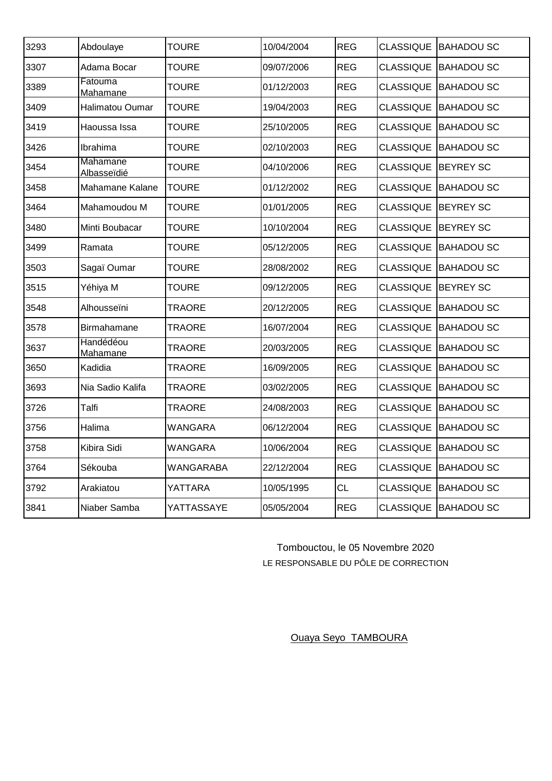| 3293 | Abdoulaye                      | <b>TOURE</b>     | 10/04/2004 | <b>REG</b> | <b>CLASSIQUE</b> | <b>BAHADOU SC</b>    |
|------|--------------------------------|------------------|------------|------------|------------------|----------------------|
| 3307 | Adama Bocar                    | <b>TOURE</b>     | 09/07/2006 | <b>REG</b> | <b>CLASSIQUE</b> | <b>BAHADOU SC</b>    |
| 3389 | Fatouma<br>Mahamane            | <b>TOURE</b>     | 01/12/2003 | <b>REG</b> | <b>CLASSIQUE</b> | <b>BAHADOU SC</b>    |
| 3409 | Halimatou Oumar                | <b>TOURE</b>     | 19/04/2003 | <b>REG</b> | <b>CLASSIQUE</b> | <b>BAHADOU SC</b>    |
| 3419 | Haoussa Issa                   | <b>TOURE</b>     | 25/10/2005 | <b>REG</b> | <b>CLASSIQUE</b> | <b>BAHADOU SC</b>    |
| 3426 | Ibrahima                       | <b>TOURE</b>     | 02/10/2003 | <b>REG</b> | <b>CLASSIQUE</b> | <b>BAHADOU SC</b>    |
| 3454 | Mahamane<br><b>Albasseïdié</b> | <b>TOURE</b>     | 04/10/2006 | <b>REG</b> | <b>CLASSIQUE</b> | <b>BEYREY SC</b>     |
| 3458 | Mahamane Kalane                | <b>TOURE</b>     | 01/12/2002 | <b>REG</b> | <b>CLASSIQUE</b> | <b>BAHADOU SC</b>    |
| 3464 | Mahamoudou M                   | <b>TOURE</b>     | 01/01/2005 | <b>REG</b> | <b>CLASSIQUE</b> | <b>BEYREY SC</b>     |
| 3480 | Minti Boubacar                 | <b>TOURE</b>     | 10/10/2004 | <b>REG</b> | <b>CLASSIQUE</b> | <b>BEYREY SC</b>     |
| 3499 | Ramata                         | <b>TOURE</b>     | 05/12/2005 | <b>REG</b> | <b>CLASSIQUE</b> | <b>BAHADOU SC</b>    |
| 3503 | Sagaï Oumar                    | <b>TOURE</b>     | 28/08/2002 | <b>REG</b> | <b>CLASSIQUE</b> | <b>BAHADOU SC</b>    |
| 3515 | Yéhiya M                       | <b>TOURE</b>     | 09/12/2005 | <b>REG</b> | <b>CLASSIQUE</b> | <b>BEYREY SC</b>     |
| 3548 | Alhousseïni                    | <b>TRAORE</b>    | 20/12/2005 | <b>REG</b> | <b>CLASSIQUE</b> | <b>BAHADOU SC</b>    |
| 3578 | Birmahamane                    | <b>TRAORE</b>    | 16/07/2004 | <b>REG</b> | <b>CLASSIQUE</b> | <b>BAHADOU SC</b>    |
| 3637 | Handédéou<br><b>Mahamane</b>   | <b>TRAORE</b>    | 20/03/2005 | <b>REG</b> | <b>CLASSIQUE</b> | <b>BAHADOU SC</b>    |
| 3650 | Kadidia                        | <b>TRAORE</b>    | 16/09/2005 | <b>REG</b> | <b>CLASSIQUE</b> | <b>BAHADOU SC</b>    |
| 3693 | Nia Sadio Kalifa               | <b>TRAORE</b>    | 03/02/2005 | <b>REG</b> | <b>CLASSIQUE</b> | <b>BAHADOU SC</b>    |
| 3726 | Talfi                          | <b>TRAORE</b>    | 24/08/2003 | <b>REG</b> | <b>CLASSIQUE</b> | <b>BAHADOU SC</b>    |
| 3756 | Halima                         | <b>WANGARA</b>   | 06/12/2004 | <b>REG</b> | <b>CLASSIQUE</b> | <b>BAHADOU SC</b>    |
| 3758 | Kibira Sidi                    | <b>WANGARA</b>   | 10/06/2004 | <b>REG</b> | <b>CLASSIQUE</b> | <b>BAHADOU SC</b>    |
| 3764 | Sékouba                        | <b>WANGARABA</b> | 22/12/2004 | <b>REG</b> | <b>CLASSIQUE</b> | <b>BAHADOU SC</b>    |
| 3792 | Arakiatou                      | YATTARA          | 10/05/1995 | <b>CL</b>  | <b>CLASSIQUE</b> | <b>BAHADOU SC</b>    |
| 3841 | Niaber Samba                   | YATTASSAYE       | 05/05/2004 | <b>REG</b> |                  | CLASSIQUE BAHADOU SC |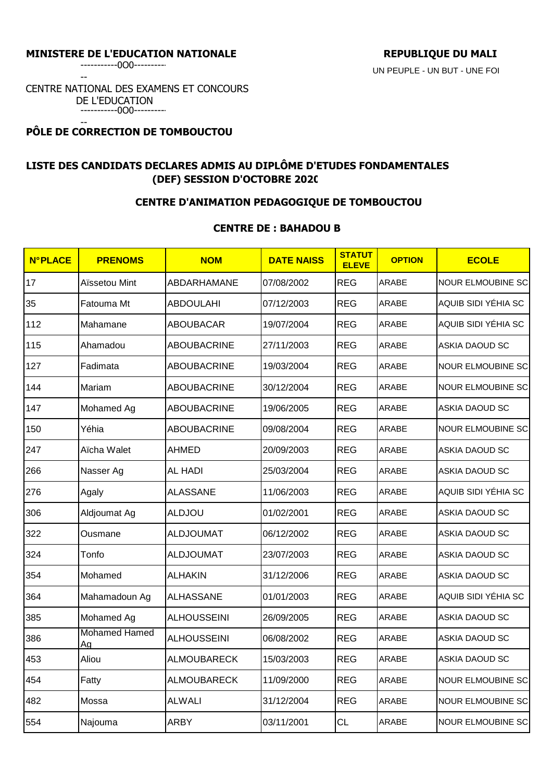-----------0O0----------

--

CENTRE NATIONAL DES EXAMENS ET CONCOURS DE L'EDUCATION -----------0O0----------

#### -- **PÔLE DE CORRECTION DE TOMBOUCTOU**

# **LISTE DES CANDIDATS DECLARES ADMIS AU DIPLÔME D'ETUDES FONDAMENTALES (DEF) SESSION D'OCTOBRE 2020**

# **CENTRE D'ANIMATION PEDAGOGIQUE DE TOMBOUCTOU**

## **CENTRE DE : BAHADOU B**

| <b>N°PLACE</b> | <b>PRENOMS</b>             | <b>NOM</b>         | <b>DATE NAISS</b> | <b>STATUT</b><br><b>ELEVE</b> | <b>OPTION</b> | <b>ECOLE</b>             |
|----------------|----------------------------|--------------------|-------------------|-------------------------------|---------------|--------------------------|
| 17             | Aïssetou Mint              | ABDARHAMANE        | 07/08/2002        | <b>REG</b>                    | <b>ARABE</b>  | <b>NOUR ELMOUBINE SC</b> |
| 35             | Fatouma Mt                 | <b>ABDOULAHI</b>   | 07/12/2003        | <b>REG</b>                    | ARABE         | AQUIB SIDI YÉHIA SC      |
| 112            | Mahamane                   | <b>ABOUBACAR</b>   | 19/07/2004        | <b>REG</b>                    | <b>ARABE</b>  | AQUIB SIDI YÉHIA SC      |
| 115            | Ahamadou                   | <b>ABOUBACRINE</b> | 27/11/2003        | <b>REG</b>                    | ARABE         | <b>ASKIA DAOUD SC</b>    |
| 127            | Fadimata                   | <b>ABOUBACRINE</b> | 19/03/2004        | <b>REG</b>                    | ARABE         | <b>NOUR ELMOUBINE SC</b> |
| 144            | Mariam                     | <b>ABOUBACRINE</b> | 30/12/2004        | <b>REG</b>                    | ARABE         | <b>NOUR ELMOUBINE SC</b> |
| 147            | Mohamed Ag                 | <b>ABOUBACRINE</b> | 19/06/2005        | <b>REG</b>                    | ARABE         | <b>ASKIA DAOUD SC</b>    |
| 150            | Yéhia                      | <b>ABOUBACRINE</b> | 09/08/2004        | <b>REG</b>                    | ARABE         | <b>NOUR ELMOUBINE SC</b> |
| 247            | Aïcha Walet                | <b>AHMED</b>       | 20/09/2003        | <b>REG</b>                    | ARABE         | <b>ASKIA DAOUD SC</b>    |
| 266            | Nasser Ag                  | <b>AL HADI</b>     | 25/03/2004        | <b>REG</b>                    | ARABE         | <b>ASKIA DAOUD SC</b>    |
| 276            | Agaly                      | <b>ALASSANE</b>    | 11/06/2003        | <b>REG</b>                    | <b>ARABE</b>  | AQUIB SIDI YÉHIA SC      |
| 306            | Aldjoumat Ag               | <b>ALDJOU</b>      | 01/02/2001        | <b>REG</b>                    | ARABE         | <b>ASKIA DAOUD SC</b>    |
| 322            | Ousmane                    | <b>ALDJOUMAT</b>   | 06/12/2002        | <b>REG</b>                    | ARABE         | <b>ASKIA DAOUD SC</b>    |
| 324            | Tonfo                      | <b>ALDJOUMAT</b>   | 23/07/2003        | <b>REG</b>                    | ARABE         | <b>ASKIA DAOUD SC</b>    |
| 354            | Mohamed                    | <b>ALHAKIN</b>     | 31/12/2006        | <b>REG</b>                    | ARABE         | <b>ASKIA DAOUD SC</b>    |
| 364            | Mahamadoun Ag              | <b>ALHASSANE</b>   | 01/01/2003        | <b>REG</b>                    | ARABE         | AQUIB SIDI YÉHIA SC      |
| 385            | Mohamed Ag                 | <b>ALHOUSSEINI</b> | 26/09/2005        | <b>REG</b>                    | ARABE         | <b>ASKIA DAOUD SC</b>    |
| 386            | <b>Mohamed Hamed</b><br>Ag | <b>ALHOUSSEINI</b> | 06/08/2002        | <b>REG</b>                    | <b>ARABE</b>  | ASKIA DAOUD SC           |
| 453            | Aliou                      | <b>ALMOUBARECK</b> | 15/03/2003        | <b>REG</b>                    | ARABE         | ASKIA DAOUD SC           |
| 454            | Fatty                      | <b>ALMOUBARECK</b> | 11/09/2000        | <b>REG</b>                    | ARABE         | <b>NOUR ELMOUBINE SC</b> |
| 482            | Mossa                      | <b>ALWALI</b>      | 31/12/2004        | <b>REG</b>                    | ARABE         | <b>NOUR ELMOUBINE SC</b> |
| 554            | Najouma                    | <b>ARBY</b>        | 03/11/2001        | CL                            | ARABE         | <b>NOUR ELMOUBINE SC</b> |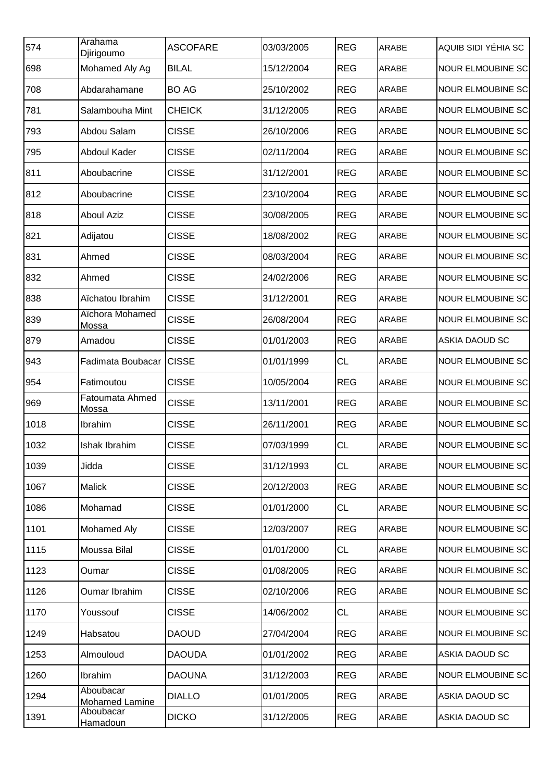| 574  | Arahama<br><b>Djirigoumo</b>    | <b>ASCOFARE</b> | 03/03/2005 | <b>REG</b> | <b>ARABE</b> | AQUIB SIDI YÉHIA SC      |
|------|---------------------------------|-----------------|------------|------------|--------------|--------------------------|
| 698  | Mohamed Aly Ag                  | <b>BILAL</b>    | 15/12/2004 | <b>REG</b> | <b>ARABE</b> | <b>NOUR ELMOUBINE SC</b> |
| 708  | Abdarahamane                    | <b>BO AG</b>    | 25/10/2002 | <b>REG</b> | <b>ARABE</b> | <b>NOUR ELMOUBINE SC</b> |
| 781  | Salambouha Mint                 | <b>CHEICK</b>   | 31/12/2005 | <b>REG</b> | <b>ARABE</b> | <b>NOUR ELMOUBINE SC</b> |
| 793  | Abdou Salam                     | <b>CISSE</b>    | 26/10/2006 | <b>REG</b> | ARABE        | <b>NOUR ELMOUBINE SC</b> |
| 795  | Abdoul Kader                    | <b>CISSE</b>    | 02/11/2004 | <b>REG</b> | <b>ARABE</b> | <b>NOUR ELMOUBINE SC</b> |
| 811  | Aboubacrine                     | <b>CISSE</b>    | 31/12/2001 | <b>REG</b> | <b>ARABE</b> | <b>NOUR ELMOUBINE SC</b> |
| 812  | Aboubacrine                     | <b>CISSE</b>    | 23/10/2004 | <b>REG</b> | <b>ARABE</b> | <b>NOUR ELMOUBINE SC</b> |
| 818  | <b>Aboul Aziz</b>               | <b>CISSE</b>    | 30/08/2005 | <b>REG</b> | <b>ARABE</b> | <b>NOUR ELMOUBINE SC</b> |
| 821  | Adijatou                        | <b>CISSE</b>    | 18/08/2002 | <b>REG</b> | <b>ARABE</b> | <b>NOUR ELMOUBINE SC</b> |
| 831  | Ahmed                           | <b>CISSE</b>    | 08/03/2004 | <b>REG</b> | <b>ARABE</b> | <b>NOUR ELMOUBINE SC</b> |
| 832  | Ahmed                           | <b>CISSE</b>    | 24/02/2006 | <b>REG</b> | <b>ARABE</b> | <b>NOUR ELMOUBINE SC</b> |
| 838  | Aïchatou Ibrahim                | <b>CISSE</b>    | 31/12/2001 | <b>REG</b> | <b>ARABE</b> | <b>NOUR ELMOUBINE SC</b> |
| 839  | Aïchora Mohamed<br><b>Mossa</b> | <b>CISSE</b>    | 26/08/2004 | <b>REG</b> | <b>ARABE</b> | <b>NOUR ELMOUBINE SC</b> |
| 879  | Amadou                          | <b>CISSE</b>    | 01/01/2003 | <b>REG</b> | <b>ARABE</b> | ASKIA DAOUD SC           |
| 943  | Fadimata Boubacar               | <b>CISSE</b>    | 01/01/1999 | <b>CL</b>  | <b>ARABE</b> | <b>NOUR ELMOUBINE SC</b> |
| 954  | Fatimoutou                      | <b>CISSE</b>    | 10/05/2004 | <b>REG</b> | <b>ARABE</b> | <b>NOUR ELMOUBINE SC</b> |
| 969  | Fatoumata Ahmed<br><b>Mossa</b> | <b>CISSE</b>    | 13/11/2001 | <b>REG</b> | <b>ARABE</b> | <b>NOUR ELMOUBINE SC</b> |
| 1018 | Ibrahim                         | <b>CISSE</b>    | 26/11/2001 | <b>REG</b> | <b>ARABE</b> | <b>NOUR ELMOUBINE SC</b> |
| 1032 | Ishak Ibrahim                   | <b>CISSE</b>    | 07/03/1999 | <b>CL</b>  | <b>ARABE</b> | <b>NOUR ELMOUBINE SC</b> |
| 1039 | Jidda                           | <b>CISSE</b>    | 31/12/1993 | <b>CL</b>  | <b>ARABE</b> | <b>NOUR ELMOUBINE SC</b> |
| 1067 | Malick                          | <b>CISSE</b>    | 20/12/2003 | <b>REG</b> | <b>ARABE</b> | <b>NOUR ELMOUBINE SC</b> |
| 1086 | Mohamad                         | <b>CISSE</b>    | 01/01/2000 | CL         | ARABE        | <b>NOUR ELMOUBINE SC</b> |
| 1101 | Mohamed Aly                     | <b>CISSE</b>    | 12/03/2007 | <b>REG</b> | <b>ARABE</b> | <b>NOUR ELMOUBINE SC</b> |
| 1115 | Moussa Bilal                    | <b>CISSE</b>    | 01/01/2000 | CL         | <b>ARABE</b> | <b>NOUR ELMOUBINE SC</b> |
| 1123 | Oumar                           | <b>CISSE</b>    | 01/08/2005 | <b>REG</b> | <b>ARABE</b> | <b>NOUR ELMOUBINE SC</b> |
| 1126 | Oumar Ibrahim                   | <b>CISSE</b>    | 02/10/2006 | <b>REG</b> | <b>ARABE</b> | <b>NOUR ELMOUBINE SC</b> |
| 1170 | Youssouf                        | <b>CISSE</b>    | 14/06/2002 | CL         | <b>ARABE</b> | <b>NOUR ELMOUBINE SC</b> |
| 1249 | Habsatou                        | <b>DAOUD</b>    | 27/04/2004 | <b>REG</b> | <b>ARABE</b> | <b>NOUR ELMOUBINE SC</b> |
| 1253 | Almouloud                       | <b>DAOUDA</b>   | 01/01/2002 | <b>REG</b> | ARABE        | ASKIA DAOUD SC           |
| 1260 | Ibrahim                         | <b>DAOUNA</b>   | 31/12/2003 | <b>REG</b> | <b>ARABE</b> | <b>NOUR ELMOUBINE SC</b> |
| 1294 | Aboubacar<br>Mohamed Lamine     | <b>DIALLO</b>   | 01/01/2005 | <b>REG</b> | <b>ARABE</b> | <b>ASKIA DAOUD SC</b>    |
| 1391 | Aboubacar<br>Hamadoun           | <b>DICKO</b>    | 31/12/2005 | <b>REG</b> | <b>ARABE</b> | ASKIA DAOUD SC           |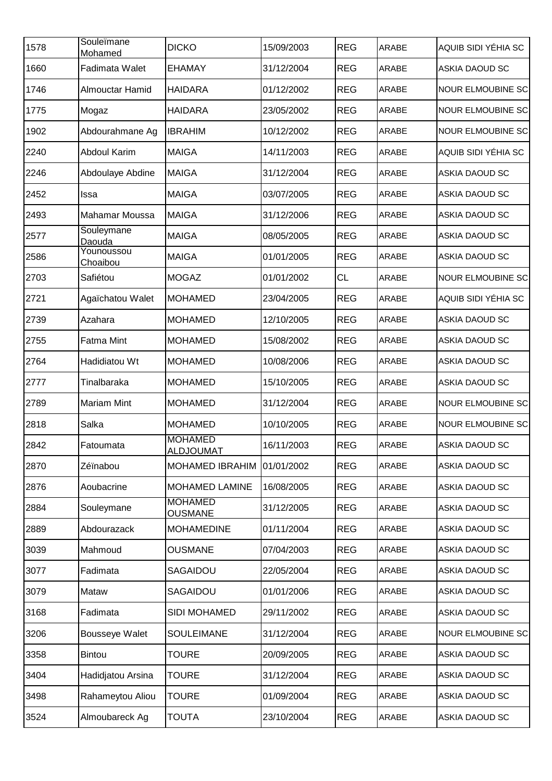| 1578 | Souleïmane<br>Mohamed  | <b>DICKO</b>                       | 15/09/2003 | <b>REG</b> | <b>ARABE</b> | AQUIB SIDI YÉHIA SC      |
|------|------------------------|------------------------------------|------------|------------|--------------|--------------------------|
| 1660 | Fadimata Walet         | <b>EHAMAY</b>                      | 31/12/2004 | <b>REG</b> | ARABE        | <b>ASKIA DAOUD SC</b>    |
| 1746 | Almouctar Hamid        | <b>HAIDARA</b>                     | 01/12/2002 | <b>REG</b> | ARABE        | <b>NOUR ELMOUBINE SC</b> |
| 1775 | Mogaz                  | <b>HAIDARA</b>                     | 23/05/2002 | <b>REG</b> | ARABE        | <b>NOUR ELMOUBINE SC</b> |
| 1902 | Abdourahmane Ag        | <b>IBRAHIM</b>                     | 10/12/2002 | <b>REG</b> | ARABE        | <b>NOUR ELMOUBINE SC</b> |
| 2240 | <b>Abdoul Karim</b>    | <b>MAIGA</b>                       | 14/11/2003 | <b>REG</b> | ARABE        | AQUIB SIDI YÉHIA SC      |
| 2246 | Abdoulaye Abdine       | <b>MAIGA</b>                       | 31/12/2004 | <b>REG</b> | ARABE        | <b>ASKIA DAOUD SC</b>    |
| 2452 | Issa                   | <b>MAIGA</b>                       | 03/07/2005 | <b>REG</b> | ARABE        | <b>ASKIA DAOUD SC</b>    |
| 2493 | Mahamar Moussa         | <b>MAIGA</b>                       | 31/12/2006 | <b>REG</b> | ARABE        | ASKIA DAOUD SC           |
| 2577 | Souleymane<br>Daouda   | <b>MAIGA</b>                       | 08/05/2005 | <b>REG</b> | ARABE        | <b>ASKIA DAOUD SC</b>    |
| 2586 | Younoussou<br>Choaibou | <b>MAIGA</b>                       | 01/01/2005 | <b>REG</b> | ARABE        | <b>ASKIA DAOUD SC</b>    |
| 2703 | Safiétou               | <b>MOGAZ</b>                       | 01/01/2002 | <b>CL</b>  | ARABE        | <b>NOUR ELMOUBINE SC</b> |
| 2721 | Agaïchatou Walet       | <b>MOHAMED</b>                     | 23/04/2005 | <b>REG</b> | <b>ARABE</b> | AQUIB SIDI YÉHIA SC      |
| 2739 | Azahara                | <b>MOHAMED</b>                     | 12/10/2005 | <b>REG</b> | ARABE        | ASKIA DAOUD SC           |
| 2755 | Fatma Mint             | <b>MOHAMED</b>                     | 15/08/2002 | <b>REG</b> | ARABE        | <b>ASKIA DAOUD SC</b>    |
| 2764 | Hadidiatou Wt          | <b>MOHAMED</b>                     | 10/08/2006 | <b>REG</b> | ARABE        | <b>ASKIA DAOUD SC</b>    |
| 2777 | Tinalbaraka            | <b>MOHAMED</b>                     | 15/10/2005 | <b>REG</b> | ARABE        | ASKIA DAOUD SC           |
| 2789 | <b>Mariam Mint</b>     | <b>MOHAMED</b>                     | 31/12/2004 | <b>REG</b> | ARABE        | <b>NOUR ELMOUBINE SC</b> |
| 2818 | Salka                  | <b>MOHAMED</b>                     | 10/10/2005 | <b>REG</b> | ARABE        | <b>NOUR ELMOUBINE SC</b> |
| 2842 | Fatoumata              | <b>MOHAMED</b><br><b>ALDJOUMAT</b> | 16/11/2003 | <b>REG</b> | ARABE        | <b>ASKIA DAOUD SC</b>    |
| 2870 | Zéïnabou               | <b>MOHAMED IBRAHIM</b>             | 01/01/2002 | <b>REG</b> | ARABE        | ASKIA DAOUD SC           |
| 2876 | Aoubacrine             | <b>MOHAMED LAMINE</b>              | 16/08/2005 | <b>REG</b> | ARABE        | ASKIA DAOUD SC           |
| 2884 | Souleymane             | <b>MOHAMED</b><br><b>OUSMANE</b>   | 31/12/2005 | <b>REG</b> | ARABE        | ASKIA DAOUD SC           |
| 2889 | Abdourazack            | <b>MOHAMEDINE</b>                  | 01/11/2004 | <b>REG</b> | ARABE        | ASKIA DAOUD SC           |
| 3039 | Mahmoud                | <b>OUSMANE</b>                     | 07/04/2003 | <b>REG</b> | ARABE        | ASKIA DAOUD SC           |
| 3077 | Fadimata               | SAGAIDOU                           | 22/05/2004 | <b>REG</b> | ARABE        | <b>ASKIA DAOUD SC</b>    |
| 3079 | Mataw                  | SAGAIDOU                           | 01/01/2006 | <b>REG</b> | ARABE        | ASKIA DAOUD SC           |
| 3168 | Fadimata               | SIDI MOHAMED                       | 29/11/2002 | <b>REG</b> | ARABE        | ASKIA DAOUD SC           |
| 3206 | <b>Bousseye Walet</b>  | <b>SOULEIMANE</b>                  | 31/12/2004 | <b>REG</b> | ARABE        | <b>NOUR ELMOUBINE SC</b> |
| 3358 | <b>Bintou</b>          | <b>TOURE</b>                       | 20/09/2005 | <b>REG</b> | ARABE        | <b>ASKIA DAOUD SC</b>    |
| 3404 | Hadidjatou Arsina      | <b>TOURE</b>                       | 31/12/2004 | <b>REG</b> | ARABE        | ASKIA DAOUD SC           |
| 3498 | Rahameytou Aliou       | <b>TOURE</b>                       | 01/09/2004 | <b>REG</b> | ARABE        | <b>ASKIA DAOUD SC</b>    |
| 3524 | Almoubareck Ag         | <b>TOUTA</b>                       | 23/10/2004 | <b>REG</b> | ARABE        | <b>ASKIA DAOUD SC</b>    |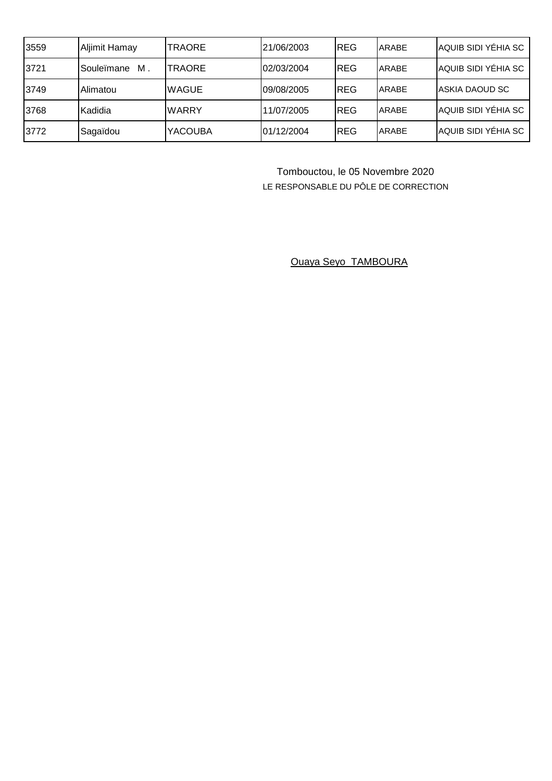| 3559 | Aljimit Hamay    | <b>ITRAORE</b> | 21/06/2003 | REG        | ARABE | AQUIB SIDI YÉHIA SC    |
|------|------------------|----------------|------------|------------|-------|------------------------|
| 3721 | М.<br>Souleïmane | <b>ITRAORE</b> | 02/03/2004 | <b>REG</b> | ARABE | AQUIB SIDI YÉHIA SC    |
| 3749 | Alimatou         | <b>WAGUE</b>   | 09/08/2005 | <b>REG</b> | ARABE | <b>JASKIA DAOUD SC</b> |
| 3768 | Kadidia          | <b>WARRY</b>   | 11/07/2005 | <b>REG</b> | ARABE | AQUIB SIDI YÉHIA SC    |
| 3772 | Sagaïdou         | <b>YACOUBA</b> | 01/12/2004 | <b>REG</b> | ARABE | AQUIB SIDI YÉHIA SC    |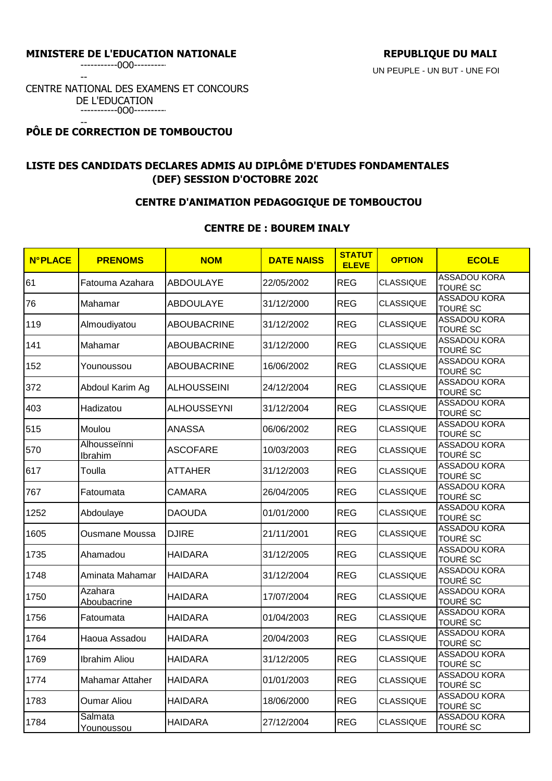--

CENTRE NATIONAL DES EXAMENS ET CONCOURS DE L'EDUCATION -----------0O0----------

#### -- **PÔLE DE CORRECTION DE TOMBOUCTOU**

# **LISTE DES CANDIDATS DECLARES ADMIS AU DIPLÔME D'ETUDES FONDAMENTALES (DEF) SESSION D'OCTOBRE 2020**

# **CENTRE D'ANIMATION PEDAGOGIQUE DE TOMBOUCTOU**

## **CENTRE DE : BOUREM INALY**

| <b>N°PLACE</b> | <b>PRENOMS</b>          | <b>NOM</b>         | <b>DATE NAISS</b> | <b>STATUT</b><br><b>ELEVE</b> | <b>OPTION</b>    | <b>ECOLE</b>                           |
|----------------|-------------------------|--------------------|-------------------|-------------------------------|------------------|----------------------------------------|
| 61             | Fatouma Azahara         | <b>ABDOULAYE</b>   | 22/05/2002        | <b>REG</b>                    | <b>CLASSIQUE</b> | <b>ASSADOU KORA</b><br><b>TOURÉ SC</b> |
| 76             | Mahamar                 | <b>ABDOULAYE</b>   | 31/12/2000        | <b>REG</b>                    | <b>CLASSIQUE</b> | <b>ASSADOU KORA</b><br><b>TOURÉ SC</b> |
| 119            | Almoudiyatou            | <b>ABOUBACRINE</b> | 31/12/2002        | <b>REG</b>                    | <b>CLASSIQUE</b> | <b>ASSADOU KORA</b><br><b>TOURÉ SC</b> |
| 141            | Mahamar                 | <b>ABOUBACRINE</b> | 31/12/2000        | <b>REG</b>                    | <b>CLASSIQUE</b> | <b>ASSADOU KORA</b><br><b>TOURÉ SC</b> |
| 152            | Younoussou              | <b>ABOUBACRINE</b> | 16/06/2002        | <b>REG</b>                    | <b>CLASSIQUE</b> | <b>ASSADOU KORA</b><br><b>TOURÉ SC</b> |
| 372            | Abdoul Karim Ag         | <b>ALHOUSSEINI</b> | 24/12/2004        | <b>REG</b>                    | <b>CLASSIQUE</b> | <b>ASSADOU KORA</b><br><b>TOURÉ SC</b> |
| 403            | Hadizatou               | <b>ALHOUSSEYNI</b> | 31/12/2004        | <b>REG</b>                    | <b>CLASSIQUE</b> | <b>ASSADOU KORA</b><br><b>TOURÉ SC</b> |
| 515            | Moulou                  | <b>ANASSA</b>      | 06/06/2002        | <b>REG</b>                    | <b>CLASSIQUE</b> | <b>ASSADOU KORA</b><br><b>TOURÉ SC</b> |
| 570            | Alhousseïnni<br>Ibrahim | <b>ASCOFARE</b>    | 10/03/2003        | <b>REG</b>                    | <b>CLASSIQUE</b> | <b>ASSADOU KORA</b><br><b>TOURÉ SC</b> |
| 617            | Toulla                  | <b>ATTAHER</b>     | 31/12/2003        | <b>REG</b>                    | <b>CLASSIQUE</b> | <b>ASSADOU KORA</b><br><b>TOURÉ SC</b> |
| 767            | Fatoumata               | <b>CAMARA</b>      | 26/04/2005        | <b>REG</b>                    | <b>CLASSIQUE</b> | <b>ASSADOU KORA</b><br><b>TOURÉ SC</b> |
| 1252           | Abdoulaye               | <b>DAOUDA</b>      | 01/01/2000        | <b>REG</b>                    | <b>CLASSIQUE</b> | <b>ASSADOU KORA</b><br>TOURÉ SC        |
| 1605           | Ousmane Moussa          | <b>DJIRE</b>       | 21/11/2001        | <b>REG</b>                    | <b>CLASSIQUE</b> | <b>ASSADOU KORA</b><br><b>TOURÉ SC</b> |
| 1735           | Ahamadou                | <b>HAIDARA</b>     | 31/12/2005        | <b>REG</b>                    | <b>CLASSIQUE</b> | <b>ASSADOU KORA</b><br><b>TOURÉ SC</b> |
| 1748           | Aminata Mahamar         | <b>HAIDARA</b>     | 31/12/2004        | <b>REG</b>                    | <b>CLASSIQUE</b> | <b>ASSADOU KORA</b><br><b>TOURÉ SC</b> |
| 1750           | Azahara<br>Aboubacrine  | <b>HAIDARA</b>     | 17/07/2004        | <b>REG</b>                    | <b>CLASSIQUE</b> | <b>ASSADOU KORA</b><br><b>TOURÉ SC</b> |
| 1756           | Fatoumata               | <b>HAIDARA</b>     | 01/04/2003        | <b>REG</b>                    | <b>CLASSIQUE</b> | <b>ASSADOU KORA</b><br><b>TOURÉ SC</b> |
| 1764           | Haoua Assadou           | <b>HAIDARA</b>     | 20/04/2003        | <b>REG</b>                    | <b>CLASSIQUE</b> | <b>ASSADOU KORA</b><br><b>TOURÉ SC</b> |
| 1769           | Ibrahim Aliou           | <b>HAIDARA</b>     | 31/12/2005        | <b>REG</b>                    | CLASSIQUE        | <b>ASSADOU KORA</b><br><b>TOURE SC</b> |
| 1774           | Mahamar Attaher         | <b>HAIDARA</b>     | 01/01/2003        | <b>REG</b>                    | <b>CLASSIQUE</b> | <b>ASSADOU KORA</b><br><b>TOURÉ SC</b> |
| 1783           | <b>Oumar Aliou</b>      | <b>HAIDARA</b>     | 18/06/2000        | <b>REG</b>                    | <b>CLASSIQUE</b> | <b>ASSADOU KORA</b><br><b>TOURÉ SC</b> |
| 1784           | Salmata<br>Younoussou   | <b>HAIDARA</b>     | 27/12/2004        | <b>REG</b>                    | <b>CLASSIQUE</b> | <b>ASSADOU KORA</b><br><b>TOURÉ SC</b> |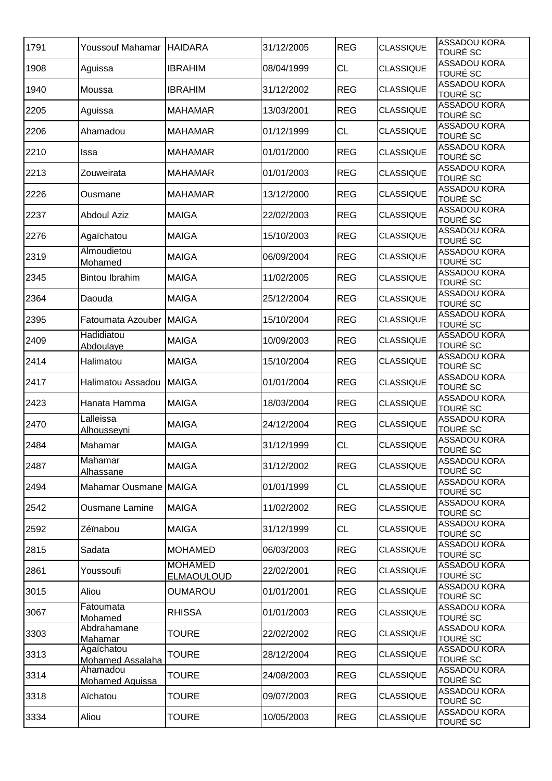| 1791 | Youssouf Mahamar               | <b>HAIDARA</b>                      | 31/12/2005 | <b>REG</b> | <b>CLASSIQUE</b> | <b>ASSADOU KORA</b><br>TOURÉ SC        |
|------|--------------------------------|-------------------------------------|------------|------------|------------------|----------------------------------------|
| 1908 | Aguissa                        | <b>IBRAHIM</b>                      | 08/04/1999 | <b>CL</b>  | <b>CLASSIQUE</b> | ASSADOU KORA<br>TOURÉ SC               |
| 1940 | Moussa                         | <b>IBRAHIM</b>                      | 31/12/2002 | <b>REG</b> | <b>CLASSIQUE</b> | <b>ASSADOU KORA</b><br><b>TOURÉ SC</b> |
| 2205 | Aguissa                        | <b>MAHAMAR</b>                      | 13/03/2001 | <b>REG</b> | <b>CLASSIQUE</b> | <b>ASSADOU KORA</b><br>TOURÉ SC        |
| 2206 | Ahamadou                       | <b>MAHAMAR</b>                      | 01/12/1999 | <b>CL</b>  | <b>CLASSIQUE</b> | <b>ASSADOU KORA</b><br>TOURÉ SC        |
| 2210 | Issa                           | <b>MAHAMAR</b>                      | 01/01/2000 | <b>REG</b> | <b>CLASSIQUE</b> | <b>ASSADOU KORA</b><br><b>TOURÉ SC</b> |
| 2213 | Zouweirata                     | <b>MAHAMAR</b>                      | 01/01/2003 | <b>REG</b> | <b>CLASSIQUE</b> | ASSADOU KORA<br><b>TOURÉ SC</b>        |
| 2226 | Ousmane                        | <b>MAHAMAR</b>                      | 13/12/2000 | <b>REG</b> | <b>CLASSIQUE</b> | <b>ASSADOU KORA</b><br>TOURÉ SC        |
| 2237 | <b>Abdoul Aziz</b>             | <b>MAIGA</b>                        | 22/02/2003 | <b>REG</b> | <b>CLASSIQUE</b> | <b>ASSADOU KORA</b><br>TOURÉ SC        |
| 2276 | Agaïchatou                     | <b>MAIGA</b>                        | 15/10/2003 | <b>REG</b> | <b>CLASSIQUE</b> | <b>ASSADOU KORA</b><br>TOURÉ SC        |
| 2319 | Almoudietou<br>Mohamed         | <b>MAIGA</b>                        | 06/09/2004 | <b>REG</b> | <b>CLASSIQUE</b> | <b>ASSADOU KORA</b><br><b>TOURÉ SC</b> |
| 2345 | <b>Bintou Ibrahim</b>          | <b>MAIGA</b>                        | 11/02/2005 | <b>REG</b> | <b>CLASSIQUE</b> | <b>ASSADOU KORA</b><br><b>TOURÉ SC</b> |
| 2364 | Daouda                         | <b>MAIGA</b>                        | 25/12/2004 | <b>REG</b> | <b>CLASSIQUE</b> | <b>ASSADOU KORA</b><br><b>TOURÉ SC</b> |
| 2395 | Fatoumata Azouber MAIGA        |                                     | 15/10/2004 | <b>REG</b> | <b>CLASSIQUE</b> | <b>ASSADOU KORA</b><br><b>TOURÉ SC</b> |
| 2409 | Hadidiatou<br>Abdoulaye        | <b>MAIGA</b>                        | 10/09/2003 | <b>REG</b> | <b>CLASSIQUE</b> | <b>ASSADOU KORA</b><br><b>TOURÉ SC</b> |
| 2414 | Halimatou                      | <b>MAIGA</b>                        | 15/10/2004 | <b>REG</b> | <b>CLASSIQUE</b> | <b>ASSADOU KORA</b><br><b>TOURÉ SC</b> |
| 2417 | Halimatou Assadou              | <b>MAIGA</b>                        | 01/01/2004 | <b>REG</b> | <b>CLASSIQUE</b> | <b>ASSADOU KORA</b><br>TOURÉ SC        |
| 2423 | Hanata Hamma                   | <b>MAIGA</b>                        | 18/03/2004 | <b>REG</b> | <b>CLASSIQUE</b> | <b>ASSADOU KORA</b><br>TOURÉ SC        |
| 2470 | Lalleissa<br>Alhousseyni       | <b>MAIGA</b>                        | 24/12/2004 | <b>REG</b> | <b>CLASSIQUE</b> | <b>ASSADOU KORA</b><br><b>TOURÉ SC</b> |
| 2484 | Mahamar                        | <b>MAIGA</b>                        | 31/12/1999 | <b>CL</b>  | <b>CLASSIQUE</b> | <b>ASSADOU KORA</b><br><b>TOURÉ SC</b> |
| 2487 | Mahamar<br>Alhassane           | <b>MAIGA</b>                        | 31/12/2002 | <b>REG</b> | <b>CLASSIQUE</b> | <b>ASSADOU KORA</b><br><b>TOURÉ SC</b> |
| 2494 | Mahamar Ousmane MAIGA          |                                     | 01/01/1999 | <b>CL</b>  | <b>CLASSIQUE</b> | <b>ASSADOU KORA</b><br>TOURÉ SC        |
| 2542 | <b>Ousmane Lamine</b>          | <b>MAIGA</b>                        | 11/02/2002 | <b>REG</b> | <b>CLASSIQUE</b> | ASSADOU KORA<br><b>TOURÉ SC</b>        |
| 2592 | Zéïnabou                       | <b>MAIGA</b>                        | 31/12/1999 | <b>CL</b>  | <b>CLASSIQUE</b> | <b>ASSADOU KORA</b><br><b>TOURÉ SC</b> |
| 2815 | Sadata                         | <b>MOHAMED</b>                      | 06/03/2003 | <b>REG</b> | <b>CLASSIQUE</b> | <b>ASSADOU KORA</b><br><b>TOURÉ SC</b> |
| 2861 | Youssoufi                      | <b>MOHAMED</b><br><b>ELMAOULOUD</b> | 22/02/2001 | <b>REG</b> | <b>CLASSIQUE</b> | <b>ASSADOU KORA</b><br>TOURÉ SC        |
| 3015 | Aliou                          | <b>OUMAROU</b>                      | 01/01/2001 | <b>REG</b> | <b>CLASSIQUE</b> | <b>ASSADOU KORA</b><br>TOURÉ SC        |
| 3067 | Fatoumata<br>Mohamed           | <b>RHISSA</b>                       | 01/01/2003 | <b>REG</b> | <b>CLASSIQUE</b> | <b>ASSADOU KORA</b><br><b>TOURÉ SC</b> |
| 3303 | Abdrahamane<br>Mahamar         | <b>TOURE</b>                        | 22/02/2002 | <b>REG</b> | <b>CLASSIQUE</b> | <b>ASSADOU KORA</b><br><b>TOURÉ SC</b> |
| 3313 | Agaïchatou<br>Mohamed Assalaha | TOURE                               | 28/12/2004 | <b>REG</b> | <b>CLASSIQUE</b> | ASSADOU KORA<br>TOURÉ SC               |
| 3314 | Ahamadou<br>Mohamed Aguissa    | <b>TOURE</b>                        | 24/08/2003 | <b>REG</b> | CLASSIQUE        | ASSADOU KORA<br>TOURÉ SC               |
| 3318 | Aïchatou                       | <b>TOURE</b>                        | 09/07/2003 | <b>REG</b> | <b>CLASSIQUE</b> | <b>ASSADOU KORA</b><br><b>TOURÉ SC</b> |
| 3334 | Aliou                          | <b>TOURE</b>                        | 10/05/2003 | <b>REG</b> | <b>CLASSIQUE</b> | <b>ASSADOU KORA</b><br><b>TOURÉ SC</b> |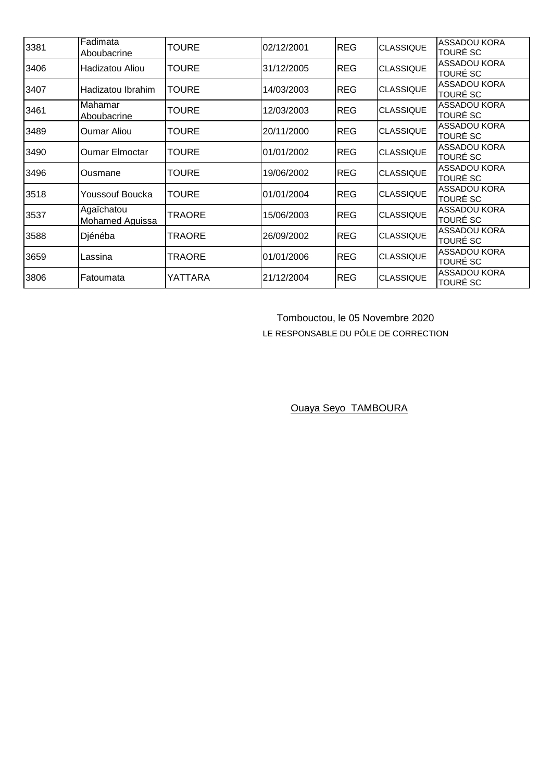| 3381 | Fadimata<br>Aboubacrine              | TOURE         | 02/12/2001 | <b>REG</b> | <b>CLASSIQUE</b> | <b>ASSADOU KORA</b><br><b>TOURÉ SC</b> |
|------|--------------------------------------|---------------|------------|------------|------------------|----------------------------------------|
| 3406 | Hadizatou Aliou                      | <b>TOURE</b>  | 31/12/2005 | REG        | <b>CLASSIQUE</b> | <b>ASSADOU KORA</b><br><b>TOURÉ SC</b> |
| 3407 | Hadizatou Ibrahim                    | <b>TOURE</b>  | 14/03/2003 | <b>REG</b> | <b>CLASSIQUE</b> | <b>ASSADOU KORA</b><br><b>TOURÉ SC</b> |
| 3461 | Mahamar<br>Aboubacrine               | <b>TOURE</b>  | 12/03/2003 | <b>REG</b> | <b>CLASSIQUE</b> | ASSADOU KORA<br><b>TOURÉ SC</b>        |
| 3489 | <b>Oumar Aliou</b>                   | <b>TOURE</b>  | 20/11/2000 | <b>REG</b> | <b>CLASSIQUE</b> | ASSADOU KORA<br><b>TOURÉ SC</b>        |
| 3490 | <b>Oumar Elmoctar</b>                | <b>TOURE</b>  | 01/01/2002 | <b>REG</b> | <b>CLASSIQUE</b> | <b>ASSADOU KORA</b><br><b>TOURÉ SC</b> |
| 3496 | Ousmane                              | TOURE         | 19/06/2002 | <b>REG</b> | <b>CLASSIQUE</b> | <b>ASSADOU KORA</b><br><b>TOURÉ SC</b> |
| 3518 | Youssouf Boucka                      | <b>TOURE</b>  | 01/01/2004 | <b>REG</b> | <b>CLASSIQUE</b> | <b>ASSADOU KORA</b><br><b>TOURÉ SC</b> |
| 3537 | Agaïchatou<br><b>Mohamed Aguissa</b> | <b>TRAORE</b> | 15/06/2003 | <b>REG</b> | <b>CLASSIQUE</b> | <b>ASSADOU KORA</b><br><b>TOURÉ SC</b> |
| 3588 | Djénéba                              | <b>TRAORE</b> | 26/09/2002 | <b>REG</b> | <b>CLASSIQUE</b> | ASSADOU KORA<br><b>TOURÉ SC</b>        |
| 3659 | Lassina                              | <b>TRAORE</b> | 01/01/2006 | <b>REG</b> | <b>CLASSIQUE</b> | <b>ASSADOU KORA</b><br><b>TOURÉ SC</b> |
| 3806 | Fatoumata                            | YATTARA       | 21/12/2004 | <b>REG</b> | <b>CLASSIQUE</b> | <b>ASSADOU KORA</b><br><b>TOURÉ SC</b> |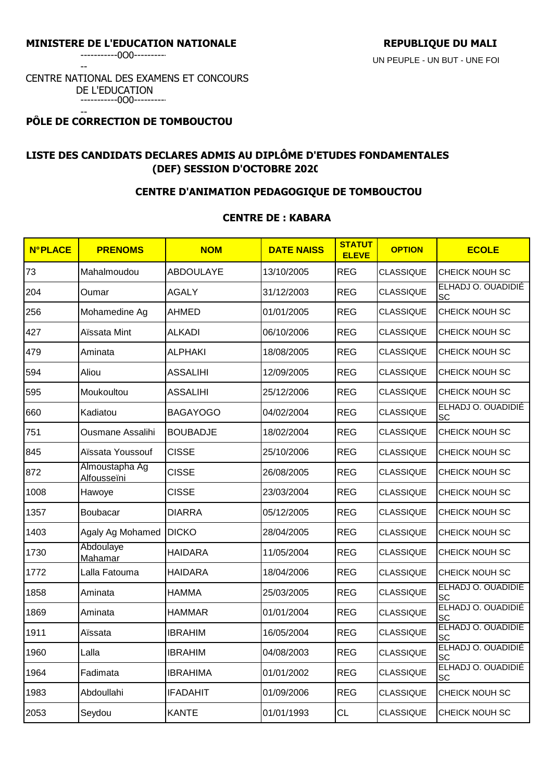-----------0O0----------

--

#### CENTRE NATIONAL DES EXAMENS ET CONCOURS DE L'EDUCATION -----------0O0----------

#### -- **PÔLE DE CORRECTION DE TOMBOUCTOU**

# **LISTE DES CANDIDATS DECLARES ADMIS AU DIPLÔME D'ETUDES FONDAMENTALES (DEF) SESSION D'OCTOBRE 2020**

## **CENTRE D'ANIMATION PEDAGOGIQUE DE TOMBOUCTOU**

## **CENTRE DE : KABARA**

| <b>N°PLACE</b> | <b>PRENOMS</b>                       | <b>NOM</b>       | <b>DATE NAISS</b> | <b>STATUT</b><br><b>ELEVE</b> | <b>OPTION</b>    | <b>ECOLE</b>                    |
|----------------|--------------------------------------|------------------|-------------------|-------------------------------|------------------|---------------------------------|
| 73             | Mahalmoudou                          | <b>ABDOULAYE</b> | 13/10/2005        | <b>REG</b>                    | <b>CLASSIQUE</b> | CHEICK NOUH SC                  |
| 204            | Oumar                                | <b>AGALY</b>     | 31/12/2003        | <b>REG</b>                    | <b>CLASSIQUE</b> | ELHADJ O. OUADIDIÉ<br>SC        |
| 256            | Mohamedine Ag                        | <b>AHMED</b>     | 01/01/2005        | <b>REG</b>                    | <b>CLASSIQUE</b> | CHEICK NOUH SC                  |
| 427            | Aïssata Mint                         | <b>ALKADI</b>    | 06/10/2006        | <b>REG</b>                    | <b>CLASSIQUE</b> | CHEICK NOUH SC                  |
| 479            | Aminata                              | <b>ALPHAKI</b>   | 18/08/2005        | <b>REG</b>                    | CLASSIQUE        | CHEICK NOUH SC                  |
| 594            | Aliou                                | <b>ASSALIHI</b>  | 12/09/2005        | <b>REG</b>                    | <b>CLASSIQUE</b> | CHEICK NOUH SC                  |
| 595            | Moukoultou                           | <b>ASSALIHI</b>  | 25/12/2006        | <b>REG</b>                    | CLASSIQUE        | CHEICK NOUH SC                  |
| 660            | Kadiatou                             | <b>BAGAYOGO</b>  | 04/02/2004        | <b>REG</b>                    | <b>CLASSIQUE</b> | ELHADJ O. OUADIDIÉ<br>SC        |
| 751            | Ousmane Assalihi                     | <b>BOUBADJE</b>  | 18/02/2004        | <b>REG</b>                    | <b>CLASSIQUE</b> | CHEICK NOUH SC                  |
| 845            | Aïssata Youssouf                     | <b>CISSE</b>     | 25/10/2006        | <b>REG</b>                    | <b>CLASSIQUE</b> | CHEICK NOUH SC                  |
| 872            | Almoustapha Ag<br><b>Alfousseïni</b> | <b>CISSE</b>     | 26/08/2005        | <b>REG</b>                    | <b>CLASSIQUE</b> | CHEICK NOUH SC                  |
| 1008           | Hawoye                               | <b>CISSE</b>     | 23/03/2004        | <b>REG</b>                    | <b>CLASSIQUE</b> | CHEICK NOUH SC                  |
| 1357           | Boubacar                             | <b>DIARRA</b>    | 05/12/2005        | <b>REG</b>                    | <b>CLASSIQUE</b> | CHEICK NOUH SC                  |
| 1403           | Agaly Ag Mohamed                     | <b>DICKO</b>     | 28/04/2005        | <b>REG</b>                    | <b>CLASSIQUE</b> | CHEICK NOUH SC                  |
| 1730           | Abdoulaye<br>Mahamar                 | <b>HAIDARA</b>   | 11/05/2004        | <b>REG</b>                    | <b>CLASSIQUE</b> | CHEICK NOUH SC                  |
| 1772           | Lalla Fatouma                        | <b>HAIDARA</b>   | 18/04/2006        | <b>REG</b>                    | <b>CLASSIQUE</b> | CHEICK NOUH SC                  |
| 1858           | Aminata                              | <b>HAMMA</b>     | 25/03/2005        | <b>REG</b>                    | <b>CLASSIQUE</b> | ELHADJ O. OUADIDIÉ<br><b>SC</b> |
| 1869           | Aminata                              | <b>HAMMAR</b>    | 01/01/2004        | <b>REG</b>                    | <b>CLASSIQUE</b> | ELHADJ O. OUADIDIÉ<br>SC        |
| 1911           | Aïssata                              | <b>IBRAHIM</b>   | 16/05/2004        | <b>REG</b>                    | <b>CLASSIQUE</b> | ELHADJ O. OUADIDIÉ<br>SC        |
| 1960           | Lalla                                | <b>IBRAHIM</b>   | 04/08/2003        | <b>REG</b>                    | <b>CLASSIQUE</b> | ELHADJ O. OUADIDIÉ<br>SC        |
| 1964           | Fadimata                             | <b>IBRAHIMA</b>  | 01/01/2002        | <b>REG</b>                    | <b>CLASSIQUE</b> | ELHADJ O. OUADIDIÉ<br>SC        |
| 1983           | Abdoullahi                           | <b>IFADAHIT</b>  | 01/09/2006        | <b>REG</b>                    | <b>CLASSIQUE</b> | CHEICK NOUH SC                  |
| 2053           | Seydou                               | <b>KANTE</b>     | 01/01/1993        | <b>CL</b>                     | <b>CLASSIQUE</b> | CHEICK NOUH SC                  |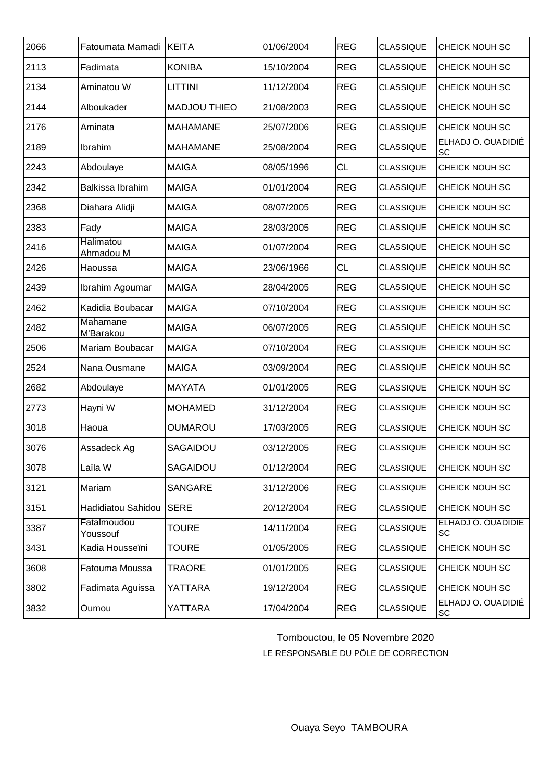| 2066 | Fatoumata Mamadi              | <b>KEITA</b>        | 01/06/2004 | <b>REG</b> | <b>CLASSIQUE</b> | CHEICK NOUH SC           |
|------|-------------------------------|---------------------|------------|------------|------------------|--------------------------|
| 2113 | Fadimata                      | <b>KONIBA</b>       | 15/10/2004 | <b>REG</b> | <b>CLASSIQUE</b> | CHEICK NOUH SC           |
| 2134 | Aminatou W                    | <b>LITTINI</b>      | 11/12/2004 | <b>REG</b> | <b>CLASSIQUE</b> | CHEICK NOUH SC           |
| 2144 | Alboukader                    | <b>MADJOU THIEO</b> | 21/08/2003 | <b>REG</b> | <b>CLASSIQUE</b> | CHEICK NOUH SC           |
| 2176 | Aminata                       | <b>MAHAMANE</b>     | 25/07/2006 | <b>REG</b> | <b>CLASSIQUE</b> | CHEICK NOUH SC           |
| 2189 | Ibrahim                       | <b>MAHAMANE</b>     | 25/08/2004 | <b>REG</b> | <b>CLASSIQUE</b> | ELHADJ O. OUADIDIÉ<br>SC |
| 2243 | Abdoulaye                     | <b>MAIGA</b>        | 08/05/1996 | <b>CL</b>  | <b>CLASSIQUE</b> | CHEICK NOUH SC           |
| 2342 | Balkissa Ibrahim              | <b>MAIGA</b>        | 01/01/2004 | <b>REG</b> | <b>CLASSIQUE</b> | CHEICK NOUH SC           |
| 2368 | Diahara Alidji                | <b>MAIGA</b>        | 08/07/2005 | <b>REG</b> | <b>CLASSIQUE</b> | CHEICK NOUH SC           |
| 2383 | Fady                          | <b>MAIGA</b>        | 28/03/2005 | <b>REG</b> | <b>CLASSIQUE</b> | CHEICK NOUH SC           |
| 2416 | Halimatou<br><u>Ahmadou M</u> | <b>MAIGA</b>        | 01/07/2004 | <b>REG</b> | <b>CLASSIQUE</b> | CHEICK NOUH SC           |
| 2426 | Haoussa                       | <b>MAIGA</b>        | 23/06/1966 | <b>CL</b>  | <b>CLASSIQUE</b> | CHEICK NOUH SC           |
| 2439 | Ibrahim Agoumar               | <b>MAIGA</b>        | 28/04/2005 | <b>REG</b> | <b>CLASSIQUE</b> | CHEICK NOUH SC           |
| 2462 | Kadidia Boubacar              | <b>MAIGA</b>        | 07/10/2004 | <b>REG</b> | <b>CLASSIQUE</b> | CHEICK NOUH SC           |
| 2482 | Mahamane<br>M'Barakou         | <b>MAIGA</b>        | 06/07/2005 | <b>REG</b> | <b>CLASSIQUE</b> | CHEICK NOUH SC           |
| 2506 | Mariam Boubacar               | <b>MAIGA</b>        | 07/10/2004 | <b>REG</b> | <b>CLASSIQUE</b> | CHEICK NOUH SC           |
| 2524 | Nana Ousmane                  | <b>MAIGA</b>        | 03/09/2004 | <b>REG</b> | <b>CLASSIQUE</b> | CHEICK NOUH SC           |
| 2682 | Abdoulaye                     | <b>MAYATA</b>       | 01/01/2005 | <b>REG</b> | <b>CLASSIQUE</b> | CHEICK NOUH SC           |
| 2773 | Hayni W                       | <b>MOHAMED</b>      | 31/12/2004 | <b>REG</b> | <b>CLASSIQUE</b> | CHEICK NOUH SC           |
| 3018 | Haoua                         | OUMAROU             | 17/03/2005 | <b>REG</b> | <b>CLASSIQUE</b> | CHEICK NOUH SC           |
| 3076 | Assadeck Ag                   | SAGAIDOU            | 03/12/2005 | REG        | <b>CLASSIQUE</b> | CHEICK NOUH SC           |
| 3078 | Laïla W                       | SAGAIDOU            | 01/12/2004 | <b>REG</b> | <b>CLASSIQUE</b> | CHEICK NOUH SC           |
| 3121 | Mariam                        | <b>SANGARE</b>      | 31/12/2006 | <b>REG</b> | <b>CLASSIQUE</b> | CHEICK NOUH SC           |
| 3151 | Hadidiatou Sahidou            | <b>SERE</b>         | 20/12/2004 | <b>REG</b> | <b>CLASSIQUE</b> | CHEICK NOUH SC           |
| 3387 | Fatalmoudou<br>Youssouf       | <b>TOURE</b>        | 14/11/2004 | <b>REG</b> | <b>CLASSIQUE</b> | ELHADJ O. OUADIDIÉ<br>SC |
| 3431 | Kadia Housseïni               | <b>TOURE</b>        | 01/05/2005 | <b>REG</b> | <b>CLASSIQUE</b> | CHEICK NOUH SC           |
| 3608 | Fatouma Moussa                | <b>TRAORE</b>       | 01/01/2005 | <b>REG</b> | <b>CLASSIQUE</b> | CHEICK NOUH SC           |
| 3802 | Fadimata Aguissa              | YATTARA             | 19/12/2004 | <b>REG</b> | <b>CLASSIQUE</b> | CHEICK NOUH SC           |
| 3832 | Oumou                         | YATTARA             | 17/04/2004 | <b>REG</b> | <b>CLASSIQUE</b> | ELHADJ O. OUADIDIÉ<br>SC |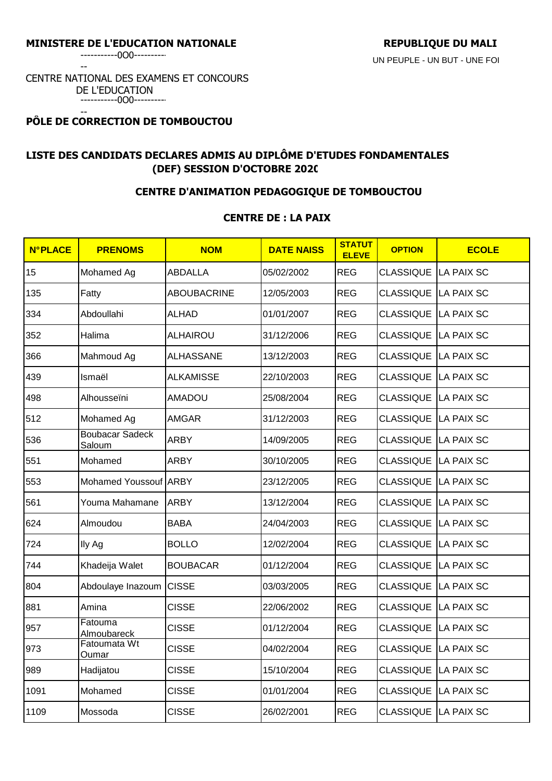-----------0O0----------

--

### CENTRE NATIONAL DES EXAMENS ET CONCOURS DE L'EDUCATION -----------0O0----------

#### -- **PÔLE DE CORRECTION DE TOMBOUCTOU**

# **LISTE DES CANDIDATS DECLARES ADMIS AU DIPLÔME D'ETUDES FONDAMENTALES (DEF) SESSION D'OCTOBRE 2020**

## **CENTRE D'ANIMATION PEDAGOGIQUE DE TOMBOUCTOU**

## **CENTRE DE : LA PAIX**

| <b>N°PLACE</b> | <b>PRENOMS</b>                   | <b>NOM</b>       | <b>DATE NAISS</b> | <b>STATUT</b><br><b>ELEVE</b> | <b>OPTION</b>               | <b>ECOLE</b>      |
|----------------|----------------------------------|------------------|-------------------|-------------------------------|-----------------------------|-------------------|
| 15             | Mohamed Ag                       | <b>ABDALLA</b>   | 05/02/2002        | <b>REG</b>                    | CLASSIQUE                   | <b>LA PAIX SC</b> |
| 135            | Fatty                            | ABOUBACRINE      | 12/05/2003        | <b>REG</b>                    | <b>CLASSIQUE</b>            | <b>LA PAIX SC</b> |
| 334            | Abdoullahi                       | <b>ALHAD</b>     | 01/01/2007        | <b>REG</b>                    | CLASSIQUE                   | <b>LA PAIX SC</b> |
| 352            | Halima                           | ALHAIROU         | 31/12/2006        | <b>REG</b>                    | CLASSIQUE LA PAIX SC        |                   |
| 366            | Mahmoud Ag                       | <b>ALHASSANE</b> | 13/12/2003        | <b>REG</b>                    | <b>CLASSIQUE</b>            | <b>LA PAIX SC</b> |
| 439            | Ismaël                           | <b>ALKAMISSE</b> | 22/10/2003        | <b>REG</b>                    | <b>CLASSIQUE</b>            | <b>LA PAIX SC</b> |
| 498            | Alhousseïni                      | <b>AMADOU</b>    | 25/08/2004        | <b>REG</b>                    | CLASSIQUE LA PAIX SC        |                   |
| 512            | Mohamed Ag                       | <b>AMGAR</b>     | 31/12/2003        | <b>REG</b>                    | <b>CLASSIQUE LA PAIX SC</b> |                   |
| 536            | <b>Boubacar Sadeck</b><br>Saloum | <b>ARBY</b>      | 14/09/2005        | <b>REG</b>                    | CLASSIQUE                   | <b>LA PAIX SC</b> |
| 551            | Mohamed                          | <b>ARBY</b>      | 30/10/2005        | <b>REG</b>                    | CLASSIQUE                   | <b>LA PAIX SC</b> |
| 553            | Mohamed Youssouf ARBY            |                  | 23/12/2005        | <b>REG</b>                    | CLASSIQUE                   | <b>LA PAIX SC</b> |
| 561            | Youma Mahamane                   | <b>ARBY</b>      | 13/12/2004        | <b>REG</b>                    | CLASSIQUE                   | <b>LA PAIX SC</b> |
| 624            | Almoudou                         | <b>BABA</b>      | 24/04/2003        | <b>REG</b>                    | CLASSIQUE                   | <b>LA PAIX SC</b> |
| 724            | Ily Ag                           | <b>BOLLO</b>     | 12/02/2004        | <b>REG</b>                    | CLASSIQUE                   | <b>LA PAIX SC</b> |
| 744            | Khadeija Walet                   | <b>BOUBACAR</b>  | 01/12/2004        | <b>REG</b>                    | CLASSIQUE LA PAIX SC        |                   |
| 804            | Abdoulaye Inazoum                | <b>CISSE</b>     | 03/03/2005        | <b>REG</b>                    | CLASSIQUE                   | <b>LA PAIX SC</b> |
| 881            | Amina                            | <b>CISSE</b>     | 22/06/2002        | <b>REG</b>                    | CLASSIQUE                   | <b>LA PAIX SC</b> |
| 957            | Fatouma<br>Almoubareck           | <b>CISSE</b>     | 01/12/2004        | <b>REG</b>                    | CLASSIQUE                   | <b>LA PAIX SC</b> |
| 973            | Fatoumata Wt<br>Oumar            | <b>CISSE</b>     | 04/02/2004        | <b>REG</b>                    | CLASSIQUE LA PAIX SC        |                   |
| 989            | Hadijatou                        | <b>CISSE</b>     | 15/10/2004        | <b>REG</b>                    | CLASSIQUE LA PAIX SC        |                   |
| 1091           | Mohamed                          | <b>CISSE</b>     | 01/01/2004        | <b>REG</b>                    | CLASSIQUE LA PAIX SC        |                   |
| 1109           | Mossoda                          | <b>CISSE</b>     | 26/02/2001        | <b>REG</b>                    | <b>CLASSIQUE LA PAIX SC</b> |                   |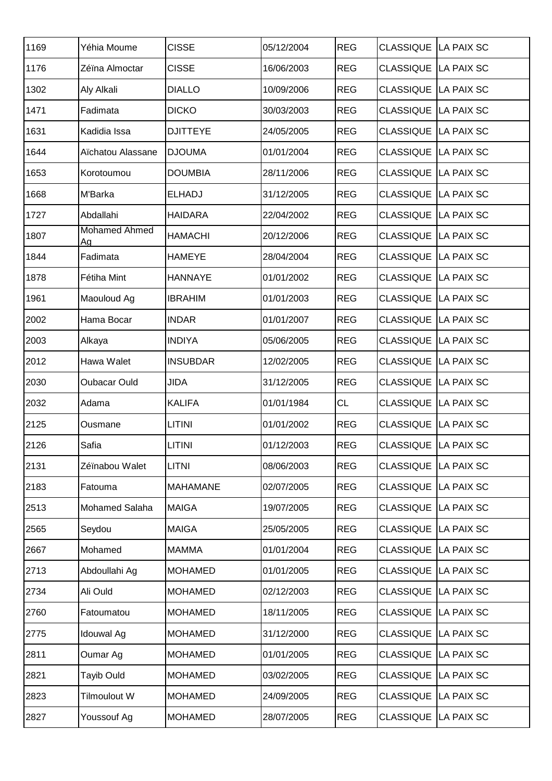| 1169 | Yéhia Moume                | <b>CISSE</b>    | 05/12/2004 | <b>REG</b> | CLASSIQUE   LA PAIX SC      |            |
|------|----------------------------|-----------------|------------|------------|-----------------------------|------------|
| 1176 | Zéïna Almoctar             | <b>CISSE</b>    | 16/06/2003 | <b>REG</b> | CLASSIQUE   LA PAIX SC      |            |
| 1302 | Aly Alkali                 | <b>DIALLO</b>   | 10/09/2006 | <b>REG</b> | CLASSIQUE LA PAIX SC        |            |
| 1471 | Fadimata                   | <b>DICKO</b>    | 30/03/2003 | <b>REG</b> | CLASSIQUE LA PAIX SC        |            |
| 1631 | Kadidia Issa               | <b>DJITTEYE</b> | 24/05/2005 | <b>REG</b> | CLASSIQUE LA PAIX SC        |            |
| 1644 | Aïchatou Alassane          | <b>DJOUMA</b>   | 01/01/2004 | <b>REG</b> | <b>CLASSIQUE LA PAIX SC</b> |            |
| 1653 | Korotoumou                 | <b>DOUMBIA</b>  | 28/11/2006 | <b>REG</b> | CLASSIQUE LA PAIX SC        |            |
| 1668 | M'Barka                    | <b>ELHADJ</b>   | 31/12/2005 | <b>REG</b> | CLASSIQUE LA PAIX SC        |            |
| 1727 | Abdallahi                  | <b>HAIDARA</b>  | 22/04/2002 | <b>REG</b> | CLASSIQUE LA PAIX SC        |            |
| 1807 | <b>Mohamed Ahmed</b><br>Ag | <b>HAMACHI</b>  | 20/12/2006 | <b>REG</b> | <b>CLASSIQUE LA PAIX SC</b> |            |
| 1844 | Fadimata                   | <b>HAMEYE</b>   | 28/04/2004 | <b>REG</b> | CLASSIQUE LA PAIX SC        |            |
| 1878 | Fétiha Mint                | <b>HANNAYE</b>  | 01/01/2002 | <b>REG</b> | <b>CLASSIQUE LA PAIX SC</b> |            |
| 1961 | Maouloud Ag                | <b>IBRAHIM</b>  | 01/01/2003 | <b>REG</b> | CLASSIQUE LA PAIX SC        |            |
| 2002 | Hama Bocar                 | <b>INDAR</b>    | 01/01/2007 | <b>REG</b> | CLASSIQUE LA PAIX SC        |            |
| 2003 | Alkaya                     | <b>INDIYA</b>   | 05/06/2005 | <b>REG</b> | CLASSIQUE LA PAIX SC        |            |
| 2012 | Hawa Walet                 | <b>INSUBDAR</b> | 12/02/2005 | <b>REG</b> | CLASSIQUE LA PAIX SC        |            |
| 2030 | Oubacar Ould               | JIDA            | 31/12/2005 | <b>REG</b> | CLASSIQUE LA PAIX SC        |            |
| 2032 | Adama                      | <b>KALIFA</b>   | 01/01/1984 | <b>CL</b>  | CLASSIQUE   LA PAIX SC      |            |
| 2125 | Ousmane                    | <b>LITINI</b>   | 01/01/2002 | <b>REG</b> | CLASSIQUE LA PAIX SC        |            |
| 2126 | Safia                      | <b>LITINI</b>   | 01/12/2003 | <b>REG</b> | CLASSIQUE LA PAIX SC        |            |
| 2131 | Zéïnabou Walet             | <b>LITNI</b>    | 08/06/2003 | <b>REG</b> | CLASSIQUE   LA PAIX SC      |            |
| 2183 | Fatouma                    | <b>MAHAMANE</b> | 02/07/2005 | <b>REG</b> | CLASSIQUE LA PAIX SC        |            |
| 2513 | Mohamed Salaha             | <b>MAIGA</b>    | 19/07/2005 | <b>REG</b> | <b>CLASSIQUE LA PAIX SC</b> |            |
| 2565 | Seydou                     | <b>MAIGA</b>    | 25/05/2005 | <b>REG</b> | CLASSIQUE                   | LA PAIX SC |
| 2667 | Mohamed                    | <b>MAMMA</b>    | 01/01/2004 | <b>REG</b> | CLASSIQUE LA PAIX SC        |            |
| 2713 | Abdoullahi Ag              | <b>MOHAMED</b>  | 01/01/2005 | <b>REG</b> | CLASSIQUE LA PAIX SC        |            |
| 2734 | Ali Ould                   | <b>MOHAMED</b>  | 02/12/2003 | <b>REG</b> | CLASSIQUE LA PAIX SC        |            |
| 2760 | Fatoumatou                 | <b>MOHAMED</b>  | 18/11/2005 | <b>REG</b> | <b>CLASSIQUE</b>            | LA PAIX SC |
| 2775 | <b>Idouwal Ag</b>          | <b>MOHAMED</b>  | 31/12/2000 | <b>REG</b> | CLASSIQUE LA PAIX SC        |            |
| 2811 | Oumar Ag                   | <b>MOHAMED</b>  | 01/01/2005 | <b>REG</b> | <b>CLASSIQUE</b>            | LA PAIX SC |
| 2821 | <b>Tayib Ould</b>          | <b>MOHAMED</b>  | 03/02/2005 | <b>REG</b> | CLASSIQUE LA PAIX SC        |            |
| 2823 | Tilmoulout W               | <b>MOHAMED</b>  | 24/09/2005 | <b>REG</b> | CLASSIQUE LA PAIX SC        |            |
| 2827 | Youssouf Ag                | <b>MOHAMED</b>  | 28/07/2005 | <b>REG</b> | CLASSIQUE LA PAIX SC        |            |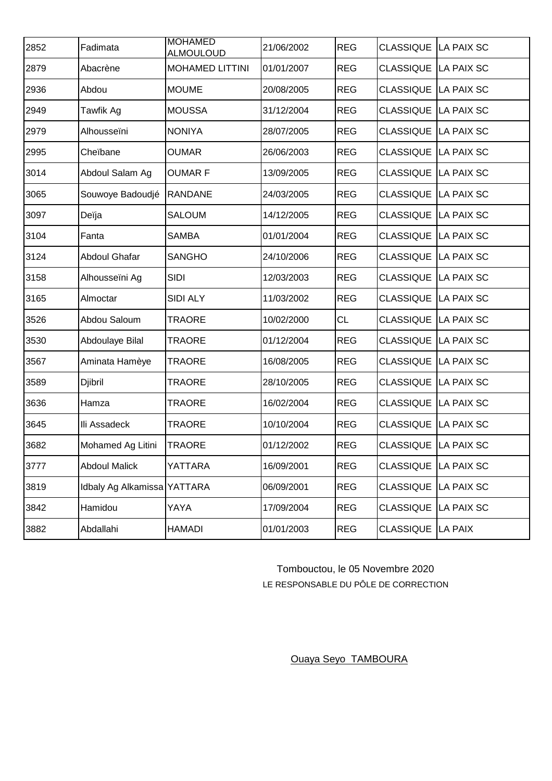| 2852 | Fadimata                    | <b>MOHAMED</b><br><b>ALMOULOUD</b> | 21/06/2002 | <b>REG</b> | <b>CLASSIQUE</b>            | LA PAIX SC |
|------|-----------------------------|------------------------------------|------------|------------|-----------------------------|------------|
| 2879 | Abacrène                    | <b>MOHAMED LITTINI</b>             | 01/01/2007 | <b>REG</b> | <b>CLASSIQUE LA PAIX SC</b> |            |
| 2936 | Abdou                       | <b>MOUME</b>                       | 20/08/2005 | <b>REG</b> | CLASSIQUE LA PAIX SC        |            |
| 2949 | Tawfik Ag                   | <b>MOUSSA</b>                      | 31/12/2004 | <b>REG</b> | CLASSIQUE LA PAIX SC        |            |
| 2979 | Alhousseïni                 | <b>NONIYA</b>                      | 28/07/2005 | <b>REG</b> | <b>CLASSIQUE</b>            | LA PAIX SC |
| 2995 | Cheïbane                    | <b>OUMAR</b>                       | 26/06/2003 | <b>REG</b> | CLASSIQUE LA PAIX SC        |            |
| 3014 | Abdoul Salam Ag             | <b>OUMARF</b>                      | 13/09/2005 | <b>REG</b> | <b>CLASSIQUE</b>            | LA PAIX SC |
| 3065 | Souwoye Badoudjé            | <b>RANDANE</b>                     | 24/03/2005 | <b>REG</b> | CLASSIQUE LA PAIX SC        |            |
| 3097 | Deïja                       | <b>SALOUM</b>                      | 14/12/2005 | <b>REG</b> | CLASSIQUE LA PAIX SC        |            |
| 3104 | Fanta                       | <b>SAMBA</b>                       | 01/01/2004 | <b>REG</b> | <b>CLASSIQUE LA PAIX SC</b> |            |
| 3124 | <b>Abdoul Ghafar</b>        | <b>SANGHO</b>                      | 24/10/2006 | <b>REG</b> | CLASSIQUE LA PAIX SC        |            |
| 3158 | Alhousseïni Ag              | <b>SIDI</b>                        | 12/03/2003 | <b>REG</b> | CLASSIQUE LA PAIX SC        |            |
| 3165 | Almoctar                    | SIDI ALY                           | 11/03/2002 | <b>REG</b> | CLASSIQUE LA PAIX SC        |            |
| 3526 | Abdou Saloum                | <b>TRAORE</b>                      | 10/02/2000 | <b>CL</b>  | CLASSIQUE LA PAIX SC        |            |
| 3530 | Abdoulaye Bilal             | <b>TRAORE</b>                      | 01/12/2004 | <b>REG</b> | CLASSIQUE LA PAIX SC        |            |
| 3567 | Aminata Hamèye              | <b>TRAORE</b>                      | 16/08/2005 | <b>REG</b> | CLASSIQUE LA PAIX SC        |            |
| 3589 | Djibril                     | <b>TRAORE</b>                      | 28/10/2005 | <b>REG</b> | <b>CLASSIQUE LA PAIX SC</b> |            |
| 3636 | Hamza                       | <b>TRAORE</b>                      | 16/02/2004 | <b>REG</b> | CLASSIQUE LA PAIX SC        |            |
| 3645 | Ili Assadeck                | <b>TRAORE</b>                      | 10/10/2004 | <b>REG</b> | CLASSIQUE LA PAIX SC        |            |
| 3682 | Mohamed Ag Litini           | <b>TRAORE</b>                      | 01/12/2002 | <b>REG</b> | CLASSIQUE LA PAIX SC        |            |
| 3777 | <b>Abdoul Malick</b>        | YATTARA                            | 16/09/2001 | <b>REG</b> | CLASSIQUE LA PAIX SC        |            |
| 3819 | Idbaly Ag Alkamissa YATTARA |                                    | 06/09/2001 | <b>REG</b> | CLASSIQUE LA PAIX SC        |            |
| 3842 | Hamidou                     | YAYA                               | 17/09/2004 | <b>REG</b> | CLASSIQUE LA PAIX SC        |            |
| 3882 | Abdallahi                   | <b>HAMADI</b>                      | 01/01/2003 | <b>REG</b> | CLASSIQUE LA PAIX           |            |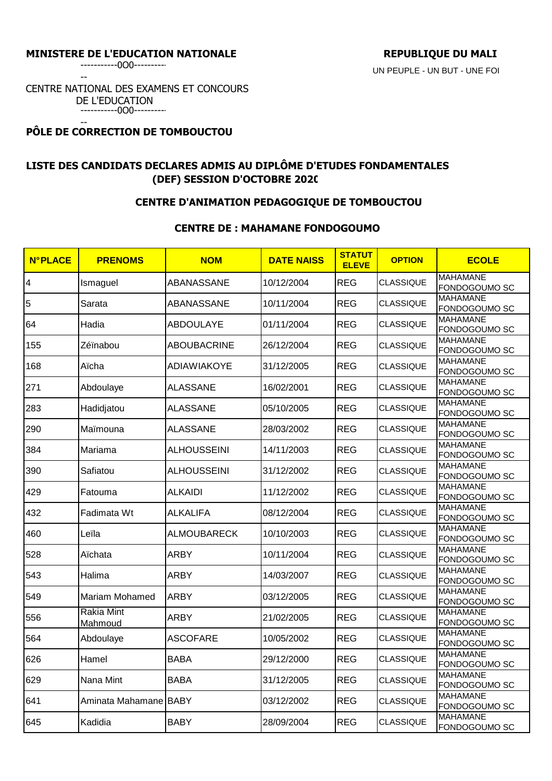## MINISTERE DE L'EDUCATION NATIONALE **REPUBLIQUE DU MALI**

UN PEUPLE - UN BUT - UNE FOI

-----------0O0----------

--

CENTRE NATIONAL DES EXAMENS ET CONCOURS DE L'EDUCATION -----------0O0----------

### -- **PÔLE DE CORRECTION DE TOMBOUCTOU**

# **LISTE DES CANDIDATS DECLARES ADMIS AU DIPLÔME D'ETUDES FONDAMENTALES (DEF) SESSION D'OCTOBRE 2020**

## **CENTRE D'ANIMATION PEDAGOGIQUE DE TOMBOUCTOU**

## **CENTRE DE : MAHAMANE FONDOGOUMO**

| <b>N°PLACE</b> | <b>PRENOMS</b>               | <b>NOM</b>         | <b>DATE NAISS</b> | <b>STATUT</b><br><b>ELEVE</b> | <b>OPTION</b>    | <b>ECOLE</b>                     |
|----------------|------------------------------|--------------------|-------------------|-------------------------------|------------------|----------------------------------|
| 4              | Ismaguel                     | ABANASSANE         | 10/12/2004        | <b>REG</b>                    | <b>CLASSIQUE</b> | <b>MAHAMANE</b><br>FONDOGOUMO SC |
| 5              | Sarata                       | ABANASSANE         | 10/11/2004        | <b>REG</b>                    | <b>CLASSIQUE</b> | <b>MAHAMANE</b><br>FONDOGOUMO SC |
| 64             | Hadia                        | <b>ABDOULAYE</b>   | 01/11/2004        | <b>REG</b>                    | <b>CLASSIQUE</b> | <b>MAHAMANE</b><br>FONDOGOUMO SC |
| 155            | Zéïnabou                     | <b>ABOUBACRINE</b> | 26/12/2004        | <b>REG</b>                    | <b>CLASSIQUE</b> | <b>MAHAMANE</b><br>FONDOGOUMO SC |
| 168            | Aïcha                        | ADIAWIAKOYE        | 31/12/2005        | <b>REG</b>                    | <b>CLASSIQUE</b> | <b>MAHAMANE</b><br>FONDOGOUMO SC |
| 271            | Abdoulaye                    | <b>ALASSANE</b>    | 16/02/2001        | <b>REG</b>                    | <b>CLASSIQUE</b> | <b>MAHAMANE</b><br>FONDOGOUMO SC |
| 283            | Hadidjatou                   | <b>ALASSANE</b>    | 05/10/2005        | <b>REG</b>                    | <b>CLASSIQUE</b> | <b>MAHAMANE</b>                  |
| 290            | Maïmouna                     | <b>ALASSANE</b>    | 28/03/2002        | <b>REG</b>                    | <b>CLASSIQUE</b> | FONDOGOUMO SC<br><b>MAHAMANE</b> |
| 384            | Mariama                      | <b>ALHOUSSEINI</b> | 14/11/2003        | <b>REG</b>                    | <b>CLASSIQUE</b> | FONDOGOUMO SC<br><b>MAHAMANE</b> |
| 390            | Safiatou                     | <b>ALHOUSSEINI</b> | 31/12/2002        | <b>REG</b>                    | <b>CLASSIQUE</b> | FONDOGOUMO SC<br><b>MAHAMANE</b> |
|                |                              |                    |                   |                               |                  | FONDOGOUMO SC<br><b>MAHAMANE</b> |
| 429            | Fatouma                      | <b>ALKAIDI</b>     | 11/12/2002        | <b>REG</b>                    | <b>CLASSIQUE</b> | FONDOGOUMO SC                    |
| 432            | Fadimata Wt                  | <b>ALKALIFA</b>    | 08/12/2004        | <b>REG</b>                    | <b>CLASSIQUE</b> | <b>MAHAMANE</b><br>FONDOGOUMO SC |
| 460            | Leïla                        | <b>ALMOUBARECK</b> | 10/10/2003        | <b>REG</b>                    | <b>CLASSIQUE</b> | <b>MAHAMANE</b><br>FONDOGOUMO SC |
| 528            | Aïchata                      | <b>ARBY</b>        | 10/11/2004        | <b>REG</b>                    | <b>CLASSIQUE</b> | <b>MAHAMANE</b><br>FONDOGOUMO SC |
| 543            | Halima                       | <b>ARBY</b>        | 14/03/2007        | <b>REG</b>                    | <b>CLASSIQUE</b> | <b>MAHAMANE</b><br>FONDOGOUMO SC |
| 549            | Mariam Mohamed               | <b>ARBY</b>        | 03/12/2005        | <b>REG</b>                    | <b>CLASSIQUE</b> | <b>MAHAMANE</b><br>FONDOGOUMO SC |
| 556            | <b>Rakia Mint</b><br>Mahmoud | <b>ARBY</b>        | 21/02/2005        | <b>REG</b>                    | <b>CLASSIQUE</b> | <b>MAHAMANE</b><br>FONDOGOUMO SC |
| 564            | Abdoulaye                    | <b>ASCOFARE</b>    | 10/05/2002        | <b>REG</b>                    | <b>CLASSIQUE</b> | <b>MAHAMANE</b><br>FONDOGOUMO SC |
| 626            | Hamel                        | <b>BABA</b>        | 29/12/2000        | <b>REG</b>                    | CLASSIQUE        | <b>MAHAMANE</b><br>FONDOGOUMO SC |
| 629            | Nana Mint                    | <b>BABA</b>        | 31/12/2005        | <b>REG</b>                    | <b>CLASSIQUE</b> | <b>MAHAMANE</b>                  |
|                |                              |                    |                   |                               |                  | FONDOGOUMO SC<br><b>MAHAMANE</b> |
| 641            | Aminata Mahamane BABY        |                    | 03/12/2002        | <b>REG</b>                    | <b>CLASSIQUE</b> | FONDOGOUMO SC                    |
| 645            | Kadidia                      | <b>BABY</b>        | 28/09/2004        | <b>REG</b>                    | <b>CLASSIQUE</b> | <b>MAHAMANE</b><br>FONDOGOUMO SC |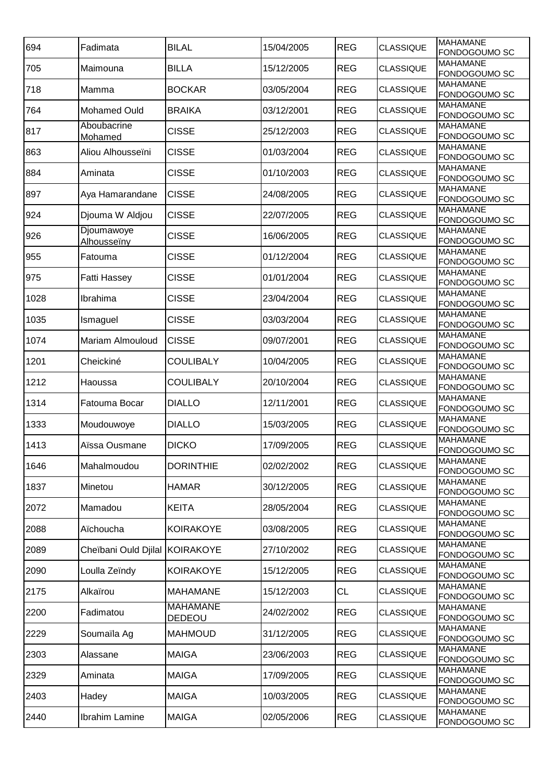| 694  | Fadimata                  | <b>BILAL</b>                     | 15/04/2005 | <b>REG</b> | <b>CLASSIQUE</b> | <b>MAHAMANE</b><br>FONDOGOUMO SC |
|------|---------------------------|----------------------------------|------------|------------|------------------|----------------------------------|
| 705  | Maimouna                  | <b>BILLA</b>                     | 15/12/2005 | <b>REG</b> | <b>CLASSIQUE</b> | <b>MAHAMANE</b><br>FONDOGOUMO SC |
| 718  | Mamma                     | <b>BOCKAR</b>                    | 03/05/2004 | <b>REG</b> | <b>CLASSIQUE</b> | <b>MAHAMANE</b><br>FONDOGOUMO SC |
| 764  | <b>Mohamed Ould</b>       | <b>BRAIKA</b>                    | 03/12/2001 | <b>REG</b> | <b>CLASSIQUE</b> | <b>MAHAMANE</b><br>FONDOGOUMO SC |
| 817  | Aboubacrine<br>Mohamed    | <b>CISSE</b>                     | 25/12/2003 | <b>REG</b> | <b>CLASSIQUE</b> | <b>MAHAMANE</b><br>FONDOGOUMO SC |
| 863  | Aliou Alhousseïni         | <b>CISSE</b>                     | 01/03/2004 | <b>REG</b> | <b>CLASSIQUE</b> | <b>MAHAMANE</b><br>FONDOGOUMO SC |
| 884  | Aminata                   | <b>CISSE</b>                     | 01/10/2003 | <b>REG</b> | <b>CLASSIQUE</b> | <b>MAHAMANE</b><br>FONDOGOUMO SC |
| 897  | Aya Hamarandane           | <b>CISSE</b>                     | 24/08/2005 | <b>REG</b> | <b>CLASSIQUE</b> | <b>MAHAMANE</b><br>FONDOGOUMO SC |
| 924  | Djouma W Aldjou           | <b>CISSE</b>                     | 22/07/2005 | <b>REG</b> | <b>CLASSIQUE</b> | <b>MAHAMANE</b><br>FONDOGOUMO SC |
| 926  | Djoumawoye<br>Alhousseiny | <b>CISSE</b>                     | 16/06/2005 | <b>REG</b> | <b>CLASSIQUE</b> | <b>MAHAMANE</b><br>FONDOGOUMO SC |
| 955  | Fatouma                   | <b>CISSE</b>                     | 01/12/2004 | <b>REG</b> | <b>CLASSIQUE</b> | <b>MAHAMANE</b><br>FONDOGOUMO SC |
| 975  | <b>Fatti Hassey</b>       | <b>CISSE</b>                     | 01/01/2004 | <b>REG</b> | <b>CLASSIQUE</b> | <b>MAHAMANE</b><br>FONDOGOUMO SC |
| 1028 | Ibrahima                  | <b>CISSE</b>                     | 23/04/2004 | <b>REG</b> | <b>CLASSIQUE</b> | <b>MAHAMANE</b><br>FONDOGOUMO SC |
| 1035 | Ismaguel                  | <b>CISSE</b>                     | 03/03/2004 | <b>REG</b> | <b>CLASSIQUE</b> | <b>MAHAMANE</b><br>FONDOGOUMO SC |
| 1074 | Mariam Almouloud          | <b>CISSE</b>                     | 09/07/2001 | <b>REG</b> | <b>CLASSIQUE</b> | <b>MAHAMANE</b><br>FONDOGOUMO SC |
| 1201 | Cheickiné                 | <b>COULIBALY</b>                 | 10/04/2005 | <b>REG</b> | <b>CLASSIQUE</b> | <b>MAHAMANE</b><br>FONDOGOUMO SC |
| 1212 | Haoussa                   | <b>COULIBALY</b>                 | 20/10/2004 | <b>REG</b> | <b>CLASSIQUE</b> | <b>MAHAMANE</b><br>FONDOGOUMO SC |
| 1314 | Fatouma Bocar             | <b>DIALLO</b>                    | 12/11/2001 | <b>REG</b> | <b>CLASSIQUE</b> | <b>MAHAMANE</b><br>FONDOGOUMO SC |
| 1333 | Moudouwoye                | <b>DIALLO</b>                    | 15/03/2005 | <b>REG</b> | <b>CLASSIQUE</b> | <b>MAHAMANE</b><br>FONDOGOUMO SC |
| 1413 | Aïssa Ousmane             | <b>DICKO</b>                     | 17/09/2005 | <b>REG</b> | <b>CLASSIQUE</b> | <b>MAHAMANE</b><br>FONDOGOUMO SC |
| 1646 | Mahalmoudou               | <b>DORINTHIE</b>                 | 02/02/2002 | <b>REG</b> | <b>CLASSIQUE</b> | <b>MAHAMANE</b><br>FONDOGOUMO SC |
| 1837 | Minetou                   | <b>HAMAR</b>                     | 30/12/2005 | <b>REG</b> | <b>CLASSIQUE</b> | <b>MAHAMANE</b><br>FONDOGOUMO SC |
| 2072 | Mamadou                   | <b>KEITA</b>                     | 28/05/2004 | <b>REG</b> | <b>CLASSIQUE</b> | <b>MAHAMANE</b><br>FONDOGOUMO SC |
| 2088 | Aïchoucha                 | <b>KOIRAKOYE</b>                 | 03/08/2005 | <b>REG</b> | <b>CLASSIQUE</b> | <b>MAHAMANE</b><br>FONDOGOUMO SC |
| 2089 | Cheïbani Ould Djilal      | KOIRAKOYE                        | 27/10/2002 | <b>REG</b> | <b>CLASSIQUE</b> | <b>MAHAMANE</b><br>FONDOGOUMO SC |
| 2090 | Loulla Zeïndy             | <b>KOIRAKOYE</b>                 | 15/12/2005 | <b>REG</b> | <b>CLASSIQUE</b> | <b>MAHAMANE</b><br>FONDOGOUMO SC |
| 2175 | Alkaïrou                  | <b>MAHAMANE</b>                  | 15/12/2003 | <b>CL</b>  | <b>CLASSIQUE</b> | <b>MAHAMANE</b><br>FONDOGOUMO SC |
| 2200 | Fadimatou                 | <b>MAHAMANE</b><br><b>DEDEOU</b> | 24/02/2002 | <b>REG</b> | <b>CLASSIQUE</b> | <b>MAHAMANE</b><br>FONDOGOUMO SC |
| 2229 | Soumaïla Ag               | <b>MAHMOUD</b>                   | 31/12/2005 | <b>REG</b> | <b>CLASSIQUE</b> | <b>MAHAMANE</b><br>FONDOGOUMO SC |
| 2303 | Alassane                  | <b>MAIGA</b>                     | 23/06/2003 | <b>REG</b> | <b>CLASSIQUE</b> | <b>MAHAMANE</b><br>FONDOGOUMO SC |
| 2329 | Aminata                   | <b>MAIGA</b>                     | 17/09/2005 | <b>REG</b> | <b>CLASSIQUE</b> | <b>MAHAMANE</b><br>FONDOGOUMO SC |
| 2403 | Hadey                     | <b>MAIGA</b>                     | 10/03/2005 | <b>REG</b> | <b>CLASSIQUE</b> | <b>MAHAMANE</b><br>FONDOGOUMO SC |
| 2440 | Ibrahim Lamine            | <b>MAIGA</b>                     | 02/05/2006 | <b>REG</b> | <b>CLASSIQUE</b> | <b>MAHAMANE</b><br>FONDOGOUMO SC |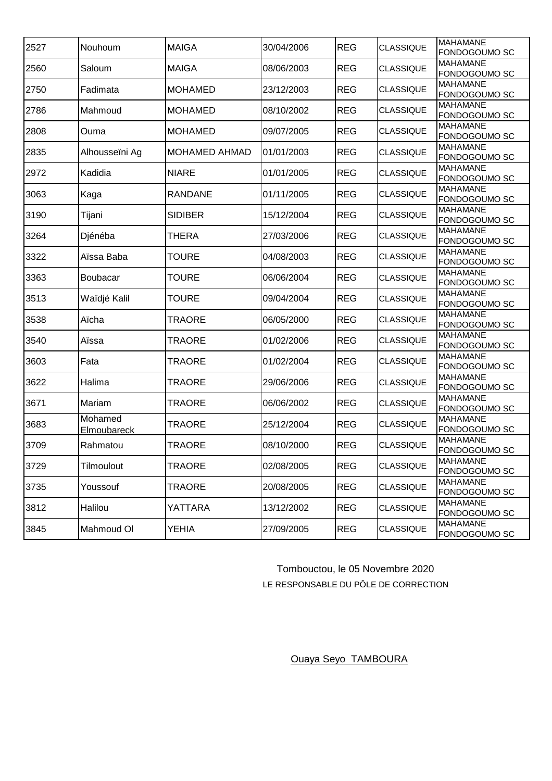| 2527 | Nouhoum                | <b>MAIGA</b>         | 30/04/2006 | <b>REG</b> | <b>CLASSIQUE</b> | <b>MAHAMANE</b><br>FONDOGOUMO SC |
|------|------------------------|----------------------|------------|------------|------------------|----------------------------------|
| 2560 | Saloum                 | <b>MAIGA</b>         | 08/06/2003 | <b>REG</b> | <b>CLASSIQUE</b> | <b>MAHAMANE</b><br>FONDOGOUMO SC |
| 2750 | Fadimata               | <b>MOHAMED</b>       | 23/12/2003 | <b>REG</b> | <b>CLASSIQUE</b> | <b>MAHAMANE</b><br>FONDOGOUMO SC |
| 2786 | Mahmoud                | <b>MOHAMED</b>       | 08/10/2002 | <b>REG</b> | <b>CLASSIQUE</b> | <b>MAHAMANE</b><br>FONDOGOUMO SC |
| 2808 | Ouma                   | <b>MOHAMED</b>       | 09/07/2005 | <b>REG</b> | <b>CLASSIQUE</b> | <b>MAHAMANE</b><br>FONDOGOUMO SC |
| 2835 | Alhousseïni Ag         | <b>MOHAMED AHMAD</b> | 01/01/2003 | <b>REG</b> | <b>CLASSIQUE</b> | <b>MAHAMANE</b><br>FONDOGOUMO SC |
| 2972 | Kadidia                | <b>NIARE</b>         | 01/01/2005 | <b>REG</b> | <b>CLASSIQUE</b> | <b>MAHAMANE</b><br>FONDOGOUMO SC |
| 3063 | Kaga                   | RANDANE              | 01/11/2005 | <b>REG</b> | <b>CLASSIQUE</b> | <b>MAHAMANE</b><br>FONDOGOUMO SC |
| 3190 | Tijani                 | <b>SIDIBER</b>       | 15/12/2004 | <b>REG</b> | <b>CLASSIQUE</b> | <b>MAHAMANE</b><br>FONDOGOUMO SC |
| 3264 | Djénéba                | THERA                | 27/03/2006 | <b>REG</b> | <b>CLASSIQUE</b> | <b>MAHAMANE</b><br>FONDOGOUMO SC |
| 3322 | Aïssa Baba             | <b>TOURE</b>         | 04/08/2003 | <b>REG</b> | <b>CLASSIQUE</b> | <b>MAHAMANE</b><br>FONDOGOUMO SC |
| 3363 | Boubacar               | <b>TOURE</b>         | 06/06/2004 | <b>REG</b> | <b>CLASSIQUE</b> | <b>MAHAMANE</b><br>FONDOGOUMO SC |
| 3513 | Waïdjé Kalil           | <b>TOURE</b>         | 09/04/2004 | <b>REG</b> | <b>CLASSIQUE</b> | <b>MAHAMANE</b><br>FONDOGOUMO SC |
| 3538 | Aïcha                  | TRAORE               | 06/05/2000 | <b>REG</b> | <b>CLASSIQUE</b> | <b>MAHAMANE</b><br>FONDOGOUMO SC |
| 3540 | Aïssa                  | TRAORE               | 01/02/2006 | <b>REG</b> | <b>CLASSIQUE</b> | <b>MAHAMANE</b><br>FONDOGOUMO SC |
| 3603 | Fata                   | TRAORE               | 01/02/2004 | <b>REG</b> | <b>CLASSIQUE</b> | <b>MAHAMANE</b><br>FONDOGOUMO SC |
| 3622 | Halima                 | TRAORE               | 29/06/2006 | <b>REG</b> | <b>CLASSIQUE</b> | <b>MAHAMANE</b><br>FONDOGOUMO SC |
| 3671 | Mariam                 | TRAORE               | 06/06/2002 | <b>REG</b> | <b>CLASSIQUE</b> | <b>MAHAMANE</b><br>FONDOGOUMO SC |
| 3683 | Mohamed<br>Elmoubareck | <b>TRAORE</b>        | 25/12/2004 | <b>REG</b> | <b>CLASSIQUE</b> | <b>MAHAMANE</b><br>FONDOGOUMO SC |
| 3709 | Rahmatou               | <b>TRAORE</b>        | 08/10/2000 | <b>REG</b> | <b>CLASSIQUE</b> | <b>MAHAMANE</b><br>FONDOGOUMO SC |
| 3729 | Tilmoulout             | TRAORE               | 02/08/2005 | <b>REG</b> | <b>CLASSIQUE</b> | <b>MAHAMANE</b><br>FONDOGOUMO SC |
| 3735 | Youssouf               | TRAORE               | 20/08/2005 | <b>REG</b> | <b>CLASSIQUE</b> | <b>MAHAMANE</b><br>FONDOGOUMO SC |
| 3812 | Halilou                | YATTARA              | 13/12/2002 | <b>REG</b> | <b>CLASSIQUE</b> | <b>MAHAMANE</b><br>FONDOGOUMO SC |
| 3845 | Mahmoud OI             | YEHIA                | 27/09/2005 | <b>REG</b> | <b>CLASSIQUE</b> | <b>MAHAMANE</b><br>FONDOGOUMO SC |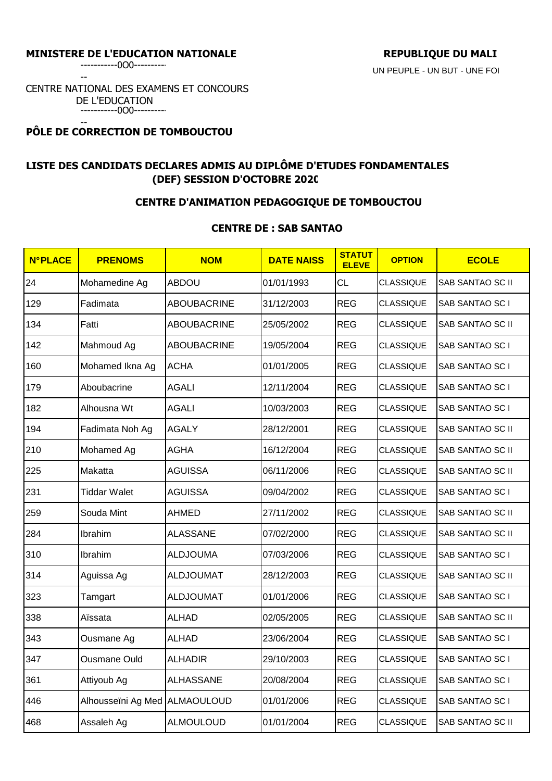## MINISTERE DE L'EDUCATION NATIONALE **REPUBLIQUE DU MALI**

--

CENTRE NATIONAL DES EXAMENS ET CONCOURS DE L'EDUCATION -----------0O0----------

### -- **PÔLE DE CORRECTION DE TOMBOUCTOU**

# **LISTE DES CANDIDATS DECLARES ADMIS AU DIPLÔME D'ETUDES FONDAMENTALES (DEF) SESSION D'OCTOBRE 2020**

# **CENTRE D'ANIMATION PEDAGOGIQUE DE TOMBOUCTOU**

## **CENTRE DE : SAB SANTAO**

| <b>N°PLACE</b> | <b>PRENOMS</b>                | <b>NOM</b>         | <b>DATE NAISS</b> | <b>STATUT</b><br><b>ELEVE</b> | <b>OPTION</b>    | <b>ECOLE</b>            |
|----------------|-------------------------------|--------------------|-------------------|-------------------------------|------------------|-------------------------|
| 24             | Mohamedine Ag                 | <b>ABDOU</b>       | 01/01/1993        | <b>CL</b>                     | <b>CLASSIQUE</b> | SAB SANTAO SC II        |
| 129            | Fadimata                      | <b>ABOUBACRINE</b> | 31/12/2003        | <b>REG</b>                    | <b>CLASSIQUE</b> | <b>SAB SANTAO SCI</b>   |
| 134            | Fatti                         | <b>ABOUBACRINE</b> | 25/05/2002        | <b>REG</b>                    | <b>CLASSIQUE</b> | <b>SAB SANTAO SC II</b> |
| 142            | Mahmoud Ag                    | <b>ABOUBACRINE</b> | 19/05/2004        | <b>REG</b>                    | <b>CLASSIQUE</b> | SAB SANTAO SC I         |
| 160            | Mohamed Ikna Ag               | <b>ACHA</b>        | 01/01/2005        | <b>REG</b>                    | <b>CLASSIQUE</b> | SAB SANTAO SC I         |
| 179            | Aboubacrine                   | <b>AGALI</b>       | 12/11/2004        | <b>REG</b>                    | <b>CLASSIQUE</b> | SAB SANTAO SC I         |
| 182            | Alhousna Wt                   | <b>AGALI</b>       | 10/03/2003        | <b>REG</b>                    | <b>CLASSIQUE</b> | SAB SANTAO SC I         |
| 194            | Fadimata Noh Ag               | <b>AGALY</b>       | 28/12/2001        | <b>REG</b>                    | <b>CLASSIQUE</b> | SAB SANTAO SC II        |
| 210            | Mohamed Ag                    | <b>AGHA</b>        | 16/12/2004        | <b>REG</b>                    | <b>CLASSIQUE</b> | SAB SANTAO SC II        |
| 225            | Makatta                       | <b>AGUISSA</b>     | 06/11/2006        | <b>REG</b>                    | <b>CLASSIQUE</b> | SAB SANTAO SC II        |
| 231            | <b>Tiddar Walet</b>           | <b>AGUISSA</b>     | 09/04/2002        | <b>REG</b>                    | <b>CLASSIQUE</b> | SAB SANTAO SC I         |
| 259            | Souda Mint                    | <b>AHMED</b>       | 27/11/2002        | <b>REG</b>                    | <b>CLASSIQUE</b> | SAB SANTAO SC II        |
| 284            | Ibrahim                       | <b>ALASSANE</b>    | 07/02/2000        | <b>REG</b>                    | <b>CLASSIQUE</b> | SAB SANTAO SC II        |
| 310            | Ibrahim                       | <b>ALDJOUMA</b>    | 07/03/2006        | <b>REG</b>                    | <b>CLASSIQUE</b> | SAB SANTAO SC I         |
| 314            | Aguissa Ag                    | <b>ALDJOUMAT</b>   | 28/12/2003        | <b>REG</b>                    | <b>CLASSIQUE</b> | SAB SANTAO SC II        |
| 323            | Tamgart                       | <b>ALDJOUMAT</b>   | 01/01/2006        | <b>REG</b>                    | <b>CLASSIQUE</b> | SAB SANTAO SC I         |
| 338            | Aïssata                       | <b>ALHAD</b>       | 02/05/2005        | <b>REG</b>                    | <b>CLASSIQUE</b> | SAB SANTAO SC II        |
| 343            | Ousmane Ag                    | <b>ALHAD</b>       | 23/06/2004        | <b>REG</b>                    | <b>CLASSIQUE</b> | SAB SANTAO SC I         |
| 347            | <b>Ousmane Ould</b>           | <b>ALHADIR</b>     | 29/10/2003        | <b>REG</b>                    | <b>CLASSIQUE</b> | SAB SANTAO SC I         |
| 361            | Attiyoub Ag                   | <b>ALHASSANE</b>   | 20/08/2004        | <b>REG</b>                    | <b>CLASSIQUE</b> | SAB SANTAO SC I         |
| 446            | Alhousseïni Ag Med ALMAOULOUD |                    | 01/01/2006        | <b>REG</b>                    | <b>CLASSIQUE</b> | SAB SANTAO SC I         |
| 468            | Assaleh Ag                    | <b>ALMOULOUD</b>   | 01/01/2004        | <b>REG</b>                    | <b>CLASSIQUE</b> | SAB SANTAO SC II        |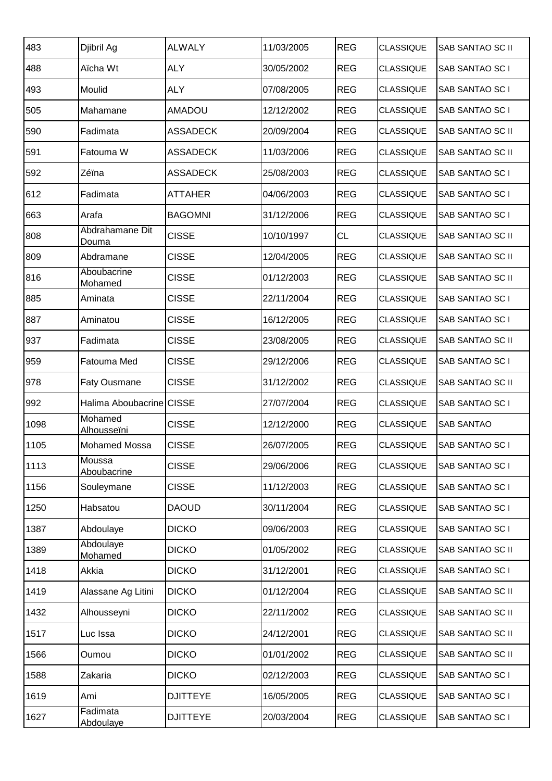| 483  | Djibril Ag                   | <b>ALWALY</b>   | 11/03/2005 | <b>REG</b> | <b>CLASSIQUE</b> | <b>SAB SANTAO SC II</b> |
|------|------------------------------|-----------------|------------|------------|------------------|-------------------------|
| 488  | Aïcha Wt                     | <b>ALY</b>      | 30/05/2002 | <b>REG</b> | <b>CLASSIQUE</b> | SAB SANTAO SC I         |
| 493  | Moulid                       | <b>ALY</b>      | 07/08/2005 | <b>REG</b> | <b>CLASSIQUE</b> | SAB SANTAO SC I         |
| 505  | Mahamane                     | <b>AMADOU</b>   | 12/12/2002 | <b>REG</b> | <b>CLASSIQUE</b> | SAB SANTAO SC I         |
| 590  | Fadimata                     | <b>ASSADECK</b> | 20/09/2004 | <b>REG</b> | <b>CLASSIQUE</b> | SAB SANTAO SC II        |
| 591  | Fatouma W                    | <b>ASSADECK</b> | 11/03/2006 | <b>REG</b> | <b>CLASSIQUE</b> | SAB SANTAO SC II        |
| 592  | Zéïna                        | <b>ASSADECK</b> | 25/08/2003 | <b>REG</b> | <b>CLASSIQUE</b> | SAB SANTAO SC I         |
| 612  | Fadimata                     | <b>ATTAHER</b>  | 04/06/2003 | <b>REG</b> | <b>CLASSIQUE</b> | SAB SANTAO SC I         |
| 663  | Arafa                        | <b>BAGOMNI</b>  | 31/12/2006 | <b>REG</b> | <b>CLASSIQUE</b> | SAB SANTAO SC I         |
| 808  | Abdrahamane Dit<br>Douma     | <b>CISSE</b>    | 10/10/1997 | CL         | <b>CLASSIQUE</b> | SAB SANTAO SC II        |
| 809  | Abdramane                    | <b>CISSE</b>    | 12/04/2005 | <b>REG</b> | <b>CLASSIQUE</b> | SAB SANTAO SC II        |
| 816  | Aboubacrine<br>Mohamed       | <b>CISSE</b>    | 01/12/2003 | <b>REG</b> | <b>CLASSIQUE</b> | SAB SANTAO SC II        |
| 885  | Aminata                      | <b>CISSE</b>    | 22/11/2004 | <b>REG</b> | <b>CLASSIQUE</b> | SAB SANTAO SC I         |
| 887  | Aminatou                     | <b>CISSE</b>    | 16/12/2005 | <b>REG</b> | <b>CLASSIQUE</b> | SAB SANTAO SC I         |
| 937  | Fadimata                     | <b>CISSE</b>    | 23/08/2005 | <b>REG</b> | <b>CLASSIQUE</b> | SAB SANTAO SC II        |
| 959  | Fatouma Med                  | <b>CISSE</b>    | 29/12/2006 | <b>REG</b> | <b>CLASSIQUE</b> | SAB SANTAO SC I         |
| 978  | <b>Faty Ousmane</b>          | <b>CISSE</b>    | 31/12/2002 | <b>REG</b> | <b>CLASSIQUE</b> | SAB SANTAO SC II        |
| 992  | Halima Aboubacrine CISSE     |                 | 27/07/2004 | <b>REG</b> | <b>CLASSIQUE</b> | SAB SANTAO SC I         |
| 1098 | Mohamed<br>Alhousseïni       | <b>CISSE</b>    | 12/12/2000 | <b>REG</b> | <b>CLASSIQUE</b> | <b>SAB SANTAO</b>       |
| 1105 | Mohamed Mossa                | <b>CISSE</b>    | 26/07/2005 | <b>REG</b> | CLASSIQUE        | SAB SANTAO SC I         |
| 1113 | Moussa<br>Aboubacrine        | <b>CISSE</b>    | 29/06/2006 | <b>REG</b> | <b>CLASSIQUE</b> | SAB SANTAO SC I         |
| 1156 | Souleymane                   | <b>CISSE</b>    | 11/12/2003 | <b>REG</b> | <b>CLASSIQUE</b> | SAB SANTAO SC I         |
| 1250 | Habsatou                     | <b>DAOUD</b>    | 30/11/2004 | <b>REG</b> | <b>CLASSIQUE</b> | SAB SANTAO SC I         |
| 1387 | Abdoulaye                    | <b>DICKO</b>    | 09/06/2003 | <b>REG</b> | <b>CLASSIQUE</b> | SAB SANTAO SC I         |
| 1389 | Abdoulaye<br>Mohamed         | <b>DICKO</b>    | 01/05/2002 | <b>REG</b> | <b>CLASSIQUE</b> | SAB SANTAO SC II        |
| 1418 | Akkia                        | <b>DICKO</b>    | 31/12/2001 | <b>REG</b> | <b>CLASSIQUE</b> | SAB SANTAO SC I         |
| 1419 | Alassane Ag Litini           | <b>DICKO</b>    | 01/12/2004 | <b>REG</b> | <b>CLASSIQUE</b> | SAB SANTAO SC II        |
| 1432 | Alhousseyni                  | <b>DICKO</b>    | 22/11/2002 | <b>REG</b> | <b>CLASSIQUE</b> | SAB SANTAO SC II        |
| 1517 | Luc Issa                     | <b>DICKO</b>    | 24/12/2001 | <b>REG</b> | <b>CLASSIQUE</b> | SAB SANTAO SC II        |
| 1566 | Oumou                        | <b>DICKO</b>    | 01/01/2002 | <b>REG</b> | <b>CLASSIQUE</b> | SAB SANTAO SC II        |
| 1588 | Zakaria                      | <b>DICKO</b>    | 02/12/2003 | <b>REG</b> | <b>CLASSIQUE</b> | SAB SANTAO SC I         |
| 1619 | Ami                          | <b>DJITTEYE</b> | 16/05/2005 | <b>REG</b> | <b>CLASSIQUE</b> | SAB SANTAO SC I         |
| 1627 | Fadimata<br><b>Abdoulaye</b> | <b>DJITTEYE</b> | 20/03/2004 | <b>REG</b> | <b>CLASSIQUE</b> | SAB SANTAO SC I         |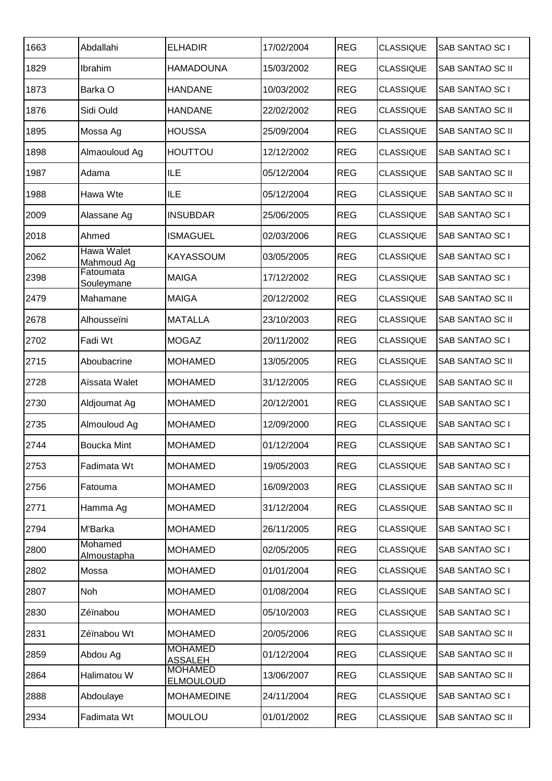| 1663 | Abdallahi                | <b>ELHADIR</b>                     | 17/02/2004 | <b>REG</b> | <b>CLASSIQUE</b> | SAB SANTAO SC I  |
|------|--------------------------|------------------------------------|------------|------------|------------------|------------------|
| 1829 | Ibrahim                  | <b>HAMADOUNA</b>                   | 15/03/2002 | <b>REG</b> | <b>CLASSIQUE</b> | SAB SANTAO SC II |
| 1873 | Barka O                  | <b>HANDANE</b>                     | 10/03/2002 | <b>REG</b> | <b>CLASSIQUE</b> | SAB SANTAO SC I  |
| 1876 | Sidi Ould                | <b>HANDANE</b>                     | 22/02/2002 | <b>REG</b> | <b>CLASSIQUE</b> | SAB SANTAO SC II |
| 1895 | Mossa Ag                 | <b>HOUSSA</b>                      | 25/09/2004 | <b>REG</b> | <b>CLASSIQUE</b> | SAB SANTAO SC II |
| 1898 | Almaouloud Ag            | <b>HOUTTOU</b>                     | 12/12/2002 | <b>REG</b> | <b>CLASSIQUE</b> | SAB SANTAO SC I  |
| 1987 | Adama                    | <b>ILE</b>                         | 05/12/2004 | <b>REG</b> | <b>CLASSIQUE</b> | SAB SANTAO SC II |
| 1988 | Hawa Wte                 | <b>ILE</b>                         | 05/12/2004 | <b>REG</b> | <b>CLASSIQUE</b> | SAB SANTAO SC II |
| 2009 | Alassane Ag              | <b>INSUBDAR</b>                    | 25/06/2005 | <b>REG</b> | <b>CLASSIQUE</b> | SAB SANTAO SC I  |
| 2018 | Ahmed                    | <b>ISMAGUEL</b>                    | 02/03/2006 | <b>REG</b> | <b>CLASSIQUE</b> | SAB SANTAO SC I  |
| 2062 | Hawa Walet<br>Mahmoud Ag | <b>KAYASSOUM</b>                   | 03/05/2005 | <b>REG</b> | <b>CLASSIQUE</b> | SAB SANTAO SC I  |
| 2398 | Fatoumata<br>Souleymane  | <b>MAIGA</b>                       | 17/12/2002 | <b>REG</b> | <b>CLASSIQUE</b> | SAB SANTAO SC I  |
| 2479 | Mahamane                 | <b>MAIGA</b>                       | 20/12/2002 | <b>REG</b> | <b>CLASSIQUE</b> | SAB SANTAO SC II |
| 2678 | Alhousseïni              | <b>MATALLA</b>                     | 23/10/2003 | <b>REG</b> | <b>CLASSIQUE</b> | SAB SANTAO SC II |
| 2702 | Fadi Wt                  | <b>MOGAZ</b>                       | 20/11/2002 | <b>REG</b> | <b>CLASSIQUE</b> | SAB SANTAO SC I  |
| 2715 | Aboubacrine              | <b>MOHAMED</b>                     | 13/05/2005 | <b>REG</b> | <b>CLASSIQUE</b> | SAB SANTAO SC II |
| 2728 | Aïssata Walet            | <b>MOHAMED</b>                     | 31/12/2005 | <b>REG</b> | <b>CLASSIQUE</b> | SAB SANTAO SC II |
| 2730 | Aldjoumat Ag             | <b>MOHAMED</b>                     | 20/12/2001 | <b>REG</b> | <b>CLASSIQUE</b> | SAB SANTAO SC I  |
| 2735 | Almouloud Ag             | <b>MOHAMED</b>                     | 12/09/2000 | <b>REG</b> | <b>CLASSIQUE</b> | SAB SANTAO SC I  |
| 2744 | <b>Boucka Mint</b>       | <b>MOHAMED</b>                     | 01/12/2004 | <b>REG</b> | <b>CLASSIQUE</b> | SAB SANTAO SC I  |
| 2753 | Fadimata Wt              | <b>MOHAMED</b>                     | 19/05/2003 | <b>REG</b> | <b>CLASSIQUE</b> | SAB SANTAO SC I  |
| 2756 | Fatouma                  | <b>MOHAMED</b>                     | 16/09/2003 | <b>REG</b> | <b>CLASSIQUE</b> | SAB SANTAO SC II |
| 2771 | Hamma Ag                 | <b>MOHAMED</b>                     | 31/12/2004 | <b>REG</b> | <b>CLASSIQUE</b> | SAB SANTAO SC II |
| 2794 | M'Barka                  | <b>MOHAMED</b>                     | 26/11/2005 | <b>REG</b> | <b>CLASSIQUE</b> | SAB SANTAO SC I  |
| 2800 | Mohamed<br>Almoustapha   | <b>MOHAMED</b>                     | 02/05/2005 | <b>REG</b> | <b>CLASSIQUE</b> | SAB SANTAO SC I  |
| 2802 | Mossa                    | <b>MOHAMED</b>                     | 01/01/2004 | <b>REG</b> | <b>CLASSIQUE</b> | SAB SANTAO SC I  |
| 2807 | <b>Noh</b>               | <b>MOHAMED</b>                     | 01/08/2004 | <b>REG</b> | <b>CLASSIQUE</b> | SAB SANTAO SC I  |
| 2830 | Zéïnabou                 | <b>MOHAMED</b>                     | 05/10/2003 | <b>REG</b> | <b>CLASSIQUE</b> | SAB SANTAO SC I  |
| 2831 | Zéïnabou Wt              | <b>MOHAMED</b>                     | 20/05/2006 | <b>REG</b> | <b>CLASSIQUE</b> | SAB SANTAO SC II |
| 2859 | Abdou Ag                 | <b>MOHAMED</b><br><b>ASSALEH</b>   | 01/12/2004 | <b>REG</b> | <b>CLASSIQUE</b> | SAB SANTAO SC II |
| 2864 | Halimatou W              | <b>MOHAMED</b><br><b>ELMOULOUD</b> | 13/06/2007 | <b>REG</b> | <b>CLASSIQUE</b> | SAB SANTAO SC II |
| 2888 | Abdoulaye                | <b>MOHAMEDINE</b>                  | 24/11/2004 | <b>REG</b> | <b>CLASSIQUE</b> | SAB SANTAO SC I  |
| 2934 | Fadimata Wt              | <b>MOULOU</b>                      | 01/01/2002 | <b>REG</b> | <b>CLASSIQUE</b> | SAB SANTAO SC II |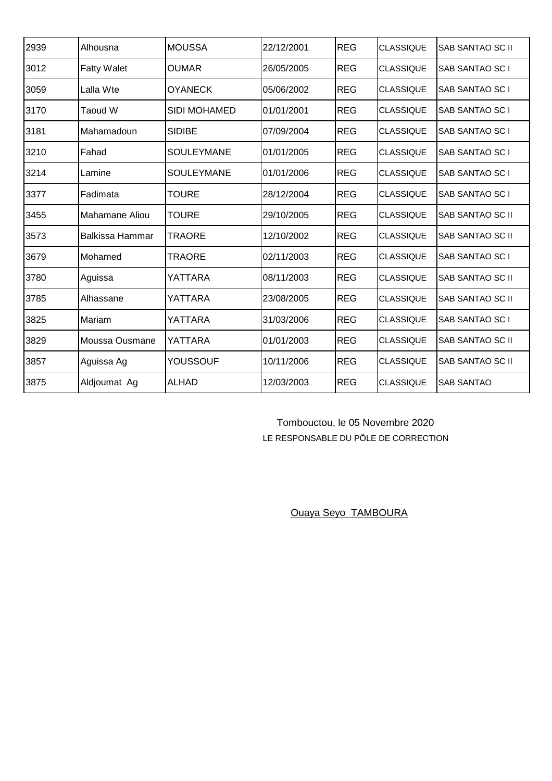| 2939 | Alhousna           | <b>MOUSSA</b>       | 22/12/2001 | <b>REG</b> | <b>CLASSIQUE</b> | <b>SAB SANTAO SC II</b> |
|------|--------------------|---------------------|------------|------------|------------------|-------------------------|
| 3012 | <b>Fatty Walet</b> | OUMAR               | 26/05/2005 | <b>REG</b> | <b>CLASSIQUE</b> | SAB SANTAO SC I         |
| 3059 | Lalla Wte          | <b>OYANECK</b>      | 05/06/2002 | <b>REG</b> | <b>CLASSIQUE</b> | SAB SANTAO SC I         |
| 3170 | Taoud W            | <b>SIDI MOHAMED</b> | 01/01/2001 | <b>REG</b> | <b>CLASSIQUE</b> | SAB SANTAO SC I         |
| 3181 | Mahamadoun         | <b>SIDIBE</b>       | 07/09/2004 | <b>REG</b> | <b>CLASSIQUE</b> | SAB SANTAO SC I         |
| 3210 | Fahad              | <b>SOULEYMANE</b>   | 01/01/2005 | <b>REG</b> | <b>CLASSIQUE</b> | SAB SANTAO SC I         |
| 3214 | Lamine             | SOULEYMANE          | 01/01/2006 | <b>REG</b> | <b>CLASSIQUE</b> | SAB SANTAO SC I         |
| 3377 | Fadimata           | <b>TOURE</b>        | 28/12/2004 | <b>REG</b> | <b>CLASSIQUE</b> | SAB SANTAO SC I         |
| 3455 | Mahamane Aliou     | <b>TOURE</b>        | 29/10/2005 | <b>REG</b> | <b>CLASSIQUE</b> | <b>SAB SANTAO SC II</b> |
| 3573 | Balkissa Hammar    | <b>TRAORE</b>       | 12/10/2002 | <b>REG</b> | <b>CLASSIQUE</b> | <b>SAB SANTAO SC II</b> |
| 3679 | Mohamed            | TRAORE              | 02/11/2003 | <b>REG</b> | <b>CLASSIQUE</b> | SAB SANTAO SC I         |
| 3780 | Aguissa            | YATTARA             | 08/11/2003 | <b>REG</b> | <b>CLASSIQUE</b> | SAB SANTAO SC II        |
| 3785 | Alhassane          | YATTARA             | 23/08/2005 | <b>REG</b> | <b>CLASSIQUE</b> | <b>SAB SANTAO SC II</b> |
| 3825 | Mariam             | YATTARA             | 31/03/2006 | <b>REG</b> | <b>CLASSIQUE</b> | SAB SANTAO SC I         |
| 3829 | Moussa Ousmane     | YATTARA             | 01/01/2003 | <b>REG</b> | <b>CLASSIQUE</b> | SAB SANTAO SC II        |
| 3857 | Aguissa Ag         | YOUSSOUF            | 10/11/2006 | <b>REG</b> | <b>CLASSIQUE</b> | <b>SAB SANTAO SC II</b> |
| 3875 | Aldjoumat Ag       | <b>ALHAD</b>        | 12/03/2003 | <b>REG</b> | <b>CLASSIQUE</b> | <b>SAB SANTAO</b>       |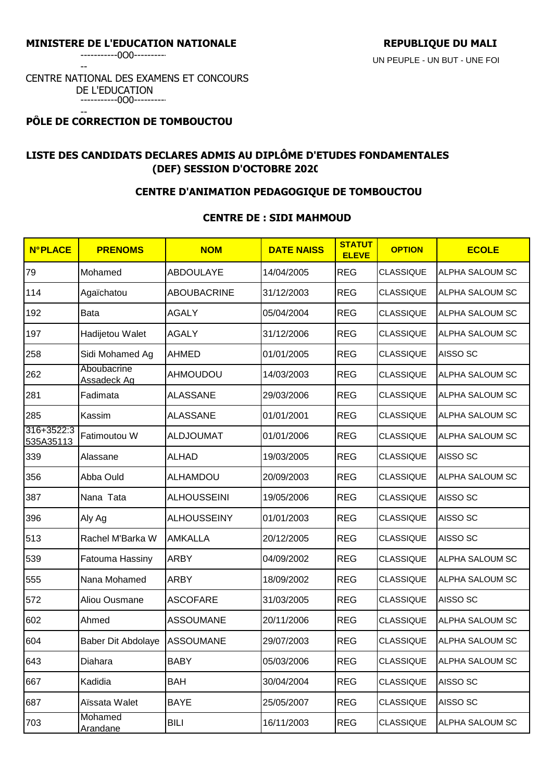-----------0O0----------

--

### CENTRE NATIONAL DES EXAMENS ET CONCOURS DE L'EDUCATION -----------0O0----------

#### -- **PÔLE DE CORRECTION DE TOMBOUCTOU**

# **LISTE DES CANDIDATS DECLARES ADMIS AU DIPLÔME D'ETUDES FONDAMENTALES (DEF) SESSION D'OCTOBRE 2020**

### **CENTRE D'ANIMATION PEDAGOGIQUE DE TOMBOUCTOU**

## **CENTRE DE : SIDI MAHMOUD**

| <b>N°PLACE</b>          | <b>PRENOMS</b>             | <b>NOM</b>         | <b>DATE NAISS</b> | <b>STATUT</b><br><b>ELEVE</b> | <b>OPTION</b>    | <b>ECOLE</b>           |
|-------------------------|----------------------------|--------------------|-------------------|-------------------------------|------------------|------------------------|
| 79                      | Mohamed                    | <b>ABDOULAYE</b>   | 14/04/2005        | <b>REG</b>                    | <b>CLASSIQUE</b> | ALPHA SALOUM SC        |
| 114                     | Agaïchatou                 | <b>ABOUBACRINE</b> | 31/12/2003        | <b>REG</b>                    | <b>CLASSIQUE</b> | <b>ALPHA SALOUM SC</b> |
| 192                     | Bata                       | <b>AGALY</b>       | 05/04/2004        | <b>REG</b>                    | <b>CLASSIQUE</b> | ALPHA SALOUM SC        |
| 197                     | Hadijetou Walet            | <b>AGALY</b>       | 31/12/2006        | <b>REG</b>                    | <b>CLASSIQUE</b> | ALPHA SALOUM SC        |
| 258                     | Sidi Mohamed Ag            | <b>AHMED</b>       | 01/01/2005        | <b>REG</b>                    | <b>CLASSIQUE</b> | AISSO <sub>SC</sub>    |
| 262                     | Aboubacrine<br>Assadeck Ag | <b>AHMOUDOU</b>    | 14/03/2003        | <b>REG</b>                    | <b>CLASSIQUE</b> | ALPHA SALOUM SC        |
| 281                     | Fadimata                   | <b>ALASSANE</b>    | 29/03/2006        | <b>REG</b>                    | <b>CLASSIQUE</b> | ALPHA SALOUM SC        |
| 285                     | Kassim                     | <b>ALASSANE</b>    | 01/01/2001        | <b>REG</b>                    | <b>CLASSIQUE</b> | ALPHA SALOUM SC        |
| 316+3522:3<br>535A35113 | Fatimoutou W               | <b>ALDJOUMAT</b>   | 01/01/2006        | <b>REG</b>                    | <b>CLASSIQUE</b> | ALPHA SALOUM SC        |
| 339                     | Alassane                   | <b>ALHAD</b>       | 19/03/2005        | <b>REG</b>                    | <b>CLASSIQUE</b> | AISSO <sub>SC</sub>    |
| 356                     | Abba Ould                  | ALHAMDOU           | 20/09/2003        | <b>REG</b>                    | <b>CLASSIQUE</b> | ALPHA SALOUM SC        |
| 387                     | Nana Tata                  | <b>ALHOUSSEINI</b> | 19/05/2006        | <b>REG</b>                    | <b>CLASSIQUE</b> | AISSO <sub>SC</sub>    |
| 396                     | Aly Ag                     | <b>ALHOUSSEINY</b> | 01/01/2003        | <b>REG</b>                    | <b>CLASSIQUE</b> | AISSO <sub>SC</sub>    |
| 513                     | Rachel M'Barka W           | <b>AMKALLA</b>     | 20/12/2005        | <b>REG</b>                    | <b>CLASSIQUE</b> | AISSO <sub>SC</sub>    |
| 539                     | Fatouma Hassiny            | <b>ARBY</b>        | 04/09/2002        | <b>REG</b>                    | <b>CLASSIQUE</b> | ALPHA SALOUM SC        |
| 555                     | Nana Mohamed               | <b>ARBY</b>        | 18/09/2002        | <b>REG</b>                    | <b>CLASSIQUE</b> | ALPHA SALOUM SC        |
| 572                     | Aliou Ousmane              | <b>ASCOFARE</b>    | 31/03/2005        | <b>REG</b>                    | <b>CLASSIQUE</b> | AISSO <sub>SC</sub>    |
| 602                     | Ahmed                      | <b>ASSOUMANE</b>   | 20/11/2006        | <b>REG</b>                    | <b>CLASSIQUE</b> | ALPHA SALOUM SC        |
| 604                     | <b>Baber Dit Abdolaye</b>  | <b>ASSOUMANE</b>   | 29/07/2003        | <b>REG</b>                    | <b>CLASSIQUE</b> | ALPHA SALOUM SC        |
| 643                     | Diahara                    | <b>BABY</b>        | 05/03/2006        | <b>REG</b>                    | CLASSIQUE        | ALPHA SALOUM SC        |
| 667                     | Kadidia                    | <b>BAH</b>         | 30/04/2004        | <b>REG</b>                    | <b>CLASSIQUE</b> | AISSO <sub>SC</sub>    |
| 687                     | Aïssata Walet              | <b>BAYE</b>        | 25/05/2007        | <b>REG</b>                    | <b>CLASSIQUE</b> | AISSO SC               |
| 703                     | Mohamed<br><b>Arandane</b> | <b>BILI</b>        | 16/11/2003        | <b>REG</b>                    | <b>CLASSIQUE</b> | ALPHA SALOUM SC        |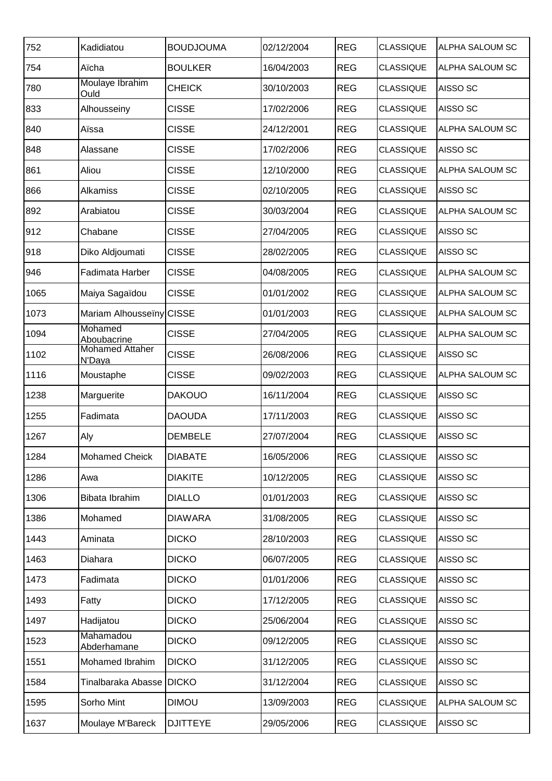| 752  | Kadidiatou                       | <b>BOUDJOUMA</b> | 02/12/2004 | <b>REG</b> | <b>CLASSIQUE</b> | ALPHA SALOUM SC     |
|------|----------------------------------|------------------|------------|------------|------------------|---------------------|
| 754  | Aïcha                            | <b>BOULKER</b>   | 16/04/2003 | <b>REG</b> | <b>CLASSIQUE</b> | ALPHA SALOUM SC     |
| 780  | Moulaye Ibrahim<br>Ould          | <b>CHEICK</b>    | 30/10/2003 | <b>REG</b> | <b>CLASSIQUE</b> | AISSO SC            |
| 833  | Alhousseiny                      | <b>CISSE</b>     | 17/02/2006 | <b>REG</b> | <b>CLASSIQUE</b> | AISSO SC            |
| 840  | Aïssa                            | <b>CISSE</b>     | 24/12/2001 | <b>REG</b> | <b>CLASSIQUE</b> | ALPHA SALOUM SC     |
| 848  | Alassane                         | <b>CISSE</b>     | 17/02/2006 | <b>REG</b> | <b>CLASSIQUE</b> | AISSO <sub>SC</sub> |
| 861  | Aliou                            | <b>CISSE</b>     | 12/10/2000 | <b>REG</b> | <b>CLASSIQUE</b> | ALPHA SALOUM SC     |
| 866  | Alkamiss                         | <b>CISSE</b>     | 02/10/2005 | <b>REG</b> | <b>CLASSIQUE</b> | AISSO SC            |
| 892  | Arabiatou                        | <b>CISSE</b>     | 30/03/2004 | <b>REG</b> | <b>CLASSIQUE</b> | ALPHA SALOUM SC     |
| 912  | Chabane                          | <b>CISSE</b>     | 27/04/2005 | <b>REG</b> | <b>CLASSIQUE</b> | AISSO SC            |
| 918  | Diko Aldjoumati                  | <b>CISSE</b>     | 28/02/2005 | <b>REG</b> | <b>CLASSIQUE</b> | AISSO <sub>SC</sub> |
| 946  | Fadimata Harber                  | <b>CISSE</b>     | 04/08/2005 | <b>REG</b> | <b>CLASSIQUE</b> | ALPHA SALOUM SC     |
| 1065 | Maiya Sagaïdou                   | <b>CISSE</b>     | 01/01/2002 | <b>REG</b> | <b>CLASSIQUE</b> | ALPHA SALOUM SC     |
| 1073 | Mariam Alhousseïny CISSE         |                  | 01/01/2003 | <b>REG</b> | <b>CLASSIQUE</b> | ALPHA SALOUM SC     |
| 1094 | Mohamed<br>Aboubacrine           | <b>CISSE</b>     | 27/04/2005 | <b>REG</b> | <b>CLASSIQUE</b> | ALPHA SALOUM SC     |
| 1102 | <b>Mohamed Attaher</b><br>N'Daya | <b>CISSE</b>     | 26/08/2006 | <b>REG</b> | <b>CLASSIQUE</b> | AISSO SC            |
| 1116 | Moustaphe                        | <b>CISSE</b>     | 09/02/2003 | <b>REG</b> | <b>CLASSIQUE</b> | ALPHA SALOUM SC     |
| 1238 | Marguerite                       | <b>DAKOUO</b>    | 16/11/2004 | <b>REG</b> | <b>CLASSIQUE</b> | AISSO SC            |
| 1255 | Fadimata                         | <b>DAOUDA</b>    | 17/11/2003 | <b>REG</b> | <b>CLASSIQUE</b> | AISSO SC            |
| 1267 | Aly                              | <b>DEMBELE</b>   | 27/07/2004 | <b>REG</b> | <b>CLASSIQUE</b> | AISSO SC            |
| 1284 | Mohamed Cheick                   | <b>DIABATE</b>   | 16/05/2006 | <b>REG</b> | <b>CLASSIQUE</b> | AISSO <sub>SC</sub> |
| 1286 | Awa                              | <b>DIAKITE</b>   | 10/12/2005 | <b>REG</b> | <b>CLASSIQUE</b> | AISSO <sub>SC</sub> |
| 1306 | Bibata Ibrahim                   | <b>DIALLO</b>    | 01/01/2003 | <b>REG</b> | <b>CLASSIQUE</b> | AISSO <sub>SC</sub> |
| 1386 | Mohamed                          | <b>DIAWARA</b>   | 31/08/2005 | <b>REG</b> | <b>CLASSIQUE</b> | AISSO SC            |
| 1443 | Aminata                          | <b>DICKO</b>     | 28/10/2003 | <b>REG</b> | <b>CLASSIQUE</b> | AISSO SC            |
| 1463 | Diahara                          | <b>DICKO</b>     | 06/07/2005 | <b>REG</b> | <b>CLASSIQUE</b> | AISSO <sub>SC</sub> |
| 1473 | Fadimata                         | <b>DICKO</b>     | 01/01/2006 | <b>REG</b> | <b>CLASSIQUE</b> | AISSO <sub>SC</sub> |
| 1493 | Fatty                            | <b>DICKO</b>     | 17/12/2005 | <b>REG</b> | <b>CLASSIQUE</b> | AISSO SC            |
| 1497 | Hadijatou                        | <b>DICKO</b>     | 25/06/2004 | <b>REG</b> | <b>CLASSIQUE</b> | AISSO <sub>SC</sub> |
| 1523 | Mahamadou<br>Abderhamane         | <b>DICKO</b>     | 09/12/2005 | <b>REG</b> | <b>CLASSIQUE</b> | AISSO <sub>SC</sub> |
| 1551 | Mohamed Ibrahim                  | <b>DICKO</b>     | 31/12/2005 | <b>REG</b> | <b>CLASSIQUE</b> | AISSO SC            |
| 1584 | Tinalbaraka Abasse DICKO         |                  | 31/12/2004 | <b>REG</b> | <b>CLASSIQUE</b> | AISSO SC            |
| 1595 | Sorho Mint                       | <b>DIMOU</b>     | 13/09/2003 | <b>REG</b> | <b>CLASSIQUE</b> | ALPHA SALOUM SC     |
| 1637 | Moulaye M'Bareck                 | <b>DJITTEYE</b>  | 29/05/2006 | <b>REG</b> | <b>CLASSIQUE</b> | AISSO <sub>SC</sub> |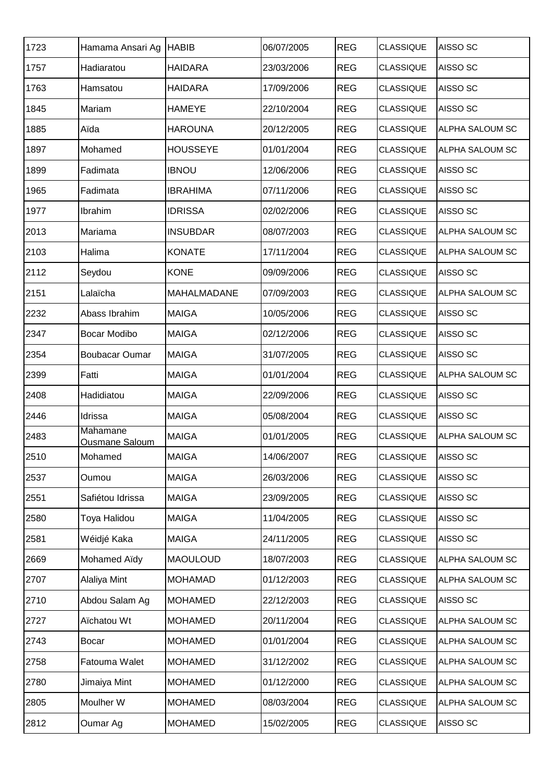| Hamama Ansari Ag      | <b>HABIB</b>    | 06/07/2005 | <b>REG</b> | <b>CLASSIQUE</b> | AISSO <sub>SC</sub> |
|-----------------------|-----------------|------------|------------|------------------|---------------------|
| Hadiaratou            | <b>HAIDARA</b>  | 23/03/2006 | <b>REG</b> | <b>CLASSIQUE</b> | AISSO SC            |
| Hamsatou              | <b>HAIDARA</b>  | 17/09/2006 | <b>REG</b> | <b>CLASSIQUE</b> | AISSO SC            |
| Mariam                | <b>HAMEYE</b>   | 22/10/2004 | <b>REG</b> | <b>CLASSIQUE</b> | AISSO SC            |
| Aïda                  | <b>HAROUNA</b>  | 20/12/2005 | <b>REG</b> | <b>CLASSIQUE</b> | ALPHA SALOUM SC     |
| Mohamed               | <b>HOUSSEYE</b> | 01/01/2004 | <b>REG</b> | <b>CLASSIQUE</b> | ALPHA SALOUM SC     |
| Fadimata              | <b>IBNOU</b>    | 12/06/2006 | <b>REG</b> | <b>CLASSIQUE</b> | AISSO SC            |
| Fadimata              | <b>IBRAHIMA</b> | 07/11/2006 | <b>REG</b> | <b>CLASSIQUE</b> | AISSO SC            |
| Ibrahim               | <b>IDRISSA</b>  | 02/02/2006 | <b>REG</b> | <b>CLASSIQUE</b> | AISSO SC            |
| Mariama               | <b>INSUBDAR</b> | 08/07/2003 | <b>REG</b> | <b>CLASSIQUE</b> | ALPHA SALOUM SC     |
| Halima                | <b>KONATE</b>   | 17/11/2004 | <b>REG</b> | <b>CLASSIQUE</b> | ALPHA SALOUM SC     |
| Seydou                | <b>KONE</b>     | 09/09/2006 | <b>REG</b> | <b>CLASSIQUE</b> | AISSO SC            |
| Lalaïcha              | MAHALMADANE     | 07/09/2003 | <b>REG</b> | <b>CLASSIQUE</b> | ALPHA SALOUM SC     |
| Abass Ibrahim         | <b>MAIGA</b>    | 10/05/2006 | <b>REG</b> | <b>CLASSIQUE</b> | AISSO SC            |
| Bocar Modibo          | <b>MAIGA</b>    | 02/12/2006 | <b>REG</b> | <b>CLASSIQUE</b> | AISSO SC            |
| <b>Boubacar Oumar</b> | <b>MAIGA</b>    | 31/07/2005 | <b>REG</b> | <b>CLASSIQUE</b> | AISSO SC            |
| Fatti                 | <b>MAIGA</b>    | 01/01/2004 | <b>REG</b> | <b>CLASSIQUE</b> | ALPHA SALOUM SC     |
| Hadidiatou            | <b>MAIGA</b>    | 22/09/2006 | <b>REG</b> | <b>CLASSIQUE</b> | AISSO SC            |
| Idrissa               | <b>MAIGA</b>    | 05/08/2004 | <b>REG</b> | <b>CLASSIQUE</b> | AISSO SC            |
| Mahamane              | <b>MAIGA</b>    | 01/01/2005 | <b>REG</b> | <b>CLASSIQUE</b> | ALPHA SALOUM SC     |
| Mohamed               | <b>MAIGA</b>    | 14/06/2007 | <b>REG</b> | <b>CLASSIQUE</b> | AISSO SC            |
| Oumou                 | <b>MAIGA</b>    | 26/03/2006 | <b>REG</b> | <b>CLASSIQUE</b> | AISSO SC            |
| Safiétou Idrissa      | <b>MAIGA</b>    | 23/09/2005 | <b>REG</b> | <b>CLASSIQUE</b> | AISSO SC            |
| Toya Halidou          | <b>MAIGA</b>    | 11/04/2005 | <b>REG</b> | <b>CLASSIQUE</b> | AISSO SC            |
| Wéidjé Kaka           | <b>MAIGA</b>    | 24/11/2005 | <b>REG</b> | <b>CLASSIQUE</b> | AISSO SC            |
| Mohamed Aïdy          | <b>MAOULOUD</b> | 18/07/2003 | <b>REG</b> | <b>CLASSIQUE</b> | ALPHA SALOUM SC     |
| Alaliya Mint          | <b>MOHAMAD</b>  | 01/12/2003 | <b>REG</b> | <b>CLASSIQUE</b> | ALPHA SALOUM SC     |
| Abdou Salam Ag        | <b>MOHAMED</b>  | 22/12/2003 | <b>REG</b> | <b>CLASSIQUE</b> | AISSO SC            |
| Aïchatou Wt           | <b>MOHAMED</b>  | 20/11/2004 | <b>REG</b> | <b>CLASSIQUE</b> | ALPHA SALOUM SC     |
| <b>Bocar</b>          | <b>MOHAMED</b>  | 01/01/2004 | <b>REG</b> | <b>CLASSIQUE</b> | ALPHA SALOUM SC     |
| Fatouma Walet         | <b>MOHAMED</b>  | 31/12/2002 | <b>REG</b> | <b>CLASSIQUE</b> | ALPHA SALOUM SC     |
| Jimaiya Mint          | <b>MOHAMED</b>  | 01/12/2000 | <b>REG</b> | <b>CLASSIQUE</b> | ALPHA SALOUM SC     |
| Moulher W             | <b>MOHAMED</b>  | 08/03/2004 | <b>REG</b> | <b>CLASSIQUE</b> | ALPHA SALOUM SC     |
| Oumar Ag              | <b>MOHAMED</b>  | 15/02/2005 | <b>REG</b> | <b>CLASSIQUE</b> | AISSO SC            |
|                       | Ousmane Saloum  |            |            |                  |                     |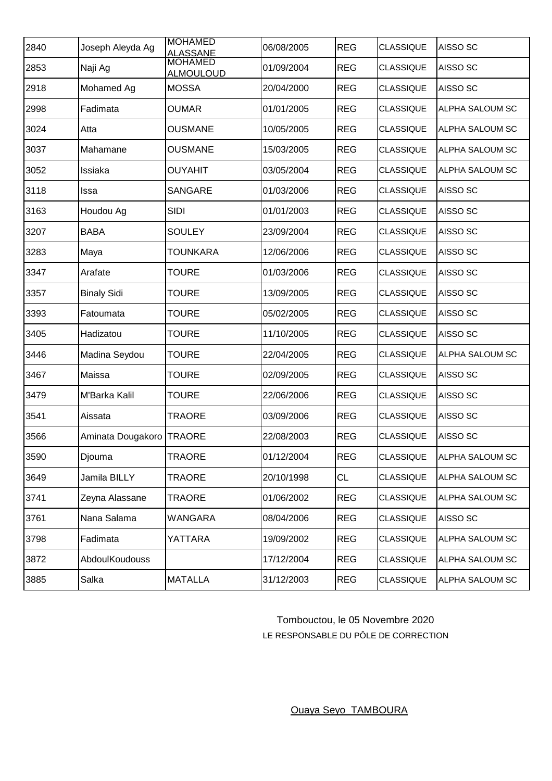| 2840 | Joseph Aleyda Ag   | <b>MOHAMED</b><br><b>ALASSANE</b>  | 06/08/2005 | <b>REG</b> | <b>CLASSIQUE</b> | AISSO <sub>SC</sub>    |
|------|--------------------|------------------------------------|------------|------------|------------------|------------------------|
| 2853 | Naji Ag            | <b>MOHAMED</b><br><b>ALMOULOUD</b> | 01/09/2004 | <b>REG</b> | <b>CLASSIQUE</b> | AISSO <sub>SC</sub>    |
| 2918 | Mohamed Ag         | <b>MOSSA</b>                       | 20/04/2000 | <b>REG</b> | <b>CLASSIQUE</b> | AISSO <sub>SC</sub>    |
| 2998 | Fadimata           | <b>OUMAR</b>                       | 01/01/2005 | <b>REG</b> | <b>CLASSIQUE</b> | ALPHA SALOUM SC        |
| 3024 | Atta               | <b>OUSMANE</b>                     | 10/05/2005 | <b>REG</b> | <b>CLASSIQUE</b> | ALPHA SALOUM SC        |
| 3037 | Mahamane           | <b>OUSMANE</b>                     | 15/03/2005 | <b>REG</b> | <b>CLASSIQUE</b> | ALPHA SALOUM SC        |
| 3052 | Issiaka            | <b>OUYAHIT</b>                     | 03/05/2004 | <b>REG</b> | <b>CLASSIQUE</b> | <b>ALPHA SALOUM SC</b> |
| 3118 | Issa               | <b>SANGARE</b>                     | 01/03/2006 | <b>REG</b> | <b>CLASSIQUE</b> | AISSO <sub>SC</sub>    |
| 3163 | Houdou Ag          | <b>SIDI</b>                        | 01/01/2003 | <b>REG</b> | <b>CLASSIQUE</b> | AISSO <sub>SC</sub>    |
| 3207 | <b>BABA</b>        | <b>SOULEY</b>                      | 23/09/2004 | <b>REG</b> | <b>CLASSIQUE</b> | AISSO <sub>SC</sub>    |
| 3283 | Maya               | <b>TOUNKARA</b>                    | 12/06/2006 | <b>REG</b> | <b>CLASSIQUE</b> | AISSO <sub>SC</sub>    |
| 3347 | Arafate            | <b>TOURE</b>                       | 01/03/2006 | <b>REG</b> | <b>CLASSIQUE</b> | AISSO <sub>SC</sub>    |
| 3357 | <b>Binaly Sidi</b> | <b>TOURE</b>                       | 13/09/2005 | <b>REG</b> | <b>CLASSIQUE</b> | AISSO <sub>SC</sub>    |
| 3393 | Fatoumata          | <b>TOURE</b>                       | 05/02/2005 | <b>REG</b> | <b>CLASSIQUE</b> | AISSO <sub>SC</sub>    |
| 3405 | Hadizatou          | <b>TOURE</b>                       | 11/10/2005 | <b>REG</b> | <b>CLASSIQUE</b> | AISSO <sub>SC</sub>    |
| 3446 | Madina Seydou      | <b>TOURE</b>                       | 22/04/2005 | <b>REG</b> | <b>CLASSIQUE</b> | ALPHA SALOUM SC        |
| 3467 | Maissa             | <b>TOURE</b>                       | 02/09/2005 | <b>REG</b> | <b>CLASSIQUE</b> | AISSO <sub>SC</sub>    |
| 3479 | M'Barka Kalil      | <b>TOURE</b>                       | 22/06/2006 | <b>REG</b> | <b>CLASSIQUE</b> | AISSO <sub>SC</sub>    |
| 3541 | Aissata            | <b>TRAORE</b>                      | 03/09/2006 | <b>REG</b> | <b>CLASSIQUE</b> | AISSO <sub>SC</sub>    |
| 3566 | Aminata Dougakoro  | <b>TRAORE</b>                      | 22/08/2003 | <b>REG</b> | <b>CLASSIQUE</b> | AISSO <sub>SC</sub>    |
| 3590 | Djouma             | <b>TRAORE</b>                      | 01/12/2004 | <b>REG</b> | <b>CLASSIQUE</b> | <b>ALPHA SALOUM SC</b> |
| 3649 | Jamila BILLY       | <b>TRAORE</b>                      | 20/10/1998 | <b>CL</b>  | <b>CLASSIQUE</b> | ALPHA SALOUM SC        |
| 3741 | Zeyna Alassane     | <b>TRAORE</b>                      | 01/06/2002 | <b>REG</b> | <b>CLASSIQUE</b> | ALPHA SALOUM SC        |
| 3761 | Nana Salama        | <b>WANGARA</b>                     | 08/04/2006 | <b>REG</b> | <b>CLASSIQUE</b> | AISSO <sub>SC</sub>    |
| 3798 | Fadimata           | YATTARA                            | 19/09/2002 | <b>REG</b> | <b>CLASSIQUE</b> | ALPHA SALOUM SC        |
| 3872 | AbdoulKoudouss     |                                    | 17/12/2004 | <b>REG</b> | <b>CLASSIQUE</b> | ALPHA SALOUM SC        |
| 3885 | Salka              | <b>MATALLA</b>                     | 31/12/2003 | <b>REG</b> | <b>CLASSIQUE</b> | ALPHA SALOUM SC        |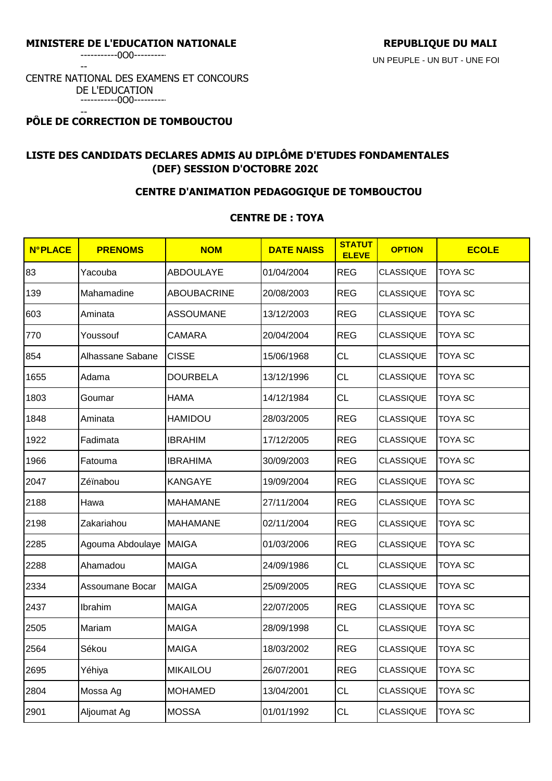-----------0O0----------

--

### CENTRE NATIONAL DES EXAMENS ET CONCOURS DE L'EDUCATION -----------0O0----------

### -- **PÔLE DE CORRECTION DE TOMBOUCTOU**

# **LISTE DES CANDIDATS DECLARES ADMIS AU DIPLÔME D'ETUDES FONDAMENTALES (DEF) SESSION D'OCTOBRE 2020**

## **CENTRE D'ANIMATION PEDAGOGIQUE DE TOMBOUCTOU**

## **CENTRE DE : TOYA**

| <b>N°PLACE</b> | <b>PRENOMS</b>   | <b>NOM</b>         | <b>DATE NAISS</b> | <b>STATUT</b><br><b>ELEVE</b> | <b>OPTION</b>    | <b>ECOLE</b>   |
|----------------|------------------|--------------------|-------------------|-------------------------------|------------------|----------------|
| 83             | Yacouba          | <b>ABDOULAYE</b>   | 01/04/2004        | <b>REG</b>                    | <b>CLASSIQUE</b> | TOYA SC        |
| 139            | Mahamadine       | <b>ABOUBACRINE</b> | 20/08/2003        | <b>REG</b>                    | CLASSIQUE        | TOYA SC        |
| 603            | Aminata          | <b>ASSOUMANE</b>   | 13/12/2003        | <b>REG</b>                    | <b>CLASSIQUE</b> | <b>TOYA SC</b> |
| 770            | Youssouf         | <b>CAMARA</b>      | 20/04/2004        | <b>REG</b>                    | <b>CLASSIQUE</b> | <b>TOYA SC</b> |
| 854            | Alhassane Sabane | <b>CISSE</b>       | 15/06/1968        | <b>CL</b>                     | CLASSIQUE        | TOYA SC        |
| 1655           | Adama            | <b>DOURBELA</b>    | 13/12/1996        | <b>CL</b>                     | <b>CLASSIQUE</b> | <b>TOYA SC</b> |
| 1803           | Goumar           | <b>HAMA</b>        | 14/12/1984        | CL                            | <b>CLASSIQUE</b> | <b>TOYA SC</b> |
| 1848           | Aminata          | <b>HAMIDOU</b>     | 28/03/2005        | <b>REG</b>                    | <b>CLASSIQUE</b> | <b>TOYA SC</b> |
| 1922           | Fadimata         | <b>IBRAHIM</b>     | 17/12/2005        | <b>REG</b>                    | <b>CLASSIQUE</b> | TOYA SC        |
| 1966           | Fatouma          | <b>IBRAHIMA</b>    | 30/09/2003        | <b>REG</b>                    | <b>CLASSIQUE</b> | TOYA SC        |
| 2047           | Zéïnabou         | <b>KANGAYE</b>     | 19/09/2004        | <b>REG</b>                    | <b>CLASSIQUE</b> | <b>TOYA SC</b> |
| 2188           | Hawa             | <b>MAHAMANE</b>    | 27/11/2004        | <b>REG</b>                    | <b>CLASSIQUE</b> | <b>TOYA SC</b> |
| 2198           | Zakariahou       | <b>MAHAMANE</b>    | 02/11/2004        | <b>REG</b>                    | <b>CLASSIQUE</b> | TOYA SC        |
| 2285           | Agouma Abdoulaye | <b>MAIGA</b>       | 01/03/2006        | <b>REG</b>                    | <b>CLASSIQUE</b> | TOYA SC        |
| 2288           | Ahamadou         | <b>MAIGA</b>       | 24/09/1986        | CL                            | <b>CLASSIQUE</b> | <b>TOYA SC</b> |
| 2334           | Assoumane Bocar  | <b>MAIGA</b>       | 25/09/2005        | <b>REG</b>                    | <b>CLASSIQUE</b> | <b>TOYA SC</b> |
| 2437           | Ibrahim          | <b>MAIGA</b>       | 22/07/2005        | <b>REG</b>                    | <b>CLASSIQUE</b> | TOYA SC        |
| 2505           | Mariam           | <b>MAIGA</b>       | 28/09/1998        | <b>CL</b>                     | <b>CLASSIQUE</b> | <b>TOYA SC</b> |
| 2564           | Sékou            | <b>MAIGA</b>       | 18/03/2002        | <b>REG</b>                    | <b>CLASSIQUE</b> | <b>TOYA SC</b> |
| 2695           | Yéhiya           | <b>MIKAILOU</b>    | 26/07/2001        | <b>REG</b>                    | <b>CLASSIQUE</b> | <b>TOYA SC</b> |
| 2804           | Mossa Ag         | <b>MOHAMED</b>     | 13/04/2001        | CL                            | <b>CLASSIQUE</b> | TOYA SC        |
| 2901           | Aljoumat Ag      | <b>MOSSA</b>       | 01/01/1992        | <b>CL</b>                     | <b>CLASSIQUE</b> | TOYA SC        |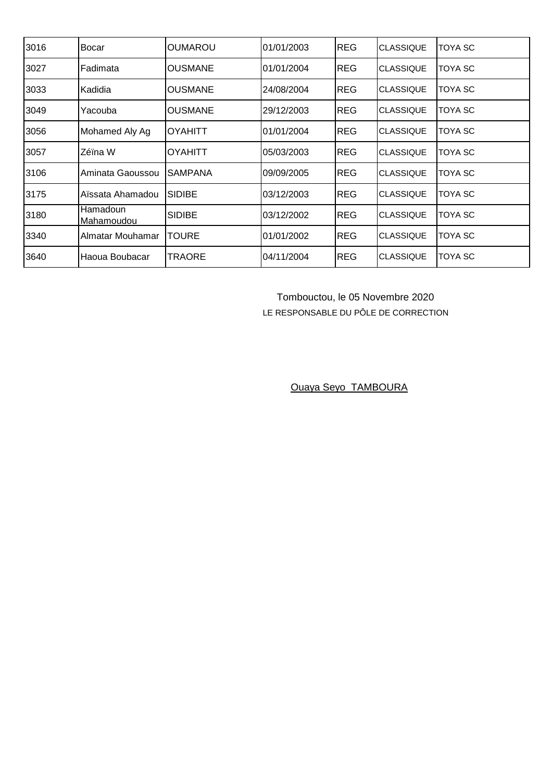| 3016 | <b>Bocar</b>           | IOUMAROU       | 01/01/2003 | <b>REG</b> | <b>CLASSIQUE</b> | TOYA SC        |
|------|------------------------|----------------|------------|------------|------------------|----------------|
| 3027 | Fadimata               | <b>OUSMANE</b> | 01/01/2004 | <b>REG</b> | <b>CLASSIQUE</b> | TOYA SC        |
| 3033 | Kadidia                | IOUSMANE       | 24/08/2004 | <b>REG</b> | <b>CLASSIQUE</b> | TOYA SC        |
| 3049 | Yacouba                | <b>OUSMANE</b> | 29/12/2003 | <b>REG</b> | <b>CLASSIQUE</b> | TOYA SC        |
| 3056 | Mohamed Aly Ag         | IOYAHITT       | 01/01/2004 | <b>REG</b> | <b>CLASSIQUE</b> | TOYA SC        |
| 3057 | Zéïna W                | IOYAHITT       | 05/03/2003 | <b>REG</b> | <b>CLASSIQUE</b> | TOYA SC        |
| 3106 | Aminata Gaoussou       | <b>SAMPANA</b> | 09/09/2005 | <b>REG</b> | <b>CLASSIQUE</b> | TOYA SC        |
| 3175 | Aïssata Ahamadou       | ISIDIBE        | 03/12/2003 | <b>REG</b> | <b>CLASSIQUE</b> | TOYA SC        |
| 3180 | Hamadoun<br>Mahamoudou | <b>SIDIBE</b>  | 03/12/2002 | <b>REG</b> | <b>CLASSIQUE</b> | TOYA SC        |
| 3340 | Almatar Mouhamar       | TOURE          | 01/01/2002 | <b>REG</b> | <b>CLASSIQUE</b> | TOYA SC        |
| 3640 | Haoua Boubacar         | TRAORE         | 04/11/2004 | <b>REG</b> | <b>CLASSIQUE</b> | <b>TOYA SC</b> |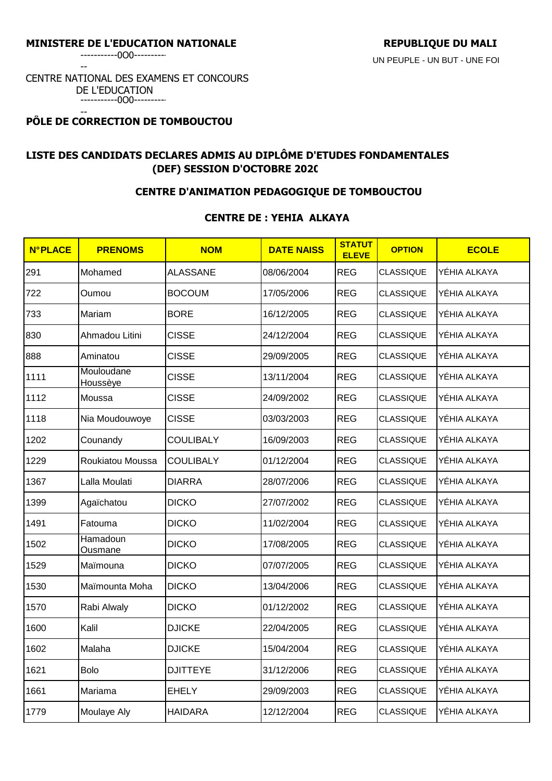-----------0O0----------

--

### CENTRE NATIONAL DES EXAMENS ET CONCOURS DE L'EDUCATION -----------0O0----------

#### -- **PÔLE DE CORRECTION DE TOMBOUCTOU**

# **LISTE DES CANDIDATS DECLARES ADMIS AU DIPLÔME D'ETUDES FONDAMENTALES (DEF) SESSION D'OCTOBRE 2020**

## **CENTRE D'ANIMATION PEDAGOGIQUE DE TOMBOUCTOU**

### **CENTRE DE : YEHIA ALKAYA**

| <b>N°PLACE</b> | <b>PRENOMS</b>         | <b>NOM</b>       | <b>DATE NAISS</b> | <b>STATUT</b><br><b>ELEVE</b> | <b>OPTION</b>    | <b>ECOLE</b> |
|----------------|------------------------|------------------|-------------------|-------------------------------|------------------|--------------|
| 291            | Mohamed                | <b>ALASSANE</b>  | 08/06/2004        | <b>REG</b>                    | <b>CLASSIQUE</b> | YÉHIA ALKAYA |
| 722            | Oumou                  | <b>BOCOUM</b>    | 17/05/2006        | <b>REG</b>                    | <b>CLASSIQUE</b> | YÉHIA ALKAYA |
| 733            | Mariam                 | <b>BORE</b>      | 16/12/2005        | <b>REG</b>                    | <b>CLASSIQUE</b> | YÉHIA ALKAYA |
| 830            | Ahmadou Litini         | <b>CISSE</b>     | 24/12/2004        | <b>REG</b>                    | <b>CLASSIQUE</b> | YÉHIA ALKAYA |
| 888            | Aminatou               | <b>CISSE</b>     | 29/09/2005        | <b>REG</b>                    | <b>CLASSIQUE</b> | YÉHIA ALKAYA |
| 1111           | Mouloudane<br>Houssèye | <b>CISSE</b>     | 13/11/2004        | <b>REG</b>                    | <b>CLASSIQUE</b> | YÉHIA ALKAYA |
| 1112           | Moussa                 | <b>CISSE</b>     | 24/09/2002        | <b>REG</b>                    | <b>CLASSIQUE</b> | YÉHIA ALKAYA |
| 1118           | Nia Moudouwoye         | <b>CISSE</b>     | 03/03/2003        | <b>REG</b>                    | <b>CLASSIQUE</b> | YÉHIA ALKAYA |
| 1202           | Counandy               | <b>COULIBALY</b> | 16/09/2003        | <b>REG</b>                    | <b>CLASSIQUE</b> | YÉHIA ALKAYA |
| 1229           | Roukiatou Moussa       | <b>COULIBALY</b> | 01/12/2004        | <b>REG</b>                    | <b>CLASSIQUE</b> | YÉHIA ALKAYA |
| 1367           | Lalla Moulati          | <b>DIARRA</b>    | 28/07/2006        | <b>REG</b>                    | <b>CLASSIQUE</b> | YÉHIA ALKAYA |
| 1399           | Agaïchatou             | <b>DICKO</b>     | 27/07/2002        | <b>REG</b>                    | <b>CLASSIQUE</b> | YÉHIA ALKAYA |
| 1491           | Fatouma                | <b>DICKO</b>     | 11/02/2004        | <b>REG</b>                    | <b>CLASSIQUE</b> | YÉHIA ALKAYA |
| 1502           | Hamadoun<br>Ousmane    | <b>DICKO</b>     | 17/08/2005        | <b>REG</b>                    | <b>CLASSIQUE</b> | YÉHIA ALKAYA |
| 1529           | Maïmouna               | <b>DICKO</b>     | 07/07/2005        | <b>REG</b>                    | <b>CLASSIQUE</b> | YÉHIA ALKAYA |
| 1530           | Maïmounta Moha         | <b>DICKO</b>     | 13/04/2006        | <b>REG</b>                    | <b>CLASSIQUE</b> | YÉHIA ALKAYA |
| 1570           | Rabi Alwaly            | <b>DICKO</b>     | 01/12/2002        | <b>REG</b>                    | <b>CLASSIQUE</b> | YÉHIA ALKAYA |
| 1600           | Kalil                  | <b>DJICKE</b>    | 22/04/2005        | <b>REG</b>                    | <b>CLASSIQUE</b> | YÉHIA ALKAYA |
| 1602           | Malaha                 | <b>DJICKE</b>    | 15/04/2004        | <b>REG</b>                    | <b>CLASSIQUE</b> | YÉHIA ALKAYA |
| 1621           | <b>Bolo</b>            | <b>DJITTEYE</b>  | 31/12/2006        | <b>REG</b>                    | <b>CLASSIQUE</b> | YÉHIA ALKAYA |
| 1661           | Mariama                | <b>EHELY</b>     | 29/09/2003        | <b>REG</b>                    | <b>CLASSIQUE</b> | YÉHIA ALKAYA |
| 1779           | Moulaye Aly            | <b>HAIDARA</b>   | 12/12/2004        | <b>REG</b>                    | CLASSIQUE        | YÉHIA ALKAYA |